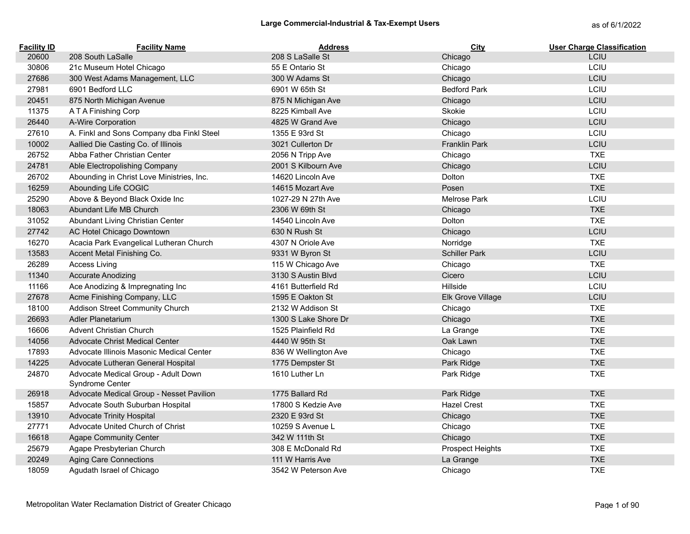| <b>Facility ID</b> | <b>Facility Name</b>                                   | <b>Address</b>       | City                    | <b>User Charge Classification</b> |
|--------------------|--------------------------------------------------------|----------------------|-------------------------|-----------------------------------|
| 20600              | 208 South LaSalle                                      | 208 S LaSalle St     | Chicago                 | LCIU                              |
| 30806              | 21c Museum Hotel Chicago                               | 55 E Ontario St      | Chicago                 | LCIU                              |
| 27686              | 300 West Adams Management, LLC                         | 300 W Adams St       | Chicago                 | LCIU                              |
| 27981              | 6901 Bedford LLC                                       | 6901 W 65th St       | <b>Bedford Park</b>     | LCIU                              |
| 20451              | 875 North Michigan Avenue                              | 875 N Michigan Ave   | Chicago                 | LCIU                              |
| 11375              | A T A Finishing Corp                                   | 8225 Kimball Ave     | Skokie                  | LCIU                              |
| 26440              | A-Wire Corporation                                     | 4825 W Grand Ave     | Chicago                 | LCIU                              |
| 27610              | A. Finkl and Sons Company dba Finkl Steel              | 1355 E 93rd St       | Chicago                 | LCIU                              |
| 10002              | Aallied Die Casting Co. of Illinois                    | 3021 Cullerton Dr    | <b>Franklin Park</b>    | LCIU                              |
| 26752              | Abba Father Christian Center                           | 2056 N Tripp Ave     | Chicago                 | <b>TXE</b>                        |
| 24781              | Able Electropolishing Company                          | 2001 S Kilbourn Ave  | Chicago                 | LCIU                              |
| 26702              | Abounding in Christ Love Ministries, Inc.              | 14620 Lincoln Ave    | Dolton                  | <b>TXE</b>                        |
| 16259              | Abounding Life COGIC                                   | 14615 Mozart Ave     | Posen                   | <b>TXE</b>                        |
| 25290              | Above & Beyond Black Oxide Inc                         | 1027-29 N 27th Ave   | Melrose Park            | LCIU                              |
| 18063              | Abundant Life MB Church                                | 2306 W 69th St       | Chicago                 | <b>TXE</b>                        |
| 31052              | Abundant Living Christian Center                       | 14540 Lincoln Ave    | Dolton                  | <b>TXE</b>                        |
| 27742              | AC Hotel Chicago Downtown                              | 630 N Rush St        | Chicago                 | LCIU                              |
| 16270              | Acacia Park Evangelical Lutheran Church                | 4307 N Oriole Ave    | Norridge                | <b>TXE</b>                        |
| 13583              | Accent Metal Finishing Co.                             | 9331 W Byron St      | <b>Schiller Park</b>    | LCIU                              |
| 26289              | <b>Access Living</b>                                   | 115 W Chicago Ave    | Chicago                 | <b>TXE</b>                        |
| 11340              | <b>Accurate Anodizing</b>                              | 3130 S Austin Blvd   | Cicero                  | LCIU                              |
| 11166              | Ace Anodizing & Impregnating Inc                       | 4161 Butterfield Rd  | Hillside                | LCIU                              |
| 27678              | Acme Finishing Company, LLC                            | 1595 E Oakton St     | Elk Grove Village       | LCIU                              |
| 18100              | Addison Street Community Church                        | 2132 W Addison St    | Chicago                 | <b>TXE</b>                        |
| 26693              | Adler Planetarium                                      | 1300 S Lake Shore Dr | Chicago                 | <b>TXE</b>                        |
| 16606              | <b>Advent Christian Church</b>                         | 1525 Plainfield Rd   | La Grange               | <b>TXE</b>                        |
| 14056              | Advocate Christ Medical Center                         | 4440 W 95th St       | Oak Lawn                | <b>TXE</b>                        |
| 17893              | Advocate Illinois Masonic Medical Center               | 836 W Wellington Ave | Chicago                 | <b>TXE</b>                        |
| 14225              | Advocate Lutheran General Hospital                     | 1775 Dempster St     | Park Ridge              | <b>TXE</b>                        |
| 24870              | Advocate Medical Group - Adult Down<br>Syndrome Center | 1610 Luther Ln       | Park Ridge              | <b>TXE</b>                        |
| 26918              | Advocate Medical Group - Nesset Pavilion               | 1775 Ballard Rd      | Park Ridge              | <b>TXE</b>                        |
| 15857              | Advocate South Suburban Hospital                       | 17800 S Kedzie Ave   | <b>Hazel Crest</b>      | <b>TXE</b>                        |
| 13910              | <b>Advocate Trinity Hospital</b>                       | 2320 E 93rd St       | Chicago                 | <b>TXE</b>                        |
| 27771              | Advocate United Church of Christ                       | 10259 S Avenue L     | Chicago                 | <b>TXE</b>                        |
| 16618              | <b>Agape Community Center</b>                          | 342 W 111th St       | Chicago                 | <b>TXE</b>                        |
| 25679              | Agape Presbyterian Church                              | 308 E McDonald Rd    | <b>Prospect Heights</b> | <b>TXE</b>                        |
| 20249              | <b>Aging Care Connections</b>                          | 111 W Harris Ave     | La Grange               | <b>TXE</b>                        |
| 18059              | Agudath Israel of Chicago                              | 3542 W Peterson Ave  | Chicago                 | <b>TXE</b>                        |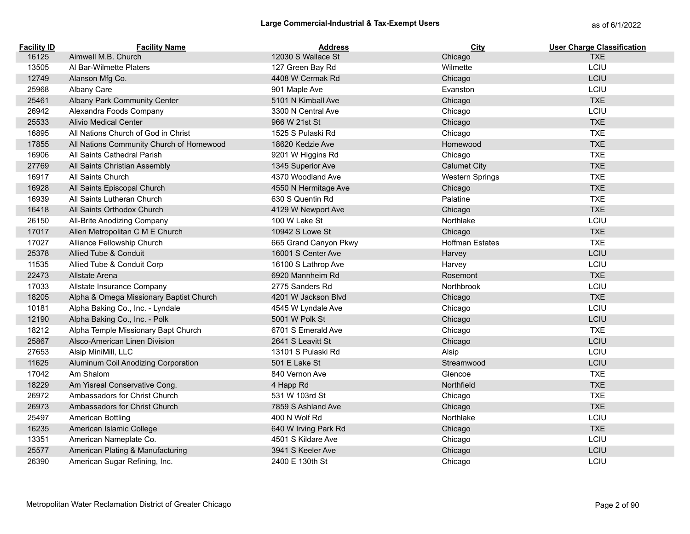| <b>Facility ID</b> | <b>Facility Name</b>                     | <b>Address</b>        | City                   | <b>User Charge Classification</b> |
|--------------------|------------------------------------------|-----------------------|------------------------|-----------------------------------|
| 16125              | Aimwell M.B. Church                      | 12030 S Wallace St    | Chicago                | <b>TXE</b>                        |
| 13505              | Al Bar-Wilmette Platers                  | 127 Green Bay Rd      | Wilmette               | LCIU                              |
| 12749              | Alanson Mfg Co.                          | 4408 W Cermak Rd      | Chicago                | LCIU                              |
| 25968              | Albany Care                              | 901 Maple Ave         | Evanston               | LCIU                              |
| 25461              | Albany Park Community Center             | 5101 N Kimball Ave    | Chicago                | <b>TXE</b>                        |
| 26942              | Alexandra Foods Company                  | 3300 N Central Ave    | Chicago                | LCIU                              |
| 25533              | <b>Alivio Medical Center</b>             | 966 W 21st St         | Chicago                | <b>TXE</b>                        |
| 16895              | All Nations Church of God in Christ      | 1525 S Pulaski Rd     | Chicago                | <b>TXE</b>                        |
| 17855              | All Nations Community Church of Homewood | 18620 Kedzie Ave      | Homewood               | <b>TXE</b>                        |
| 16906              | All Saints Cathedral Parish              | 9201 W Higgins Rd     | Chicago                | <b>TXE</b>                        |
| 27769              | All Saints Christian Assembly            | 1345 Superior Ave     | <b>Calumet City</b>    | <b>TXE</b>                        |
| 16917              | All Saints Church                        | 4370 Woodland Ave     | <b>Western Springs</b> | <b>TXE</b>                        |
| 16928              | All Saints Episcopal Church              | 4550 N Hermitage Ave  | Chicago                | <b>TXE</b>                        |
| 16939              | All Saints Lutheran Church               | 630 S Quentin Rd      | Palatine               | <b>TXE</b>                        |
| 16418              | All Saints Orthodox Church               | 4129 W Newport Ave    | Chicago                | <b>TXE</b>                        |
| 26150              | All-Brite Anodizing Company              | 100 W Lake St         | Northlake              | LCIU                              |
| 17017              | Allen Metropolitan C M E Church          | 10942 S Lowe St       | Chicago                | <b>TXE</b>                        |
| 17027              | Alliance Fellowship Church               | 665 Grand Canyon Pkwy | <b>Hoffman Estates</b> | <b>TXE</b>                        |
| 25378              | Allied Tube & Conduit                    | 16001 S Center Ave    | Harvey                 | LCIU                              |
| 11535              | Allied Tube & Conduit Corp               | 16100 S Lathrop Ave   | Harvey                 | LCIU                              |
| 22473              | Allstate Arena                           | 6920 Mannheim Rd      | Rosemont               | <b>TXE</b>                        |
| 17033              | Allstate Insurance Company               | 2775 Sanders Rd       | Northbrook             | LCIU                              |
| 18205              | Alpha & Omega Missionary Baptist Church  | 4201 W Jackson Blvd   | Chicago                | <b>TXE</b>                        |
| 10181              | Alpha Baking Co., Inc. - Lyndale         | 4545 W Lyndale Ave    | Chicago                | LCIU                              |
| 12190              | Alpha Baking Co., Inc. - Polk            | 5001 W Polk St        | Chicago                | LCIU                              |
| 18212              | Alpha Temple Missionary Bapt Church      | 6701 S Emerald Ave    | Chicago                | <b>TXE</b>                        |
| 25867              | Alsco-American Linen Division            | 2641 S Leavitt St     | Chicago                | LCIU                              |
| 27653              | Alsip MiniMill, LLC                      | 13101 S Pulaski Rd    | Alsip                  | LCIU                              |
| 11625              | Aluminum Coil Anodizing Corporation      | 501 E Lake St         | Streamwood             | LCIU                              |
| 17042              | Am Shalom                                | 840 Vernon Ave        | Glencoe                | <b>TXE</b>                        |
| 18229              | Am Yisreal Conservative Cong.            | 4 Happ Rd             | Northfield             | <b>TXE</b>                        |
| 26972              | Ambassadors for Christ Church            | 531 W 103rd St        | Chicago                | <b>TXE</b>                        |
| 26973              | Ambassadors for Christ Church            | 7859 S Ashland Ave    | Chicago                | <b>TXE</b>                        |
| 25497              | American Bottling                        | 400 N Wolf Rd         | Northlake              | LCIU                              |
| 16235              | American Islamic College                 | 640 W Irving Park Rd  | Chicago                | <b>TXE</b>                        |
| 13351              | American Nameplate Co.                   | 4501 S Kildare Ave    | Chicago                | LCIU                              |
| 25577              | American Plating & Manufacturing         | 3941 S Keeler Ave     | Chicago                | LCIU                              |
| 26390              | American Sugar Refining, Inc.            | 2400 E 130th St       | Chicago                | LCIU                              |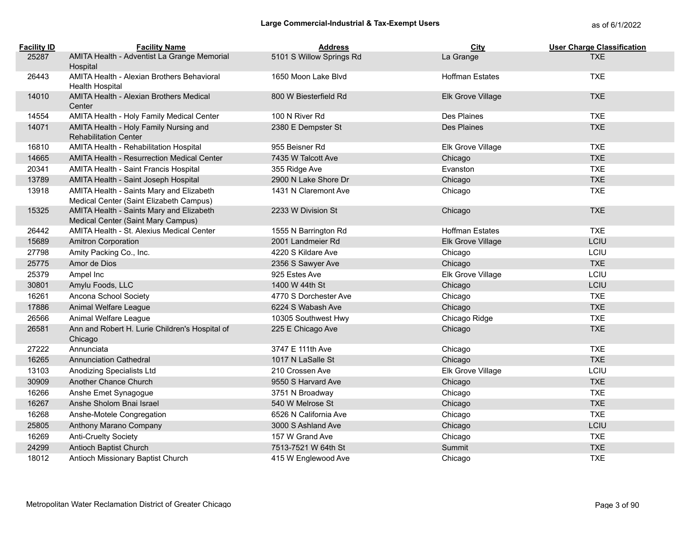| <b>Facility ID</b> | <b>Facility Name</b>                                                                | <b>Address</b>           | City                   | <b>User Charge Classification</b> |
|--------------------|-------------------------------------------------------------------------------------|--------------------------|------------------------|-----------------------------------|
| 25287              | AMITA Health - Adventist La Grange Memorial                                         | 5101 S Willow Springs Rd | La Grange              | <b>TXE</b>                        |
|                    | Hospital                                                                            |                          |                        |                                   |
| 26443              | AMITA Health - Alexian Brothers Behavioral<br><b>Health Hospital</b>                | 1650 Moon Lake Blvd      | <b>Hoffman Estates</b> | <b>TXE</b>                        |
| 14010              | AMITA Health - Alexian Brothers Medical                                             | 800 W Biesterfield Rd    | Elk Grove Village      | <b>TXE</b>                        |
|                    | Center                                                                              |                          |                        |                                   |
| 14554              | AMITA Health - Holy Family Medical Center                                           | 100 N River Rd           | Des Plaines            | <b>TXE</b>                        |
| 14071              | AMITA Health - Holy Family Nursing and                                              | 2380 E Dempster St       | Des Plaines            | <b>TXE</b>                        |
|                    | <b>Rehabilitation Center</b>                                                        |                          |                        |                                   |
| 16810              | AMITA Health - Rehabilitation Hospital                                              | 955 Beisner Rd           | Elk Grove Village      | <b>TXE</b>                        |
| 14665              | <b>AMITA Health - Resurrection Medical Center</b>                                   | 7435 W Talcott Ave       | Chicago                | <b>TXE</b>                        |
| 20341              | <b>AMITA Health - Saint Francis Hospital</b>                                        | 355 Ridge Ave            | Evanston               | <b>TXE</b>                        |
| 13789              | AMITA Health - Saint Joseph Hospital                                                | 2900 N Lake Shore Dr     | Chicago                | <b>TXE</b>                        |
| 13918              | AMITA Health - Saints Mary and Elizabeth<br>Medical Center (Saint Elizabeth Campus) | 1431 N Claremont Ave     | Chicago                | <b>TXE</b>                        |
| 15325              | AMITA Health - Saints Mary and Elizabeth<br>Medical Center (Saint Mary Campus)      | 2233 W Division St       | Chicago                | <b>TXE</b>                        |
| 26442              | AMITA Health - St. Alexius Medical Center                                           | 1555 N Barrington Rd     | <b>Hoffman Estates</b> | <b>TXE</b>                        |
| 15689              | <b>Amitron Corporation</b>                                                          | 2001 Landmeier Rd        | Elk Grove Village      | LCIU                              |
| 27798              | Amity Packing Co., Inc.                                                             | 4220 S Kildare Ave       | Chicago                | LCIU                              |
| 25775              | Amor de Dios                                                                        | 2356 S Sawyer Ave        | Chicago                | <b>TXE</b>                        |
| 25379              | Ampel Inc                                                                           | 925 Estes Ave            | Elk Grove Village      | LCIU                              |
| 30801              | Amylu Foods, LLC                                                                    | 1400 W 44th St           | Chicago                | LCIU                              |
| 16261              | Ancona School Society                                                               | 4770 S Dorchester Ave    | Chicago                | <b>TXE</b>                        |
| 17886              | Animal Welfare League                                                               | 6224 S Wabash Ave        | Chicago                | <b>TXE</b>                        |
| 26566              | Animal Welfare League                                                               | 10305 Southwest Hwy      | Chicago Ridge          | <b>TXE</b>                        |
| 26581              | Ann and Robert H. Lurie Children's Hospital of<br>Chicago                           | 225 E Chicago Ave        | Chicago                | <b>TXE</b>                        |
| 27222              | Annunciata                                                                          | 3747 E 111th Ave         | Chicago                | <b>TXE</b>                        |
| 16265              | <b>Annunciation Cathedral</b>                                                       | 1017 N LaSalle St        | Chicago                | <b>TXE</b>                        |
| 13103              | Anodizing Specialists Ltd                                                           | 210 Crossen Ave          | Elk Grove Village      | LCIU                              |
| 30909              | Another Chance Church                                                               | 9550 S Harvard Ave       | Chicago                | <b>TXE</b>                        |
| 16266              | Anshe Emet Synagogue                                                                | 3751 N Broadway          | Chicago                | <b>TXE</b>                        |
| 16267              | Anshe Sholom Bnai Israel                                                            | 540 W Melrose St         | Chicago                | <b>TXE</b>                        |
| 16268              | Anshe-Motele Congregation                                                           | 6526 N California Ave    | Chicago                | <b>TXE</b>                        |
| 25805              | Anthony Marano Company                                                              | 3000 S Ashland Ave       | Chicago                | LCIU                              |
| 16269              | Anti-Cruelty Society                                                                | 157 W Grand Ave          | Chicago                | <b>TXE</b>                        |
| 24299              | Antioch Baptist Church                                                              | 7513-7521 W 64th St      | Summit                 | <b>TXE</b>                        |
| 18012              | Antioch Missionary Baptist Church                                                   | 415 W Englewood Ave      | Chicago                | <b>TXE</b>                        |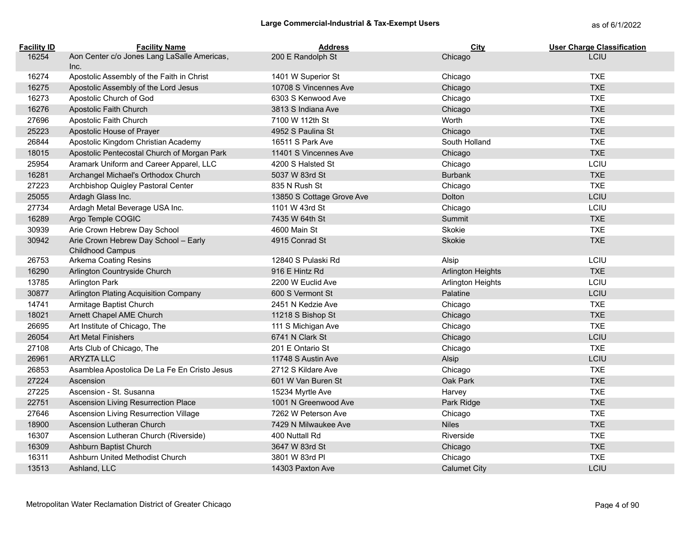| <b>Facility ID</b> | <b>Facility Name</b>                                     | <b>Address</b>            | City                     | <b>User Charge Classification</b> |
|--------------------|----------------------------------------------------------|---------------------------|--------------------------|-----------------------------------|
| 16254              | Aon Center c/o Jones Lang LaSalle Americas,<br>Inc.      | 200 E Randolph St         | Chicago                  | <b>LCIU</b>                       |
| 16274              | Apostolic Assembly of the Faith in Christ                | 1401 W Superior St        | Chicago                  | <b>TXE</b>                        |
| 16275              | Apostolic Assembly of the Lord Jesus                     | 10708 S Vincennes Ave     | Chicago                  | <b>TXE</b>                        |
| 16273              | Apostolic Church of God                                  | 6303 S Kenwood Ave        | Chicago                  | <b>TXE</b>                        |
| 16276              | Apostolic Faith Church                                   | 3813 S Indiana Ave        | Chicago                  | <b>TXE</b>                        |
| 27696              | Apostolic Faith Church                                   | 7100 W 112th St           | Worth                    | <b>TXE</b>                        |
| 25223              | Apostolic House of Prayer                                | 4952 S Paulina St         | Chicago                  | <b>TXE</b>                        |
| 26844              | Apostolic Kingdom Christian Academy                      | 16511 S Park Ave          | South Holland            | <b>TXE</b>                        |
| 18015              | Apostolic Pentecostal Church of Morgan Park              | 11401 S Vincennes Ave     | Chicago                  | <b>TXE</b>                        |
| 25954              | Aramark Uniform and Career Apparel, LLC                  | 4200 S Halsted St         | Chicago                  | LCIU                              |
| 16281              | Archangel Michael's Orthodox Church                      | 5037 W 83rd St            | <b>Burbank</b>           | <b>TXE</b>                        |
| 27223              | Archbishop Quigley Pastoral Center                       | 835 N Rush St             | Chicago                  | <b>TXE</b>                        |
| 25055              | Ardagh Glass Inc.                                        | 13850 S Cottage Grove Ave | Dolton                   | LCIU                              |
| 27734              | Ardagh Metal Beverage USA Inc.                           | 1101 W 43rd St            | Chicago                  | LCIU                              |
| 16289              | Argo Temple COGIC                                        | 7435 W 64th St            | Summit                   | <b>TXE</b>                        |
| 30939              | Arie Crown Hebrew Day School                             | 4600 Main St              | Skokie                   | <b>TXE</b>                        |
| 30942              | Arie Crown Hebrew Day School - Early<br>Childhood Campus | 4915 Conrad St            | Skokie                   | <b>TXE</b>                        |
| 26753              | Arkema Coating Resins                                    | 12840 S Pulaski Rd        | Alsip                    | LCIU                              |
| 16290              | Arlington Countryside Church                             | 916 E Hintz Rd            | <b>Arlington Heights</b> | <b>TXE</b>                        |
| 13785              | <b>Arlington Park</b>                                    | 2200 W Euclid Ave         | Arlington Heights        | LCIU                              |
| 30877              | Arlington Plating Acquisition Company                    | 600 S Vermont St          | Palatine                 | LCIU                              |
| 14741              | Armitage Baptist Church                                  | 2451 N Kedzie Ave         | Chicago                  | <b>TXE</b>                        |
| 18021              | Arnett Chapel AME Church                                 | 11218 S Bishop St         | Chicago                  | <b>TXE</b>                        |
| 26695              | Art Institute of Chicago, The                            | 111 S Michigan Ave        | Chicago                  | <b>TXE</b>                        |
| 26054              | <b>Art Metal Finishers</b>                               | 6741 N Clark St           | Chicago                  | LCIU                              |
| 27108              | Arts Club of Chicago, The                                | 201 E Ontario St          | Chicago                  | <b>TXE</b>                        |
| 26961              | ARYZTA LLC                                               | 11748 S Austin Ave        | Alsip                    | LCIU                              |
| 26853              | Asamblea Apostolica De La Fe En Cristo Jesus             | 2712 S Kildare Ave        | Chicago                  | <b>TXE</b>                        |
| 27224              | Ascension                                                | 601 W Van Buren St        | Oak Park                 | <b>TXE</b>                        |
| 27225              | Ascension - St. Susanna                                  | 15234 Myrtle Ave          | Harvey                   | <b>TXE</b>                        |
| 22751              | Ascension Living Resurrection Place                      | 1001 N Greenwood Ave      | Park Ridge               | <b>TXE</b>                        |
| 27646              | Ascension Living Resurrection Village                    | 7262 W Peterson Ave       | Chicago                  | <b>TXE</b>                        |
| 18900              | Ascension Lutheran Church                                | 7429 N Milwaukee Ave      | <b>Niles</b>             | <b>TXE</b>                        |
| 16307              | Ascension Lutheran Church (Riverside)                    | 400 Nuttall Rd            | Riverside                | <b>TXE</b>                        |
| 16309              | Ashburn Baptist Church                                   | 3647 W 83rd St            | Chicago                  | <b>TXE</b>                        |
| 16311              | Ashburn United Methodist Church                          | 3801 W 83rd PI            | Chicago                  | <b>TXE</b>                        |
| 13513              | Ashland, LLC                                             | 14303 Paxton Ave          | Calumet City             | LCIU                              |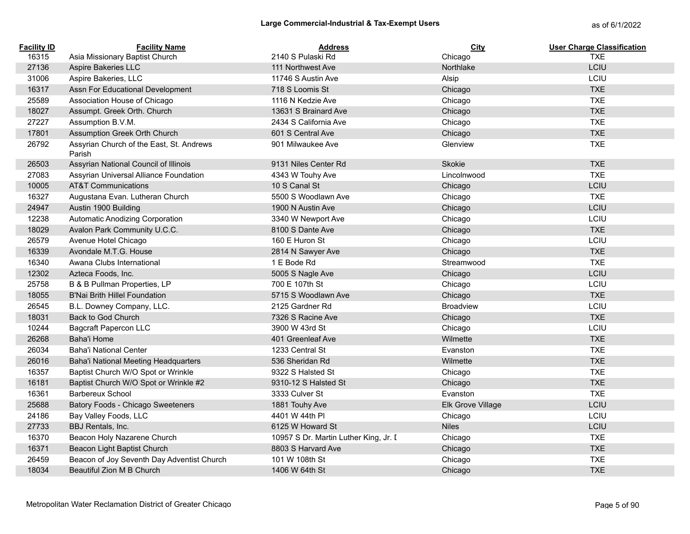| <b>Facility ID</b> | <b>Facility Name</b>                               | <b>Address</b>                        | <b>City</b>       | <b>User Charge Classification</b> |
|--------------------|----------------------------------------------------|---------------------------------------|-------------------|-----------------------------------|
| 16315              | Asia Missionary Baptist Church                     | 2140 S Pulaski Rd                     | Chicago           | <b>TXE</b>                        |
| 27136              | Aspire Bakeries LLC                                | 111 Northwest Ave                     | Northlake         | LCIU                              |
| 31006              | Aspire Bakeries, LLC                               | 11746 S Austin Ave                    | Alsip             | LCIU                              |
| 16317              | Assn For Educational Development                   | 718 S Loomis St                       | Chicago           | <b>TXE</b>                        |
| 25589              | Association House of Chicago                       | 1116 N Kedzie Ave                     | Chicago           | <b>TXE</b>                        |
| 18027              | Assumpt. Greek Orth. Church                        | 13631 S Brainard Ave                  | Chicago           | <b>TXE</b>                        |
| 27227              | Assumption B.V.M.                                  | 2434 S California Ave                 | Chicago           | <b>TXE</b>                        |
| 17801              | Assumption Greek Orth Church                       | 601 S Central Ave                     | Chicago           | <b>TXE</b>                        |
| 26792              | Assyrian Church of the East, St. Andrews<br>Parish | 901 Milwaukee Ave                     | Glenview          | <b>TXE</b>                        |
| 26503              | Assyrian National Council of Illinois              | 9131 Niles Center Rd                  | Skokie            | <b>TXE</b>                        |
| 27083              | Assyrian Universal Alliance Foundation             | 4343 W Touhy Ave                      | Lincolnwood       | <b>TXE</b>                        |
| 10005              | <b>AT&amp;T Communications</b>                     | 10 S Canal St                         | Chicago           | LCIU                              |
| 16327              | Augustana Evan. Lutheran Church                    | 5500 S Woodlawn Ave                   | Chicago           | <b>TXE</b>                        |
| 24947              | Austin 1900 Building                               | 1900 N Austin Ave                     | Chicago           | LCIU                              |
| 12238              | Automatic Anodizing Corporation                    | 3340 W Newport Ave                    | Chicago           | LCIU                              |
| 18029              | Avalon Park Community U.C.C.                       | 8100 S Dante Ave                      | Chicago           | <b>TXE</b>                        |
| 26579              | Avenue Hotel Chicago                               | 160 E Huron St                        | Chicago           | LCIU                              |
| 16339              | Avondale M.T.G. House                              | 2814 N Sawyer Ave                     | Chicago           | <b>TXE</b>                        |
| 16340              | Awana Clubs International                          | 1 E Bode Rd                           | Streamwood        | <b>TXE</b>                        |
| 12302              | Azteca Foods, Inc.                                 | 5005 S Nagle Ave                      | Chicago           | LCIU                              |
| 25758              | B & B Pullman Properties, LP                       | 700 E 107th St                        | Chicago           | LCIU                              |
| 18055              | <b>B'Nai Brith Hillel Foundation</b>               | 5715 S Woodlawn Ave                   | Chicago           | <b>TXE</b>                        |
| 26545              | B.L. Downey Company, LLC.                          | 2125 Gardner Rd                       | <b>Broadview</b>  | LCIU                              |
| 18031              | Back to God Church                                 | 7326 S Racine Ave                     | Chicago           | <b>TXE</b>                        |
| 10244              | <b>Bagcraft Papercon LLC</b>                       | 3900 W 43rd St                        | Chicago           | LCIU                              |
| 26268              | Baha'i Home                                        | 401 Greenleaf Ave                     | Wilmette          | <b>TXE</b>                        |
| 26034              | <b>Baha'i National Center</b>                      | 1233 Central St                       | Evanston          | <b>TXE</b>                        |
| 26016              | Baha'i National Meeting Headquarters               | 536 Sheridan Rd                       | Wilmette          | <b>TXE</b>                        |
| 16357              | Baptist Church W/O Spot or Wrinkle                 | 9322 S Halsted St                     | Chicago           | <b>TXE</b>                        |
| 16181              | Baptist Church W/O Spot or Wrinkle #2              | 9310-12 S Halsted St                  | Chicago           | <b>TXE</b>                        |
| 16361              | <b>Barbereux School</b>                            | 3333 Culver St                        | Evanston          | <b>TXE</b>                        |
| 25688              | Batory Foods - Chicago Sweeteners                  | 1881 Touhy Ave                        | Elk Grove Village | LCIU                              |
| 24186              | Bay Valley Foods, LLC                              | 4401 W 44th PI                        | Chicago           | LCIU                              |
| 27733              | BBJ Rentals, Inc.                                  | 6125 W Howard St                      | <b>Niles</b>      | LCIU                              |
| 16370              | Beacon Holy Nazarene Church                        | 10957 S Dr. Martin Luther King, Jr. I | Chicago           | <b>TXE</b>                        |
| 16371              | Beacon Light Baptist Church                        | 8803 S Harvard Ave                    | Chicago           | <b>TXE</b>                        |
| 26459              | Beacon of Joy Seventh Day Adventist Church         | 101 W 108th St                        | Chicago           | <b>TXE</b>                        |
| 18034              | Beautiful Zion M B Church                          | 1406 W 64th St                        | Chicago           | <b>TXE</b>                        |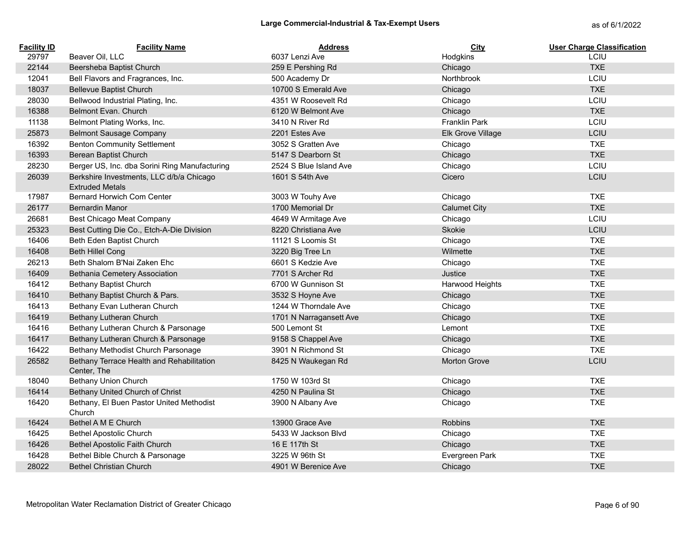| <b>Facility ID</b> | <b>Facility Name</b>                                               | <b>Address</b>          | City                 | <b>User Charge Classification</b> |
|--------------------|--------------------------------------------------------------------|-------------------------|----------------------|-----------------------------------|
| 29797              | Beaver Oil, LLC                                                    | 6037 Lenzi Ave          | Hodgkins             | LCIU                              |
| 22144              | Beersheba Baptist Church                                           | 259 E Pershing Rd       | Chicago              | <b>TXE</b>                        |
| 12041              | Bell Flavors and Fragrances, Inc.                                  | 500 Academy Dr          | Northbrook           | LCIU                              |
| 18037              | <b>Bellevue Baptist Church</b>                                     | 10700 S Emerald Ave     | Chicago              | <b>TXE</b>                        |
| 28030              | Bellwood Industrial Plating, Inc.                                  | 4351 W Roosevelt Rd     | Chicago              | LCIU                              |
| 16388              | Belmont Evan. Church                                               | 6120 W Belmont Ave      | Chicago              | <b>TXE</b>                        |
| 11138              | Belmont Plating Works, Inc.                                        | 3410 N River Rd         | <b>Franklin Park</b> | LCIU                              |
| 25873              | <b>Belmont Sausage Company</b>                                     | 2201 Estes Ave          | Elk Grove Village    | LCIU                              |
| 16392              | <b>Benton Community Settlement</b>                                 | 3052 S Gratten Ave      | Chicago              | <b>TXE</b>                        |
| 16393              | Berean Baptist Church                                              | 5147 S Dearborn St      | Chicago              | <b>TXE</b>                        |
| 28230              | Berger US, Inc. dba Sorini Ring Manufacturing                      | 2524 S Blue Island Ave  | Chicago              | LCIU                              |
| 26039              | Berkshire Investments, LLC d/b/a Chicago<br><b>Extruded Metals</b> | 1601 S 54th Ave         | Cicero               | LCIU                              |
| 17987              | Bernard Horwich Com Center                                         | 3003 W Touhy Ave        | Chicago              | <b>TXE</b>                        |
| 26177              | <b>Bernardin Manor</b>                                             | 1700 Memorial Dr        | <b>Calumet City</b>  | <b>TXE</b>                        |
| 26681              | Best Chicago Meat Company                                          | 4649 W Armitage Ave     | Chicago              | LCIU                              |
| 25323              | Best Cutting Die Co., Etch-A-Die Division                          | 8220 Christiana Ave     | Skokie               | LCIU                              |
| 16406              | Beth Eden Baptist Church                                           | 11121 S Loomis St       | Chicago              | <b>TXE</b>                        |
| 16408              | <b>Beth Hillel Cong</b>                                            | 3220 Big Tree Ln        | Wilmette             | <b>TXE</b>                        |
| 26213              | Beth Shalom B'Nai Zaken Ehc                                        | 6601 S Kedzie Ave       | Chicago              | <b>TXE</b>                        |
| 16409              | Bethania Cemetery Association                                      | 7701 S Archer Rd        | Justice              | <b>TXE</b>                        |
| 16412              | Bethany Baptist Church                                             | 6700 W Gunnison St      | Harwood Heights      | <b>TXE</b>                        |
| 16410              | Bethany Baptist Church & Pars.                                     | 3532 S Hoyne Ave        | Chicago              | <b>TXE</b>                        |
| 16413              | Bethany Evan Lutheran Church                                       | 1244 W Thorndale Ave    | Chicago              | <b>TXE</b>                        |
| 16419              | Bethany Lutheran Church                                            | 1701 N Narragansett Ave | Chicago              | <b>TXE</b>                        |
| 16416              | Bethany Lutheran Church & Parsonage                                | 500 Lemont St           | Lemont               | <b>TXE</b>                        |
| 16417              | Bethany Lutheran Church & Parsonage                                | 9158 S Chappel Ave      | Chicago              | <b>TXE</b>                        |
| 16422              | Bethany Methodist Church Parsonage                                 | 3901 N Richmond St      | Chicago              | <b>TXE</b>                        |
| 26582              | Bethany Terrace Health and Rehabilitation<br>Center, The           | 8425 N Waukegan Rd      | <b>Morton Grove</b>  | LCIU                              |
| 18040              | <b>Bethany Union Church</b>                                        | 1750 W 103rd St         | Chicago              | <b>TXE</b>                        |
| 16414              | Bethany United Church of Christ                                    | 4250 N Paulina St       | Chicago              | <b>TXE</b>                        |
| 16420              | Bethany, El Buen Pastor United Methodist<br>Church                 | 3900 N Albany Ave       | Chicago              | <b>TXE</b>                        |
| 16424              | Bethel A M E Church                                                | 13900 Grace Ave         | Robbins              | <b>TXE</b>                        |
| 16425              | <b>Bethel Apostolic Church</b>                                     | 5433 W Jackson Blvd     | Chicago              | <b>TXE</b>                        |
| 16426              | <b>Bethel Apostolic Faith Church</b>                               | 16 E 117th St           | Chicago              | <b>TXE</b>                        |
| 16428              | Bethel Bible Church & Parsonage                                    | 3225 W 96th St          | Evergreen Park       | <b>TXE</b>                        |
| 28022              | <b>Bethel Christian Church</b>                                     | 4901 W Berenice Ave     | Chicago              | <b>TXE</b>                        |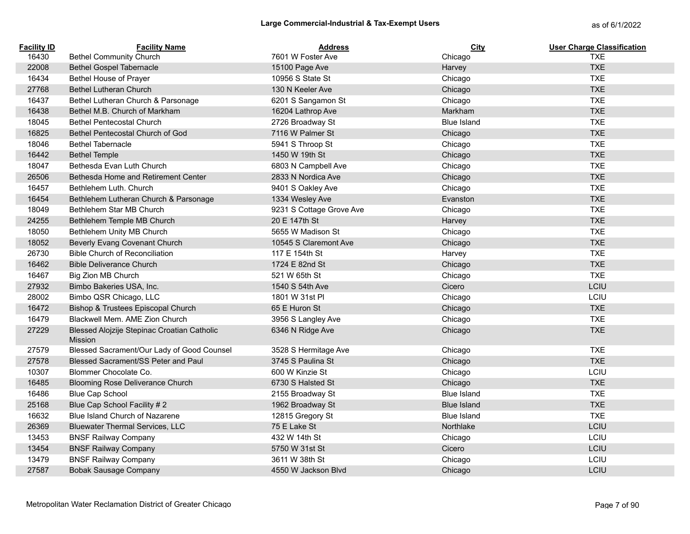| <b>Facility ID</b> | <b>Facility Name</b>                                   | <b>Address</b>           | City               | <b>User Charge Classification</b> |
|--------------------|--------------------------------------------------------|--------------------------|--------------------|-----------------------------------|
| 16430              | <b>Bethel Community Church</b>                         | 7601 W Foster Ave        | Chicago            | <b>TXE</b>                        |
| 22008              | <b>Bethel Gospel Tabernacle</b>                        | 15100 Page Ave           | Harvey             | <b>TXE</b>                        |
| 16434              | Bethel House of Prayer                                 | 10956 S State St         | Chicago            | <b>TXE</b>                        |
| 27768              | <b>Bethel Lutheran Church</b>                          | 130 N Keeler Ave         | Chicago            | <b>TXE</b>                        |
| 16437              | Bethel Lutheran Church & Parsonage                     | 6201 S Sangamon St       | Chicago            | <b>TXE</b>                        |
| 16438              | Bethel M.B. Church of Markham                          | 16204 Lathrop Ave        | Markham            | <b>TXE</b>                        |
| 18045              | <b>Bethel Pentecostal Church</b>                       | 2726 Broadway St         | <b>Blue Island</b> | <b>TXE</b>                        |
| 16825              | Bethel Pentecostal Church of God                       | 7116 W Palmer St         | Chicago            | <b>TXE</b>                        |
| 18046              | <b>Bethel Tabernacle</b>                               | 5941 S Throop St         | Chicago            | <b>TXE</b>                        |
| 16442              | <b>Bethel Temple</b>                                   | 1450 W 19th St           | Chicago            | <b>TXE</b>                        |
| 18047              | Bethesda Evan Luth Church                              | 6803 N Campbell Ave      | Chicago            | <b>TXE</b>                        |
| 26506              | Bethesda Home and Retirement Center                    | 2833 N Nordica Ave       | Chicago            | <b>TXE</b>                        |
| 16457              | Bethlehem Luth, Church                                 | 9401 S Oakley Ave        | Chicago            | <b>TXE</b>                        |
| 16454              | Bethlehem Lutheran Church & Parsonage                  | 1334 Wesley Ave          | Evanston           | <b>TXE</b>                        |
| 18049              | Bethlehem Star MB Church                               | 9231 S Cottage Grove Ave | Chicago            | <b>TXE</b>                        |
| 24255              | Bethlehem Temple MB Church                             | 20 E 147th St            | Harvey             | <b>TXE</b>                        |
| 18050              | Bethlehem Unity MB Church                              | 5655 W Madison St        | Chicago            | <b>TXE</b>                        |
| 18052              | Beverly Evang Covenant Church                          | 10545 S Claremont Ave    | Chicago            | <b>TXE</b>                        |
| 26730              | <b>Bible Church of Reconciliation</b>                  | 117 E 154th St           | Harvey             | <b>TXE</b>                        |
| 16462              | <b>Bible Deliverance Church</b>                        | 1724 E 82nd St           | Chicago            | <b>TXE</b>                        |
| 16467              | Big Zion MB Church                                     | 521 W 65th St            | Chicago            | <b>TXE</b>                        |
| 27932              | Bimbo Bakeries USA, Inc.                               | 1540 S 54th Ave          | Cicero             | LCIU                              |
| 28002              | Bimbo QSR Chicago, LLC                                 | 1801 W 31st PI           | Chicago            | LCIU                              |
| 16472              | Bishop & Trustees Episcopal Church                     | 65 E Huron St            | Chicago            | <b>TXE</b>                        |
| 16479              | Blackwell Mem. AME Zion Church                         | 3956 S Langley Ave       | Chicago            | <b>TXE</b>                        |
| 27229              | Blessed Alojzije Stepinac Croatian Catholic<br>Mission | 6346 N Ridge Ave         | Chicago            | <b>TXE</b>                        |
| 27579              | Blessed Sacrament/Our Lady of Good Counsel             | 3528 S Hermitage Ave     | Chicago            | <b>TXE</b>                        |
| 27578              | Blessed Sacrament/SS Peter and Paul                    | 3745 S Paulina St        | Chicago            | <b>TXE</b>                        |
| 10307              | Blommer Chocolate Co.                                  | 600 W Kinzie St          | Chicago            | LCIU                              |
| 16485              | <b>Blooming Rose Deliverance Church</b>                | 6730 S Halsted St        | Chicago            | <b>TXE</b>                        |
| 16486              | <b>Blue Cap School</b>                                 | 2155 Broadway St         | <b>Blue Island</b> | <b>TXE</b>                        |
| 25168              | Blue Cap School Facility #2                            | 1962 Broadway St         | <b>Blue Island</b> | <b>TXE</b>                        |
| 16632              | Blue Island Church of Nazarene                         | 12815 Gregory St         | <b>Blue Island</b> | <b>TXE</b>                        |
| 26369              | <b>Bluewater Thermal Services, LLC</b>                 | 75 E Lake St             | Northlake          | LCIU                              |
| 13453              | <b>BNSF Railway Company</b>                            | 432 W 14th St            | Chicago            | LCIU                              |
| 13454              | <b>BNSF Railway Company</b>                            | 5750 W 31st St           | Cicero             | LCIU                              |
| 13479              | <b>BNSF Railway Company</b>                            | 3611 W 38th St           | Chicago            | LCIU                              |
| 27587              | <b>Bobak Sausage Company</b>                           | 4550 W Jackson Blvd      | Chicago            | LCIU                              |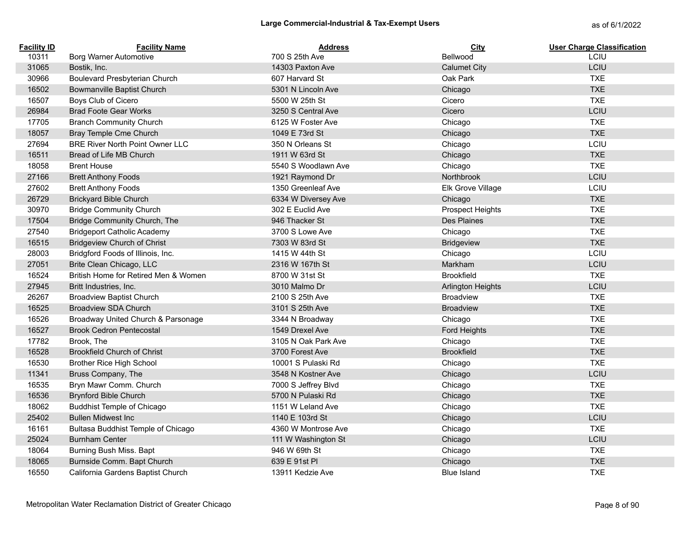| <b>Facility ID</b> | <b>Facility Name</b>                   | <b>Address</b>      | <b>City</b>             | <b>User Charge Classification</b> |
|--------------------|----------------------------------------|---------------------|-------------------------|-----------------------------------|
| 10311              | Borg Warner Automotive                 | 700 S 25th Ave      | Bellwood                | <b>LCIU</b>                       |
| 31065              | Bostik, Inc.                           | 14303 Paxton Ave    | <b>Calumet City</b>     | LCIU                              |
| 30966              | Boulevard Presbyterian Church          | 607 Harvard St      | Oak Park                | <b>TXE</b>                        |
| 16502              | <b>Bowmanville Baptist Church</b>      | 5301 N Lincoln Ave  | Chicago                 | <b>TXE</b>                        |
| 16507              | Boys Club of Cicero                    | 5500 W 25th St      | Cicero                  | <b>TXE</b>                        |
| 26984              | <b>Brad Foote Gear Works</b>           | 3250 S Central Ave  | Cicero                  | LCIU                              |
| 17705              | <b>Branch Community Church</b>         | 6125 W Foster Ave   | Chicago                 | <b>TXE</b>                        |
| 18057              | Bray Temple Cme Church                 | 1049 E 73rd St      | Chicago                 | <b>TXE</b>                        |
| 27694              | <b>BRE River North Point Owner LLC</b> | 350 N Orleans St    | Chicago                 | LCIU                              |
| 16511              | Bread of Life MB Church                | 1911 W 63rd St      | Chicago                 | <b>TXE</b>                        |
| 18058              | <b>Brent House</b>                     | 5540 S Woodlawn Ave | Chicago                 | <b>TXE</b>                        |
| 27166              | <b>Brett Anthony Foods</b>             | 1921 Raymond Dr     | Northbrook              | LCIU                              |
| 27602              | <b>Brett Anthony Foods</b>             | 1350 Greenleaf Ave  | Elk Grove Village       | LCIU                              |
| 26729              | <b>Brickyard Bible Church</b>          | 6334 W Diversey Ave | Chicago                 | <b>TXE</b>                        |
| 30970              | <b>Bridge Community Church</b>         | 302 E Euclid Ave    | <b>Prospect Heights</b> | <b>TXE</b>                        |
| 17504              | Bridge Community Church, The           | 946 Thacker St      | Des Plaines             | <b>TXE</b>                        |
| 27540              | <b>Bridgeport Catholic Academy</b>     | 3700 S Lowe Ave     | Chicago                 | <b>TXE</b>                        |
| 16515              | <b>Bridgeview Church of Christ</b>     | 7303 W 83rd St      | <b>Bridgeview</b>       | <b>TXE</b>                        |
| 28003              | Bridgford Foods of Illinois, Inc.      | 1415 W 44th St      | Chicago                 | LCIU                              |
| 27051              | Brite Clean Chicago, LLC               | 2316 W 167th St     | Markham                 | LCIU                              |
| 16524              | British Home for Retired Men & Women   | 8700 W 31st St      | <b>Brookfield</b>       | <b>TXE</b>                        |
| 27945              | Britt Industries, Inc.                 | 3010 Malmo Dr       | Arlington Heights       | LCIU                              |
| 26267              | <b>Broadview Baptist Church</b>        | 2100 S 25th Ave     | <b>Broadview</b>        | <b>TXE</b>                        |
| 16525              | <b>Broadview SDA Church</b>            | 3101 S 25th Ave     | <b>Broadview</b>        | <b>TXE</b>                        |
| 16526              | Broadway United Church & Parsonage     | 3344 N Broadway     | Chicago                 | <b>TXE</b>                        |
| 16527              | <b>Brook Cedron Pentecostal</b>        | 1549 Drexel Ave     | Ford Heights            | <b>TXE</b>                        |
| 17782              | Brook, The                             | 3105 N Oak Park Ave | Chicago                 | <b>TXE</b>                        |
| 16528              | <b>Brookfield Church of Christ</b>     | 3700 Forest Ave     | <b>Brookfield</b>       | <b>TXE</b>                        |
| 16530              | <b>Brother Rice High School</b>        | 10001 S Pulaski Rd  | Chicago                 | <b>TXE</b>                        |
| 11341              | Bruss Company, The                     | 3548 N Kostner Ave  | Chicago                 | LCIU                              |
| 16535              | Bryn Mawr Comm. Church                 | 7000 S Jeffrey Blvd | Chicago                 | <b>TXE</b>                        |
| 16536              | <b>Brynford Bible Church</b>           | 5700 N Pulaski Rd   | Chicago                 | <b>TXE</b>                        |
| 18062              | <b>Buddhist Temple of Chicago</b>      | 1151 W Leland Ave   | Chicago                 | <b>TXE</b>                        |
| 25402              | <b>Bullen Midwest Inc.</b>             | 1140 E 103rd St     | Chicago                 | LCIU                              |
| 16161              | Bultasa Buddhist Temple of Chicago     | 4360 W Montrose Ave | Chicago                 | <b>TXE</b>                        |
| 25024              | <b>Burnham Center</b>                  | 111 W Washington St | Chicago                 | LCIU                              |
| 18064              | Burning Bush Miss. Bapt                | 946 W 69th St       | Chicago                 | <b>TXE</b>                        |
| 18065              | Burnside Comm. Bapt Church             | 639 E 91st PI       | Chicago                 | <b>TXE</b>                        |
| 16550              | California Gardens Baptist Church      | 13911 Kedzie Ave    | <b>Blue Island</b>      | <b>TXE</b>                        |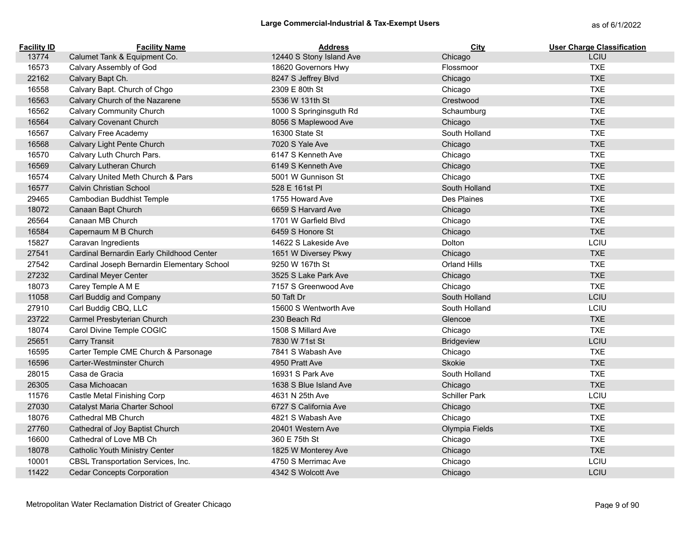| <b>Facility ID</b> | <b>Facility Name</b>                        | <b>Address</b>           | City                 | <b>User Charge Classification</b> |
|--------------------|---------------------------------------------|--------------------------|----------------------|-----------------------------------|
| 13774              | Calumet Tank & Equipment Co.                | 12440 S Stony Island Ave | Chicago              | <b>LCIU</b>                       |
| 16573              | Calvary Assembly of God                     | 18620 Governors Hwy      | Flossmoor            | <b>TXE</b>                        |
| 22162              | Calvary Bapt Ch.                            | 8247 S Jeffrey Blvd      | Chicago              | <b>TXE</b>                        |
| 16558              | Calvary Bapt. Church of Chgo                | 2309 E 80th St           | Chicago              | <b>TXE</b>                        |
| 16563              | Calvary Church of the Nazarene              | 5536 W 131th St          | Crestwood            | <b>TXE</b>                        |
| 16562              | <b>Calvary Community Church</b>             | 1000 S Springinsguth Rd  | Schaumburg           | <b>TXE</b>                        |
| 16564              | Calvary Covenant Church                     | 8056 S Maplewood Ave     | Chicago              | <b>TXE</b>                        |
| 16567              | Calvary Free Academy                        | 16300 State St           | South Holland        | <b>TXE</b>                        |
| 16568              | Calvary Light Pente Church                  | 7020 S Yale Ave          | Chicago              | <b>TXE</b>                        |
| 16570              | Calvary Luth Church Pars.                   | 6147 S Kenneth Ave       | Chicago              | <b>TXE</b>                        |
| 16569              | Calvary Lutheran Church                     | 6149 S Kenneth Ave       | Chicago              | <b>TXE</b>                        |
| 16574              | Calvary United Meth Church & Pars           | 5001 W Gunnison St       | Chicago              | <b>TXE</b>                        |
| 16577              | Calvin Christian School                     | 528 E 161st PI           | South Holland        | <b>TXE</b>                        |
| 29465              | Cambodian Buddhist Temple                   | 1755 Howard Ave          | Des Plaines          | <b>TXE</b>                        |
| 18072              | Canaan Bapt Church                          | 6659 S Harvard Ave       | Chicago              | <b>TXE</b>                        |
| 26564              | Canaan MB Church                            | 1701 W Garfield Blyd     | Chicago              | <b>TXE</b>                        |
| 16584              | Capernaum M B Church                        | 6459 S Honore St         | Chicago              | <b>TXE</b>                        |
| 15827              | Caravan Ingredients                         | 14622 S Lakeside Ave     | Dolton               | LCIU                              |
| 27541              | Cardinal Bernardin Early Childhood Center   | 1651 W Diversey Pkwy     | Chicago              | <b>TXE</b>                        |
| 27542              | Cardinal Joseph Bernardin Elementary School | 9250 W 167th St          | <b>Orland Hills</b>  | <b>TXE</b>                        |
| 27232              | <b>Cardinal Meyer Center</b>                | 3525 S Lake Park Ave     | Chicago              | <b>TXE</b>                        |
| 18073              | Carey Temple A M E                          | 7157 S Greenwood Ave     | Chicago              | <b>TXE</b>                        |
| 11058              | Carl Buddig and Company                     | 50 Taft Dr               | South Holland        | LCIU                              |
| 27910              | Carl Buddig CBQ, LLC                        | 15600 S Wentworth Ave    | South Holland        | LCIU                              |
| 23722              | Carmel Presbyterian Church                  | 230 Beach Rd             | Glencoe              | <b>TXE</b>                        |
| 18074              | Carol Divine Temple COGIC                   | 1508 S Millard Ave       | Chicago              | <b>TXE</b>                        |
| 25651              | <b>Carry Transit</b>                        | 7830 W 71st St           | <b>Bridgeview</b>    | LCIU                              |
| 16595              | Carter Temple CME Church & Parsonage        | 7841 S Wabash Ave        | Chicago              | <b>TXE</b>                        |
| 16596              | Carter-Westminster Church                   | 4950 Pratt Ave           | <b>Skokie</b>        | <b>TXE</b>                        |
| 28015              | Casa de Gracia                              | 16931 S Park Ave         | South Holland        | <b>TXE</b>                        |
| 26305              | Casa Michoacan                              | 1638 S Blue Island Ave   | Chicago              | <b>TXE</b>                        |
| 11576              | Castle Metal Finishing Corp                 | 4631 N 25th Ave          | <b>Schiller Park</b> | LCIU                              |
| 27030              | Catalyst Maria Charter School               | 6727 S California Ave    | Chicago              | <b>TXE</b>                        |
| 18076              | Cathedral MB Church                         | 4821 S Wabash Ave        | Chicago              | <b>TXE</b>                        |
| 27760              | Cathedral of Joy Baptist Church             | 20401 Western Ave        | Olympia Fields       | <b>TXE</b>                        |
| 16600              | Cathedral of Love MB Ch                     | 360 E 75th St            | Chicago              | <b>TXE</b>                        |
| 18078              | Catholic Youth Ministry Center              | 1825 W Monterey Ave      | Chicago              | <b>TXE</b>                        |
| 10001              | CBSL Transportation Services, Inc.          | 4750 S Merrimac Ave      | Chicago              | LCIU                              |
| 11422              | <b>Cedar Concepts Corporation</b>           | 4342 S Wolcott Ave       | Chicago              | LCIU                              |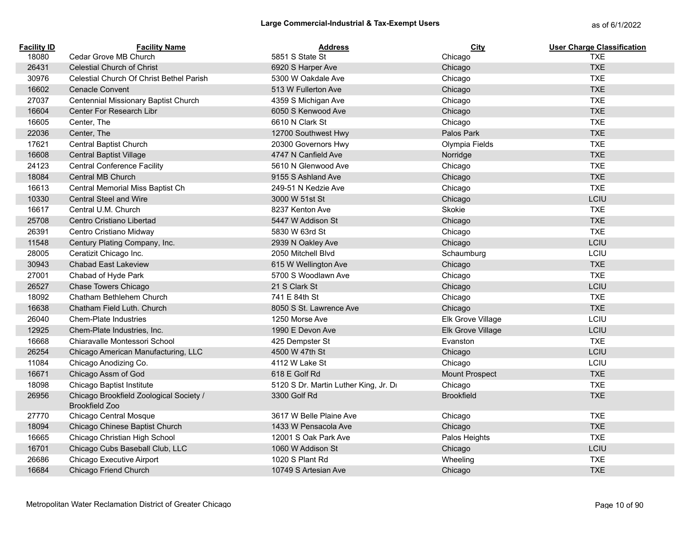| <b>Facility ID</b> | <b>Facility Name</b>                                             | <b>Address</b>                        | City              | <b>User Charge Classification</b> |
|--------------------|------------------------------------------------------------------|---------------------------------------|-------------------|-----------------------------------|
| 18080              | Cedar Grove MB Church                                            | 5851 S State St                       | Chicago           | <b>TXE</b>                        |
| 26431              | <b>Celestial Church of Christ</b>                                | 6920 S Harper Ave                     | Chicago           | <b>TXE</b>                        |
| 30976              | Celestial Church Of Christ Bethel Parish                         | 5300 W Oakdale Ave                    | Chicago           | <b>TXE</b>                        |
| 16602              | <b>Cenacle Convent</b>                                           | 513 W Fullerton Ave                   | Chicago           | <b>TXE</b>                        |
| 27037              | Centennial Missionary Baptist Church                             | 4359 S Michigan Ave                   | Chicago           | <b>TXE</b>                        |
| 16604              | Center For Research Libr                                         | 6050 S Kenwood Ave                    | Chicago           | <b>TXE</b>                        |
| 16605              | Center, The                                                      | 6610 N Clark St                       | Chicago           | <b>TXE</b>                        |
| 22036              | Center, The                                                      | 12700 Southwest Hwy                   | Palos Park        | <b>TXE</b>                        |
| 17621              | <b>Central Baptist Church</b>                                    | 20300 Governors Hwy                   | Olympia Fields    | <b>TXE</b>                        |
| 16608              | <b>Central Baptist Village</b>                                   | 4747 N Canfield Ave                   | Norridge          | <b>TXE</b>                        |
| 24123              | <b>Central Conference Facility</b>                               | 5610 N Glenwood Ave                   | Chicago           | <b>TXE</b>                        |
| 18084              | Central MB Church                                                | 9155 S Ashland Ave                    | Chicago           | <b>TXE</b>                        |
| 16613              | Central Memorial Miss Baptist Ch                                 | 249-51 N Kedzie Ave                   | Chicago           | <b>TXE</b>                        |
| 10330              | <b>Central Steel and Wire</b>                                    | 3000 W 51st St                        | Chicago           | LCIU                              |
| 16617              | Central U.M. Church                                              | 8237 Kenton Ave                       | Skokie            | <b>TXE</b>                        |
| 25708              | Centro Cristiano Libertad                                        | 5447 W Addison St                     | Chicago           | <b>TXE</b>                        |
| 26391              | Centro Cristiano Midway                                          | 5830 W 63rd St                        | Chicago           | <b>TXE</b>                        |
| 11548              | Century Plating Company, Inc.                                    | 2939 N Oakley Ave                     | Chicago           | LCIU                              |
| 28005              | Ceratizit Chicago Inc.                                           | 2050 Mitchell Blvd                    | Schaumburg        | LCIU                              |
| 30943              | <b>Chabad East Lakeview</b>                                      | 615 W Wellington Ave                  | Chicago           | <b>TXE</b>                        |
| 27001              | Chabad of Hyde Park                                              | 5700 S Woodlawn Ave                   | Chicago           | <b>TXE</b>                        |
| 26527              | Chase Towers Chicago                                             | 21 S Clark St                         | Chicago           | LCIU                              |
| 18092              | Chatham Bethlehem Church                                         | 741 E 84th St                         | Chicago           | <b>TXE</b>                        |
| 16638              | Chatham Field Luth. Church                                       | 8050 S St. Lawrence Ave               | Chicago           | <b>TXE</b>                        |
| 26040              | <b>Chem-Plate Industries</b>                                     | 1250 Morse Ave                        | Elk Grove Village | LCIU                              |
| 12925              | Chem-Plate Industries, Inc.                                      | 1990 E Devon Ave                      | Elk Grove Village | LCIU                              |
| 16668              | Chiaravalle Montessori School                                    | 425 Dempster St                       | Evanston          | <b>TXE</b>                        |
| 26254              | Chicago American Manufacturing, LLC                              | 4500 W 47th St                        | Chicago           | LCIU                              |
| 11084              | Chicago Anodizing Co.                                            | 4112 W Lake St                        | Chicago           | LCIU                              |
| 16671              | Chicago Assm of God                                              | 618 E Golf Rd                         | Mount Prospect    | <b>TXE</b>                        |
| 18098              | Chicago Baptist Institute                                        | 5120 S Dr. Martin Luther King, Jr. Dr | Chicago           | <b>TXE</b>                        |
| 26956              | Chicago Brookfield Zoological Society /<br><b>Brookfield Zoo</b> | 3300 Golf Rd                          | <b>Brookfield</b> | <b>TXE</b>                        |
| 27770              | Chicago Central Mosque                                           | 3617 W Belle Plaine Ave               | Chicago           | <b>TXE</b>                        |
| 18094              | Chicago Chinese Baptist Church                                   | 1433 W Pensacola Ave                  | Chicago           | <b>TXE</b>                        |
| 16665              | Chicago Christian High School                                    | 12001 S Oak Park Ave                  | Palos Heights     | <b>TXE</b>                        |
| 16701              | Chicago Cubs Baseball Club, LLC                                  | 1060 W Addison St                     | Chicago           | LCIU                              |
| 26686              | Chicago Executive Airport                                        | 1020 S Plant Rd                       | Wheeling          | <b>TXE</b>                        |
| 16684              | Chicago Friend Church                                            | 10749 S Artesian Ave                  | Chicago           | <b>TXE</b>                        |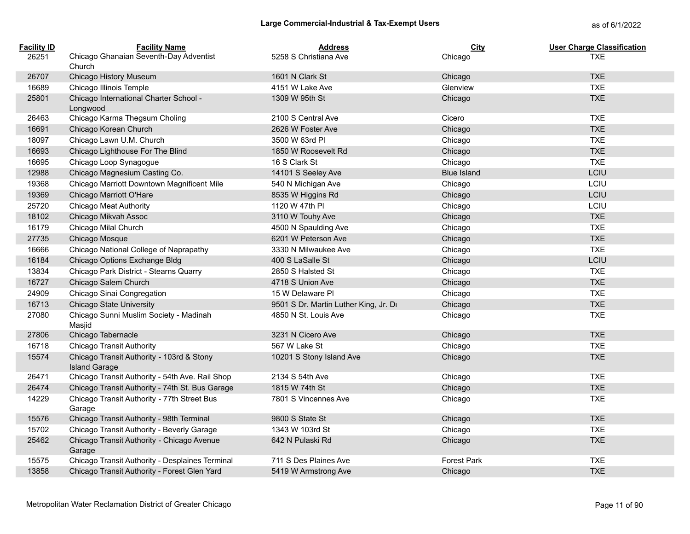| <b>Facility ID</b> | <b>Facility Name</b>                                              | <b>Address</b>                        | City               | <b>User Charge Classification</b> |
|--------------------|-------------------------------------------------------------------|---------------------------------------|--------------------|-----------------------------------|
| 26251              | Chicago Ghanaian Seventh-Day Adventist<br>Church                  | 5258 S Christiana Ave                 | Chicago            | <b>TXE</b>                        |
| 26707              | Chicago History Museum                                            | 1601 N Clark St                       | Chicago            | <b>TXE</b>                        |
| 16689              | Chicago Illinois Temple                                           | 4151 W Lake Ave                       | Glenview           | <b>TXE</b>                        |
| 25801              | Chicago International Charter School -<br>Longwood                | 1309 W 95th St                        | Chicago            | <b>TXE</b>                        |
| 26463              | Chicago Karma Thegsum Choling                                     | 2100 S Central Ave                    | Cicero             | <b>TXE</b>                        |
| 16691              | Chicago Korean Church                                             | 2626 W Foster Ave                     | Chicago            | <b>TXE</b>                        |
| 18097              | Chicago Lawn U.M. Church                                          | 3500 W 63rd PI                        | Chicago            | <b>TXE</b>                        |
| 16693              | Chicago Lighthouse For The Blind                                  | 1850 W Roosevelt Rd                   | Chicago            | <b>TXE</b>                        |
| 16695              | Chicago Loop Synagogue                                            | 16 S Clark St                         | Chicago            | <b>TXE</b>                        |
| 12988              | Chicago Magnesium Casting Co.                                     | 14101 S Seeley Ave                    | <b>Blue Island</b> | LCIU                              |
| 19368              | Chicago Marriott Downtown Magnificent Mile                        | 540 N Michigan Ave                    | Chicago            | LCIU                              |
| 19369              | Chicago Marriott O'Hare                                           | 8535 W Higgins Rd                     | Chicago            | LCIU                              |
| 25720              | <b>Chicago Meat Authority</b>                                     | 1120 W 47th PI                        | Chicago            | LCIU                              |
| 18102              | Chicago Mikvah Assoc                                              | 3110 W Touhy Ave                      | Chicago            | <b>TXE</b>                        |
| 16179              | Chicago Milal Church                                              | 4500 N Spaulding Ave                  | Chicago            | <b>TXE</b>                        |
| 27735              | Chicago Mosque                                                    | 6201 W Peterson Ave                   | Chicago            | <b>TXE</b>                        |
| 16666              | Chicago National College of Naprapathy                            | 3330 N Milwaukee Ave                  | Chicago            | <b>TXE</b>                        |
| 16184              | Chicago Options Exchange Bldg                                     | 400 S LaSalle St                      | Chicago            | LCIU                              |
| 13834              | Chicago Park District - Stearns Quarry                            | 2850 S Halsted St                     | Chicago            | <b>TXE</b>                        |
| 16727              | Chicago Salem Church                                              | 4718 S Union Ave                      | Chicago            | <b>TXE</b>                        |
| 24909              | Chicago Sinai Congregation                                        | 15 W Delaware PI                      | Chicago            | <b>TXE</b>                        |
| 16713              | <b>Chicago State University</b>                                   | 9501 S Dr. Martin Luther King, Jr. Dr | Chicago            | <b>TXE</b>                        |
| 27080              | Chicago Sunni Muslim Society - Madinah<br>Masjid                  | 4850 N St. Louis Ave                  | Chicago            | <b>TXE</b>                        |
| 27806              | Chicago Tabernacle                                                | 3231 N Cicero Ave                     | Chicago            | <b>TXE</b>                        |
| 16718              | <b>Chicago Transit Authority</b>                                  | 567 W Lake St                         | Chicago            | <b>TXE</b>                        |
| 15574              | Chicago Transit Authority - 103rd & Stony<br><b>Island Garage</b> | 10201 S Stony Island Ave              | Chicago            | <b>TXE</b>                        |
| 26471              | Chicago Transit Authority - 54th Ave. Rail Shop                   | 2134 S 54th Ave                       | Chicago            | <b>TXE</b>                        |
| 26474              | Chicago Transit Authority - 74th St. Bus Garage                   | 1815 W 74th St                        | Chicago            | <b>TXE</b>                        |
| 14229              | Chicago Transit Authority - 77th Street Bus<br>Garage             | 7801 S Vincennes Ave                  | Chicago            | <b>TXE</b>                        |
| 15576              | Chicago Transit Authority - 98th Terminal                         | 9800 S State St                       | Chicago            | <b>TXE</b>                        |
| 15702              | Chicago Transit Authority - Beverly Garage                        | 1343 W 103rd St                       | Chicago            | <b>TXE</b>                        |
| 25462              | Chicago Transit Authority - Chicago Avenue<br>Garage              | 642 N Pulaski Rd                      | Chicago            | <b>TXE</b>                        |
| 15575              | Chicago Transit Authority - Desplaines Terminal                   | 711 S Des Plaines Ave                 | <b>Forest Park</b> | <b>TXE</b>                        |
| 13858              | Chicago Transit Authority - Forest Glen Yard                      | 5419 W Armstrong Ave                  | Chicago            | <b>TXE</b>                        |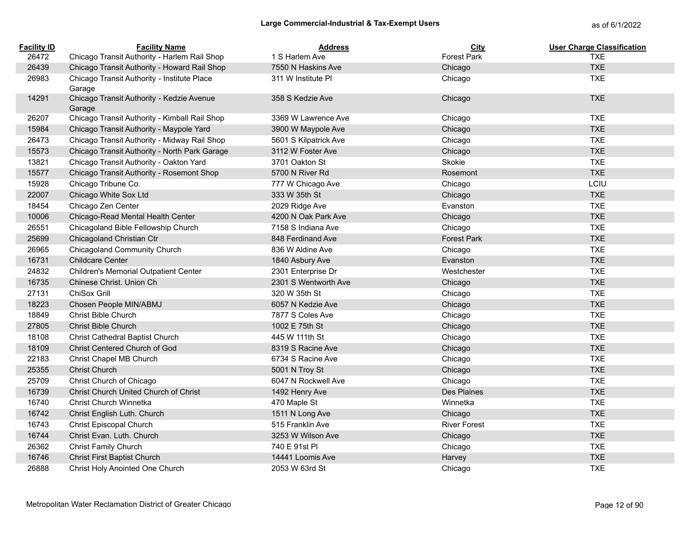| <b>Facility ID</b> | <b>Facility Name</b>                                  | <b>Address</b>        | <b>City</b>         | <b>User Charge Classification</b> |
|--------------------|-------------------------------------------------------|-----------------------|---------------------|-----------------------------------|
| 26472              | Chicago Transit Authority - Harlem Rail Shop          | 1 S Harlem Ave        | <b>Forest Park</b>  | <b>TXE</b>                        |
| 26439              | Chicago Transit Authority - Howard Rail Shop          | 7550 N Haskins Ave    | Chicago             | <b>TXE</b>                        |
| 26983              | Chicago Transit Authority - Institute Place<br>Garage | 311 W Institute PI    | Chicago             | <b>TXE</b>                        |
| 14291              | Chicago Transit Authority - Kedzie Avenue<br>Garage   | 358 S Kedzie Ave      | Chicago             | <b>TXE</b>                        |
| 26207              | Chicago Transit Authority - Kimball Rail Shop         | 3369 W Lawrence Ave   | Chicago             | <b>TXE</b>                        |
| 15984              | Chicago Transit Authority - Maypole Yard              | 3900 W Maypole Ave    | Chicago             | <b>TXE</b>                        |
| 26473              | Chicago Transit Authority - Midway Rail Shop          | 5601 S Kilpatrick Ave | Chicago             | <b>TXE</b>                        |
| 15573              | Chicago Transit Authority - North Park Garage         | 3112 W Foster Ave     | Chicago             | <b>TXE</b>                        |
| 13821              | Chicago Transit Authority - Oakton Yard               | 3701 Oakton St        | Skokie              | <b>TXE</b>                        |
| 15577              | Chicago Transit Authority - Rosemont Shop             | 5700 N River Rd       | Rosemont            | <b>TXE</b>                        |
| 15928              | Chicago Tribune Co.                                   | 777 W Chicago Ave     | Chicago             | LCIU                              |
| 22007              | Chicago White Sox Ltd                                 | 333 W 35th St         | Chicago             | <b>TXE</b>                        |
| 18454              | Chicago Zen Center                                    | 2029 Ridge Ave        | Evanston            | <b>TXE</b>                        |
| 10006              | Chicago-Read Mental Health Center                     | 4200 N Oak Park Ave   | Chicago             | <b>TXE</b>                        |
| 26551              | Chicagoland Bible Fellowship Church                   | 7158 S Indiana Ave    | Chicago             | <b>TXE</b>                        |
| 25699              | Chicagoland Christian Ctr                             | 848 Ferdinand Ave     | <b>Forest Park</b>  | <b>TXE</b>                        |
| 26965              | Chicagoland Community Church                          | 836 W Aldine Ave      | Chicago             | <b>TXE</b>                        |
| 16731              | <b>Childcare Center</b>                               | 1840 Asbury Ave       | Evanston            | <b>TXE</b>                        |
| 24832              | <b>Children's Memorial Outpatient Center</b>          | 2301 Enterprise Dr    | Westchester         | <b>TXE</b>                        |
| 16735              | Chinese Christ. Union Ch                              | 2301 S Wentworth Ave  | Chicago             | <b>TXE</b>                        |
| 27131              | ChiSox Grill                                          | 320 W 35th St         | Chicago             | <b>TXE</b>                        |
| 18223              | Chosen People MIN/ABMJ                                | 6057 N Kedzie Ave     | Chicago             | <b>TXE</b>                        |
| 18849              | Christ Bible Church                                   | 7877 S Coles Ave      | Chicago             | <b>TXE</b>                        |
| 27805              | Christ Bible Church                                   | 1002 E 75th St        | Chicago             | <b>TXE</b>                        |
| 18108              | Christ Cathedral Baptist Church                       | 445 W 111th St        | Chicago             | <b>TXE</b>                        |
| 18109              | Christ Centered Church of God                         | 8319 S Racine Ave     | Chicago             | <b>TXE</b>                        |
| 22183              | Christ Chapel MB Church                               | 6734 S Racine Ave     | Chicago             | <b>TXE</b>                        |
| 25355              | <b>Christ Church</b>                                  | 5001 N Troy St        | Chicago             | <b>TXE</b>                        |
| 25709              | Christ Church of Chicago                              | 6047 N Rockwell Ave   | Chicago             | <b>TXE</b>                        |
| 16739              | Christ Church United Church of Christ                 | 1492 Henry Ave        | Des Plaines         | <b>TXE</b>                        |
| 16740              | Christ Church Winnetka                                | 470 Maple St          | Winnetka            | <b>TXE</b>                        |
| 16742              | Christ English Luth. Church                           | 1511 N Long Ave       | Chicago             | <b>TXE</b>                        |
| 16743              | Christ Episcopal Church                               | 515 Franklin Ave      | <b>River Forest</b> | <b>TXE</b>                        |
| 16744              | Christ Evan. Luth. Church                             | 3253 W Wilson Ave     | Chicago             | <b>TXE</b>                        |
| 26362              | Christ Family Church                                  | 740 E 91st PI         | Chicago             | <b>TXE</b>                        |
| 16746              | <b>Christ First Baptist Church</b>                    | 14441 Loomis Ave      | Harvey              | <b>TXE</b>                        |
| 26888              | <b>Christ Holy Anointed One Church</b>                | 2053 W 63rd St        | Chicago             | <b>TXE</b>                        |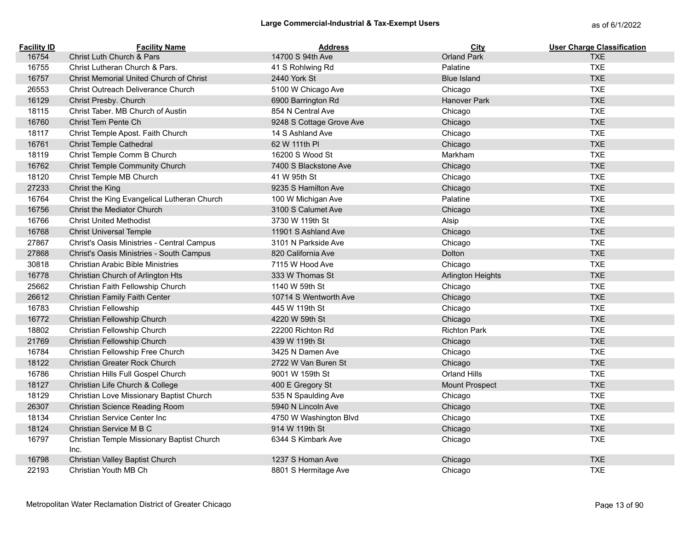| <b>Facility ID</b> | <b>Facility Name</b>                               | <b>Address</b>           | City                     | <b>User Charge Classification</b> |
|--------------------|----------------------------------------------------|--------------------------|--------------------------|-----------------------------------|
| 16754              | Christ Luth Church & Pars                          | 14700 S 94th Ave         | <b>Orland Park</b>       | <b>TXE</b>                        |
| 16755              | Christ Lutheran Church & Pars.                     | 41 S Rohlwing Rd         | Palatine                 | <b>TXE</b>                        |
| 16757              | Christ Memorial United Church of Christ            | 2440 York St             | <b>Blue Island</b>       | <b>TXE</b>                        |
| 26553              | Christ Outreach Deliverance Church                 | 5100 W Chicago Ave       | Chicago                  | <b>TXE</b>                        |
| 16129              | Christ Presby. Church                              | 6900 Barrington Rd       | <b>Hanover Park</b>      | <b>TXE</b>                        |
| 18115              | Christ Taber. MB Church of Austin                  | 854 N Central Ave        | Chicago                  | <b>TXE</b>                        |
| 16760              | Christ Tem Pente Ch                                | 9248 S Cottage Grove Ave | Chicago                  | <b>TXE</b>                        |
| 18117              | Christ Temple Apost. Faith Church                  | 14 S Ashland Ave         | Chicago                  | <b>TXE</b>                        |
| 16761              | <b>Christ Temple Cathedral</b>                     | 62 W 111th PI            | Chicago                  | <b>TXE</b>                        |
| 18119              | Christ Temple Comm B Church                        | 16200 S Wood St          | Markham                  | <b>TXE</b>                        |
| 16762              | Christ Temple Community Church                     | 7400 S Blackstone Ave    | Chicago                  | <b>TXE</b>                        |
| 18120              | Christ Temple MB Church                            | 41 W 95th St             | Chicago                  | <b>TXE</b>                        |
| 27233              | Christ the King                                    | 9235 S Hamilton Ave      | Chicago                  | <b>TXE</b>                        |
| 16764              | Christ the King Evangelical Lutheran Church        | 100 W Michigan Ave       | Palatine                 | <b>TXE</b>                        |
| 16756              | Christ the Mediator Church                         | 3100 S Calumet Ave       | Chicago                  | <b>TXE</b>                        |
| 16766              | <b>Christ United Methodist</b>                     | 3730 W 119th St          | Alsip                    | <b>TXE</b>                        |
| 16768              | <b>Christ Universal Temple</b>                     | 11901 S Ashland Ave      | Chicago                  | <b>TXE</b>                        |
| 27867              | Christ's Oasis Ministries - Central Campus         | 3101 N Parkside Ave      | Chicago                  | <b>TXE</b>                        |
| 27868              | Christ's Oasis Ministries - South Campus           | 820 California Ave       | Dolton                   | <b>TXE</b>                        |
| 30818              | <b>Christian Arabic Bible Ministries</b>           | 7115 W Hood Ave          | Chicago                  | <b>TXE</b>                        |
| 16778              | Christian Church of Arlington Hts                  | 333 W Thomas St          | <b>Arlington Heights</b> | <b>TXE</b>                        |
| 25662              | Christian Faith Fellowship Church                  | 1140 W 59th St           | Chicago                  | <b>TXE</b>                        |
| 26612              | Christian Family Faith Center                      | 10714 S Wentworth Ave    | Chicago                  | <b>TXE</b>                        |
| 16783              | Christian Fellowship                               | 445 W 119th St           | Chicago                  | <b>TXE</b>                        |
| 16772              | Christian Fellowship Church                        | 4220 W 59th St           | Chicago                  | <b>TXE</b>                        |
| 18802              | Christian Fellowship Church                        | 22200 Richton Rd         | <b>Richton Park</b>      | <b>TXE</b>                        |
| 21769              | Christian Fellowship Church                        | 439 W 119th St           | Chicago                  | <b>TXE</b>                        |
| 16784              | Christian Fellowship Free Church                   | 3425 N Damen Ave         | Chicago                  | <b>TXE</b>                        |
| 18122              | Christian Greater Rock Church                      | 2722 W Van Buren St      | Chicago                  | <b>TXE</b>                        |
| 16786              | Christian Hills Full Gospel Church                 | 9001 W 159th St          | <b>Orland Hills</b>      | <b>TXE</b>                        |
| 18127              | Christian Life Church & College                    | 400 E Gregory St         | <b>Mount Prospect</b>    | <b>TXE</b>                        |
| 18129              | Christian Love Missionary Baptist Church           | 535 N Spaulding Ave      | Chicago                  | <b>TXE</b>                        |
| 26307              | Christian Science Reading Room                     | 5940 N Lincoln Ave       | Chicago                  | <b>TXE</b>                        |
| 18134              | Christian Service Center Inc                       | 4750 W Washington Blvd   | Chicago                  | <b>TXE</b>                        |
| 18124              | Christian Service M B C                            | 914 W 119th St           | Chicago                  | <b>TXE</b>                        |
| 16797              | Christian Temple Missionary Baptist Church<br>Inc. | 6344 S Kimbark Ave       | Chicago                  | <b>TXE</b>                        |
| 16798              | Christian Valley Baptist Church                    | 1237 S Homan Ave         | Chicago                  | <b>TXE</b>                        |
| 22193              | Christian Youth MB Ch                              | 8801 S Hermitage Ave     | Chicago                  | <b>TXE</b>                        |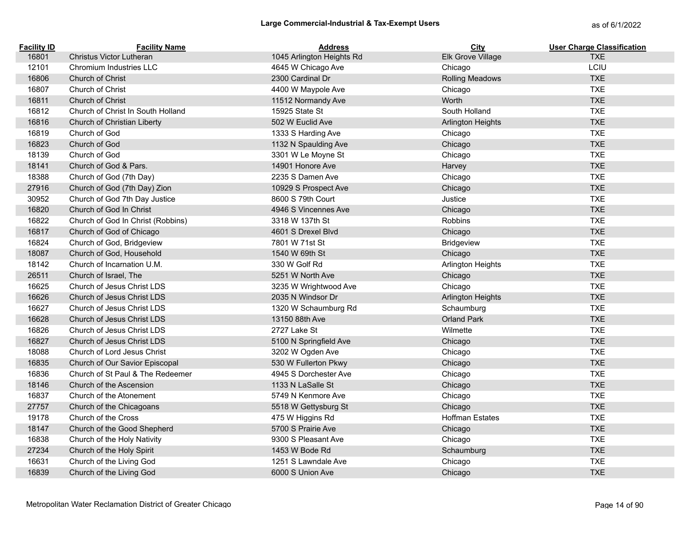| <b>Facility ID</b> | <b>Facility Name</b>              | <b>Address</b>            | City                     | <b>User Charge Classification</b> |
|--------------------|-----------------------------------|---------------------------|--------------------------|-----------------------------------|
| 16801              | <b>Christus Victor Lutheran</b>   | 1045 Arlington Heights Rd | Elk Grove Village        | <b>TXE</b>                        |
| 12101              | Chromium Industries LLC           | 4645 W Chicago Ave        | Chicago                  | LCIU                              |
| 16806              | <b>Church of Christ</b>           | 2300 Cardinal Dr          | <b>Rolling Meadows</b>   | <b>TXE</b>                        |
| 16807              | Church of Christ                  | 4400 W Maypole Ave        | Chicago                  | <b>TXE</b>                        |
| 16811              | <b>Church of Christ</b>           | 11512 Normandy Ave        | Worth                    | <b>TXE</b>                        |
| 16812              | Church of Christ In South Holland | 15925 State St            | South Holland            | <b>TXE</b>                        |
| 16816              | Church of Christian Liberty       | 502 W Euclid Ave          | <b>Arlington Heights</b> | <b>TXE</b>                        |
| 16819              | Church of God                     | 1333 S Harding Ave        | Chicago                  | <b>TXE</b>                        |
| 16823              | Church of God                     | 1132 N Spaulding Ave      | Chicago                  | <b>TXE</b>                        |
| 18139              | Church of God                     | 3301 W Le Moyne St        | Chicago                  | <b>TXE</b>                        |
| 18141              | Church of God & Pars.             | 14901 Honore Ave          | Harvey                   | <b>TXE</b>                        |
| 18388              | Church of God (7th Day)           | 2235 S Damen Ave          | Chicago                  | <b>TXE</b>                        |
| 27916              | Church of God (7th Day) Zion      | 10929 S Prospect Ave      | Chicago                  | <b>TXE</b>                        |
| 30952              | Church of God 7th Day Justice     | 8600 S 79th Court         | Justice                  | <b>TXE</b>                        |
| 16820              | Church of God In Christ           | 4946 S Vincennes Ave      | Chicago                  | <b>TXE</b>                        |
| 16822              | Church of God In Christ (Robbins) | 3318 W 137th St           | Robbins                  | <b>TXE</b>                        |
| 16817              | Church of God of Chicago          | 4601 S Drexel Blvd        | Chicago                  | <b>TXE</b>                        |
| 16824              | Church of God, Bridgeview         | 7801 W 71st St            | Bridgeview               | <b>TXE</b>                        |
| 18087              | Church of God, Household          | 1540 W 69th St            | Chicago                  | <b>TXE</b>                        |
| 18142              | Church of Incarnation U.M.        | 330 W Golf Rd             | Arlington Heights        | <b>TXE</b>                        |
| 26511              | Church of Israel, The             | 5251 W North Ave          | Chicago                  | <b>TXE</b>                        |
| 16625              | Church of Jesus Christ LDS        | 3235 W Wrightwood Ave     | Chicago                  | <b>TXE</b>                        |
| 16626              | Church of Jesus Christ LDS        | 2035 N Windsor Dr         | <b>Arlington Heights</b> | <b>TXE</b>                        |
| 16627              | Church of Jesus Christ LDS        | 1320 W Schaumburg Rd      | Schaumburg               | <b>TXE</b>                        |
| 16628              | Church of Jesus Christ LDS        | 13150 88th Ave            | <b>Orland Park</b>       | <b>TXE</b>                        |
| 16826              | Church of Jesus Christ LDS        | 2727 Lake St              | Wilmette                 | <b>TXE</b>                        |
| 16827              | Church of Jesus Christ LDS        | 5100 N Springfield Ave    | Chicago                  | <b>TXE</b>                        |
| 18088              | Church of Lord Jesus Christ       | 3202 W Ogden Ave          | Chicago                  | <b>TXE</b>                        |
| 16835              | Church of Our Savior Episcopal    | 530 W Fullerton Pkwy      | Chicago                  | <b>TXE</b>                        |
| 16836              | Church of St Paul & The Redeemer  | 4945 S Dorchester Ave     | Chicago                  | <b>TXE</b>                        |
| 18146              | Church of the Ascension           | 1133 N LaSalle St         | Chicago                  | <b>TXE</b>                        |
| 16837              | Church of the Atonement           | 5749 N Kenmore Ave        | Chicago                  | <b>TXE</b>                        |
| 27757              | Church of the Chicagoans          | 5518 W Gettysburg St      | Chicago                  | <b>TXE</b>                        |
| 19178              | Church of the Cross               | 475 W Higgins Rd          | <b>Hoffman Estates</b>   | <b>TXE</b>                        |
| 18147              | Church of the Good Shepherd       | 5700 S Prairie Ave        | Chicago                  | <b>TXE</b>                        |
| 16838              | Church of the Holy Nativity       | 9300 S Pleasant Ave       | Chicago                  | <b>TXE</b>                        |
| 27234              | Church of the Holy Spirit         | 1453 W Bode Rd            | Schaumburg               | <b>TXE</b>                        |
| 16631              | Church of the Living God          | 1251 S Lawndale Ave       | Chicago                  | <b>TXE</b>                        |
| 16839              | Church of the Living God          | 6000 S Union Ave          | Chicago                  | <b>TXE</b>                        |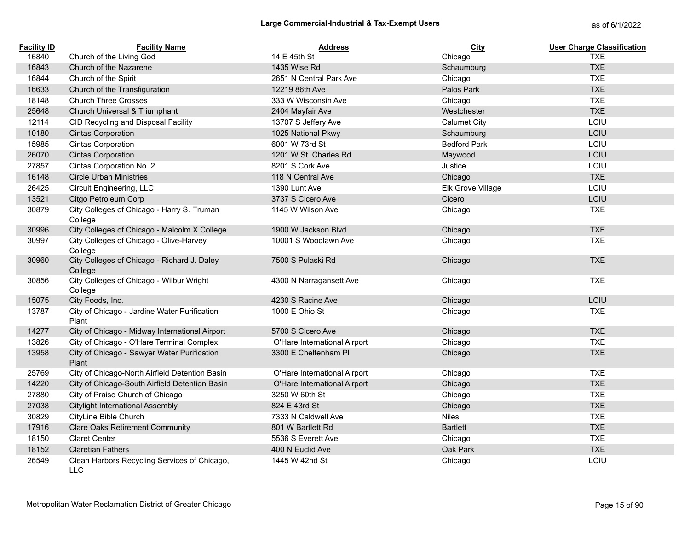| <b>Facility ID</b> | <b>Facility Name</b>                                   | <b>Address</b>               | <b>City</b>         | <b>User Charge Classification</b> |
|--------------------|--------------------------------------------------------|------------------------------|---------------------|-----------------------------------|
| 16840              | Church of the Living God                               | 14 E 45th St                 | Chicago             | <b>TXE</b>                        |
| 16843              | Church of the Nazarene                                 | 1435 Wise Rd                 | Schaumburg          | <b>TXE</b>                        |
| 16844              | Church of the Spirit                                   | 2651 N Central Park Ave      | Chicago             | <b>TXE</b>                        |
| 16633              | Church of the Transfiguration                          | 12219 86th Ave               | Palos Park          | <b>TXE</b>                        |
| 18148              | <b>Church Three Crosses</b>                            | 333 W Wisconsin Ave          | Chicago             | <b>TXE</b>                        |
| 25648              | Church Universal & Triumphant                          | 2404 Mayfair Ave             | Westchester         | <b>TXE</b>                        |
| 12114              | CID Recycling and Disposal Facility                    | 13707 S Jeffery Ave          | <b>Calumet City</b> | LCIU                              |
| 10180              | <b>Cintas Corporation</b>                              | 1025 National Pkwy           | Schaumburg          | LCIU                              |
| 15985              | <b>Cintas Corporation</b>                              | 6001 W 73rd St               | <b>Bedford Park</b> | LCIU                              |
| 26070              | <b>Cintas Corporation</b>                              | 1201 W St. Charles Rd        | Maywood             | LCIU                              |
| 27857              | Cintas Corporation No. 2                               | 8201 S Cork Ave              | Justice             | LCIU                              |
| 16148              | <b>Circle Urban Ministries</b>                         | 118 N Central Ave            | Chicago             | <b>TXE</b>                        |
| 26425              | Circuit Engineering, LLC                               | 1390 Lunt Ave                | Elk Grove Village   | LCIU                              |
| 13521              | Citgo Petroleum Corp                                   | 3737 S Cicero Ave            | Cicero              | LCIU                              |
| 30879              | City Colleges of Chicago - Harry S. Truman<br>College  | 1145 W Wilson Ave            | Chicago             | <b>TXE</b>                        |
| 30996              | City Colleges of Chicago - Malcolm X College           | 1900 W Jackson Blyd          | Chicago             | <b>TXE</b>                        |
| 30997              | City Colleges of Chicago - Olive-Harvey<br>College     | 10001 S Woodlawn Ave         | Chicago             | <b>TXE</b>                        |
| 30960              | City Colleges of Chicago - Richard J. Daley<br>College | 7500 S Pulaski Rd            | Chicago             | <b>TXE</b>                        |
| 30856              | City Colleges of Chicago - Wilbur Wright<br>College    | 4300 N Narragansett Ave      | Chicago             | <b>TXE</b>                        |
| 15075              | City Foods, Inc.                                       | 4230 S Racine Ave            | Chicago             | LCIU                              |
| 13787              | City of Chicago - Jardine Water Purification<br>Plant  | 1000 E Ohio St               | Chicago             | <b>TXE</b>                        |
| 14277              | City of Chicago - Midway International Airport         | 5700 S Cicero Ave            | Chicago             | <b>TXE</b>                        |
| 13826              | City of Chicago - O'Hare Terminal Complex              | O'Hare International Airport | Chicago             | <b>TXE</b>                        |
| 13958              | City of Chicago - Sawyer Water Purification<br>Plant   | 3300 E Cheltenham Pl         | Chicago             | <b>TXE</b>                        |
| 25769              | City of Chicago-North Airfield Detention Basin         | O'Hare International Airport | Chicago             | <b>TXE</b>                        |
| 14220              | City of Chicago-South Airfield Detention Basin         | O'Hare International Airport | Chicago             | <b>TXE</b>                        |
| 27880              | City of Praise Church of Chicago                       | 3250 W 60th St               | Chicago             | <b>TXE</b>                        |
| 27038              | <b>Citylight International Assembly</b>                | 824 E 43rd St                | Chicago             | <b>TXE</b>                        |
| 30829              | CityLine Bible Church                                  | 7333 N Caldwell Ave          | <b>Niles</b>        | <b>TXE</b>                        |
| 17916              | <b>Clare Oaks Retirement Community</b>                 | 801 W Bartlett Rd            | <b>Bartlett</b>     | <b>TXE</b>                        |
| 18150              | <b>Claret Center</b>                                   | 5536 S Everett Ave           | Chicago             | <b>TXE</b>                        |
| 18152              | <b>Claretian Fathers</b>                               | 400 N Euclid Ave             | Oak Park            | <b>TXE</b>                        |
| 26549              | Clean Harbors Recycling Services of Chicago,           | 1445 W 42nd St               | Chicago             | LCIU                              |

LLC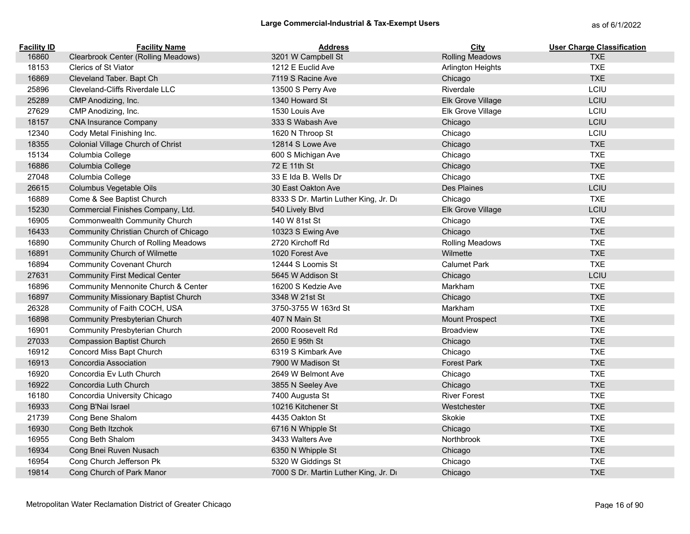| <b>Facility ID</b> | <b>Facility Name</b>                       | <b>Address</b>                        | City                     | <b>User Charge Classification</b> |
|--------------------|--------------------------------------------|---------------------------------------|--------------------------|-----------------------------------|
| 16860              | Clearbrook Center (Rolling Meadows)        | 3201 W Campbell St                    | <b>Rolling Meadows</b>   | <b>TXE</b>                        |
| 18153              | Clerics of St Viator                       | 1212 E Euclid Ave                     | <b>Arlington Heights</b> | <b>TXE</b>                        |
| 16869              | Cleveland Taber. Bapt Ch                   | 7119 S Racine Ave                     | Chicago                  | <b>TXE</b>                        |
| 25896              | Cleveland-Cliffs Riverdale LLC             | 13500 S Perry Ave                     | Riverdale                | LCIU                              |
| 25289              | CMP Anodizing, Inc.                        | 1340 Howard St                        | Elk Grove Village        | LCIU                              |
| 27629              | CMP Anodizing, Inc.                        | 1530 Louis Ave                        | Elk Grove Village        | LCIU                              |
| 18157              | <b>CNA Insurance Company</b>               | 333 S Wabash Ave                      | Chicago                  | LCIU                              |
| 12340              | Cody Metal Finishing Inc.                  | 1620 N Throop St                      | Chicago                  | LCIU                              |
| 18355              | Colonial Village Church of Christ          | 12814 S Lowe Ave                      | Chicago                  | <b>TXE</b>                        |
| 15134              | Columbia College                           | 600 S Michigan Ave                    | Chicago                  | <b>TXE</b>                        |
| 16886              | Columbia College                           | 72 E 11th St                          | Chicago                  | <b>TXE</b>                        |
| 27048              | Columbia College                           | 33 E Ida B. Wells Dr                  | Chicago                  | <b>TXE</b>                        |
| 26615              | Columbus Vegetable Oils                    | 30 East Oakton Ave                    | Des Plaines              | LCIU                              |
| 16889              | Come & See Baptist Church                  | 8333 S Dr. Martin Luther King, Jr. Dr | Chicago                  | <b>TXE</b>                        |
| 15230              | Commercial Finishes Company, Ltd.          | 540 Lively Blvd                       | Elk Grove Village        | LCIU                              |
| 16905              | Commonwealth Community Church              | 140 W 81st St                         | Chicago                  | <b>TXE</b>                        |
| 16433              | Community Christian Church of Chicago      | 10323 S Ewing Ave                     | Chicago                  | <b>TXE</b>                        |
| 16890              | <b>Community Church of Rolling Meadows</b> | 2720 Kirchoff Rd                      | <b>Rolling Meadows</b>   | <b>TXE</b>                        |
| 16891              | Community Church of Wilmette               | 1020 Forest Ave                       | Wilmette                 | <b>TXE</b>                        |
| 16894              | <b>Community Covenant Church</b>           | 12444 S Loomis St                     | <b>Calumet Park</b>      | <b>TXE</b>                        |
| 27631              | <b>Community First Medical Center</b>      | 5645 W Addison St                     | Chicago                  | LCIU                              |
| 16896              | Community Mennonite Church & Center        | 16200 S Kedzie Ave                    | Markham                  | <b>TXE</b>                        |
| 16897              | <b>Community Missionary Baptist Church</b> | 3348 W 21st St                        | Chicago                  | <b>TXE</b>                        |
| 26328              | Community of Faith COCH, USA               | 3750-3755 W 163rd St                  | Markham                  | <b>TXE</b>                        |
| 16898              | Community Presbyterian Church              | 407 N Main St                         | <b>Mount Prospect</b>    | <b>TXE</b>                        |
| 16901              | Community Presbyterian Church              | 2000 Roosevelt Rd                     | <b>Broadview</b>         | <b>TXE</b>                        |
| 27033              | <b>Compassion Baptist Church</b>           | 2650 E 95th St                        | Chicago                  | <b>TXE</b>                        |
| 16912              | Concord Miss Bapt Church                   | 6319 S Kimbark Ave                    | Chicago                  | <b>TXE</b>                        |
| 16913              | Concordia Association                      | 7900 W Madison St                     | <b>Forest Park</b>       | <b>TXE</b>                        |
| 16920              | Concordia Ev Luth Church                   | 2649 W Belmont Ave                    | Chicago                  | <b>TXE</b>                        |
| 16922              | Concordia Luth Church                      | 3855 N Seeley Ave                     | Chicago                  | <b>TXE</b>                        |
| 16180              | Concordia University Chicago               | 7400 Augusta St                       | <b>River Forest</b>      | <b>TXE</b>                        |
| 16933              | Cong B'Nai Israel                          | 10216 Kitchener St                    | Westchester              | <b>TXE</b>                        |
| 21739              | Cong Bene Shalom                           | 4435 Oakton St                        | Skokie                   | <b>TXE</b>                        |
| 16930              | Cong Beth Itzchok                          | 6716 N Whipple St                     | Chicago                  | <b>TXE</b>                        |
| 16955              | Cong Beth Shalom                           | 3433 Walters Ave                      | Northbrook               | <b>TXE</b>                        |
| 16934              | Cong Bnei Ruven Nusach                     | 6350 N Whipple St                     | Chicago                  | <b>TXE</b>                        |
| 16954              | Cong Church Jefferson Pk                   | 5320 W Giddings St                    | Chicago                  | <b>TXE</b>                        |
| 19814              | Cong Church of Park Manor                  | 7000 S Dr. Martin Luther King, Jr. Dr | Chicago                  | <b>TXE</b>                        |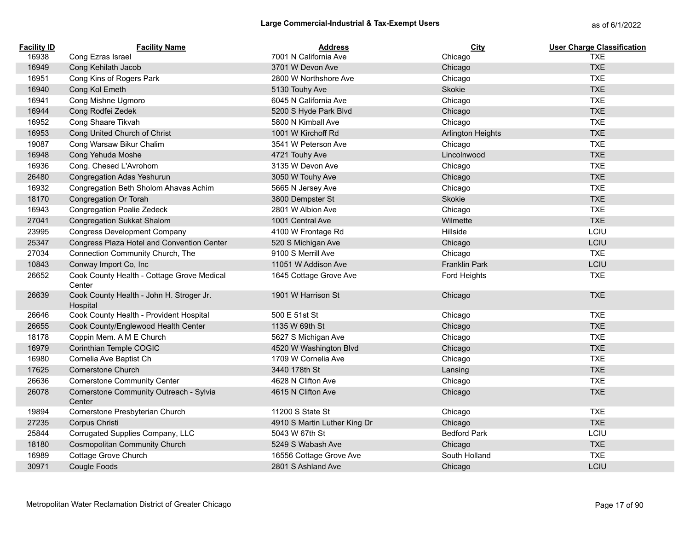| <b>Facility ID</b> | <b>Facility Name</b>                                 | <b>Address</b>               | City                     | <b>User Charge Classification</b> |
|--------------------|------------------------------------------------------|------------------------------|--------------------------|-----------------------------------|
| 16938              | Cong Ezras Israel                                    | 7001 N California Ave        | Chicago                  | <b>TXE</b>                        |
| 16949              | Cong Kehilath Jacob                                  | 3701 W Devon Ave             | Chicago                  | <b>TXE</b>                        |
| 16951              | Cong Kins of Rogers Park                             | 2800 W Northshore Ave        | Chicago                  | <b>TXE</b>                        |
| 16940              | Cong Kol Emeth                                       | 5130 Touhy Ave               | Skokie                   | <b>TXE</b>                        |
| 16941              | Cong Mishne Ugmoro                                   | 6045 N California Ave        | Chicago                  | <b>TXE</b>                        |
| 16944              | Cong Rodfei Zedek                                    | 5200 S Hyde Park Blvd        | Chicago                  | <b>TXE</b>                        |
| 16952              | Cong Shaare Tikvah                                   | 5800 N Kimball Ave           | Chicago                  | <b>TXE</b>                        |
| 16953              | Cong United Church of Christ                         | 1001 W Kirchoff Rd           | <b>Arlington Heights</b> | <b>TXE</b>                        |
| 19087              | Cong Warsaw Bikur Chalim                             | 3541 W Peterson Ave          | Chicago                  | <b>TXE</b>                        |
| 16948              | Cong Yehuda Moshe                                    | 4721 Touhy Ave               | Lincolnwood              | <b>TXE</b>                        |
| 16936              | Cong. Chesed L'Avrohom                               | 3135 W Devon Ave             | Chicago                  | <b>TXE</b>                        |
| 26480              | Congregation Adas Yeshurun                           | 3050 W Touhy Ave             | Chicago                  | <b>TXE</b>                        |
| 16932              | Congregation Beth Sholom Ahavas Achim                | 5665 N Jersey Ave            | Chicago                  | <b>TXE</b>                        |
| 18170              | Congregation Or Torah                                | 3800 Dempster St             | Skokie                   | <b>TXE</b>                        |
| 16943              | <b>Congregation Poalie Zedeck</b>                    | 2801 W Albion Ave            | Chicago                  | <b>TXE</b>                        |
| 27041              | <b>Congregation Sukkat Shalom</b>                    | 1001 Central Ave             | Wilmette                 | <b>TXE</b>                        |
| 23995              | <b>Congress Development Company</b>                  | 4100 W Frontage Rd           | Hillside                 | LCIU                              |
| 25347              | Congress Plaza Hotel and Convention Center           | 520 S Michigan Ave           | Chicago                  | LCIU                              |
| 27034              | Connection Community Church, The                     | 9100 S Merrill Ave           | Chicago                  | <b>TXE</b>                        |
| 10843              | Conway Import Co, Inc                                | 11051 W Addison Ave          | Franklin Park            | LCIU                              |
| 26652              | Cook County Health - Cottage Grove Medical<br>Center | 1645 Cottage Grove Ave       | Ford Heights             | <b>TXE</b>                        |
| 26639              | Cook County Health - John H. Stroger Jr.<br>Hospital | 1901 W Harrison St           | Chicago                  | <b>TXE</b>                        |
| 26646              | Cook County Health - Provident Hospital              | 500 E 51st St                | Chicago                  | <b>TXE</b>                        |
| 26655              | Cook County/Englewood Health Center                  | 1135 W 69th St               | Chicago                  | <b>TXE</b>                        |
| 18178              | Coppin Mem. A M E Church                             | 5627 S Michigan Ave          | Chicago                  | <b>TXE</b>                        |
| 16979              | Corinthian Temple COGIC                              | 4520 W Washington Blvd       | Chicago                  | <b>TXE</b>                        |
| 16980              | Cornelia Ave Baptist Ch                              | 1709 W Cornelia Ave          | Chicago                  | <b>TXE</b>                        |
| 17625              | <b>Cornerstone Church</b>                            | 3440 178th St                | Lansing                  | <b>TXE</b>                        |
| 26636              | <b>Cornerstone Community Center</b>                  | 4628 N Clifton Ave           | Chicago                  | <b>TXE</b>                        |
| 26078              | Cornerstone Community Outreach - Sylvia<br>Center    | 4615 N Clifton Ave           | Chicago                  | <b>TXE</b>                        |
| 19894              | Cornerstone Presbyterian Church                      | 11200 S State St             | Chicago                  | <b>TXE</b>                        |
| 27235              | Corpus Christi                                       | 4910 S Martin Luther King Dr | Chicago                  | <b>TXE</b>                        |
| 25844              | Corrugated Supplies Company, LLC                     | 5043 W 67th St               | <b>Bedford Park</b>      | LCIU                              |
| 18180              | <b>Cosmopolitan Community Church</b>                 | 5249 S Wabash Ave            | Chicago                  | <b>TXE</b>                        |
| 16989              | Cottage Grove Church                                 | 16556 Cottage Grove Ave      | South Holland            | <b>TXE</b>                        |
| 30971              | Cougle Foods                                         | 2801 S Ashland Ave           | Chicago                  | LCIU                              |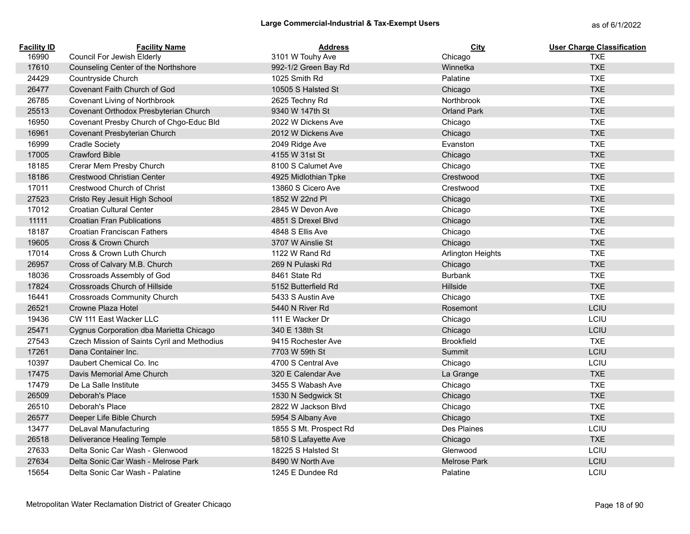| <b>Facility ID</b> | <b>Facility Name</b>                        | <b>Address</b>         | City                     | <b>User Charge Classification</b> |
|--------------------|---------------------------------------------|------------------------|--------------------------|-----------------------------------|
| 16990              | Council For Jewish Elderly                  | 3101 W Touhy Ave       | Chicago                  | <b>TXE</b>                        |
| 17610              | Counseling Center of the Northshore         | 992-1/2 Green Bay Rd   | Winnetka                 | <b>TXE</b>                        |
| 24429              | Countryside Church                          | 1025 Smith Rd          | Palatine                 | <b>TXE</b>                        |
| 26477              | Covenant Faith Church of God                | 10505 S Halsted St     | Chicago                  | <b>TXE</b>                        |
| 26785              | Covenant Living of Northbrook               | 2625 Techny Rd         | Northbrook               | <b>TXE</b>                        |
| 25513              | Covenant Orthodox Presbyterian Church       | 9340 W 147th St        | <b>Orland Park</b>       | <b>TXE</b>                        |
| 16950              | Covenant Presby Church of Chgo-Educ Bld     | 2022 W Dickens Ave     | Chicago                  | <b>TXE</b>                        |
| 16961              | Covenant Presbyterian Church                | 2012 W Dickens Ave     | Chicago                  | <b>TXE</b>                        |
| 16999              | <b>Cradle Society</b>                       | 2049 Ridge Ave         | Evanston                 | <b>TXE</b>                        |
| 17005              | <b>Crawford Bible</b>                       | 4155 W 31st St         | Chicago                  | <b>TXE</b>                        |
| 18185              | Crerar Mem Presby Church                    | 8100 S Calumet Ave     | Chicago                  | <b>TXE</b>                        |
| 18186              | <b>Crestwood Christian Center</b>           | 4925 Midlothian Tpke   | Crestwood                | <b>TXE</b>                        |
| 17011              | Crestwood Church of Christ                  | 13860 S Cicero Ave     | Crestwood                | <b>TXE</b>                        |
| 27523              | Cristo Rey Jesuit High School               | 1852 W 22nd Pl         | Chicago                  | <b>TXE</b>                        |
| 17012              | Croatian Cultural Center                    | 2845 W Devon Ave       | Chicago                  | <b>TXE</b>                        |
| 11111              | <b>Croatian Fran Publications</b>           | 4851 S Drexel Blvd     | Chicago                  | <b>TXE</b>                        |
| 18187              | Croatian Franciscan Fathers                 | 4848 S Ellis Ave       | Chicago                  | <b>TXE</b>                        |
| 19605              | Cross & Crown Church                        | 3707 W Ainslie St      | Chicago                  | <b>TXE</b>                        |
| 17014              | Cross & Crown Luth Church                   | 1122 W Rand Rd         | <b>Arlington Heights</b> | <b>TXE</b>                        |
| 26957              | Cross of Calvary M.B. Church                | 269 N Pulaski Rd       | Chicago                  | <b>TXE</b>                        |
| 18036              | Crossroads Assembly of God                  | 8461 State Rd          | <b>Burbank</b>           | <b>TXE</b>                        |
| 17824              | Crossroads Church of Hillside               | 5152 Butterfield Rd    | Hillside                 | <b>TXE</b>                        |
| 16441              | <b>Crossroads Community Church</b>          | 5433 S Austin Ave      | Chicago                  | <b>TXE</b>                        |
| 26521              | Crowne Plaza Hotel                          | 5440 N River Rd        | Rosemont                 | LCIU                              |
| 19436              | CW 111 East Wacker LLC                      | 111 E Wacker Dr        | Chicago                  | LCIU                              |
| 25471              | Cygnus Corporation dba Marietta Chicago     | 340 E 138th St         | Chicago                  | LCIU                              |
| 27543              | Czech Mission of Saints Cyril and Methodius | 9415 Rochester Ave     | <b>Brookfield</b>        | <b>TXE</b>                        |
| 17261              | Dana Container Inc.                         | 7703 W 59th St         | Summit                   | LCIU                              |
| 10397              | Daubert Chemical Co. Inc.                   | 4700 S Central Ave     | Chicago                  | LCIU                              |
| 17475              | Davis Memorial Ame Church                   | 320 E Calendar Ave     | La Grange                | <b>TXE</b>                        |
| 17479              | De La Salle Institute                       | 3455 S Wabash Ave      | Chicago                  | <b>TXE</b>                        |
| 26509              | Deborah's Place                             | 1530 N Sedgwick St     | Chicago                  | <b>TXE</b>                        |
| 26510              | Deborah's Place                             | 2822 W Jackson Blvd    | Chicago                  | <b>TXE</b>                        |
| 26577              | Deeper Life Bible Church                    | 5954 S Albany Ave      | Chicago                  | <b>TXE</b>                        |
| 13477              | <b>DeLaval Manufacturing</b>                | 1855 S Mt. Prospect Rd | Des Plaines              | LCIU                              |
| 26518              | Deliverance Healing Temple                  | 5810 S Lafayette Ave   | Chicago                  | <b>TXE</b>                        |
| 27633              | Delta Sonic Car Wash - Glenwood             | 18225 S Halsted St     | Glenwood                 | LCIU                              |
| 27634              | Delta Sonic Car Wash - Melrose Park         | 8490 W North Ave       | <b>Melrose Park</b>      | LCIU                              |
| 15654              | Delta Sonic Car Wash - Palatine             | 1245 E Dundee Rd       | Palatine                 | LCIU                              |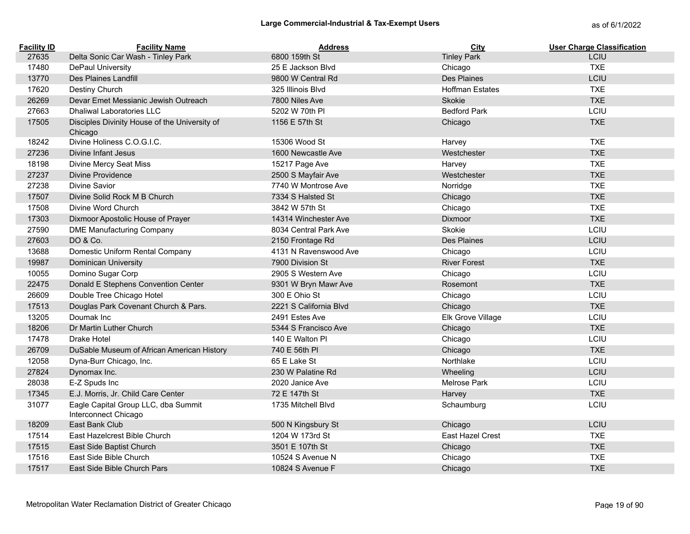| <b>Facility ID</b> | <b>Facility Name</b>                                        | <b>Address</b>         | City                   | <b>User Charge Classification</b> |
|--------------------|-------------------------------------------------------------|------------------------|------------------------|-----------------------------------|
| 27635              | Delta Sonic Car Wash - Tinley Park                          | 6800 159th St          | <b>Tinley Park</b>     | LCIU                              |
| 17480              | DePaul University                                           | 25 E Jackson Blvd      | Chicago                | <b>TXE</b>                        |
| 13770              | Des Plaines Landfill                                        | 9800 W Central Rd      | <b>Des Plaines</b>     | LCIU                              |
| 17620              | Destiny Church                                              | 325 Illinois Blvd      | <b>Hoffman Estates</b> | <b>TXE</b>                        |
| 26269              | Devar Emet Messianic Jewish Outreach                        | 7800 Niles Ave         | Skokie                 | <b>TXE</b>                        |
| 27663              | <b>Dhaliwal Laboratories LLC</b>                            | 5202 W 70th PI         | <b>Bedford Park</b>    | LCIU                              |
| 17505              | Disciples Divinity House of the University of<br>Chicago    | 1156 E 57th St         | Chicago                | <b>TXE</b>                        |
| 18242              | Divine Holiness C.O.G.I.C.                                  | 15306 Wood St          | Harvey                 | <b>TXE</b>                        |
| 27236              | Divine Infant Jesus                                         | 1600 Newcastle Ave     | Westchester            | <b>TXE</b>                        |
| 18198              | Divine Mercy Seat Miss                                      | 15217 Page Ave         | Harvey                 | <b>TXE</b>                        |
| 27237              | Divine Providence                                           | 2500 S Mayfair Ave     | Westchester            | <b>TXE</b>                        |
| 27238              | Divine Savior                                               | 7740 W Montrose Ave    | Norridge               | <b>TXE</b>                        |
| 17507              | Divine Solid Rock M B Church                                | 7334 S Halsted St      | Chicago                | <b>TXE</b>                        |
| 17508              | Divine Word Church                                          | 3842 W 57th St         | Chicago                | <b>TXE</b>                        |
| 17303              | Dixmoor Apostolic House of Prayer                           | 14314 Winchester Ave   | Dixmoor                | <b>TXE</b>                        |
| 27590              | <b>DME Manufacturing Company</b>                            | 8034 Central Park Ave  | Skokie                 | LCIU                              |
| 27603              | DO & Co.                                                    | 2150 Frontage Rd       | <b>Des Plaines</b>     | LCIU                              |
| 13688              | Domestic Uniform Rental Company                             | 4131 N Ravenswood Ave  | Chicago                | LCIU                              |
| 19987              | <b>Dominican University</b>                                 | 7900 Division St       | <b>River Forest</b>    | <b>TXE</b>                        |
| 10055              | Domino Sugar Corp                                           | 2905 S Western Ave     | Chicago                | LCIU                              |
| 22475              | Donald E Stephens Convention Center                         | 9301 W Bryn Mawr Ave   | Rosemont               | <b>TXE</b>                        |
| 26609              | Double Tree Chicago Hotel                                   | 300 E Ohio St          | Chicago                | LCIU                              |
| 17513              | Douglas Park Covenant Church & Pars.                        | 2221 S California Blvd | Chicago                | <b>TXE</b>                        |
| 13205              | Doumak Inc                                                  | 2491 Estes Ave         | Elk Grove Village      | LCIU                              |
| 18206              | Dr Martin Luther Church                                     | 5344 S Francisco Ave   | Chicago                | <b>TXE</b>                        |
| 17478              | Drake Hotel                                                 | 140 E Walton PI        | Chicago                | LCIU                              |
| 26709              | DuSable Museum of African American History                  | 740 E 56th PI          | Chicago                | <b>TXE</b>                        |
| 12058              | Dyna-Burr Chicago, Inc.                                     | 65 E Lake St           | Northlake              | LCIU                              |
| 27824              | Dynomax Inc.                                                | 230 W Palatine Rd      | Wheeling               | LCIU                              |
| 28038              | E-Z Spuds Inc                                               | 2020 Janice Ave        | <b>Melrose Park</b>    | LCIU                              |
| 17345              | E.J. Morris, Jr. Child Care Center                          | 72 E 147th St          | Harvey                 | <b>TXE</b>                        |
| 31077              | Eagle Capital Group LLC, dba Summit<br>Interconnect Chicago | 1735 Mitchell Blvd     | Schaumburg             | LCIU                              |
| 18209              | East Bank Club                                              | 500 N Kingsbury St     | Chicago                | LCIU                              |
| 17514              | East Hazelcrest Bible Church                                | 1204 W 173rd St        | East Hazel Crest       | <b>TXE</b>                        |
| 17515              | East Side Baptist Church                                    | 3501 E 107th St        | Chicago                | <b>TXE</b>                        |
| 17516              | East Side Bible Church                                      | 10524 S Avenue N       | Chicago                | <b>TXE</b>                        |
| 17517              | East Side Bible Church Pars                                 | 10824 S Avenue F       | Chicago                | <b>TXE</b>                        |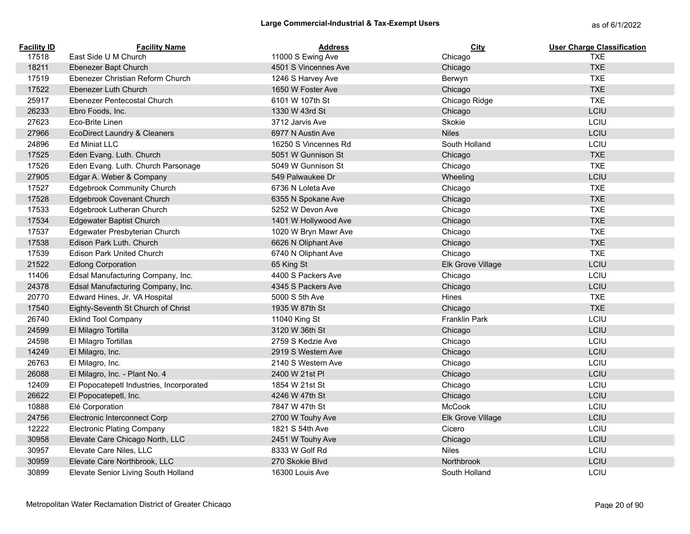| <b>Facility ID</b> | <b>Facility Name</b>                     | Address              | <b>City</b>              | <b>User Charge Classification</b> |
|--------------------|------------------------------------------|----------------------|--------------------------|-----------------------------------|
| 17518              | East Side U M Church                     | 11000 S Ewing Ave    | Chicago                  | <b>TXE</b>                        |
| 18211              | Ebenezer Bapt Church                     | 4501 S Vincennes Ave | Chicago                  | <b>TXE</b>                        |
| 17519              | Ebenezer Christian Reform Church         | 1246 S Harvey Ave    | Berwyn                   | <b>TXE</b>                        |
| 17522              | Ebenezer Luth Church                     | 1650 W Foster Ave    | Chicago                  | <b>TXE</b>                        |
| 25917              | Ebenezer Pentecostal Church              | 6101 W 107th St      | Chicago Ridge            | <b>TXE</b>                        |
| 26233              | Ebro Foods, Inc.                         | 1330 W 43rd St       | Chicago                  | LCIU                              |
| 27623              | Eco-Brite Linen                          | 3712 Jarvis Ave      | Skokie                   | LCIU                              |
| 27966              | <b>EcoDirect Laundry &amp; Cleaners</b>  | 6977 N Austin Ave    | <b>Niles</b>             | LCIU                              |
| 24896              | <b>Ed Miniat LLC</b>                     | 16250 S Vincennes Rd | South Holland            | LCIU                              |
| 17525              | Eden Evang. Luth. Church                 | 5051 W Gunnison St   | Chicago                  | <b>TXE</b>                        |
| 17526              | Eden Evang. Luth. Church Parsonage       | 5049 W Gunnison St   | Chicago                  | <b>TXE</b>                        |
| 27905              | Edgar A. Weber & Company                 | 549 Palwaukee Dr     | Wheeling                 | LCIU                              |
| 17527              | <b>Edgebrook Community Church</b>        | 6736 N Loleta Ave    | Chicago                  | <b>TXE</b>                        |
| 17528              | <b>Edgebrook Covenant Church</b>         | 6355 N Spokane Ave   | Chicago                  | <b>TXE</b>                        |
| 17533              | Edgebrook Lutheran Church                | 5252 W Devon Ave     | Chicago                  | <b>TXE</b>                        |
| 17534              | <b>Edgewater Baptist Church</b>          | 1401 W Hollywood Ave | Chicago                  | <b>TXE</b>                        |
| 17537              | Edgewater Presbyterian Church            | 1020 W Bryn Mawr Ave | Chicago                  | <b>TXE</b>                        |
| 17538              | Edison Park Luth. Church                 | 6626 N Oliphant Ave  | Chicago                  | <b>TXE</b>                        |
| 17539              | <b>Edison Park United Church</b>         | 6740 N Oliphant Ave  | Chicago                  | <b>TXE</b>                        |
| 21522              | <b>Edlong Corporation</b>                | 65 King St           | <b>Elk Grove Village</b> | LCIU                              |
| 11406              | Edsal Manufacturing Company, Inc.        | 4400 S Packers Ave   | Chicago                  | LCIU                              |
| 24378              | Edsal Manufacturing Company, Inc.        | 4345 S Packers Ave   | Chicago                  | LCIU                              |
| 20770              | Edward Hines, Jr. VA Hospital            | 5000 S 5th Ave       | Hines                    | <b>TXE</b>                        |
| 17540              | Eighty-Seventh St Church of Christ       | 1935 W 87th St       | Chicago                  | <b>TXE</b>                        |
| 26740              | <b>Eklind Tool Company</b>               | 11040 King St        | <b>Franklin Park</b>     | LCIU                              |
| 24599              | El Milagro Tortilla                      | 3120 W 36th St       | Chicago                  | LCIU                              |
| 24598              | El Milagro Tortillas                     | 2759 S Kedzie Ave    | Chicago                  | LCIU                              |
| 14249              | El Milagro, Inc.                         | 2919 S Western Ave   | Chicago                  | LCIU                              |
| 26763              | El Milagro, Inc.                         | 2140 S Western Ave   | Chicago                  | LCIU                              |
| 26088              | El Milagro, Inc. - Plant No. 4           | 2400 W 21st PI       | Chicago                  | LCIU                              |
| 12409              | El Popocatepetl Industries, Incorporated | 1854 W 21st St       | Chicago                  | LCIU                              |
| 26622              | El Popocatepetl, Inc.                    | 4246 W 47th St       | Chicago                  | LCIU                              |
| 10888              | Elé Corporation                          | 7847 W 47th St       | McCook                   | LCIU                              |
| 24756              | Electronic Interconnect Corp             | 2700 W Touhy Ave     | Elk Grove Village        | LCIU                              |
| 12222              | <b>Electronic Plating Company</b>        | 1821 S 54th Ave      | Cicero                   | LCIU                              |
| 30958              | Elevate Care Chicago North, LLC          | 2451 W Touhy Ave     | Chicago                  | LCIU                              |
| 30957              | Elevate Care Niles, LLC                  | 8333 W Golf Rd       | <b>Niles</b>             | LCIU                              |
| 30959              | Elevate Care Northbrook, LLC             | 270 Skokie Blvd      | <b>Northbrook</b>        | LCIU                              |
| 30899              | Elevate Senior Living South Holland      | 16300 Louis Ave      | South Holland            | LCIU                              |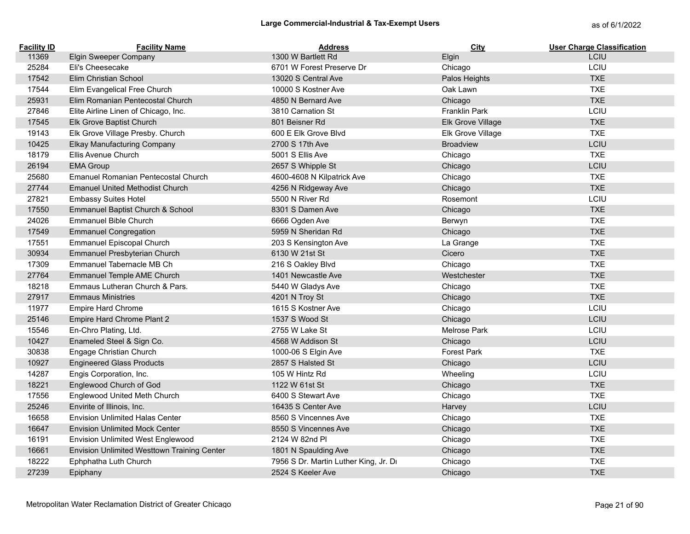| <b>Facility ID</b> | <b>Facility Name</b>                        | <b>Address</b>                        | City                | <b>User Charge Classification</b> |
|--------------------|---------------------------------------------|---------------------------------------|---------------------|-----------------------------------|
| 11369              | <b>Elgin Sweeper Company</b>                | 1300 W Bartlett Rd                    | Elgin               | LCIU                              |
| 25284              | Eli's Cheesecake                            | 6701 W Forest Preserve Dr             | Chicago             | LCIU                              |
| 17542              | Elim Christian School                       | 13020 S Central Ave                   | Palos Heights       | <b>TXE</b>                        |
| 17544              | Elim Evangelical Free Church                | 10000 S Kostner Ave                   | Oak Lawn            | <b>TXE</b>                        |
| 25931              | Elim Romanian Pentecostal Church            | 4850 N Bernard Ave                    | Chicago             | <b>TXE</b>                        |
| 27846              | Elite Airline Linen of Chicago, Inc.        | 3810 Carnation St                     | Franklin Park       | LCIU                              |
| 17545              | Elk Grove Baptist Church                    | 801 Beisner Rd                        | Elk Grove Village   | <b>TXE</b>                        |
| 19143              | Elk Grove Village Presby. Church            | 600 E Elk Grove Blvd                  | Elk Grove Village   | <b>TXE</b>                        |
| 10425              | <b>Elkay Manufacturing Company</b>          | 2700 S 17th Ave                       | <b>Broadview</b>    | LCIU                              |
| 18179              | Ellis Avenue Church                         | 5001 S Ellis Ave                      | Chicago             | <b>TXE</b>                        |
| 26194              | <b>EMA Group</b>                            | 2657 S Whipple St                     | Chicago             | LCIU                              |
| 25680              | Emanuel Romanian Pentecostal Church         | 4600-4608 N Kilpatrick Ave            | Chicago             | <b>TXE</b>                        |
| 27744              | <b>Emanuel United Methodist Church</b>      | 4256 N Ridgeway Ave                   | Chicago             | <b>TXE</b>                        |
| 27821              | <b>Embassy Suites Hotel</b>                 | 5500 N River Rd                       | Rosemont            | LCIU                              |
| 17550              | Emmanuel Baptist Church & School            | 8301 S Damen Ave                      | Chicago             | <b>TXE</b>                        |
| 24026              | <b>Emmanuel Bible Church</b>                | 6666 Ogden Ave                        | Berwyn              | <b>TXE</b>                        |
| 17549              | <b>Emmanuel Congregation</b>                | 5959 N Sheridan Rd                    | Chicago             | <b>TXE</b>                        |
| 17551              | Emmanuel Episcopal Church                   | 203 S Kensington Ave                  | La Grange           | <b>TXE</b>                        |
| 30934              | Emmanuel Presbyterian Church                | 6130 W 21st St                        | Cicero              | <b>TXE</b>                        |
| 17309              | Emmanuel Tabernacle MB Ch                   | 216 S Oakley Blvd                     | Chicago             | <b>TXE</b>                        |
| 27764              | Emmanuel Temple AME Church                  | 1401 Newcastle Ave                    | Westchester         | <b>TXE</b>                        |
| 18218              | Emmaus Lutheran Church & Pars.              | 5440 W Gladys Ave                     | Chicago             | <b>TXE</b>                        |
| 27917              | <b>Emmaus Ministries</b>                    | 4201 N Troy St                        | Chicago             | <b>TXE</b>                        |
| 11977              | Empire Hard Chrome                          | 1615 S Kostner Ave                    | Chicago             | LCIU                              |
| 25146              | Empire Hard Chrome Plant 2                  | 1537 S Wood St                        | Chicago             | LCIU                              |
| 15546              | En-Chro Plating, Ltd.                       | 2755 W Lake St                        | <b>Melrose Park</b> | <b>LCIU</b>                       |
| 10427              | Enameled Steel & Sign Co.                   | 4568 W Addison St                     | Chicago             | LCIU                              |
| 30838              | Engage Christian Church                     | 1000-06 S Elgin Ave                   | <b>Forest Park</b>  | <b>TXE</b>                        |
| 10927              | <b>Engineered Glass Products</b>            | 2857 S Halsted St                     | Chicago             | LCIU                              |
| 14287              | Engis Corporation, Inc.                     | 105 W Hintz Rd                        | Wheeling            | LCIU                              |
| 18221              | Englewood Church of God                     | 1122 W 61st St                        | Chicago             | <b>TXE</b>                        |
| 17556              | Englewood United Meth Church                | 6400 S Stewart Ave                    | Chicago             | <b>TXE</b>                        |
| 25246              | Envirite of Illinois, Inc.                  | 16435 S Center Ave                    | Harvey              | LCIU                              |
| 16658              | <b>Envision Unlimited Halas Center</b>      | 8560 S Vincennes Ave                  | Chicago             | <b>TXE</b>                        |
| 16647              | <b>Envision Unlimited Mock Center</b>       | 8550 S Vincennes Ave                  | Chicago             | <b>TXE</b>                        |
| 16191              | Envision Unlimited West Englewood           | 2124 W 82nd Pl                        | Chicago             | <b>TXE</b>                        |
| 16661              | Envision Unlimited Westtown Training Center | 1801 N Spaulding Ave                  | Chicago             | <b>TXE</b>                        |
| 18222              | Ephphatha Luth Church                       | 7956 S Dr. Martin Luther King, Jr. Dr | Chicago             | <b>TXE</b>                        |
| 27239              | Epiphany                                    | 2524 S Keeler Ave                     | Chicago             | <b>TXE</b>                        |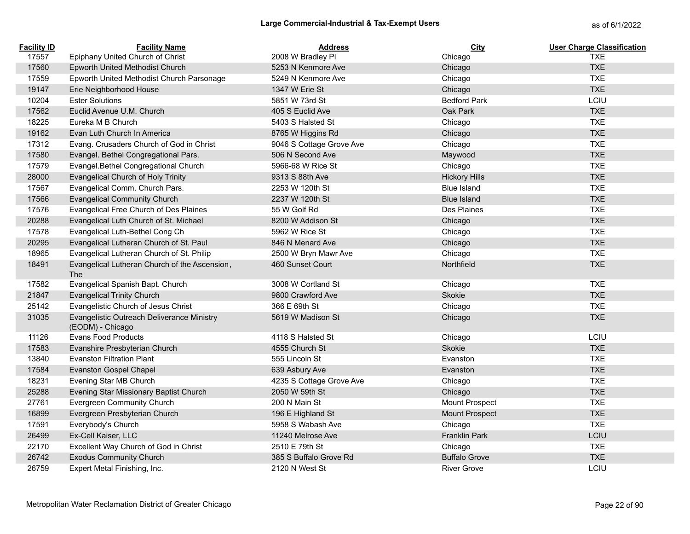| <b>Facility ID</b> | <b>Facility Name</b>                                           | <b>Address</b>           | City                  | <b>User Charge Classification</b> |
|--------------------|----------------------------------------------------------------|--------------------------|-----------------------|-----------------------------------|
| 17557              | Epiphany United Church of Christ                               | 2008 W Bradley Pl        | Chicago               | <b>TXE</b>                        |
| 17560              | Epworth United Methodist Church                                | 5253 N Kenmore Ave       | Chicago               | <b>TXE</b>                        |
| 17559              | Epworth United Methodist Church Parsonage                      | 5249 N Kenmore Ave       | Chicago               | <b>TXE</b>                        |
| 19147              | Erie Neighborhood House                                        | 1347 W Erie St           | Chicago               | <b>TXE</b>                        |
| 10204              | <b>Ester Solutions</b>                                         | 5851 W 73rd St           | <b>Bedford Park</b>   | LCIU                              |
| 17562              | Euclid Avenue U.M. Church                                      | 405 S Euclid Ave         | Oak Park              | <b>TXE</b>                        |
| 18225              | Eureka M B Church                                              | 5403 S Halsted St        | Chicago               | <b>TXE</b>                        |
| 19162              | Evan Luth Church In America                                    | 8765 W Higgins Rd        | Chicago               | <b>TXE</b>                        |
| 17312              | Evang. Crusaders Church of God in Christ                       | 9046 S Cottage Grove Ave | Chicago               | <b>TXE</b>                        |
| 17580              | Evangel. Bethel Congregational Pars.                           | 506 N Second Ave         | Maywood               | <b>TXE</b>                        |
| 17579              | Evangel.Bethel Congregational Church                           | 5966-68 W Rice St        | Chicago               | <b>TXE</b>                        |
| 28000              | Evangelical Church of Holy Trinity                             | 9313 S 88th Ave          | <b>Hickory Hills</b>  | <b>TXE</b>                        |
| 17567              | Evangelical Comm. Church Pars.                                 | 2253 W 120th St          | <b>Blue Island</b>    | <b>TXE</b>                        |
| 17566              | <b>Evangelical Community Church</b>                            | 2237 W 120th St          | <b>Blue Island</b>    | <b>TXE</b>                        |
| 17576              | Evangelical Free Church of Des Plaines                         | 55 W Golf Rd             | Des Plaines           | <b>TXE</b>                        |
| 20288              | Evangelical Luth Church of St. Michael                         | 8200 W Addison St        | Chicago               | <b>TXE</b>                        |
| 17578              | Evangelical Luth-Bethel Cong Ch                                | 5962 W Rice St           | Chicago               | <b>TXE</b>                        |
| 20295              | Evangelical Lutheran Church of St. Paul                        | 846 N Menard Ave         | Chicago               | <b>TXE</b>                        |
| 18965              | Evangelical Lutheran Church of St. Philip                      | 2500 W Bryn Mawr Ave     | Chicago               | <b>TXE</b>                        |
| 18491              | Evangelical Lutheran Church of the Ascension,<br><b>The</b>    | 460 Sunset Court         | Northfield            | <b>TXE</b>                        |
| 17582              | Evangelical Spanish Bapt. Church                               | 3008 W Cortland St       | Chicago               | <b>TXE</b>                        |
| 21847              | <b>Evangelical Trinity Church</b>                              | 9800 Crawford Ave        | Skokie                | <b>TXE</b>                        |
| 25142              | Evangelistic Church of Jesus Christ                            | 366 E 69th St            | Chicago               | <b>TXE</b>                        |
| 31035              | Evangelistic Outreach Deliverance Ministry<br>(EODM) - Chicago | 5619 W Madison St        | Chicago               | <b>TXE</b>                        |
| 11126              | <b>Evans Food Products</b>                                     | 4118 S Halsted St        | Chicago               | LCIU                              |
| 17583              | Evanshire Presbyterian Church                                  | 4555 Church St           | Skokie                | <b>TXE</b>                        |
| 13840              | <b>Evanston Filtration Plant</b>                               | 555 Lincoln St           | Evanston              | <b>TXE</b>                        |
| 17584              | <b>Evanston Gospel Chapel</b>                                  | 639 Asbury Ave           | Evanston              | <b>TXE</b>                        |
| 18231              | Evening Star MB Church                                         | 4235 S Cottage Grove Ave | Chicago               | <b>TXE</b>                        |
| 25288              | Evening Star Missionary Baptist Church                         | 2050 W 59th St           | Chicago               | <b>TXE</b>                        |
| 27761              | Evergreen Community Church                                     | 200 N Main St            | Mount Prospect        | <b>TXE</b>                        |
| 16899              | Evergreen Presbyterian Church                                  | 196 E Highland St        | <b>Mount Prospect</b> | <b>TXE</b>                        |
| 17591              | Everybody's Church                                             | 5958 S Wabash Ave        | Chicago               | <b>TXE</b>                        |
| 26499              | Ex-Cell Kaiser, LLC                                            | 11240 Melrose Ave        | <b>Franklin Park</b>  | LCIU                              |
| 22170              | Excellent Way Church of God in Christ                          | 2510 E 79th St           | Chicago               | <b>TXE</b>                        |
| 26742              | <b>Exodus Community Church</b>                                 | 385 S Buffalo Grove Rd   | <b>Buffalo Grove</b>  | <b>TXE</b>                        |
| 26759              | Expert Metal Finishing, Inc.                                   | 2120 N West St           | <b>River Grove</b>    | LCIU                              |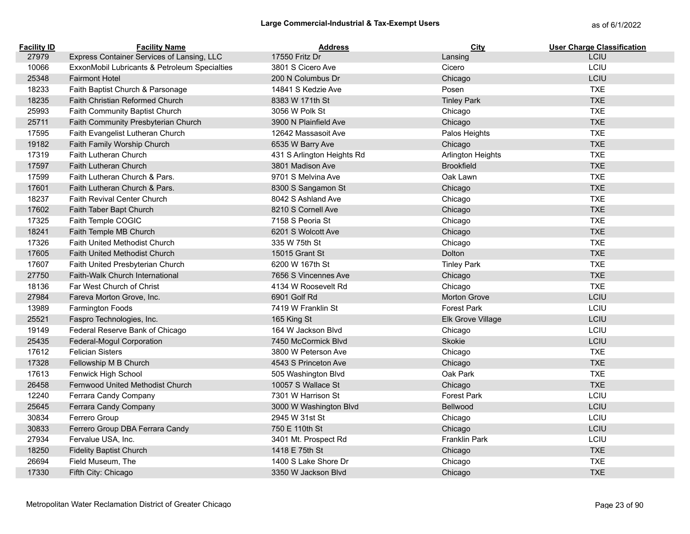# Large Commercial-Industrial & Tax-Exempt Users<br>
as of 6/1/2022

| <b>Facility ID</b> | <b>Facility Name</b>                          | <b>Address</b>             | City               | <b>User Charge Classification</b> |
|--------------------|-----------------------------------------------|----------------------------|--------------------|-----------------------------------|
| 27979              | Express Container Services of Lansing, LLC    | 17550 Fritz Dr             | Lansing            | <b>LCIU</b>                       |
| 10066              | ExxonMobil Lubricants & Petroleum Specialties | 3801 S Cicero Ave          | Cicero             | LCIU                              |
| 25348              | <b>Fairmont Hotel</b>                         | 200 N Columbus Dr          | Chicago            | LCIU                              |
| 18233              | Faith Baptist Church & Parsonage              | 14841 S Kedzie Ave         | Posen              | <b>TXE</b>                        |
| 18235              | <b>Faith Christian Reformed Church</b>        | 8383 W 171th St            | <b>Tinley Park</b> | <b>TXE</b>                        |
| 25993              | Faith Community Baptist Church                | 3056 W Polk St             | Chicago            | <b>TXE</b>                        |
| 25711              | Faith Community Presbyterian Church           | 3900 N Plainfield Ave      | Chicago            | <b>TXE</b>                        |
| 17595              | Faith Evangelist Lutheran Church              | 12642 Massasoit Ave        | Palos Heights      | <b>TXE</b>                        |
| 19182              | Faith Family Worship Church                   | 6535 W Barry Ave           | Chicago            | <b>TXE</b>                        |
| 17319              | Faith Lutheran Church                         | 431 S Arlington Heights Rd | Arlington Heights  | <b>TXE</b>                        |
| 17597              | <b>Faith Lutheran Church</b>                  | 3801 Madison Ave           | <b>Brookfield</b>  | <b>TXE</b>                        |
| 17599              | Faith Lutheran Church & Pars.                 | 9701 S Melvina Ave         | Oak Lawn           | <b>TXE</b>                        |
| 17601              | Faith Lutheran Church & Pars.                 | 8300 S Sangamon St         | Chicago            | <b>TXE</b>                        |
| 18237              | Faith Revival Center Church                   | 8042 S Ashland Ave         | Chicago            | <b>TXE</b>                        |
| 17602              | Faith Taber Bapt Church                       | 8210 S Cornell Ave         | Chicago            | <b>TXE</b>                        |
| 17325              | Faith Temple COGIC                            | 7158 S Peoria St           | Chicago            | <b>TXE</b>                        |
| 18241              | Faith Temple MB Church                        | 6201 S Wolcott Ave         | Chicago            | <b>TXE</b>                        |
| 17326              | <b>Faith United Methodist Church</b>          | 335 W 75th St              | Chicago            | <b>TXE</b>                        |
| 17605              | Faith United Methodist Church                 | 15015 Grant St             | Dolton             | <b>TXE</b>                        |
| 17607              | Faith United Presbyterian Church              | 6200 W 167th St            | <b>Tinley Park</b> | <b>TXE</b>                        |
| 27750              | <b>Faith-Walk Church International</b>        | 7656 S Vincennes Ave       | Chicago            | <b>TXE</b>                        |
| 18136              | Far West Church of Christ                     | 4134 W Roosevelt Rd        | Chicago            | <b>TXE</b>                        |
| 27984              | Fareva Morton Grove, Inc.                     | 6901 Golf Rd               | Morton Grove       | LCIU                              |
| 13989              | Farmington Foods                              | 7419 W Franklin St         | <b>Forest Park</b> | LCIU                              |
| 25521              | Faspro Technologies, Inc.                     | 165 King St                | Elk Grove Village  | LCIU                              |
| 19149              | Federal Reserve Bank of Chicago               | 164 W Jackson Blvd         | Chicago            | LCIU                              |
| 25435              | Federal-Mogul Corporation                     | 7450 McCormick Blvd        | Skokie             | LCIU                              |
| 17612              | <b>Felician Sisters</b>                       | 3800 W Peterson Ave        | Chicago            | <b>TXE</b>                        |
| 17328              | Fellowship M B Church                         | 4543 S Princeton Ave       | Chicago            | <b>TXE</b>                        |
| 17613              | Fenwick High School                           | 505 Washington Blvd        | Oak Park           | <b>TXE</b>                        |
| 26458              | Fernwood United Methodist Church              | 10057 S Wallace St         | Chicago            | <b>TXE</b>                        |
| 12240              | Ferrara Candy Company                         | 7301 W Harrison St         | <b>Forest Park</b> | LCIU                              |
| 25645              | Ferrara Candy Company                         | 3000 W Washington Blvd     | Bellwood           | LCIU                              |
| 30834              | Ferrero Group                                 | 2945 W 31st St             | Chicago            | LCIU                              |
| 30833              | Ferrero Group DBA Ferrara Candy               | 750 E 110th St             | Chicago            | LCIU                              |
| 27934              | Fervalue USA, Inc.                            | 3401 Mt. Prospect Rd       | Franklin Park      | LCIU                              |
| 18250              | <b>Fidelity Baptist Church</b>                | 1418 E 75th St             | Chicago            | <b>TXE</b>                        |
| 26694              | Field Museum, The                             | 1400 S Lake Shore Dr       | Chicago            | <b>TXE</b>                        |
| 17330              | Fifth City: Chicago                           | 3350 W Jackson Blvd        | Chicago            | <b>TXE</b>                        |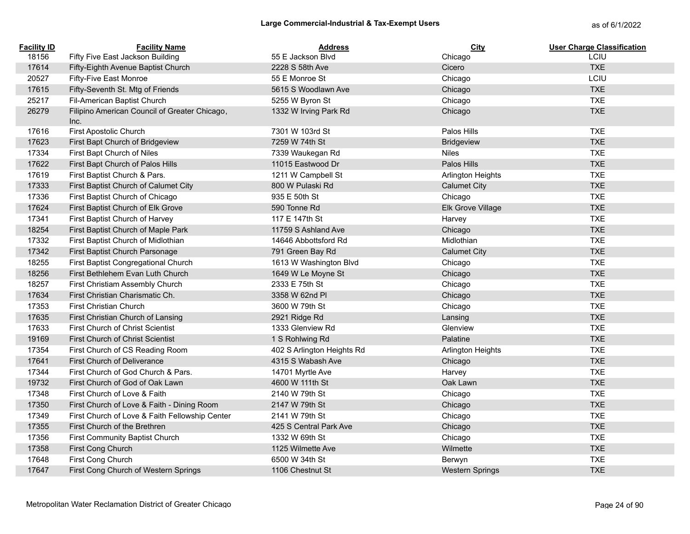| <b>Facility ID</b> | <b>Facility Name</b>                                  | <b>Address</b>             | City                     | <b>User Charge Classification</b> |
|--------------------|-------------------------------------------------------|----------------------------|--------------------------|-----------------------------------|
| 18156              | Fifty Five East Jackson Building                      | 55 E Jackson Blvd          | Chicago                  | LCIU                              |
| 17614              | Fifty-Eighth Avenue Baptist Church                    | 2228 S 58th Ave            | Cicero                   | <b>TXE</b>                        |
| 20527              | Fifty-Five East Monroe                                | 55 E Monroe St             | Chicago                  | LCIU                              |
| 17615              | Fifty-Seventh St. Mtg of Friends                      | 5615 S Woodlawn Ave        | Chicago                  | <b>TXE</b>                        |
| 25217              | Fil-American Baptist Church                           | 5255 W Byron St            | Chicago                  | <b>TXE</b>                        |
| 26279              | Filipino American Council of Greater Chicago,<br>Inc. | 1332 W Irving Park Rd      | Chicago                  | <b>TXE</b>                        |
| 17616              | First Apostolic Church                                | 7301 W 103rd St            | Palos Hills              | <b>TXE</b>                        |
| 17623              | First Bapt Church of Bridgeview                       | 7259 W 74th St             | <b>Bridgeview</b>        | <b>TXE</b>                        |
| 17334              | First Bapt Church of Niles                            | 7339 Waukegan Rd           | <b>Niles</b>             | <b>TXE</b>                        |
| 17622              | First Bapt Church of Palos Hills                      | 11015 Eastwood Dr          | Palos Hills              | <b>TXE</b>                        |
| 17619              | First Baptist Church & Pars.                          | 1211 W Campbell St         | Arlington Heights        | <b>TXE</b>                        |
| 17333              | First Baptist Church of Calumet City                  | 800 W Pulaski Rd           | <b>Calumet City</b>      | <b>TXE</b>                        |
| 17336              | First Baptist Church of Chicago                       | 935 E 50th St              | Chicago                  | <b>TXE</b>                        |
| 17624              | First Baptist Church of Elk Grove                     | 590 Tonne Rd               | Elk Grove Village        | <b>TXE</b>                        |
| 17341              | First Baptist Church of Harvey                        | 117 E 147th St             | Harvey                   | <b>TXE</b>                        |
| 18254              | First Baptist Church of Maple Park                    | 11759 S Ashland Ave        | Chicago                  | <b>TXE</b>                        |
| 17332              | First Baptist Church of Midlothian                    | 14646 Abbottsford Rd       | Midlothian               | <b>TXE</b>                        |
| 17342              | First Baptist Church Parsonage                        | 791 Green Bay Rd           | <b>Calumet City</b>      | <b>TXE</b>                        |
| 18255              | First Baptist Congregational Church                   | 1613 W Washington Blvd     | Chicago                  | <b>TXE</b>                        |
| 18256              | First Bethlehem Evan Luth Church                      | 1649 W Le Moyne St         | Chicago                  | <b>TXE</b>                        |
| 18257              | First Christiam Assembly Church                       | 2333 E 75th St             | Chicago                  | <b>TXE</b>                        |
| 17634              | First Christian Charismatic Ch.                       | 3358 W 62nd Pl             | Chicago                  | <b>TXE</b>                        |
| 17353              | <b>First Christian Church</b>                         | 3600 W 79th St             | Chicago                  | <b>TXE</b>                        |
| 17635              | First Christian Church of Lansing                     | 2921 Ridge Rd              | Lansing                  | <b>TXE</b>                        |
| 17633              | First Church of Christ Scientist                      | 1333 Glenview Rd           | Glenview                 | <b>TXE</b>                        |
| 19169              | First Church of Christ Scientist                      | 1 S Rohlwing Rd            | Palatine                 | <b>TXE</b>                        |
| 17354              | First Church of CS Reading Room                       | 402 S Arlington Heights Rd | <b>Arlington Heights</b> | <b>TXE</b>                        |
| 17641              | <b>First Church of Deliverance</b>                    | 4315 S Wabash Ave          | Chicago                  | <b>TXE</b>                        |
| 17344              | First Church of God Church & Pars.                    | 14701 Myrtle Ave           | Harvey                   | <b>TXE</b>                        |
| 19732              | First Church of God of Oak Lawn                       | 4600 W 111th St            | Oak Lawn                 | <b>TXE</b>                        |
| 17348              | First Church of Love & Faith                          | 2140 W 79th St             | Chicago                  | <b>TXE</b>                        |
| 17350              | First Church of Love & Faith - Dining Room            | 2147 W 79th St             | Chicago                  | <b>TXE</b>                        |
| 17349              | First Church of Love & Faith Fellowship Center        | 2141 W 79th St             | Chicago                  | <b>TXE</b>                        |
| 17355              | First Church of the Brethren                          | 425 S Central Park Ave     | Chicago                  | <b>TXE</b>                        |
| 17356              | First Community Baptist Church                        | 1332 W 69th St             | Chicago                  | <b>TXE</b>                        |
| 17358              | First Cong Church                                     | 1125 Wilmette Ave          | Wilmette                 | <b>TXE</b>                        |
| 17648              | First Cong Church                                     | 6500 W 34th St             | Berwyn                   | <b>TXE</b>                        |
| 17647              | First Cong Church of Western Springs                  | 1106 Chestnut St           | <b>Western Springs</b>   | <b>TXE</b>                        |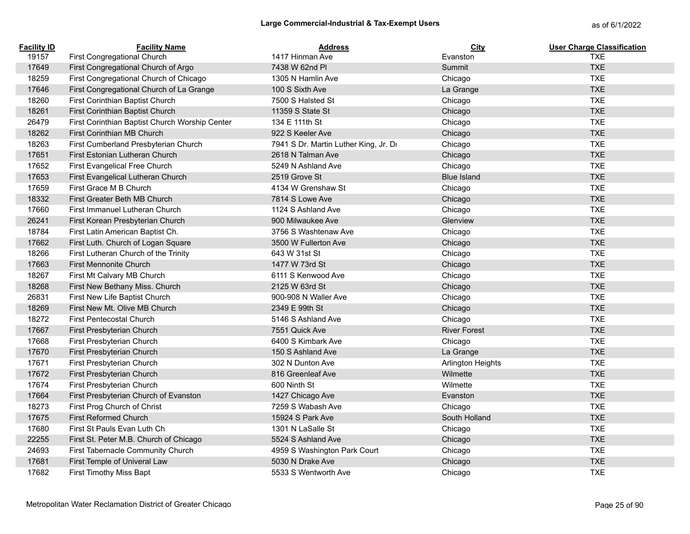| <b>Facility ID</b> | <b>Facility Name</b>                           | <b>Address</b>                        | City                     | <b>User Charge Classification</b> |
|--------------------|------------------------------------------------|---------------------------------------|--------------------------|-----------------------------------|
| 19157              | First Congregational Church                    | 1417 Hinman Ave                       | Evanston                 | <b>TXE</b>                        |
| 17649              | First Congregational Church of Argo            | 7438 W 62nd Pl                        | Summit                   | <b>TXE</b>                        |
| 18259              | First Congregational Church of Chicago         | 1305 N Hamlin Ave                     | Chicago                  | <b>TXE</b>                        |
| 17646              | First Congregational Church of La Grange       | 100 S Sixth Ave                       | La Grange                | <b>TXE</b>                        |
| 18260              | First Corinthian Baptist Church                | 7500 S Halsted St                     | Chicago                  | <b>TXE</b>                        |
| 18261              | First Corinthian Baptist Church                | 11359 S State St                      | Chicago                  | <b>TXE</b>                        |
| 26479              | First Corinthian Baptist Church Worship Center | 134 E 111th St                        | Chicago                  | <b>TXE</b>                        |
| 18262              | First Corinthian MB Church                     | 922 S Keeler Ave                      | Chicago                  | <b>TXE</b>                        |
| 18263              | First Cumberland Presbyterian Church           | 7941 S Dr. Martin Luther King, Jr. Dr | Chicago                  | <b>TXE</b>                        |
| 17651              | First Estonian Lutheran Church                 | 2618 N Talman Ave                     | Chicago                  | <b>TXE</b>                        |
| 17652              | First Evangelical Free Church                  | 5249 N Ashland Ave                    | Chicago                  | <b>TXE</b>                        |
| 17653              | First Evangelical Lutheran Church              | 2519 Grove St                         | <b>Blue Island</b>       | <b>TXE</b>                        |
| 17659              | First Grace M B Church                         | 4134 W Grenshaw St                    | Chicago                  | <b>TXE</b>                        |
| 18332              | First Greater Beth MB Church                   | 7814 S Lowe Ave                       | Chicago                  | <b>TXE</b>                        |
| 17660              | First Immanuel Lutheran Church                 | 1124 S Ashland Ave                    | Chicago                  | <b>TXE</b>                        |
| 26241              | First Korean Presbyterian Church               | 900 Milwaukee Ave                     | Glenview                 | <b>TXE</b>                        |
| 18784              | First Latin American Baptist Ch.               | 3756 S Washtenaw Ave                  | Chicago                  | <b>TXE</b>                        |
| 17662              | First Luth. Church of Logan Square             | 3500 W Fullerton Ave                  | Chicago                  | <b>TXE</b>                        |
| 18266              | First Lutheran Church of the Trinity           | 643 W 31st St                         | Chicago                  | <b>TXE</b>                        |
| 17663              | <b>First Mennonite Church</b>                  | 1477 W 73rd St                        | Chicago                  | <b>TXE</b>                        |
| 18267              | First Mt Calvary MB Church                     | 6111 S Kenwood Ave                    | Chicago                  | <b>TXE</b>                        |
| 18268              | First New Bethany Miss. Church                 | 2125 W 63rd St                        | Chicago                  | <b>TXE</b>                        |
| 26831              | First New Life Baptist Church                  | 900-908 N Waller Ave                  | Chicago                  | <b>TXE</b>                        |
| 18269              | First New Mt. Olive MB Church                  | 2349 E 99th St                        | Chicago                  | <b>TXE</b>                        |
| 18272              | <b>First Pentecostal Church</b>                | 5146 S Ashland Ave                    | Chicago                  | <b>TXE</b>                        |
| 17667              | First Presbyterian Church                      | 7551 Quick Ave                        | <b>River Forest</b>      | <b>TXE</b>                        |
| 17668              | First Presbyterian Church                      | 6400 S Kimbark Ave                    | Chicago                  | <b>TXE</b>                        |
| 17670              | First Presbyterian Church                      | 150 S Ashland Ave                     | La Grange                | <b>TXE</b>                        |
| 17671              | First Presbyterian Church                      | 302 N Dunton Ave                      | <b>Arlington Heights</b> | <b>TXE</b>                        |
| 17672              | First Presbyterian Church                      | 816 Greenleaf Ave                     | Wilmette                 | <b>TXE</b>                        |
| 17674              | First Presbyterian Church                      | 600 Ninth St                          | Wilmette                 | <b>TXE</b>                        |
| 17664              | First Presbyterian Church of Evanston          | 1427 Chicago Ave                      | Evanston                 | <b>TXE</b>                        |
| 18273              | First Prog Church of Christ                    | 7259 S Wabash Ave                     | Chicago                  | <b>TXE</b>                        |
| 17675              | First Reformed Church                          | 15924 S Park Ave                      | South Holland            | <b>TXE</b>                        |
| 17680              | First St Pauls Evan Luth Ch                    | 1301 N LaSalle St                     | Chicago                  | <b>TXE</b>                        |
| 22255              | First St. Peter M.B. Church of Chicago         | 5524 S Ashland Ave                    | Chicago                  | <b>TXE</b>                        |
| 24693              | First Tabernacle Community Church              | 4959 S Washington Park Court          | Chicago                  | <b>TXE</b>                        |
| 17681              | First Temple of Univeral Law                   | 5030 N Drake Ave                      | Chicago                  | <b>TXE</b>                        |
| 17682              | <b>First Timothy Miss Bapt</b>                 | 5533 S Wentworth Ave                  | Chicago                  | <b>TXE</b>                        |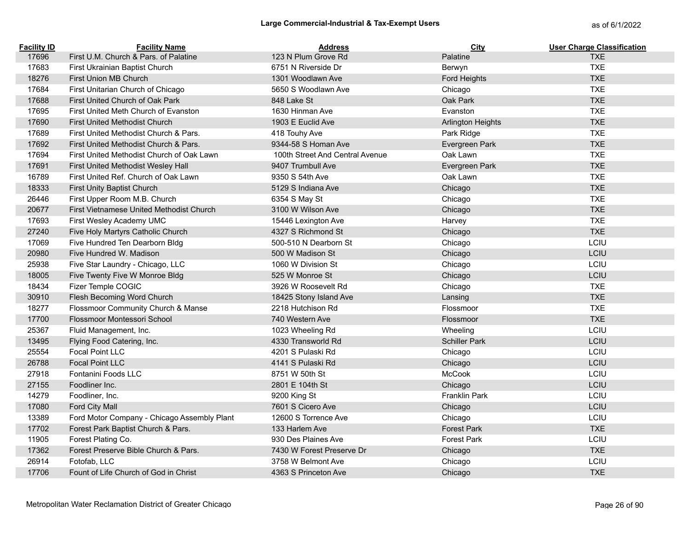| <b>Facility ID</b> | <b>Facility Name</b>                        | <b>Address</b>                  | City                     | <b>User Charge Classification</b> |
|--------------------|---------------------------------------------|---------------------------------|--------------------------|-----------------------------------|
| 17696              | First U.M. Church & Pars. of Palatine       | 123 N Plum Grove Rd             | Palatine                 | <b>TXE</b>                        |
| 17683              | First Ukrainian Baptist Church              | 6751 N Riverside Dr             | Berwyn                   | <b>TXE</b>                        |
| 18276              | First Union MB Church                       | 1301 Woodlawn Ave               | Ford Heights             | <b>TXE</b>                        |
| 17684              | First Unitarian Church of Chicago           | 5650 S Woodlawn Ave             | Chicago                  | <b>TXE</b>                        |
| 17688              | First United Church of Oak Park             | 848 Lake St                     | Oak Park                 | <b>TXE</b>                        |
| 17695              | First United Meth Church of Evanston        | 1630 Hinman Ave                 | Evanston                 | <b>TXE</b>                        |
| 17690              | First United Methodist Church               | 1903 E Euclid Ave               | <b>Arlington Heights</b> | <b>TXE</b>                        |
| 17689              | First United Methodist Church & Pars.       | 418 Touhy Ave                   | Park Ridge               | <b>TXE</b>                        |
| 17692              | First United Methodist Church & Pars.       | 9344-58 S Homan Ave             | Evergreen Park           | <b>TXE</b>                        |
| 17694              | First United Methodist Church of Oak Lawn   | 100th Street And Central Avenue | Oak Lawn                 | <b>TXE</b>                        |
| 17691              | First United Methodist Wesley Hall          | 9407 Trumbull Ave               | Evergreen Park           | <b>TXE</b>                        |
| 16789              | First United Ref. Church of Oak Lawn        | 9350 S 54th Ave                 | Oak Lawn                 | <b>TXE</b>                        |
| 18333              | First Unity Baptist Church                  | 5129 S Indiana Ave              | Chicago                  | <b>TXE</b>                        |
| 26446              | First Upper Room M.B. Church                | 6354 S May St                   | Chicago                  | <b>TXE</b>                        |
| 20677              | First Vietnamese United Methodist Church    | 3100 W Wilson Ave               | Chicago                  | <b>TXE</b>                        |
| 17693              | First Wesley Academy UMC                    | 15446 Lexington Ave             | Harvey                   | <b>TXE</b>                        |
| 27240              | Five Holy Martyrs Catholic Church           | 4327 S Richmond St              | Chicago                  | <b>TXE</b>                        |
| 17069              | Five Hundred Ten Dearborn Bldg              | 500-510 N Dearborn St           | Chicago                  | LCIU                              |
| 20980              | Five Hundred W. Madison                     | 500 W Madison St                | Chicago                  | LCIU                              |
| 25938              | Five Star Laundry - Chicago, LLC            | 1060 W Division St              | Chicago                  | LCIU                              |
| 18005              | Five Twenty Five W Monroe Bldg              | 525 W Monroe St                 | Chicago                  | LCIU                              |
| 18434              | Fizer Temple COGIC                          | 3926 W Roosevelt Rd             | Chicago                  | <b>TXE</b>                        |
| 30910              | Flesh Becoming Word Church                  | 18425 Stony Island Ave          | Lansing                  | <b>TXE</b>                        |
| 18277              | Flossmoor Community Church & Manse          | 2218 Hutchison Rd               | Flossmoor                | <b>TXE</b>                        |
| 17700              | Flossmoor Montessori School                 | 740 Western Ave                 | Flossmoor                | <b>TXE</b>                        |
| 25367              | Fluid Management, Inc.                      | 1023 Wheeling Rd                | Wheeling                 | LCIU                              |
| 13495              | Flying Food Catering, Inc.                  | 4330 Transworld Rd              | <b>Schiller Park</b>     | LCIU                              |
| 25554              | Focal Point LLC                             | 4201 S Pulaski Rd               | Chicago                  | LCIU                              |
| 26788              | <b>Focal Point LLC</b>                      | 4141 S Pulaski Rd               | Chicago                  | LCIU                              |
| 27918              | Fontanini Foods LLC                         | 8751 W 50th St                  | <b>McCook</b>            | LCIU                              |
| 27155              | Foodliner Inc.                              | 2801 E 104th St                 | Chicago                  | LCIU                              |
| 14279              | Foodliner, Inc.                             | 9200 King St                    | Franklin Park            | LCIU                              |
| 17080              | Ford City Mall                              | 7601 S Cicero Ave               | Chicago                  | LCIU                              |
| 13389              | Ford Motor Company - Chicago Assembly Plant | 12600 S Torrence Ave            | Chicago                  | LCIU                              |
| 17702              | Forest Park Baptist Church & Pars.          | 133 Harlem Ave                  | <b>Forest Park</b>       | <b>TXE</b>                        |
| 11905              | Forest Plating Co.                          | 930 Des Plaines Ave             | <b>Forest Park</b>       | LCIU                              |
| 17362              | Forest Preserve Bible Church & Pars.        | 7430 W Forest Preserve Dr       | Chicago                  | <b>TXE</b>                        |
| 26914              | Fotofab, LLC                                | 3758 W Belmont Ave              | Chicago                  | LCIU                              |
| 17706              | Fount of Life Church of God in Christ       | 4363 S Princeton Ave            | Chicago                  | <b>TXE</b>                        |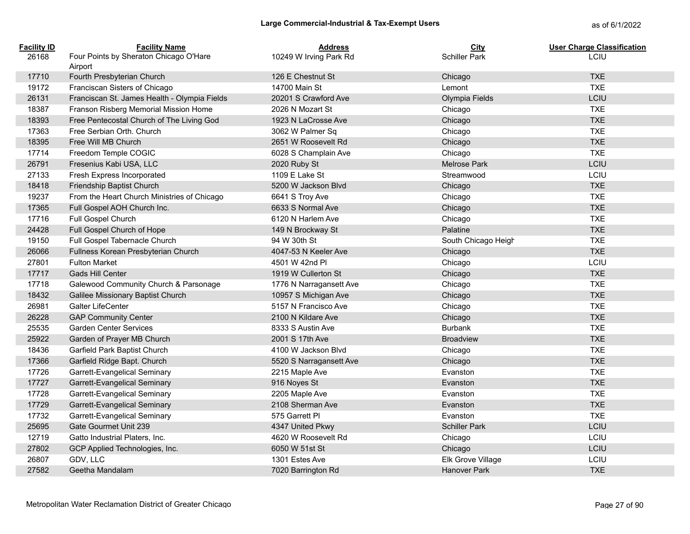| <b>Facility ID</b> | <b>Facility Name</b>                         | <b>Address</b>          | City                 | <b>User Charge Classification</b> |
|--------------------|----------------------------------------------|-------------------------|----------------------|-----------------------------------|
| 26168              | Four Points by Sheraton Chicago O'Hare       | 10249 W Irving Park Rd  | <b>Schiller Park</b> | <b>LCIU</b>                       |
|                    | Airport                                      |                         |                      |                                   |
| 17710              | Fourth Presbyterian Church                   | 126 E Chestnut St       | Chicago              | <b>TXE</b>                        |
| 19172              | Franciscan Sisters of Chicago                | 14700 Main St           | Lemont               | <b>TXE</b>                        |
| 26131              | Franciscan St. James Health - Olympia Fields | 20201 S Crawford Ave    | Olympia Fields       | LCIU                              |
| 18387              | Franson Risberg Memorial Mission Home        | 2026 N Mozart St        | Chicago              | <b>TXE</b>                        |
| 18393              | Free Pentecostal Church of The Living God    | 1923 N LaCrosse Ave     | Chicago              | <b>TXE</b>                        |
| 17363              | Free Serbian Orth. Church                    | 3062 W Palmer Sq        | Chicago              | <b>TXE</b>                        |
| 18395              | Free Will MB Church                          | 2651 W Roosevelt Rd     | Chicago              | <b>TXE</b>                        |
| 17714              | Freedom Temple COGIC                         | 6028 S Champlain Ave    | Chicago              | <b>TXE</b>                        |
| 26791              | Fresenius Kabi USA, LLC                      | 2020 Ruby St            | <b>Melrose Park</b>  | LCIU                              |
| 27133              | Fresh Express Incorporated                   | 1109 E Lake St          | Streamwood           | LCIU                              |
| 18418              | Friendship Baptist Church                    | 5200 W Jackson Blvd     | Chicago              | <b>TXE</b>                        |
| 19237              | From the Heart Church Ministries of Chicago  | 6641 S Troy Ave         | Chicago              | <b>TXE</b>                        |
| 17365              | Full Gospel AOH Church Inc.                  | 6633 S Normal Ave       | Chicago              | <b>TXE</b>                        |
| 17716              | Full Gospel Church                           | 6120 N Harlem Ave       | Chicago              | <b>TXE</b>                        |
| 24428              | Full Gospel Church of Hope                   | 149 N Brockway St       | Palatine             | <b>TXE</b>                        |
| 19150              | Full Gospel Tabernacle Church                | 94 W 30th St            | South Chicago Heigh  | <b>TXE</b>                        |
| 26066              | Fullness Korean Presbyterian Church          | 4047-53 N Keeler Ave    | Chicago              | <b>TXE</b>                        |
| 27801              | <b>Fulton Market</b>                         | 4501 W 42nd Pl          | Chicago              | LCIU                              |
| 17717              | <b>Gads Hill Center</b>                      | 1919 W Cullerton St     | Chicago              | <b>TXE</b>                        |
| 17718              | Galewood Community Church & Parsonage        | 1776 N Narragansett Ave | Chicago              | <b>TXE</b>                        |
| 18432              | Galilee Missionary Baptist Church            | 10957 S Michigan Ave    | Chicago              | <b>TXE</b>                        |
| 26981              | <b>Galter LifeCenter</b>                     | 5157 N Francisco Ave    | Chicago              | <b>TXE</b>                        |
| 26228              | <b>GAP Community Center</b>                  | 2100 N Kildare Ave      | Chicago              | <b>TXE</b>                        |
| 25535              | <b>Garden Center Services</b>                | 8333 S Austin Ave       | <b>Burbank</b>       | <b>TXE</b>                        |
| 25922              | Garden of Prayer MB Church                   | 2001 S 17th Ave         | <b>Broadview</b>     | <b>TXE</b>                        |
| 18436              | Garfield Park Baptist Church                 | 4100 W Jackson Blvd     | Chicago              | <b>TXE</b>                        |
| 17366              | Garfield Ridge Bapt. Church                  | 5520 S Narragansett Ave | Chicago              | <b>TXE</b>                        |
| 17726              | Garrett-Evangelical Seminary                 | 2215 Maple Ave          | Evanston             | <b>TXE</b>                        |
| 17727              | Garrett-Evangelical Seminary                 | 916 Noyes St            | Evanston             | <b>TXE</b>                        |
| 17728              | Garrett-Evangelical Seminary                 | 2205 Maple Ave          | Evanston             | <b>TXE</b>                        |
| 17729              | <b>Garrett-Evangelical Seminary</b>          | 2108 Sherman Ave        | Evanston             | <b>TXE</b>                        |
| 17732              | Garrett-Evangelical Seminary                 | 575 Garrett Pl          | Evanston             | <b>TXE</b>                        |
| 25695              | Gate Gourmet Unit 239                        | 4347 United Pkwy        | <b>Schiller Park</b> | LCIU                              |
| 12719              | Gatto Industrial Platers, Inc.               | 4620 W Roosevelt Rd     | Chicago              | LCIU                              |
| 27802              | GCP Applied Technologies, Inc.               | 6050 W 51st St          | Chicago              | LCIU                              |
| 26807              | GDV, LLC                                     | 1301 Estes Ave          | Elk Grove Village    | LCIU                              |
| 27582              | Geetha Mandalam                              | 7020 Barrington Rd      | <b>Hanover Park</b>  | <b>TXE</b>                        |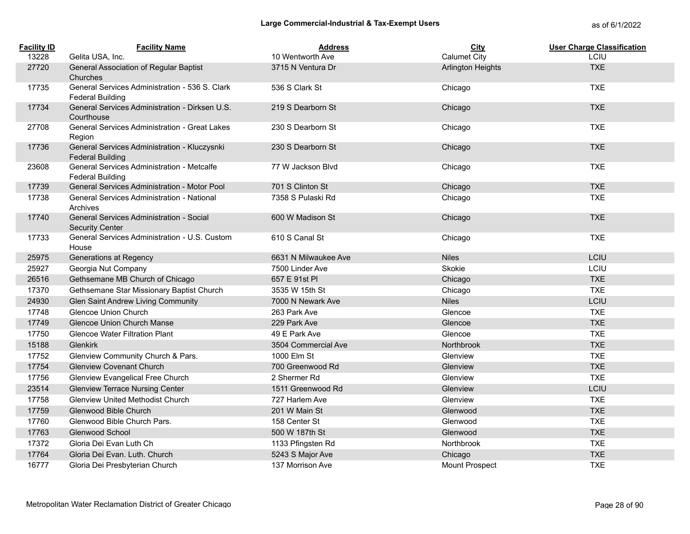| <b>Facility ID</b> | <b>Facility Name</b>                                                      | <b>Address</b>       | City                     | <b>User Charge Classification</b> |
|--------------------|---------------------------------------------------------------------------|----------------------|--------------------------|-----------------------------------|
| 13228              | Gelita USA, Inc.                                                          | 10 Wentworth Ave     | <b>Calumet City</b>      | LCIU                              |
| 27720              | General Association of Regular Baptist<br>Churches                        | 3715 N Ventura Dr    | <b>Arlington Heights</b> | <b>TXE</b>                        |
| 17735              | General Services Administration - 536 S. Clark<br><b>Federal Building</b> | 536 S Clark St       | Chicago                  | <b>TXE</b>                        |
| 17734              | General Services Administration - Dirksen U.S.<br>Courthouse              | 219 S Dearborn St    | Chicago                  | <b>TXE</b>                        |
| 27708              | General Services Administration - Great Lakes<br>Region                   | 230 S Dearborn St    | Chicago                  | <b>TXE</b>                        |
| 17736              | General Services Administration - Kluczysnki<br><b>Federal Building</b>   | 230 S Dearborn St    | Chicago                  | <b>TXE</b>                        |
| 23608              | General Services Administration - Metcalfe<br><b>Federal Building</b>     | 77 W Jackson Blyd    | Chicago                  | <b>TXE</b>                        |
| 17739              | General Services Administration - Motor Pool                              | 701 S Clinton St     | Chicago                  | <b>TXE</b>                        |
| 17738              | General Services Administration - National<br>Archives                    | 7358 S Pulaski Rd    | Chicago                  | <b>TXE</b>                        |
| 17740              | General Services Administration - Social<br><b>Security Center</b>        | 600 W Madison St     | Chicago                  | <b>TXE</b>                        |
| 17733              | General Services Administration - U.S. Custom<br>House                    | 610 S Canal St       | Chicago                  | <b>TXE</b>                        |
| 25975              | Generations at Regency                                                    | 6631 N Milwaukee Ave | <b>Niles</b>             | LCIU                              |
| 25927              | Georgia Nut Company                                                       | 7500 Linder Ave      | Skokie                   | LCIU                              |
| 26516              | Gethsemane MB Church of Chicago                                           | 657 E 91st PI        | Chicago                  | <b>TXE</b>                        |
| 17370              | Gethsemane Star Missionary Baptist Church                                 | 3535 W 15th St       | Chicago                  | <b>TXE</b>                        |
| 24930              | Glen Saint Andrew Living Community                                        | 7000 N Newark Ave    | <b>Niles</b>             | LCIU                              |
| 17748              | Glencoe Union Church                                                      | 263 Park Ave         | Glencoe                  | <b>TXE</b>                        |
| 17749              | Glencoe Union Church Manse                                                | 229 Park Ave         | Glencoe                  | <b>TXE</b>                        |
| 17750              | <b>Glencoe Water Filtration Plant</b>                                     | 49 E Park Ave        | Glencoe                  | <b>TXE</b>                        |
| 15188              | Glenkirk                                                                  | 3504 Commercial Ave  | Northbrook               | <b>TXE</b>                        |
| 17752              | Glenview Community Church & Pars.                                         | 1000 Elm St          | Glenview                 | <b>TXE</b>                        |
| 17754              | <b>Glenview Covenant Church</b>                                           | 700 Greenwood Rd     | Glenview                 | <b>TXE</b>                        |
| 17756              | <b>Glenview Evangelical Free Church</b>                                   | 2 Shermer Rd         | Glenview                 | <b>TXE</b>                        |
| 23514              | <b>Glenview Terrace Nursing Center</b>                                    | 1511 Greenwood Rd    | Glenview                 | LCIU                              |
| 17758              | <b>Glenview United Methodist Church</b>                                   | 727 Harlem Ave       | Glenview                 | <b>TXE</b>                        |
| 17759              | <b>Glenwood Bible Church</b>                                              | 201 W Main St        | Glenwood                 | <b>TXE</b>                        |
| 17760              | Glenwood Bible Church Pars.                                               | 158 Center St        | Glenwood                 | <b>TXE</b>                        |
| 17763              | Glenwood School                                                           | 500 W 187th St       | Glenwood                 | <b>TXE</b>                        |
| 17372              | Gloria Dei Evan Luth Ch                                                   | 1133 Pfingsten Rd    | Northbrook               | <b>TXE</b>                        |
| 17764              | Gloria Dei Evan. Luth. Church                                             | 5243 S Major Ave     | Chicago                  | <b>TXE</b>                        |
| 16777              | Gloria Dei Presbyterian Church                                            | 137 Morrison Ave     | Mount Prospect           | <b>TXE</b>                        |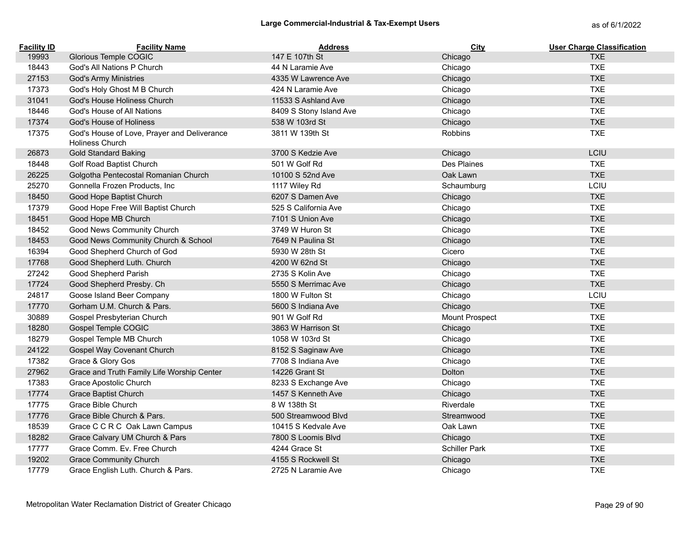| <b>Facility ID</b> | <b>Facility Name</b>                                                  | <b>Address</b>          | City           | <b>User Charge Classification</b> |
|--------------------|-----------------------------------------------------------------------|-------------------------|----------------|-----------------------------------|
| 19993              | Glorious Temple COGIC                                                 | 147 E 107th St          | Chicago        | <b>TXE</b>                        |
| 18443              | God's All Nations P Church                                            | 44 N Laramie Ave        | Chicago        | <b>TXE</b>                        |
| 27153              | <b>God's Army Ministries</b>                                          | 4335 W Lawrence Ave     | Chicago        | <b>TXE</b>                        |
| 17373              | God's Holy Ghost M B Church                                           | 424 N Laramie Ave       | Chicago        | <b>TXE</b>                        |
| 31041              | God's House Holiness Church                                           | 11533 S Ashland Ave     | Chicago        | <b>TXE</b>                        |
| 18446              | God's House of All Nations                                            | 8409 S Stony Island Ave | Chicago        | <b>TXE</b>                        |
| 17374              | God's House of Holiness                                               | 538 W 103rd St          | Chicago        | <b>TXE</b>                        |
| 17375              | God's House of Love, Prayer and Deliverance<br><b>Holiness Church</b> | 3811 W 139th St         | Robbins        | <b>TXE</b>                        |
| 26873              | <b>Gold Standard Baking</b>                                           | 3700 S Kedzie Ave       | Chicago        | LCIU                              |
| 18448              | Golf Road Baptist Church                                              | 501 W Golf Rd           | Des Plaines    | <b>TXE</b>                        |
| 26225              | Golgotha Pentecostal Romanian Church                                  | 10100 S 52nd Ave        | Oak Lawn       | <b>TXE</b>                        |
| 25270              | Gonnella Frozen Products, Inc.                                        | 1117 Wiley Rd           | Schaumburg     | LCIU                              |
| 18450              | Good Hope Baptist Church                                              | 6207 S Damen Ave        | Chicago        | <b>TXE</b>                        |
| 17379              | Good Hope Free Will Baptist Church                                    | 525 S California Ave    | Chicago        | <b>TXE</b>                        |
| 18451              | Good Hope MB Church                                                   | 7101 S Union Ave        | Chicago        | <b>TXE</b>                        |
| 18452              | Good News Community Church                                            | 3749 W Huron St         | Chicago        | <b>TXE</b>                        |
| 18453              | Good News Community Church & School                                   | 7649 N Paulina St       | Chicago        | <b>TXE</b>                        |
| 16394              | Good Shepherd Church of God                                           | 5930 W 28th St          | Cicero         | <b>TXE</b>                        |
| 17768              | Good Shepherd Luth. Church                                            | 4200 W 62nd St          | Chicago        | <b>TXE</b>                        |
| 27242              | Good Shepherd Parish                                                  | 2735 S Kolin Ave        | Chicago        | <b>TXE</b>                        |
| 17724              | Good Shepherd Presby. Ch                                              | 5550 S Merrimac Ave     | Chicago        | <b>TXE</b>                        |
| 24817              | Goose Island Beer Company                                             | 1800 W Fulton St        | Chicago        | LCIU                              |
| 17770              | Gorham U.M. Church & Pars.                                            | 5600 S Indiana Ave      | Chicago        | <b>TXE</b>                        |
| 30889              | Gospel Presbyterian Church                                            | 901 W Golf Rd           | Mount Prospect | <b>TXE</b>                        |
| 18280              | Gospel Temple COGIC                                                   | 3863 W Harrison St      | Chicago        | <b>TXE</b>                        |
| 18279              | Gospel Temple MB Church                                               | 1058 W 103rd St         | Chicago        | <b>TXE</b>                        |
| 24122              | Gospel Way Covenant Church                                            | 8152 S Saginaw Ave      | Chicago        | <b>TXE</b>                        |
| 17382              | Grace & Glory Gos                                                     | 7708 S Indiana Ave      | Chicago        | <b>TXE</b>                        |
| 27962              | Grace and Truth Family Life Worship Center                            | 14226 Grant St          | Dolton         | <b>TXE</b>                        |
| 17383              | <b>Grace Apostolic Church</b>                                         | 8233 S Exchange Ave     | Chicago        | <b>TXE</b>                        |
| 17774              | Grace Baptist Church                                                  | 1457 S Kenneth Ave      | Chicago        | <b>TXE</b>                        |
| 17775              | Grace Bible Church                                                    | 8 W 138th St            | Riverdale      | <b>TXE</b>                        |
| 17776              | Grace Bible Church & Pars.                                            | 500 Streamwood Blvd     | Streamwood     | <b>TXE</b>                        |
| 18539              | Grace C C R C Oak Lawn Campus                                         | 10415 S Kedvale Ave     | Oak Lawn       | <b>TXE</b>                        |
| 18282              | Grace Calvary UM Church & Pars                                        | 7800 S Loomis Blvd      | Chicago        | <b>TXE</b>                        |
| 17777              | Grace Comm. Ev. Free Church                                           | 4244 Grace St           | Schiller Park  | <b>TXE</b>                        |
| 19202              | <b>Grace Community Church</b>                                         | 4155 S Rockwell St      | Chicago        | <b>TXE</b>                        |
| 17779              | Grace English Luth. Church & Pars.                                    | 2725 N Laramie Ave      | Chicago        | <b>TXE</b>                        |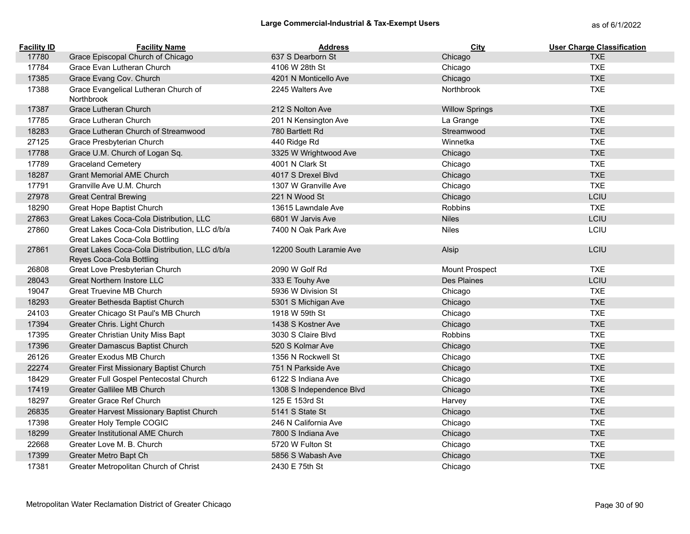| <b>Facility ID</b> | <b>Facility Name</b>                                                            | <b>Address</b>           | City                  | <b>User Charge Classification</b> |
|--------------------|---------------------------------------------------------------------------------|--------------------------|-----------------------|-----------------------------------|
| 17780              | Grace Episcopal Church of Chicago                                               | 637 S Dearborn St        | Chicago               | <b>TXE</b>                        |
| 17784              | Grace Evan Lutheran Church                                                      | 4106 W 28th St           | Chicago               | <b>TXE</b>                        |
| 17385              | Grace Evang Cov. Church                                                         | 4201 N Monticello Ave    | Chicago               | <b>TXE</b>                        |
| 17388              | Grace Evangelical Lutheran Church of<br>Northbrook                              | 2245 Walters Ave         | Northbrook            | <b>TXE</b>                        |
| 17387              | Grace Lutheran Church                                                           | 212 S Nolton Ave         | <b>Willow Springs</b> | <b>TXE</b>                        |
| 17785              | Grace Lutheran Church                                                           | 201 N Kensington Ave     | La Grange             | <b>TXE</b>                        |
| 18283              | Grace Lutheran Church of Streamwood                                             | 780 Bartlett Rd          | Streamwood            | <b>TXE</b>                        |
| 27125              | Grace Presbyterian Church                                                       | 440 Ridge Rd             | Winnetka              | <b>TXE</b>                        |
| 17788              | Grace U.M. Church of Logan Sq.                                                  | 3325 W Wrightwood Ave    | Chicago               | <b>TXE</b>                        |
| 17789              | <b>Graceland Cemetery</b>                                                       | 4001 N Clark St          | Chicago               | <b>TXE</b>                        |
| 18287              | <b>Grant Memorial AME Church</b>                                                | 4017 S Drexel Blvd       | Chicago               | <b>TXE</b>                        |
| 17791              | Granville Ave U.M. Church                                                       | 1307 W Granville Ave     | Chicago               | <b>TXE</b>                        |
| 27978              | <b>Great Central Brewing</b>                                                    | 221 N Wood St            | Chicago               | LCIU                              |
| 18290              | Great Hope Baptist Church                                                       | 13615 Lawndale Ave       | Robbins               | <b>TXE</b>                        |
| 27863              | Great Lakes Coca-Cola Distribution, LLC                                         | 6801 W Jarvis Ave        | <b>Niles</b>          | LCIU                              |
| 27860              | Great Lakes Coca-Cola Distribution, LLC d/b/a<br>Great Lakes Coca-Cola Bottling | 7400 N Oak Park Ave      | <b>Niles</b>          | LCIU                              |
| 27861              | Great Lakes Coca-Cola Distribution, LLC d/b/a<br>Reyes Coca-Cola Bottling       | 12200 South Laramie Ave  | Alsip                 | LCIU                              |
| 26808              | Great Love Presbyterian Church                                                  | 2090 W Golf Rd           | Mount Prospect        | <b>TXE</b>                        |
| 28043              | <b>Great Northern Instore LLC</b>                                               | 333 E Touhy Ave          | <b>Des Plaines</b>    | LCIU                              |
| 19047              | <b>Great Truevine MB Church</b>                                                 | 5936 W Division St       | Chicago               | <b>TXE</b>                        |
| 18293              | Greater Bethesda Baptist Church                                                 | 5301 S Michigan Ave      | Chicago               | <b>TXE</b>                        |
| 24103              | Greater Chicago St Paul's MB Church                                             | 1918 W 59th St           | Chicago               | <b>TXE</b>                        |
| 17394              | Greater Chris. Light Church                                                     | 1438 S Kostner Ave       | Chicago               | <b>TXE</b>                        |
| 17395              | Greater Christian Unity Miss Bapt                                               | 3030 S Claire Blvd       | Robbins               | <b>TXE</b>                        |
| 17396              | Greater Damascus Baptist Church                                                 | 520 S Kolmar Ave         | Chicago               | <b>TXE</b>                        |
| 26126              | Greater Exodus MB Church                                                        | 1356 N Rockwell St       | Chicago               | <b>TXE</b>                        |
| 22274              | Greater First Missionary Baptist Church                                         | 751 N Parkside Ave       | Chicago               | <b>TXE</b>                        |
| 18429              | Greater Full Gospel Pentecostal Church                                          | 6122 S Indiana Ave       | Chicago               | <b>TXE</b>                        |
| 17419              | Greater Gallilee MB Church                                                      | 1308 S Independence Blvd | Chicago               | <b>TXE</b>                        |
| 18297              | Greater Grace Ref Church                                                        | 125 E 153rd St           | Harvey                | <b>TXE</b>                        |
| 26835              | Greater Harvest Missionary Baptist Church                                       | 5141 S State St          | Chicago               | <b>TXE</b>                        |
| 17398              | Greater Holy Temple COGIC                                                       | 246 N California Ave     | Chicago               | <b>TXE</b>                        |
| 18299              | <b>Greater Institutional AME Church</b>                                         | 7800 S Indiana Ave       | Chicago               | <b>TXE</b>                        |
| 22668              | Greater Love M. B. Church                                                       | 5720 W Fulton St         | Chicago               | <b>TXE</b>                        |
| 17399              | Greater Metro Bapt Ch                                                           | 5856 S Wabash Ave        | Chicago               | <b>TXE</b>                        |
| 17381              | Greater Metropolitan Church of Christ                                           | 2430 E 75th St           | Chicago               | <b>TXE</b>                        |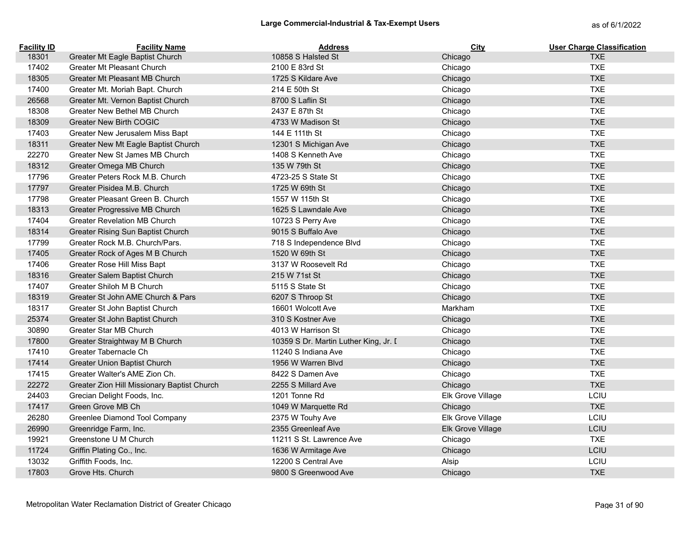| <b>Facility ID</b> | <b>Facility Name</b>                        | <b>Address</b>                        | City              | <b>User Charge Classification</b> |
|--------------------|---------------------------------------------|---------------------------------------|-------------------|-----------------------------------|
| 18301              | Greater Mt Eagle Baptist Church             | 10858 S Halsted St                    | Chicago           | <b>TXE</b>                        |
| 17402              | Greater Mt Pleasant Church                  | 2100 E 83rd St                        | Chicago           | <b>TXE</b>                        |
| 18305              | Greater Mt Pleasant MB Church               | 1725 S Kildare Ave                    | Chicago           | <b>TXE</b>                        |
| 17400              | Greater Mt. Moriah Bapt. Church             | 214 E 50th St                         | Chicago           | <b>TXE</b>                        |
| 26568              | Greater Mt. Vernon Baptist Church           | 8700 S Laflin St                      | Chicago           | <b>TXE</b>                        |
| 18308              | Greater New Bethel MB Church                | 2437 E 87th St                        | Chicago           | <b>TXE</b>                        |
| 18309              | <b>Greater New Birth COGIC</b>              | 4733 W Madison St                     | Chicago           | <b>TXE</b>                        |
| 17403              | Greater New Jerusalem Miss Bapt             | 144 E 111th St                        | Chicago           | <b>TXE</b>                        |
| 18311              | Greater New Mt Eagle Baptist Church         | 12301 S Michigan Ave                  | Chicago           | <b>TXE</b>                        |
| 22270              | Greater New St James MB Church              | 1408 S Kenneth Ave                    | Chicago           | <b>TXE</b>                        |
| 18312              | Greater Omega MB Church                     | 135 W 79th St                         | Chicago           | <b>TXE</b>                        |
| 17796              | Greater Peters Rock M.B. Church             | 4723-25 S State St                    | Chicago           | <b>TXE</b>                        |
| 17797              | Greater Pisidea M.B. Church                 | 1725 W 69th St                        | Chicago           | <b>TXE</b>                        |
| 17798              | Greater Pleasant Green B. Church            | 1557 W 115th St                       | Chicago           | <b>TXE</b>                        |
| 18313              | Greater Progressive MB Church               | 1625 S Lawndale Ave                   | Chicago           | <b>TXE</b>                        |
| 17404              | <b>Greater Revelation MB Church</b>         | 10723 S Perry Ave                     | Chicago           | <b>TXE</b>                        |
| 18314              | Greater Rising Sun Baptist Church           | 9015 S Buffalo Ave                    | Chicago           | <b>TXE</b>                        |
| 17799              | Greater Rock M.B. Church/Pars.              | 718 S Independence Blvd               | Chicago           | <b>TXE</b>                        |
| 17405              | Greater Rock of Ages M B Church             | 1520 W 69th St                        | Chicago           | <b>TXE</b>                        |
| 17406              | Greater Rose Hill Miss Bapt                 | 3137 W Roosevelt Rd                   | Chicago           | <b>TXE</b>                        |
| 18316              | Greater Salem Baptist Church                | 215 W 71st St                         | Chicago           | <b>TXE</b>                        |
| 17407              | Greater Shiloh M B Church                   | 5115 S State St                       | Chicago           | <b>TXE</b>                        |
| 18319              | Greater St John AME Church & Pars           | 6207 S Throop St                      | Chicago           | <b>TXE</b>                        |
| 18317              | Greater St John Baptist Church              | 16601 Wolcott Ave                     | Markham           | <b>TXE</b>                        |
| 25374              | Greater St John Baptist Church              | 310 S Kostner Ave                     | Chicago           | <b>TXE</b>                        |
| 30890              | Greater Star MB Church                      | 4013 W Harrison St                    | Chicago           | <b>TXE</b>                        |
| 17800              | Greater Straightway M B Church              | 10359 S Dr. Martin Luther King, Jr. I | Chicago           | <b>TXE</b>                        |
| 17410              | Greater Tabernacle Ch                       | 11240 S Indiana Ave                   | Chicago           | <b>TXE</b>                        |
| 17414              | Greater Union Baptist Church                | 1956 W Warren Blyd                    | Chicago           | <b>TXE</b>                        |
| 17415              | Greater Walter's AME Zion Ch.               | 8422 S Damen Ave                      | Chicago           | <b>TXE</b>                        |
| 22272              | Greater Zion Hill Missionary Baptist Church | 2255 S Millard Ave                    | Chicago           | <b>TXE</b>                        |
| 24403              | Grecian Delight Foods, Inc.                 | 1201 Tonne Rd                         | Elk Grove Village | LCIU                              |
| 17417              | Green Grove MB Ch                           | 1049 W Marquette Rd                   | Chicago           | <b>TXE</b>                        |
| 26280              | Greenlee Diamond Tool Company               | 2375 W Touhy Ave                      | Elk Grove Village | LCIU                              |
| 26990              | Greenridge Farm, Inc.                       | 2355 Greenleaf Ave                    | Elk Grove Village | LCIU                              |
| 19921              | Greenstone U M Church                       | 11211 S St. Lawrence Ave              | Chicago           | <b>TXE</b>                        |
| 11724              | Griffin Plating Co., Inc.                   | 1636 W Armitage Ave                   | Chicago           | LCIU                              |
| 13032              | Griffith Foods, Inc.                        | 12200 S Central Ave                   | Alsip             | LCIU                              |
| 17803              | Grove Hts. Church                           | 9800 S Greenwood Ave                  | Chicago           | <b>TXE</b>                        |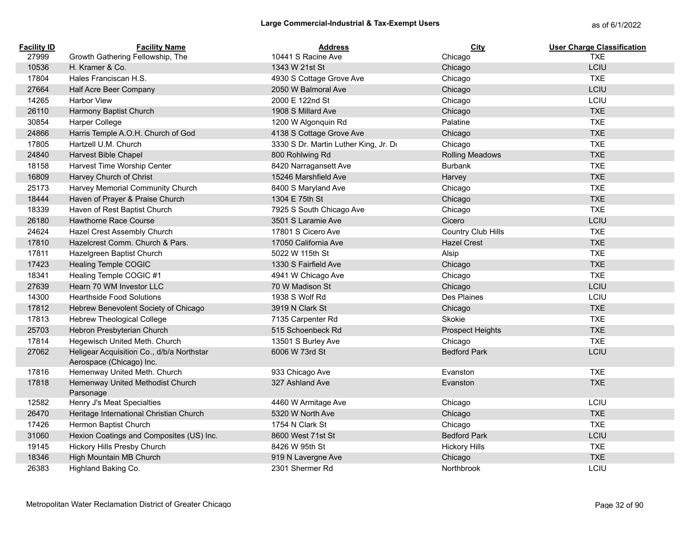| <b>Facility ID</b> | <b>Facility Name</b>                                                  | <b>Address</b>                        | City                    | <b>User Charge Classification</b> |
|--------------------|-----------------------------------------------------------------------|---------------------------------------|-------------------------|-----------------------------------|
| 27999              | Growth Gathering Fellowship, The                                      | 10441 S Racine Ave                    | Chicago                 | <b>TXE</b>                        |
| 10536              | H. Kramer & Co.                                                       | 1343 W 21st St                        | Chicago                 | LCIU                              |
| 17804              | Hales Franciscan H.S.                                                 | 4930 S Cottage Grove Ave              | Chicago                 | <b>TXE</b>                        |
| 27664              | Half Acre Beer Company                                                | 2050 W Balmoral Ave                   | Chicago                 | <b>LCIU</b>                       |
| 14265              | <b>Harbor View</b>                                                    | 2000 E 122nd St                       | Chicago                 | LCIU                              |
| 26110              | Harmony Baptist Church                                                | 1908 S Millard Ave                    | Chicago                 | <b>TXE</b>                        |
| 30854              | <b>Harper College</b>                                                 | 1200 W Algonquin Rd                   | Palatine                | <b>TXE</b>                        |
| 24866              | Harris Temple A.O.H. Church of God                                    | 4138 S Cottage Grove Ave              | Chicago                 | <b>TXE</b>                        |
| 17805              | Hartzell U.M. Church                                                  | 3330 S Dr. Martin Luther King, Jr. Dr | Chicago                 | <b>TXE</b>                        |
| 24840              | Harvest Bible Chapel                                                  | 800 Rohlwing Rd                       | <b>Rolling Meadows</b>  | <b>TXE</b>                        |
| 18158              | Harvest Time Worship Center                                           | 8420 Narragansett Ave                 | <b>Burbank</b>          | <b>TXE</b>                        |
| 16809              | Harvey Church of Christ                                               | 15246 Marshfield Ave                  | Harvey                  | <b>TXE</b>                        |
| 25173              | Harvey Memorial Community Church                                      | 8400 S Maryland Ave                   | Chicago                 | <b>TXE</b>                        |
| 18444              | Haven of Prayer & Praise Church                                       | 1304 E 75th St                        | Chicago                 | <b>TXE</b>                        |
| 18339              | Haven of Rest Baptist Church                                          | 7925 S South Chicago Ave              | Chicago                 | <b>TXE</b>                        |
| 26180              | Hawthorne Race Course                                                 | 3501 S Laramie Ave                    | Cicero                  | LCIU                              |
| 24624              | Hazel Crest Assembly Church                                           | 17801 S Cicero Ave                    | Country Club Hills      | <b>TXE</b>                        |
| 17810              | Hazelcrest Comm. Church & Pars.                                       | 17050 California Ave                  | <b>Hazel Crest</b>      | <b>TXE</b>                        |
| 17811              | Hazelgreen Baptist Church                                             | 5022 W 115th St                       | Alsip                   | <b>TXE</b>                        |
| 17423              | Healing Temple COGIC                                                  | 1330 S Fairfield Ave                  | Chicago                 | <b>TXE</b>                        |
| 18341              | Healing Temple COGIC #1                                               | 4941 W Chicago Ave                    | Chicago                 | <b>TXE</b>                        |
| 27639              | Hearn 70 WM Investor LLC                                              | 70 W Madison St                       | Chicago                 | LCIU                              |
| 14300              | <b>Hearthside Food Solutions</b>                                      | 1938 S Wolf Rd                        | Des Plaines             | LCIU                              |
| 17812              | Hebrew Benevolent Society of Chicago                                  | 3919 N Clark St                       | Chicago                 | <b>TXE</b>                        |
| 17813              | <b>Hebrew Theological College</b>                                     | 7135 Carpenter Rd                     | Skokie                  | <b>TXE</b>                        |
| 25703              | Hebron Presbyterian Church                                            | 515 Schoenbeck Rd                     | <b>Prospect Heights</b> | <b>TXE</b>                        |
| 17814              | Hegewisch United Meth. Church                                         | 13501 S Burley Ave                    | Chicago                 | <b>TXE</b>                        |
| 27062              | Heligear Acquisition Co., d/b/a Northstar<br>Aerospace (Chicago) Inc. | 6006 W 73rd St                        | <b>Bedford Park</b>     | LCIU                              |
| 17816              | Hemenway United Meth. Church                                          | 933 Chicago Ave                       | Evanston                | <b>TXE</b>                        |
| 17818              | Hemenway United Methodist Church<br>Parsonage                         | 327 Ashland Ave                       | Evanston                | <b>TXE</b>                        |
| 12582              | Henry J's Meat Specialties                                            | 4460 W Armitage Ave                   | Chicago                 | LCIU                              |
| 26470              | Heritage International Christian Church                               | 5320 W North Ave                      | Chicago                 | <b>TXE</b>                        |
| 17426              | Hermon Baptist Church                                                 | 1754 N Clark St                       | Chicago                 | <b>TXE</b>                        |
| 31060              | Hexion Coatings and Composites (US) Inc.                              | 8600 West 71st St                     | <b>Bedford Park</b>     | LCIU                              |
| 19145              | Hickory Hills Presby Church                                           | 8426 W 95th St                        | <b>Hickory Hills</b>    | <b>TXE</b>                        |
| 18346              | High Mountain MB Church                                               | 919 N Lavergne Ave                    | Chicago                 | <b>TXE</b>                        |
| 26383              | Highland Baking Co.                                                   | 2301 Shermer Rd                       | Northbrook              | LCIU                              |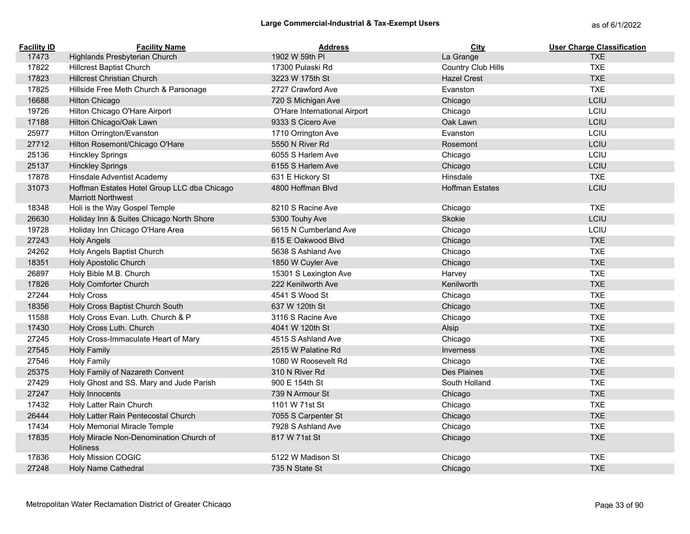| <b>Facility ID</b> | <b>Facility Name</b>                                                     | <b>Address</b>               | <b>City</b>            | <b>User Charge Classification</b> |
|--------------------|--------------------------------------------------------------------------|------------------------------|------------------------|-----------------------------------|
| 17473              | Highlands Presbyterian Church                                            | 1902 W 59th PI               | La Grange              | <b>TXE</b>                        |
| 17822              | <b>Hillcrest Baptist Church</b>                                          | 17300 Pulaski Rd             | Country Club Hills     | <b>TXE</b>                        |
| 17823              | <b>Hillcrest Christian Church</b>                                        | 3223 W 175th St              | <b>Hazel Crest</b>     | <b>TXE</b>                        |
| 17825              | Hillside Free Meth Church & Parsonage                                    | 2727 Crawford Ave            | Evanston               | <b>TXE</b>                        |
| 16688              | <b>Hilton Chicago</b>                                                    | 720 S Michigan Ave           | Chicago                | LCIU                              |
| 19726              | Hilton Chicago O'Hare Airport                                            | O'Hare International Airport | Chicago                | LCIU                              |
| 17188              | Hilton Chicago/Oak Lawn                                                  | 9333 S Cicero Ave            | Oak Lawn               | LCIU                              |
| 25977              | Hilton Orrington/Evanston                                                | 1710 Orrington Ave           | Evanston               | LCIU                              |
| 27712              | Hilton Rosemont/Chicago O'Hare                                           | 5550 N River Rd              | Rosemont               | LCIU                              |
| 25136              | <b>Hinckley Springs</b>                                                  | 6055 S Harlem Ave            | Chicago                | LCIU                              |
| 25137              | <b>Hinckley Springs</b>                                                  | 6155 S Harlem Ave            | Chicago                | LCIU                              |
| 17878              | Hinsdale Adventist Academy                                               | 631 E Hickory St             | Hinsdale               | <b>TXE</b>                        |
| 31073              | Hoffman Estates Hotel Group LLC dba Chicago<br><b>Marriott Northwest</b> | 4800 Hoffman Blvd            | <b>Hoffman Estates</b> | LCIU                              |
| 18348              | Holi is the Way Gospel Temple                                            | 8210 S Racine Ave            | Chicago                | <b>TXE</b>                        |
| 26630              | Holiday Inn & Suites Chicago North Shore                                 | 5300 Touhy Ave               | Skokie                 | LCIU                              |
| 19728              | Holiday Inn Chicago O'Hare Area                                          | 5615 N Cumberland Ave        | Chicago                | LCIU                              |
| 27243              | <b>Holy Angels</b>                                                       | 615 E Oakwood Blyd           | Chicago                | <b>TXE</b>                        |
| 24262              | Holy Angels Baptist Church                                               | 5638 S Ashland Ave           | Chicago                | <b>TXE</b>                        |
| 18351              | <b>Holy Apostolic Church</b>                                             | 1850 W Cuyler Ave            | Chicago                | <b>TXE</b>                        |
| 26897              | Holy Bible M.B. Church                                                   | 15301 S Lexington Ave        | Harvey                 | <b>TXE</b>                        |
| 17826              | Holy Comforter Church                                                    | 222 Kenilworth Ave           | Kenilworth             | <b>TXE</b>                        |
| 27244              | <b>Holy Cross</b>                                                        | 4541 S Wood St               | Chicago                | <b>TXE</b>                        |
| 18356              | Holy Cross Baptist Church South                                          | 637 W 120th St               | Chicago                | <b>TXE</b>                        |
| 11588              | Holy Cross Evan. Luth. Church & P                                        | 3116 S Racine Ave            | Chicago                | <b>TXE</b>                        |
| 17430              | Holy Cross Luth. Church                                                  | 4041 W 120th St              | Alsip                  | <b>TXE</b>                        |
| 27245              | Holy Cross-Immaculate Heart of Mary                                      | 4515 S Ashland Ave           | Chicago                | <b>TXE</b>                        |
| 27545              | <b>Holy Family</b>                                                       | 2515 W Palatine Rd           | <b>Inverness</b>       | <b>TXE</b>                        |
| 27546              | <b>Holy Family</b>                                                       | 1080 W Roosevelt Rd          | Chicago                | <b>TXE</b>                        |
| 25375              | Holy Family of Nazareth Convent                                          | 310 N River Rd               | Des Plaines            | <b>TXE</b>                        |
| 27429              | Holy Ghost and SS. Mary and Jude Parish                                  | 900 E 154th St               | South Holland          | <b>TXE</b>                        |
| 27247              | Holy Innocents                                                           | 739 N Armour St              | Chicago                | <b>TXE</b>                        |
| 17432              | Holy Latter Rain Church                                                  | 1101 W 71st St               | Chicago                | <b>TXE</b>                        |
| 26444              | Holy Latter Rain Pentecostal Church                                      | 7055 S Carpenter St          | Chicago                | <b>TXE</b>                        |
| 17434              | Holy Memorial Miracle Temple                                             | 7928 S Ashland Ave           | Chicago                | <b>TXE</b>                        |
| 17835              | Holy Miracle Non-Denomination Church of<br><b>Holiness</b>               | 817 W 71st St                | Chicago                | <b>TXE</b>                        |
| 17836              | <b>Holy Mission COGIC</b>                                                | 5122 W Madison St            | Chicago                | <b>TXE</b>                        |
| 27248              | Holy Name Cathedral                                                      | 735 N State St               | Chicago                | <b>TXE</b>                        |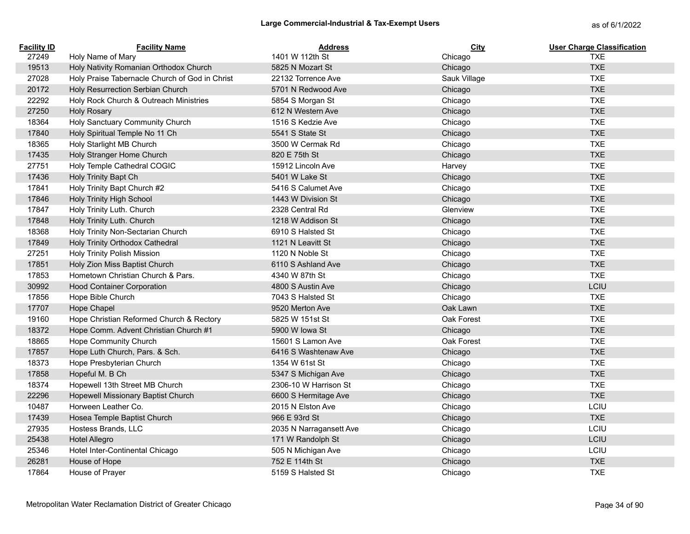| <b>Facility ID</b> | <b>Facility Name</b>                           | <b>Address</b>          | City         | <b>User Charge Classification</b> |
|--------------------|------------------------------------------------|-------------------------|--------------|-----------------------------------|
| 27249              | Holy Name of Mary                              | 1401 W 112th St         | Chicago      | <b>TXE</b>                        |
| 19513              | Holy Nativity Romanian Orthodox Church         | 5825 N Mozart St        | Chicago      | <b>TXE</b>                        |
| 27028              | Holy Praise Tabernacle Church of God in Christ | 22132 Torrence Ave      | Sauk Village | <b>TXE</b>                        |
| 20172              | Holy Resurrection Serbian Church               | 5701 N Redwood Ave      | Chicago      | <b>TXE</b>                        |
| 22292              | Holy Rock Church & Outreach Ministries         | 5854 S Morgan St        | Chicago      | <b>TXE</b>                        |
| 27250              | <b>Holy Rosary</b>                             | 612 N Western Ave       | Chicago      | <b>TXE</b>                        |
| 18364              | Holy Sanctuary Community Church                | 1516 S Kedzie Ave       | Chicago      | <b>TXE</b>                        |
| 17840              | Holy Spiritual Temple No 11 Ch                 | 5541 S State St         | Chicago      | <b>TXE</b>                        |
| 18365              | Holy Starlight MB Church                       | 3500 W Cermak Rd        | Chicago      | <b>TXE</b>                        |
| 17435              | Holy Stranger Home Church                      | 820 E 75th St           | Chicago      | <b>TXE</b>                        |
| 27751              | Holy Temple Cathedral COGIC                    | 15912 Lincoln Ave       | Harvey       | <b>TXE</b>                        |
| 17436              | Holy Trinity Bapt Ch                           | 5401 W Lake St          | Chicago      | <b>TXE</b>                        |
| 17841              | Holy Trinity Bapt Church #2                    | 5416 S Calumet Ave      | Chicago      | <b>TXE</b>                        |
| 17846              | <b>Holy Trinity High School</b>                | 1443 W Division St      | Chicago      | <b>TXE</b>                        |
| 17847              | Holy Trinity Luth. Church                      | 2328 Central Rd         | Glenview     | <b>TXE</b>                        |
| 17848              | Holy Trinity Luth. Church                      | 1218 W Addison St       | Chicago      | <b>TXE</b>                        |
| 18368              | Holy Trinity Non-Sectarian Church              | 6910 S Halsted St       | Chicago      | <b>TXE</b>                        |
| 17849              | Holy Trinity Orthodox Cathedral                | 1121 N Leavitt St       | Chicago      | <b>TXE</b>                        |
| 27251              | <b>Holy Trinity Polish Mission</b>             | 1120 N Noble St         | Chicago      | <b>TXE</b>                        |
| 17851              | Holy Zion Miss Baptist Church                  | 6110 S Ashland Ave      | Chicago      | <b>TXE</b>                        |
| 17853              | Hometown Christian Church & Pars.              | 4340 W 87th St          | Chicago      | <b>TXE</b>                        |
| 30992              | <b>Hood Container Corporation</b>              | 4800 S Austin Ave       | Chicago      | LCIU                              |
| 17856              | Hope Bible Church                              | 7043 S Halsted St       | Chicago      | <b>TXE</b>                        |
| 17707              | Hope Chapel                                    | 9520 Merton Ave         | Oak Lawn     | <b>TXE</b>                        |
| 19160              | Hope Christian Reformed Church & Rectory       | 5825 W 151st St         | Oak Forest   | <b>TXE</b>                        |
| 18372              | Hope Comm. Advent Christian Church #1          | 5900 W Iowa St          | Chicago      | <b>TXE</b>                        |
| 18865              | <b>Hope Community Church</b>                   | 15601 S Lamon Ave       | Oak Forest   | <b>TXE</b>                        |
| 17857              | Hope Luth Church, Pars. & Sch.                 | 6416 S Washtenaw Ave    | Chicago      | <b>TXE</b>                        |
| 18373              | Hope Presbyterian Church                       | 1354 W 61st St          | Chicago      | <b>TXE</b>                        |
| 17858              | Hopeful M. B Ch                                | 5347 S Michigan Ave     | Chicago      | <b>TXE</b>                        |
| 18374              | Hopewell 13th Street MB Church                 | 2306-10 W Harrison St   | Chicago      | <b>TXE</b>                        |
| 22296              | Hopewell Missionary Baptist Church             | 6600 S Hermitage Ave    | Chicago      | <b>TXE</b>                        |
| 10487              | Horween Leather Co.                            | 2015 N Elston Ave       | Chicago      | LCIU                              |
| 17439              | Hosea Temple Baptist Church                    | 966 E 93rd St           | Chicago      | <b>TXE</b>                        |
| 27935              | Hostess Brands, LLC                            | 2035 N Narragansett Ave | Chicago      | LCIU                              |
| 25438              | <b>Hotel Allegro</b>                           | 171 W Randolph St       | Chicago      | LCIU                              |
| 25346              | Hotel Inter-Continental Chicago                | 505 N Michigan Ave      | Chicago      | LCIU                              |
| 26281              | House of Hope                                  | 752 E 114th St          | Chicago      | <b>TXE</b>                        |
| 17864              | House of Prayer                                | 5159 S Halsted St       | Chicago      | <b>TXE</b>                        |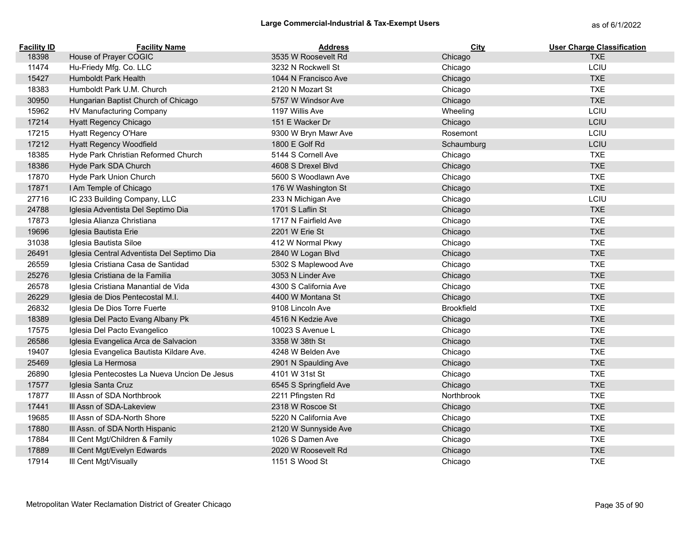| <b>Facility ID</b> | <b>Facility Name</b>                         | <b>Address</b>         | <b>City</b>       | <b>User Charge Classification</b> |
|--------------------|----------------------------------------------|------------------------|-------------------|-----------------------------------|
| 18398              | House of Prayer COGIC                        | 3535 W Roosevelt Rd    | Chicago           | <b>TXE</b>                        |
| 11474              | Hu-Friedy Mfg. Co. LLC                       | 3232 N Rockwell St     | Chicago           | LCIU                              |
| 15427              | Humboldt Park Health                         | 1044 N Francisco Ave   | Chicago           | <b>TXE</b>                        |
| 18383              | Humboldt Park U.M. Church                    | 2120 N Mozart St       | Chicago           | <b>TXE</b>                        |
| 30950              | Hungarian Baptist Church of Chicago          | 5757 W Windsor Ave     | Chicago           | <b>TXE</b>                        |
| 15962              | HV Manufacturing Company                     | 1197 Willis Ave        | Wheeling          | LCIU                              |
| 17214              | Hyatt Regency Chicago                        | 151 E Wacker Dr        | Chicago           | LCIU                              |
| 17215              | Hyatt Regency O'Hare                         | 9300 W Bryn Mawr Ave   | Rosemont          | LCIU                              |
| 17212              | Hyatt Regency Woodfield                      | 1800 E Golf Rd         | Schaumburg        | LCIU                              |
| 18385              | Hyde Park Christian Reformed Church          | 5144 S Cornell Ave     | Chicago           | <b>TXE</b>                        |
| 18386              | Hyde Park SDA Church                         | 4608 S Drexel Blvd     | Chicago           | <b>TXE</b>                        |
| 17870              | Hyde Park Union Church                       | 5600 S Woodlawn Ave    | Chicago           | <b>TXE</b>                        |
| 17871              | I Am Temple of Chicago                       | 176 W Washington St    | Chicago           | <b>TXE</b>                        |
| 27716              | IC 233 Building Company, LLC                 | 233 N Michigan Ave     | Chicago           | LCIU                              |
| 24788              | Iglesia Adventista Del Septimo Dia           | 1701 S Laflin St       | Chicago           | <b>TXE</b>                        |
| 17873              | Iglesia Alianza Christiana                   | 1717 N Fairfield Ave   | Chicago           | <b>TXE</b>                        |
| 19696              | Iglesia Bautista Erie                        | 2201 W Erie St         | Chicago           | <b>TXE</b>                        |
| 31038              | Iglesia Bautista Siloe                       | 412 W Normal Pkwy      | Chicago           | <b>TXE</b>                        |
| 26491              | Iglesia Central Adventista Del Septimo Dia   | 2840 W Logan Blvd      | Chicago           | <b>TXE</b>                        |
| 26559              | Iglesia Cristiana Casa de Santidad           | 5302 S Maplewood Ave   | Chicago           | <b>TXE</b>                        |
| 25276              | Iglesia Cristiana de la Familia              | 3053 N Linder Ave      | Chicago           | <b>TXE</b>                        |
| 26578              | Iglesia Cristiana Manantial de Vida          | 4300 S California Ave  | Chicago           | <b>TXE</b>                        |
| 26229              | Iglesia de Dios Pentecostal M.I.             | 4400 W Montana St      | Chicago           | <b>TXE</b>                        |
| 26832              | Iglesia De Dios Torre Fuerte                 | 9108 Lincoln Ave       | <b>Brookfield</b> | <b>TXE</b>                        |
| 18389              | Iglesia Del Pacto Evang Albany Pk            | 4516 N Kedzie Ave      | Chicago           | <b>TXE</b>                        |
| 17575              | Iglesia Del Pacto Evangelico                 | 10023 S Avenue L       | Chicago           | <b>TXE</b>                        |
| 26586              | Iglesia Evangelica Arca de Salvacion         | 3358 W 38th St         | Chicago           | <b>TXE</b>                        |
| 19407              | Iglesia Evangelica Bautista Kildare Ave.     | 4248 W Belden Ave      | Chicago           | <b>TXE</b>                        |
| 25469              | Iglesia La Hermosa                           | 2901 N Spaulding Ave   | Chicago           | <b>TXE</b>                        |
| 26890              | Iglesia Pentecostes La Nueva Uncion De Jesus | 4101 W 31st St         | Chicago           | <b>TXE</b>                        |
| 17577              | Iglesia Santa Cruz                           | 6545 S Springfield Ave | Chicago           | <b>TXE</b>                        |
| 17877              | III Assn of SDA Northbrook                   | 2211 Pfingsten Rd      | Northbrook        | <b>TXE</b>                        |
| 17441              | III Assn of SDA-Lakeview                     | 2318 W Roscoe St       | Chicago           | <b>TXE</b>                        |
| 19685              | III Assn of SDA-North Shore                  | 5220 N California Ave  | Chicago           | <b>TXE</b>                        |
| 17880              | Ill Assn. of SDA North Hispanic              | 2120 W Sunnyside Ave   | Chicago           | <b>TXE</b>                        |
| 17884              | Ill Cent Mgt/Children & Family               | 1026 S Damen Ave       | Chicago           | <b>TXE</b>                        |
| 17889              | III Cent Mgt/Evelyn Edwards                  | 2020 W Roosevelt Rd    | Chicago           | <b>TXE</b>                        |
| 17914              | III Cent Mgt/Visually                        | 1151 S Wood St         | Chicago           | <b>TXE</b>                        |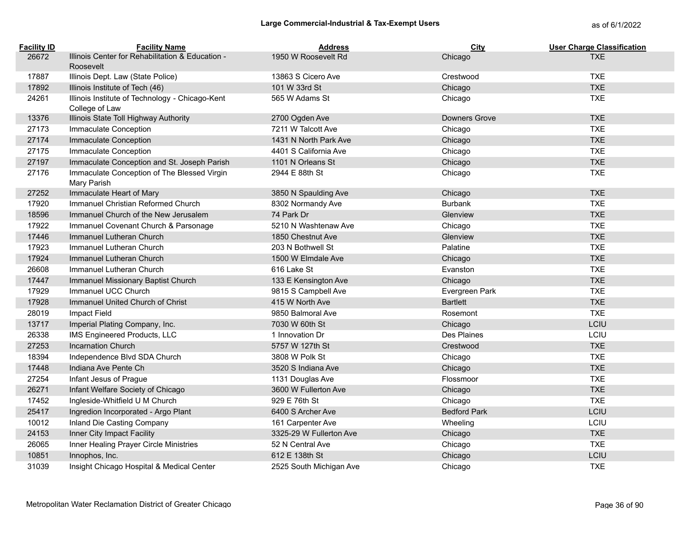| <b>Facility ID</b> | <b>Facility Name</b>                                              | <b>Address</b>          | City                | <b>User Charge Classification</b> |
|--------------------|-------------------------------------------------------------------|-------------------------|---------------------|-----------------------------------|
| 26672              | Illinois Center for Rehabilitation & Education -<br>Roosevelt     | 1950 W Roosevelt Rd     | Chicago             | <b>TXE</b>                        |
| 17887              | Illinois Dept. Law (State Police)                                 | 13863 S Cicero Ave      | Crestwood           | <b>TXE</b>                        |
| 17892              | Illinois Institute of Tech (46)                                   | 101 W 33rd St           | Chicago             | <b>TXE</b>                        |
| 24261              | Illinois Institute of Technology - Chicago-Kent<br>College of Law | 565 W Adams St          | Chicago             | <b>TXE</b>                        |
| 13376              | Illinois State Toll Highway Authority                             | 2700 Ogden Ave          | Downers Grove       | <b>TXE</b>                        |
| 27173              | Immaculate Conception                                             | 7211 W Talcott Ave      | Chicago             | <b>TXE</b>                        |
| 27174              | Immaculate Conception                                             | 1431 N North Park Ave   | Chicago             | <b>TXE</b>                        |
| 27175              | Immaculate Conception                                             | 4401 S California Ave   | Chicago             | <b>TXE</b>                        |
| 27197              | Immaculate Conception and St. Joseph Parish                       | 1101 N Orleans St       | Chicago             | <b>TXE</b>                        |
| 27176              | Immaculate Conception of The Blessed Virgin<br>Mary Parish        | 2944 E 88th St          | Chicago             | <b>TXE</b>                        |
| 27252              | Immaculate Heart of Mary                                          | 3850 N Spaulding Ave    | Chicago             | <b>TXE</b>                        |
| 17920              | Immanuel Christian Reformed Church                                | 8302 Normandy Ave       | <b>Burbank</b>      | <b>TXE</b>                        |
| 18596              | Immanuel Church of the New Jerusalem                              | 74 Park Dr              | Glenview            | <b>TXE</b>                        |
| 17922              | Immanuel Covenant Church & Parsonage                              | 5210 N Washtenaw Ave    | Chicago             | <b>TXE</b>                        |
| 17446              | Immanuel Lutheran Church                                          | 1850 Chestnut Ave       | Glenview            | <b>TXE</b>                        |
| 17923              | Immanuel Lutheran Church                                          | 203 N Bothwell St       | Palatine            | <b>TXE</b>                        |
| 17924              | Immanuel Lutheran Church                                          | 1500 W Elmdale Ave      | Chicago             | <b>TXE</b>                        |
| 26608              | Immanuel Lutheran Church                                          | 616 Lake St             | Evanston            | <b>TXE</b>                        |
| 17447              | Immanuel Missionary Baptist Church                                | 133 E Kensington Ave    | Chicago             | <b>TXE</b>                        |
| 17929              | Immanuel UCC Church                                               | 9815 S Campbell Ave     | Evergreen Park      | <b>TXE</b>                        |
| 17928              | Immanuel United Church of Christ                                  | 415 W North Ave         | <b>Bartlett</b>     | <b>TXE</b>                        |
| 28019              | Impact Field                                                      | 9850 Balmoral Ave       | Rosemont            | <b>TXE</b>                        |
| 13717              | Imperial Plating Company, Inc.                                    | 7030 W 60th St          | Chicago             | LCIU                              |
| 26338              | IMS Engineered Products, LLC                                      | 1 Innovation Dr         | Des Plaines         | LCIU                              |
| 27253              | <b>Incarnation Church</b>                                         | 5757 W 127th St         | Crestwood           | <b>TXE</b>                        |
| 18394              | Independence Blvd SDA Church                                      | 3808 W Polk St          | Chicago             | <b>TXE</b>                        |
| 17448              | Indiana Ave Pente Ch                                              | 3520 S Indiana Ave      | Chicago             | <b>TXE</b>                        |
| 27254              | Infant Jesus of Prague                                            | 1131 Douglas Ave        | Flossmoor           | <b>TXE</b>                        |
| 26271              | Infant Welfare Society of Chicago                                 | 3600 W Fullerton Ave    | Chicago             | <b>TXE</b>                        |
| 17452              | Ingleside-Whitfield U M Church                                    | 929 E 76th St           | Chicago             | <b>TXE</b>                        |
| 25417              | Ingredion Incorporated - Argo Plant                               | 6400 S Archer Ave       | <b>Bedford Park</b> | LCIU                              |
| 10012              | Inland Die Casting Company                                        | 161 Carpenter Ave       | Wheeling            | LCIU                              |
| 24153              | Inner City Impact Facility                                        | 3325-29 W Fullerton Ave | Chicago             | <b>TXE</b>                        |
| 26065              | Inner Healing Prayer Circle Ministries                            | 52 N Central Ave        | Chicago             | <b>TXE</b>                        |
| 10851              | Innophos, Inc.                                                    | 612 E 138th St          | Chicago             | LCIU                              |
| 31039              | Insight Chicago Hospital & Medical Center                         | 2525 South Michigan Ave | Chicago             | <b>TXE</b>                        |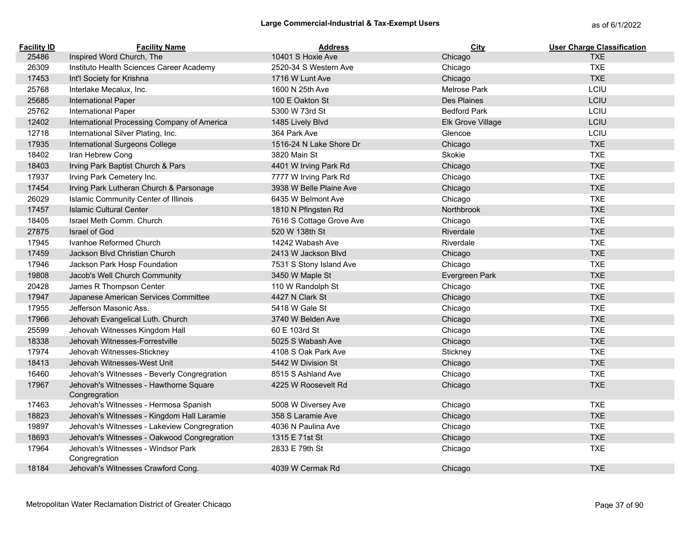| <b>Facility ID</b> | <b>Facility Name</b>                                    | <b>Address</b>           | City                | <b>User Charge Classification</b> |
|--------------------|---------------------------------------------------------|--------------------------|---------------------|-----------------------------------|
| 25486              | Inspired Word Church, The                               | 10401 S Hoxie Ave        | Chicago             | <b>TXE</b>                        |
| 26309              | Instituto Health Sciences Career Academy                | 2520-34 S Western Ave    | Chicago             | <b>TXE</b>                        |
| 17453              | Int'l Society for Krishna                               | 1716 W Lunt Ave          | Chicago             | <b>TXE</b>                        |
| 25768              | Interlake Mecalux, Inc.                                 | 1600 N 25th Ave          | Melrose Park        | LCIU                              |
| 25685              | International Paper                                     | 100 E Oakton St          | Des Plaines         | LCIU                              |
| 25762              | <b>International Paper</b>                              | 5300 W 73rd St           | <b>Bedford Park</b> | LCIU                              |
| 12402              | International Processing Company of America             | 1485 Lively Blvd         | Elk Grove Village   | LCIU                              |
| 12718              | International Silver Plating, Inc.                      | 364 Park Ave             | Glencoe             | LCIU                              |
| 17935              | International Surgeons College                          | 1516-24 N Lake Shore Dr  | Chicago             | <b>TXE</b>                        |
| 18402              | Iran Hebrew Cong                                        | 3820 Main St             | Skokie              | <b>TXE</b>                        |
| 18403              | Irving Park Baptist Church & Pars                       | 4401 W Irving Park Rd    | Chicago             | <b>TXE</b>                        |
| 17937              | Irving Park Cemetery Inc.                               | 7777 W Irving Park Rd    | Chicago             | <b>TXE</b>                        |
| 17454              | Irving Park Lutheran Church & Parsonage                 | 3938 W Belle Plaine Ave  | Chicago             | <b>TXE</b>                        |
| 26029              | Islamic Community Center of Illinois                    | 6435 W Belmont Ave       | Chicago             | <b>TXE</b>                        |
| 17457              | <b>Islamic Cultural Center</b>                          | 1810 N Pfingsten Rd      | <b>Northbrook</b>   | <b>TXE</b>                        |
| 18405              | Israel Meth Comm. Church                                | 7616 S Cottage Grove Ave | Chicago             | <b>TXE</b>                        |
| 27875              | <b>Israel of God</b>                                    | 520 W 138th St           | Riverdale           | <b>TXE</b>                        |
| 17945              | Ivanhoe Reformed Church                                 | 14242 Wabash Ave         | Riverdale           | <b>TXE</b>                        |
| 17459              | Jackson Blvd Christian Church                           | 2413 W Jackson Blvd      | Chicago             | <b>TXE</b>                        |
| 17946              | Jackson Park Hosp Foundation                            | 7531 S Stony Island Ave  | Chicago             | <b>TXE</b>                        |
| 19808              | Jacob's Well Church Community                           | 3450 W Maple St          | Evergreen Park      | <b>TXE</b>                        |
| 20428              | James R Thompson Center                                 | 110 W Randolph St        | Chicago             | <b>TXE</b>                        |
| 17947              | Japanese American Services Committee                    | 4427 N Clark St          | Chicago             | <b>TXE</b>                        |
| 17955              | Jefferson Masonic Ass.                                  | 5418 W Gale St           | Chicago             | <b>TXE</b>                        |
| 17966              | Jehovah Evangelical Luth. Church                        | 3740 W Belden Ave        | Chicago             | <b>TXE</b>                        |
| 25599              | Jehovah Witnesses Kingdom Hall                          | 60 E 103rd St            | Chicago             | <b>TXE</b>                        |
| 18338              | Jehovah Witnesses-Forrestville                          | 5025 S Wabash Ave        | Chicago             | <b>TXE</b>                        |
| 17974              | Jehovah Witnesses-Stickney                              | 4108 S Oak Park Ave      | Stickney            | <b>TXE</b>                        |
| 18413              | Jehovah Witnesses-West Unit                             | 5442 W Division St       | Chicago             | <b>TXE</b>                        |
| 16460              | Jehovah's Witnesses - Beverly Congregration             | 8515 S Ashland Ave       | Chicago             | <b>TXE</b>                        |
| 17967              | Jehovah's Witnesses - Hawthorne Square<br>Congregration | 4225 W Roosevelt Rd      | Chicago             | <b>TXE</b>                        |
| 17463              | Jehovah's Witnesses - Hermosa Spanish                   | 5008 W Diversey Ave      | Chicago             | <b>TXE</b>                        |
| 18823              | Jehovah's Witnesses - Kingdom Hall Laramie              | 358 S Laramie Ave        | Chicago             | <b>TXE</b>                        |
| 19897              | Jehovah's Witnesses - Lakeview Congregration            | 4036 N Paulina Ave       | Chicago             | <b>TXE</b>                        |
| 18693              | Jehovah's Witnesses - Oakwood Congregration             | 1315 E 71st St           | Chicago             | <b>TXE</b>                        |
| 17964              | Jehovah's Witnesses - Windsor Park<br>Congregration     | 2833 E 79th St           | Chicago             | <b>TXE</b>                        |
| 18184              | Jehovah's Witnesses Crawford Cong.                      | 4039 W Cermak Rd         | Chicago             | <b>TXE</b>                        |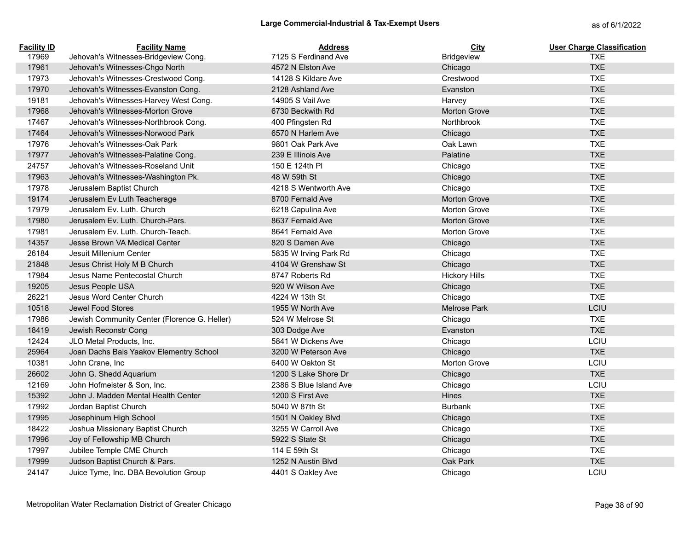| <b>Facility ID</b> | <b>Facility Name</b>                         | <b>Address</b>         | City                 | <b>User Charge Classification</b> |
|--------------------|----------------------------------------------|------------------------|----------------------|-----------------------------------|
| 17969              | Jehovah's Witnesses-Bridgeview Cong.         | 7125 S Ferdinand Ave   | Bridgeview           | <b>TXE</b>                        |
| 17961              | Jehovah's Witnesses-Chgo North               | 4572 N Elston Ave      | Chicago              | <b>TXE</b>                        |
| 17973              | Jehovah's Witnesses-Crestwood Cong.          | 14128 S Kildare Ave    | Crestwood            | <b>TXE</b>                        |
| 17970              | Jehovah's Witnesses-Evanston Cong.           | 2128 Ashland Ave       | Evanston             | <b>TXE</b>                        |
| 19181              | Jehovah's Witnesses-Harvey West Cong.        | 14905 S Vail Ave       | Harvey               | <b>TXE</b>                        |
| 17968              | Jehovah's Witnesses-Morton Grove             | 6730 Beckwith Rd       | <b>Morton Grove</b>  | <b>TXE</b>                        |
| 17467              | Jehovah's Witnesses-Northbrook Cong.         | 400 Pfingsten Rd       | Northbrook           | <b>TXE</b>                        |
| 17464              | Jehovah's Witnesses-Norwood Park             | 6570 N Harlem Ave      | Chicago              | <b>TXE</b>                        |
| 17976              | Jehovah's Witnesses-Oak Park                 | 9801 Oak Park Ave      | Oak Lawn             | <b>TXE</b>                        |
| 17977              | Jehovah's Witnesses-Palatine Cong.           | 239 E Illinois Ave     | Palatine             | <b>TXE</b>                        |
| 24757              | Jehovah's Witnesses-Roseland Unit            | 150 E 124th PI         | Chicago              | <b>TXE</b>                        |
| 17963              | Jehovah's Witnesses-Washington Pk.           | 48 W 59th St           | Chicago              | <b>TXE</b>                        |
| 17978              | Jerusalem Baptist Church                     | 4218 S Wentworth Ave   | Chicago              | <b>TXE</b>                        |
| 19174              | Jerusalem Ev Luth Teacherage                 | 8700 Fernald Ave       | <b>Morton Grove</b>  | <b>TXE</b>                        |
| 17979              | Jerusalem Ev. Luth. Church                   | 6218 Capulina Ave      | <b>Morton Grove</b>  | <b>TXE</b>                        |
| 17980              | Jerusalem Ev. Luth. Church-Pars.             | 8637 Fernald Ave       | <b>Morton Grove</b>  | <b>TXE</b>                        |
| 17981              | Jerusalem Ev. Luth. Church-Teach.            | 8641 Fernald Ave       | <b>Morton Grove</b>  | <b>TXE</b>                        |
| 14357              | Jesse Brown VA Medical Center                | 820 S Damen Ave        | Chicago              | <b>TXE</b>                        |
| 26184              | Jesuit Millenium Center                      | 5835 W Irving Park Rd  | Chicago              | <b>TXE</b>                        |
| 21848              | Jesus Christ Holy M B Church                 | 4104 W Grenshaw St     | Chicago              | <b>TXE</b>                        |
| 17984              | Jesus Name Pentecostal Church                | 8747 Roberts Rd        | <b>Hickory Hills</b> | <b>TXE</b>                        |
| 19205              | Jesus People USA                             | 920 W Wilson Ave       | Chicago              | <b>TXE</b>                        |
| 26221              | Jesus Word Center Church                     | 4224 W 13th St         | Chicago              | <b>TXE</b>                        |
| 10518              | Jewel Food Stores                            | 1955 W North Ave       | <b>Melrose Park</b>  | LCIU                              |
| 17986              | Jewish Community Center (Florence G. Heller) | 524 W Melrose St       | Chicago              | <b>TXE</b>                        |
| 18419              | Jewish Reconstr Cong                         | 303 Dodge Ave          | Evanston             | <b>TXE</b>                        |
| 12424              | JLO Metal Products, Inc.                     | 5841 W Dickens Ave     | Chicago              | LCIU                              |
| 25964              | Joan Dachs Bais Yaakov Elementry School      | 3200 W Peterson Ave    | Chicago              | <b>TXE</b>                        |
| 10381              | John Crane, Inc                              | 6400 W Oakton St       | Morton Grove         | LCIU                              |
| 26602              | John G. Shedd Aquarium                       | 1200 S Lake Shore Dr   | Chicago              | <b>TXE</b>                        |
| 12169              | John Hofmeister & Son, Inc.                  | 2386 S Blue Island Ave | Chicago              | LCIU                              |
| 15392              | John J. Madden Mental Health Center          | 1200 S First Ave       | Hines                | <b>TXE</b>                        |
| 17992              | Jordan Baptist Church                        | 5040 W 87th St         | <b>Burbank</b>       | <b>TXE</b>                        |
| 17995              | Josephinum High School                       | 1501 N Oakley Blvd     | Chicago              | <b>TXE</b>                        |
| 18422              | Joshua Missionary Baptist Church             | 3255 W Carroll Ave     | Chicago              | <b>TXE</b>                        |
| 17996              | Joy of Fellowship MB Church                  | 5922 S State St        | Chicago              | <b>TXE</b>                        |
| 17997              | Jubilee Temple CME Church                    | 114 E 59th St          | Chicago              | <b>TXE</b>                        |
| 17999              | Judson Baptist Church & Pars.                | 1252 N Austin Blvd     | Oak Park             | <b>TXE</b>                        |
| 24147              | Juice Tyme, Inc. DBA Bevolution Group        | 4401 S Oakley Ave      | Chicago              | LCIU                              |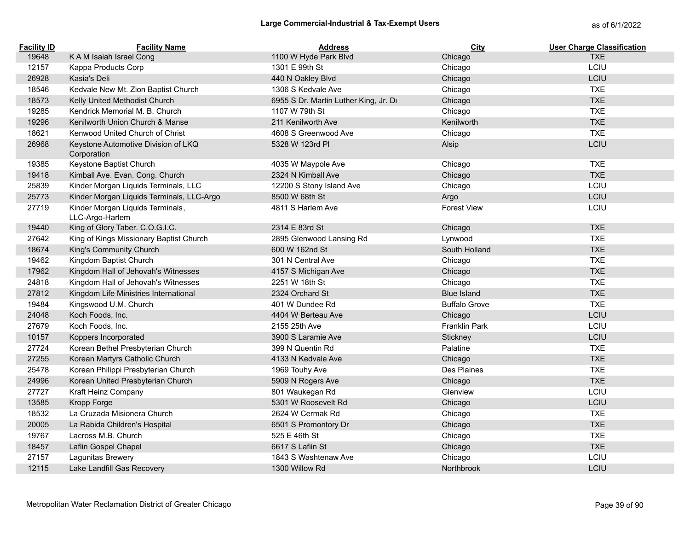## Large Commercial-Industrial & Tax-Exempt Users<br>
as of 6/1/2022

| <b>Facility ID</b> | <b>Facility Name</b>                                | <b>Address</b>                        | City                 | <b>User Charge Classification</b> |
|--------------------|-----------------------------------------------------|---------------------------------------|----------------------|-----------------------------------|
| 19648              | KAM Isaiah Israel Cong                              | 1100 W Hyde Park Blvd                 | Chicago              | <b>TXE</b>                        |
| 12157              | Kappa Products Corp                                 | 1301 E 99th St                        | Chicago              | LCIU                              |
| 26928              | Kasia's Deli                                        | 440 N Oakley Blvd                     | Chicago              | LCIU                              |
| 18546              | Kedvale New Mt. Zion Baptist Church                 | 1306 S Kedvale Ave                    | Chicago              | <b>TXE</b>                        |
| 18573              | Kelly United Methodist Church                       | 6955 S Dr. Martin Luther King, Jr. Dr | Chicago              | <b>TXE</b>                        |
| 19285              | Kendrick Memorial M. B. Church                      | 1107 W 79th St                        | Chicago              | <b>TXE</b>                        |
| 19296              | Kenilworth Union Church & Manse                     | 211 Kenilworth Ave                    | Kenilworth           | <b>TXE</b>                        |
| 18621              | Kenwood United Church of Christ                     | 4608 S Greenwood Ave                  | Chicago              | <b>TXE</b>                        |
| 26968              | Keystone Automotive Division of LKQ<br>Corporation  | 5328 W 123rd PI                       | Alsip                | LCIU                              |
| 19385              | Keystone Baptist Church                             | 4035 W Maypole Ave                    | Chicago              | <b>TXE</b>                        |
| 19418              | Kimball Ave. Evan. Cong. Church                     | 2324 N Kimball Ave                    | Chicago              | <b>TXE</b>                        |
| 25839              | Kinder Morgan Liquids Terminals, LLC                | 12200 S Stony Island Ave              | Chicago              | LCIU                              |
| 25773              | Kinder Morgan Liquids Terminals, LLC-Argo           | 8500 W 68th St                        | Argo                 | LCIU                              |
| 27719              | Kinder Morgan Liquids Terminals,<br>LLC-Argo-Harlem | 4811 S Harlem Ave                     | <b>Forest View</b>   | LCIU                              |
| 19440              | King of Glory Taber. C.O.G.I.C.                     | 2314 E 83rd St                        | Chicago              | <b>TXE</b>                        |
| 27642              | King of Kings Missionary Baptist Church             | 2895 Glenwood Lansing Rd              | Lynwood              | <b>TXE</b>                        |
| 18674              | King's Community Church                             | 600 W 162nd St                        | South Holland        | <b>TXE</b>                        |
| 19462              | Kingdom Baptist Church                              | 301 N Central Ave                     | Chicago              | <b>TXE</b>                        |
| 17962              | Kingdom Hall of Jehovah's Witnesses                 | 4157 S Michigan Ave                   | Chicago              | <b>TXE</b>                        |
| 24818              | Kingdom Hall of Jehovah's Witnesses                 | 2251 W 18th St                        | Chicago              | <b>TXE</b>                        |
| 27812              | Kingdom Life Ministries International               | 2324 Orchard St                       | <b>Blue Island</b>   | <b>TXE</b>                        |
| 19484              | Kingswood U.M. Church                               | 401 W Dundee Rd                       | <b>Buffalo Grove</b> | <b>TXE</b>                        |
| 24048              | Koch Foods, Inc.                                    | 4404 W Berteau Ave                    | Chicago              | LCIU                              |
| 27679              | Koch Foods, Inc.                                    | 2155 25th Ave                         | <b>Franklin Park</b> | LCIU                              |
| 10157              | Koppers Incorporated                                | 3900 S Laramie Ave                    | Stickney             | LCIU                              |
| 27724              | Korean Bethel Presbyterian Church                   | 399 N Quentin Rd                      | Palatine             | <b>TXE</b>                        |
| 27255              | Korean Martyrs Catholic Church                      | 4133 N Kedvale Ave                    | Chicago              | <b>TXE</b>                        |
| 25478              | Korean Philippi Presbyterian Church                 | 1969 Touhy Ave                        | Des Plaines          | <b>TXE</b>                        |
| 24996              | Korean United Presbyterian Church                   | 5909 N Rogers Ave                     | Chicago              | <b>TXE</b>                        |
| 27727              | Kraft Heinz Company                                 | 801 Waukegan Rd                       | Glenview             | LCIU                              |
| 13585              | Kropp Forge                                         | 5301 W Roosevelt Rd                   | Chicago              | LCIU                              |
| 18532              | La Cruzada Misionera Church                         | 2624 W Cermak Rd                      | Chicago              | <b>TXE</b>                        |
| 20005              | La Rabida Children's Hospital                       | 6501 S Promontory Dr                  | Chicago              | <b>TXE</b>                        |
| 19767              | Lacross M.B. Church                                 | 525 E 46th St                         | Chicago              | <b>TXE</b>                        |
| 18457              | Laflin Gospel Chapel                                | 6617 S Laflin St                      | Chicago              | <b>TXE</b>                        |
| 27157              | Lagunitas Brewery                                   | 1843 S Washtenaw Ave                  | Chicago              | LCIU                              |
| 12115              | Lake Landfill Gas Recovery                          | 1300 Willow Rd                        | Northbrook           | LCIU                              |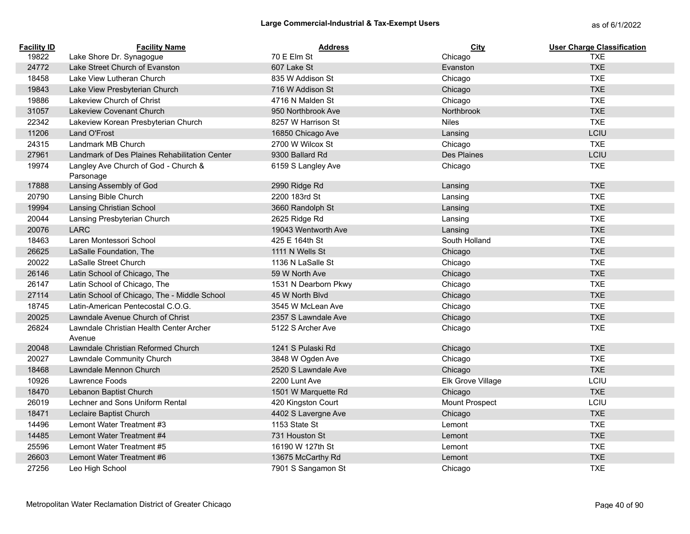| <b>Facility ID</b> | <b>Facility Name</b>                              | <b>Address</b>       | City              | <b>User Charge Classification</b> |
|--------------------|---------------------------------------------------|----------------------|-------------------|-----------------------------------|
| 19822              | Lake Shore Dr. Synagogue                          | 70 E Elm St          | Chicago           | <b>TXE</b>                        |
| 24772              | Lake Street Church of Evanston                    | 607 Lake St          | Evanston          | <b>TXE</b>                        |
| 18458              | Lake View Lutheran Church                         | 835 W Addison St     | Chicago           | <b>TXE</b>                        |
| 19843              | Lake View Presbyterian Church                     | 716 W Addison St     | Chicago           | <b>TXE</b>                        |
| 19886              | Lakeview Church of Christ                         | 4716 N Malden St     | Chicago           | <b>TXE</b>                        |
| 31057              | <b>Lakeview Covenant Church</b>                   | 950 Northbrook Ave   | Northbrook        | <b>TXE</b>                        |
| 22342              | Lakeview Korean Presbyterian Church               | 8257 W Harrison St   | <b>Niles</b>      | <b>TXE</b>                        |
| 11206              | Land O'Frost                                      | 16850 Chicago Ave    | Lansing           | LCIU                              |
| 24315              | Landmark MB Church                                | 2700 W Wilcox St     | Chicago           | <b>TXE</b>                        |
| 27961              | Landmark of Des Plaines Rehabilitation Center     | 9300 Ballard Rd      | Des Plaines       | LCIU                              |
| 19974              | Langley Ave Church of God - Church &<br>Parsonage | 6159 S Langley Ave   | Chicago           | <b>TXE</b>                        |
| 17888              | Lansing Assembly of God                           | 2990 Ridge Rd        | Lansing           | <b>TXE</b>                        |
| 20790              | Lansing Bible Church                              | 2200 183rd St        | Lansing           | <b>TXE</b>                        |
| 19994              | Lansing Christian School                          | 3660 Randolph St     | Lansing           | <b>TXE</b>                        |
| 20044              | Lansing Presbyterian Church                       | 2625 Ridge Rd        | Lansing           | <b>TXE</b>                        |
| 20076              | <b>LARC</b>                                       | 19043 Wentworth Ave  | Lansing           | <b>TXE</b>                        |
| 18463              | Laren Montessori School                           | 425 E 164th St       | South Holland     | <b>TXE</b>                        |
| 26625              | LaSalle Foundation, The                           | 1111 N Wells St      | Chicago           | <b>TXE</b>                        |
| 20022              | LaSalle Street Church                             | 1136 N LaSalle St    | Chicago           | <b>TXE</b>                        |
| 26146              | Latin School of Chicago, The                      | 59 W North Ave       | Chicago           | <b>TXE</b>                        |
| 26147              | Latin School of Chicago, The                      | 1531 N Dearborn Pkwy | Chicago           | <b>TXE</b>                        |
| 27114              | Latin School of Chicago, The - Middle School      | 45 W North Blvd      | Chicago           | <b>TXE</b>                        |
| 18745              | Latin-American Pentecostal C.O.G.                 | 3545 W McLean Ave    | Chicago           | <b>TXE</b>                        |
| 20025              | Lawndale Avenue Church of Christ                  | 2357 S Lawndale Ave  | Chicago           | <b>TXE</b>                        |
| 26824              | Lawndale Christian Health Center Archer<br>Avenue | 5122 S Archer Ave    | Chicago           | <b>TXE</b>                        |
| 20048              | Lawndale Christian Reformed Church                | 1241 S Pulaski Rd    | Chicago           | <b>TXE</b>                        |
| 20027              | Lawndale Community Church                         | 3848 W Ogden Ave     | Chicago           | <b>TXE</b>                        |
| 18468              | Lawndale Mennon Church                            | 2520 S Lawndale Ave  | Chicago           | <b>TXE</b>                        |
| 10926              | Lawrence Foods                                    | 2200 Lunt Ave        | Elk Grove Village | LCIU                              |
| 18470              | Lebanon Baptist Church                            | 1501 W Marquette Rd  | Chicago           | <b>TXE</b>                        |
| 26019              | Lechner and Sons Uniform Rental                   | 420 Kingston Court   | Mount Prospect    | LCIU                              |
| 18471              | Leclaire Baptist Church                           | 4402 S Lavergne Ave  | Chicago           | <b>TXE</b>                        |
| 14496              | Lemont Water Treatment #3                         | 1153 State St        | Lemont            | <b>TXE</b>                        |
| 14485              | Lemont Water Treatment #4                         | 731 Houston St       | Lemont            | <b>TXE</b>                        |
| 25596              | Lemont Water Treatment #5                         | 16190 W 127th St     | Lemont            | <b>TXE</b>                        |
| 26603              | Lemont Water Treatment #6                         | 13675 McCarthy Rd    | Lemont            | <b>TXE</b>                        |
| 27256              | Leo High School                                   | 7901 S Sangamon St   | Chicago           | <b>TXE</b>                        |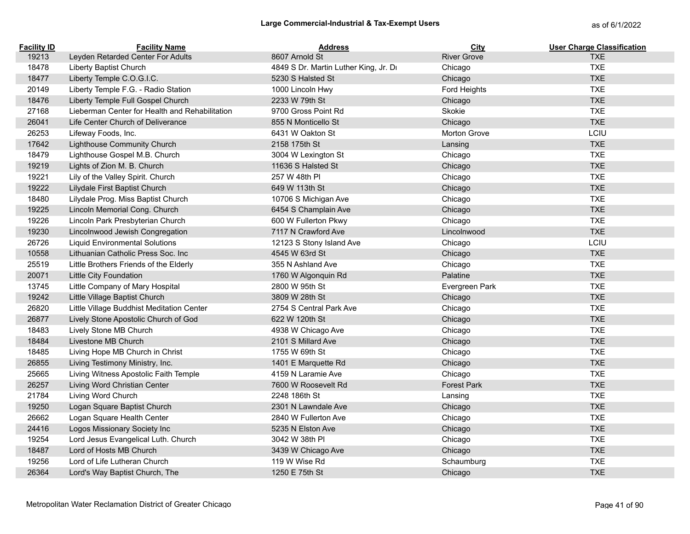# Large Commercial-Industrial & Tax-Exempt Users<br>
as of 6/1/2022

| <b>Facility ID</b> | <b>Facility Name</b>                           | <b>Address</b>                        | <b>City</b>        | <b>User Charge Classification</b> |
|--------------------|------------------------------------------------|---------------------------------------|--------------------|-----------------------------------|
| 19213              | Leyden Retarded Center For Adults              | 8607 Arnold St                        | <b>River Grove</b> | <b>TXE</b>                        |
| 18478              | Liberty Baptist Church                         | 4849 S Dr. Martin Luther King, Jr. Dr | Chicago            | <b>TXE</b>                        |
| 18477              | Liberty Temple C.O.G.I.C.                      | 5230 S Halsted St                     | Chicago            | <b>TXE</b>                        |
| 20149              | Liberty Temple F.G. - Radio Station            | 1000 Lincoln Hwy                      | Ford Heights       | <b>TXE</b>                        |
| 18476              | Liberty Temple Full Gospel Church              | 2233 W 79th St                        | Chicago            | <b>TXE</b>                        |
| 27168              | Lieberman Center for Health and Rehabilitation | 9700 Gross Point Rd                   | Skokie             | <b>TXE</b>                        |
| 26041              | Life Center Church of Deliverance              | 855 N Monticello St                   | Chicago            | <b>TXE</b>                        |
| 26253              | Lifeway Foods, Inc.                            | 6431 W Oakton St                      | Morton Grove       | LCIU                              |
| 17642              | Lighthouse Community Church                    | 2158 175th St                         | Lansing            | <b>TXE</b>                        |
| 18479              | Lighthouse Gospel M.B. Church                  | 3004 W Lexington St                   | Chicago            | <b>TXE</b>                        |
| 19219              | Lights of Zion M. B. Church                    | 11636 S Halsted St                    | Chicago            | <b>TXE</b>                        |
| 19221              | Lily of the Valley Spirit. Church              | 257 W 48th PI                         | Chicago            | <b>TXE</b>                        |
| 19222              | Lilydale First Baptist Church                  | 649 W 113th St                        | Chicago            | <b>TXE</b>                        |
| 18480              | Lilydale Prog. Miss Baptist Church             | 10706 S Michigan Ave                  | Chicago            | <b>TXE</b>                        |
| 19225              | Lincoln Memorial Cong. Church                  | 6454 S Champlain Ave                  | Chicago            | <b>TXE</b>                        |
| 19226              | Lincoln Park Presbyterian Church               | 600 W Fullerton Pkwy                  | Chicago            | <b>TXE</b>                        |
| 19230              | Lincolnwood Jewish Congregation                | 7117 N Crawford Ave                   | Lincolnwood        | <b>TXE</b>                        |
| 26726              | <b>Liquid Environmental Solutions</b>          | 12123 S Stony Island Ave              | Chicago            | LCIU                              |
| 10558              | Lithuanian Catholic Press Soc. Inc             | 4545 W 63rd St                        | Chicago            | <b>TXE</b>                        |
| 25519              | Little Brothers Friends of the Elderly         | 355 N Ashland Ave                     | Chicago            | <b>TXE</b>                        |
| 20071              | Little City Foundation                         | 1760 W Algonquin Rd                   | Palatine           | <b>TXE</b>                        |
| 13745              | Little Company of Mary Hospital                | 2800 W 95th St                        | Evergreen Park     | <b>TXE</b>                        |
| 19242              | Little Village Baptist Church                  | 3809 W 28th St                        | Chicago            | <b>TXE</b>                        |
| 26820              | Little Village Buddhist Meditation Center      | 2754 S Central Park Ave               | Chicago            | <b>TXE</b>                        |
| 26877              | Lively Stone Apostolic Church of God           | 622 W 120th St                        | Chicago            | <b>TXE</b>                        |
| 18483              | Lively Stone MB Church                         | 4938 W Chicago Ave                    | Chicago            | <b>TXE</b>                        |
| 18484              | Livestone MB Church                            | 2101 S Millard Ave                    | Chicago            | <b>TXE</b>                        |
| 18485              | Living Hope MB Church in Christ                | 1755 W 69th St                        | Chicago            | <b>TXE</b>                        |
| 26855              | Living Testimony Ministry, Inc.                | 1401 E Marquette Rd                   | Chicago            | <b>TXE</b>                        |
| 25665              | Living Witness Apostolic Faith Temple          | 4159 N Laramie Ave                    | Chicago            | <b>TXE</b>                        |
| 26257              | Living Word Christian Center                   | 7600 W Roosevelt Rd                   | <b>Forest Park</b> | <b>TXE</b>                        |
| 21784              | Living Word Church                             | 2248 186th St                         | Lansing            | <b>TXE</b>                        |
| 19250              | Logan Square Baptist Church                    | 2301 N Lawndale Ave                   | Chicago            | <b>TXE</b>                        |
| 26662              | Logan Square Health Center                     | 2840 W Fullerton Ave                  | Chicago            | <b>TXE</b>                        |
| 24416              | Logos Missionary Society Inc                   | 5235 N Elston Ave                     | Chicago            | <b>TXE</b>                        |
| 19254              | Lord Jesus Evangelical Luth. Church            | 3042 W 38th PI                        | Chicago            | <b>TXE</b>                        |
| 18487              | Lord of Hosts MB Church                        | 3439 W Chicago Ave                    | Chicago            | <b>TXE</b>                        |
| 19256              | Lord of Life Lutheran Church                   | 119 W Wise Rd                         | Schaumburg         | <b>TXE</b>                        |
| 26364              | Lord's Way Baptist Church, The                 | 1250 E 75th St                        | Chicago            | <b>TXE</b>                        |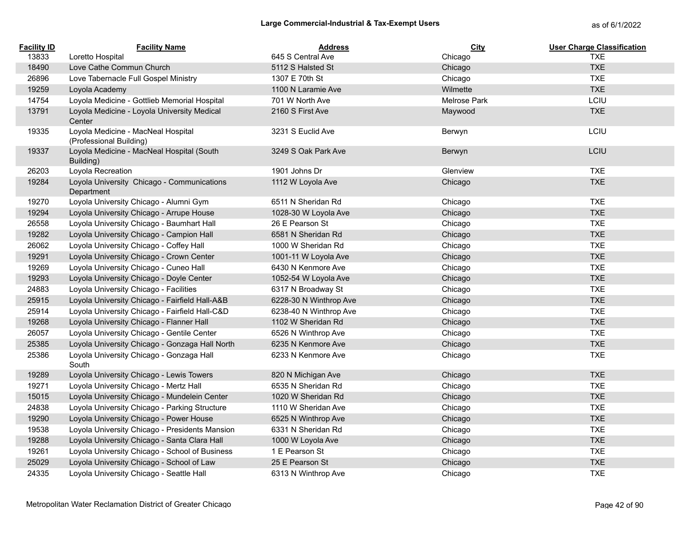| <b>Facility ID</b> | <b>Facility Name</b>                                          | <b>Address</b>         | City         | <b>User Charge Classification</b> |
|--------------------|---------------------------------------------------------------|------------------------|--------------|-----------------------------------|
| 13833              | Loretto Hospital                                              | 645 S Central Ave      | Chicago      | <b>TXE</b>                        |
| 18490              | Love Cathe Commun Church                                      | 5112 S Halsted St      | Chicago      | <b>TXE</b>                        |
| 26896              | Love Tabernacle Full Gospel Ministry                          | 1307 E 70th St         | Chicago      | <b>TXE</b>                        |
| 19259              | Loyola Academy                                                | 1100 N Laramie Ave     | Wilmette     | <b>TXE</b>                        |
| 14754              | Loyola Medicine - Gottlieb Memorial Hospital                  | 701 W North Ave        | Melrose Park | LCIU                              |
| 13791              | Loyola Medicine - Loyola University Medical<br>Center         | 2160 S First Ave       | Maywood      | <b>TXE</b>                        |
| 19335              | Loyola Medicine - MacNeal Hospital<br>(Professional Building) | 3231 S Euclid Ave      | Berwyn       | LCIU                              |
| 19337              | Loyola Medicine - MacNeal Hospital (South<br>Building)        | 3249 S Oak Park Ave    | Berwyn       | LCIU                              |
| 26203              | Loyola Recreation                                             | 1901 Johns Dr          | Glenview     | <b>TXE</b>                        |
| 19284              | Loyola University Chicago - Communications<br>Department      | 1112 W Loyola Ave      | Chicago      | <b>TXE</b>                        |
| 19270              | Loyola University Chicago - Alumni Gym                        | 6511 N Sheridan Rd     | Chicago      | <b>TXE</b>                        |
| 19294              | Loyola University Chicago - Arrupe House                      | 1028-30 W Loyola Ave   | Chicago      | <b>TXE</b>                        |
| 26558              | Loyola University Chicago - Baumhart Hall                     | 26 E Pearson St        | Chicago      | <b>TXE</b>                        |
| 19282              | Loyola University Chicago - Campion Hall                      | 6581 N Sheridan Rd     | Chicago      | <b>TXE</b>                        |
| 26062              | Loyola University Chicago - Coffey Hall                       | 1000 W Sheridan Rd     | Chicago      | <b>TXE</b>                        |
| 19291              | Loyola University Chicago - Crown Center                      | 1001-11 W Loyola Ave   | Chicago      | <b>TXE</b>                        |
| 19269              | Loyola University Chicago - Cuneo Hall                        | 6430 N Kenmore Ave     | Chicago      | <b>TXE</b>                        |
| 19293              | Loyola University Chicago - Doyle Center                      | 1052-54 W Loyola Ave   | Chicago      | <b>TXE</b>                        |
| 24883              | Loyola University Chicago - Facilities                        | 6317 N Broadway St     | Chicago      | <b>TXE</b>                        |
| 25915              | Loyola University Chicago - Fairfield Hall-A&B                | 6228-30 N Winthrop Ave | Chicago      | <b>TXE</b>                        |
| 25914              | Loyola University Chicago - Fairfield Hall-C&D                | 6238-40 N Winthrop Ave | Chicago      | <b>TXE</b>                        |
| 19268              | Loyola University Chicago - Flanner Hall                      | 1102 W Sheridan Rd     | Chicago      | <b>TXE</b>                        |
| 26057              | Loyola University Chicago - Gentile Center                    | 6526 N Winthrop Ave    | Chicago      | <b>TXE</b>                        |
| 25385              | Loyola University Chicago - Gonzaga Hall North                | 6235 N Kenmore Ave     | Chicago      | <b>TXE</b>                        |
| 25386              | Loyola University Chicago - Gonzaga Hall<br>South             | 6233 N Kenmore Ave     | Chicago      | <b>TXE</b>                        |
| 19289              | Loyola University Chicago - Lewis Towers                      | 820 N Michigan Ave     | Chicago      | <b>TXE</b>                        |
| 19271              | Loyola University Chicago - Mertz Hall                        | 6535 N Sheridan Rd     | Chicago      | <b>TXE</b>                        |
| 15015              | Loyola University Chicago - Mundelein Center                  | 1020 W Sheridan Rd     | Chicago      | <b>TXE</b>                        |
| 24838              | Loyola University Chicago - Parking Structure                 | 1110 W Sheridan Ave    | Chicago      | <b>TXE</b>                        |
| 19290              | Loyola University Chicago - Power House                       | 6525 N Winthrop Ave    | Chicago      | <b>TXE</b>                        |
| 19538              | Loyola University Chicago - Presidents Mansion                | 6331 N Sheridan Rd     | Chicago      | <b>TXE</b>                        |
| 19288              | Loyola University Chicago - Santa Clara Hall                  | 1000 W Loyola Ave      | Chicago      | <b>TXE</b>                        |
| 19261              | Loyola University Chicago - School of Business                | 1 E Pearson St         | Chicago      | <b>TXE</b>                        |
| 25029              | Loyola University Chicago - School of Law                     | 25 E Pearson St        | Chicago      | <b>TXE</b>                        |
| 24335              | Loyola University Chicago - Seattle Hall                      | 6313 N Winthrop Ave    | Chicago      | <b>TXE</b>                        |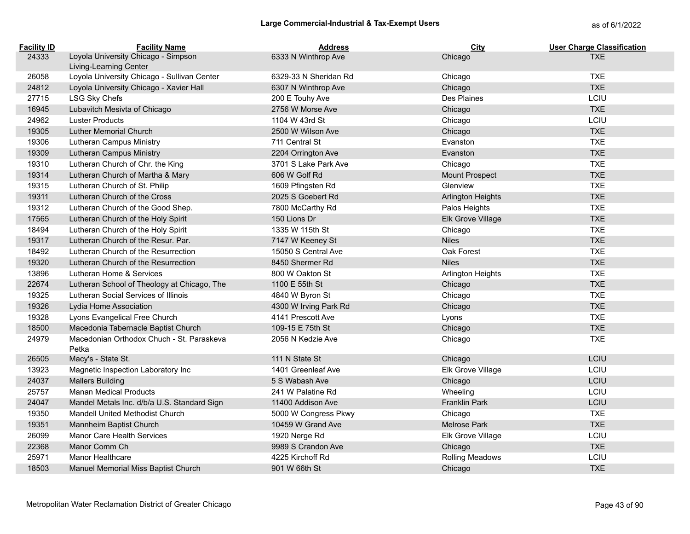| <b>Facility ID</b> | <b>Facility Name</b>                                          | <b>Address</b>        | City                     | <b>User Charge Classification</b> |
|--------------------|---------------------------------------------------------------|-----------------------|--------------------------|-----------------------------------|
| 24333              | Loyola University Chicago - Simpson<br>Living-Learning Center | 6333 N Winthrop Ave   | Chicago                  | <b>TXE</b>                        |
| 26058              | Loyola University Chicago - Sullivan Center                   | 6329-33 N Sheridan Rd | Chicago                  | <b>TXE</b>                        |
| 24812              | Loyola University Chicago - Xavier Hall                       | 6307 N Winthrop Ave   | Chicago                  | <b>TXE</b>                        |
| 27715              | LSG Sky Chefs                                                 | 200 E Touhy Ave       | Des Plaines              | LCIU                              |
| 16945              | Lubavitch Mesivta of Chicago                                  | 2756 W Morse Ave      | Chicago                  | <b>TXE</b>                        |
| 24962              | <b>Luster Products</b>                                        | 1104 W 43rd St        | Chicago                  | LCIU                              |
| 19305              | <b>Luther Memorial Church</b>                                 | 2500 W Wilson Ave     | Chicago                  | <b>TXE</b>                        |
| 19306              | <b>Lutheran Campus Ministry</b>                               | 711 Central St        | Evanston                 | <b>TXE</b>                        |
| 19309              | Lutheran Campus Ministry                                      | 2204 Orrington Ave    | Evanston                 | <b>TXE</b>                        |
| 19310              | Lutheran Church of Chr. the King                              | 3701 S Lake Park Ave  | Chicago                  | <b>TXE</b>                        |
| 19314              | Lutheran Church of Martha & Mary                              | 606 W Golf Rd         | <b>Mount Prospect</b>    | <b>TXE</b>                        |
| 19315              | Lutheran Church of St. Philip                                 | 1609 Pfingsten Rd     | Glenview                 | <b>TXE</b>                        |
| 19311              | Lutheran Church of the Cross                                  | 2025 S Goebert Rd     | Arlington Heights        | <b>TXE</b>                        |
| 19312              | Lutheran Church of the Good Shep.                             | 7800 McCarthy Rd      | Palos Heights            | <b>TXE</b>                        |
| 17565              | Lutheran Church of the Holy Spirit                            | 150 Lions Dr          | Elk Grove Village        | <b>TXE</b>                        |
| 18494              | Lutheran Church of the Holy Spirit                            | 1335 W 115th St       | Chicago                  | <b>TXE</b>                        |
| 19317              | Lutheran Church of the Resur. Par.                            | 7147 W Keeney St      | <b>Niles</b>             | <b>TXE</b>                        |
| 18492              | Lutheran Church of the Resurrection                           | 15050 S Central Ave   | Oak Forest               | <b>TXE</b>                        |
| 19320              | Lutheran Church of the Resurrection                           | 8450 Shermer Rd       | <b>Niles</b>             | <b>TXE</b>                        |
| 13896              | Lutheran Home & Services                                      | 800 W Oakton St       | <b>Arlington Heights</b> | <b>TXE</b>                        |
| 22674              | Lutheran School of Theology at Chicago, The                   | 1100 E 55th St        | Chicago                  | <b>TXE</b>                        |
| 19325              | Lutheran Social Services of Illinois                          | 4840 W Byron St       | Chicago                  | <b>TXE</b>                        |
| 19326              | Lydia Home Association                                        | 4300 W Irving Park Rd | Chicago                  | <b>TXE</b>                        |
| 19328              | Lyons Evangelical Free Church                                 | 4141 Prescott Ave     | Lyons                    | <b>TXE</b>                        |
| 18500              | Macedonia Tabernacle Baptist Church                           | 109-15 E 75th St      | Chicago                  | <b>TXE</b>                        |
| 24979              | Macedonian Orthodox Chuch - St. Paraskeva<br>Petka            | 2056 N Kedzie Ave     | Chicago                  | <b>TXE</b>                        |
| 26505              | Macy's - State St.                                            | 111 N State St        | Chicago                  | LCIU                              |
| 13923              | Magnetic Inspection Laboratory Inc                            | 1401 Greenleaf Ave    | Elk Grove Village        | LCIU                              |
| 24037              | <b>Mallers Building</b>                                       | 5 S Wabash Ave        | Chicago                  | LCIU                              |
| 25757              | <b>Manan Medical Products</b>                                 | 241 W Palatine Rd     | Wheeling                 | LCIU                              |
| 24047              | Mandel Metals Inc. d/b/a U.S. Standard Sign                   | 11400 Addison Ave     | Franklin Park            | LCIU                              |
| 19350              | Mandell United Methodist Church                               | 5000 W Congress Pkwy  | Chicago                  | <b>TXE</b>                        |
| 19351              | Mannheim Baptist Church                                       | 10459 W Grand Ave     | Melrose Park             | <b>TXE</b>                        |
| 26099              | Manor Care Health Services                                    | 1920 Nerge Rd         | Elk Grove Village        | LCIU                              |
| 22368              | Manor Comm Ch                                                 | 9989 S Crandon Ave    | Chicago                  | <b>TXE</b>                        |
| 25971              | <b>Manor Healthcare</b>                                       | 4225 Kirchoff Rd      | <b>Rolling Meadows</b>   | LCIU                              |
| 18503              | Manuel Memorial Miss Baptist Church                           | 901 W 66th St         | Chicago                  | <b>TXE</b>                        |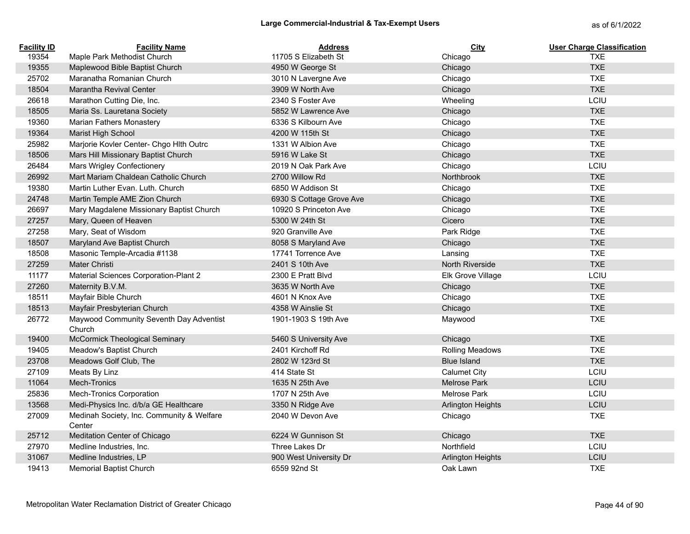| <b>Facility ID</b> | <b>Facility Name</b>                                | <b>Address</b>           | City                     | <b>User Charge Classification</b> |
|--------------------|-----------------------------------------------------|--------------------------|--------------------------|-----------------------------------|
| 19354              | Maple Park Methodist Church                         | 11705 S Elizabeth St     | Chicago                  | <b>TXE</b>                        |
| 19355              | Maplewood Bible Baptist Church                      | 4950 W George St         | Chicago                  | <b>TXE</b>                        |
| 25702              | Maranatha Romanian Church                           | 3010 N Lavergne Ave      | Chicago                  | <b>TXE</b>                        |
| 18504              | Marantha Revival Center                             | 3909 W North Ave         | Chicago                  | <b>TXE</b>                        |
| 26618              | Marathon Cutting Die, Inc.                          | 2340 S Foster Ave        | Wheeling                 | LCIU                              |
| 18505              | Maria Ss. Lauretana Society                         | 5852 W Lawrence Ave      | Chicago                  | <b>TXE</b>                        |
| 19360              | Marian Fathers Monastery                            | 6336 S Kilbourn Ave      | Chicago                  | <b>TXE</b>                        |
| 19364              | Marist High School                                  | 4200 W 115th St          | Chicago                  | <b>TXE</b>                        |
| 25982              | Marjorie Kovler Center- Chgo Hlth Outrc             | 1331 W Albion Ave        | Chicago                  | <b>TXE</b>                        |
| 18506              | Mars Hill Missionary Baptist Church                 | 5916 W Lake St           | Chicago                  | <b>TXE</b>                        |
| 26484              | <b>Mars Wrigley Confectionery</b>                   | 2019 N Oak Park Ave      | Chicago                  | LCIU                              |
| 26992              | Mart Mariam Chaldean Catholic Church                | 2700 Willow Rd           | Northbrook               | <b>TXE</b>                        |
| 19380              | Martin Luther Evan. Luth. Church                    | 6850 W Addison St        | Chicago                  | <b>TXE</b>                        |
| 24748              | Martin Temple AME Zion Church                       | 6930 S Cottage Grove Ave | Chicago                  | <b>TXE</b>                        |
| 26697              | Mary Magdalene Missionary Baptist Church            | 10920 S Princeton Ave    | Chicago                  | <b>TXE</b>                        |
| 27257              | Mary, Queen of Heaven                               | 5300 W 24th St           | Cicero                   | <b>TXE</b>                        |
| 27258              | Mary, Seat of Wisdom                                | 920 Granville Ave        | Park Ridge               | <b>TXE</b>                        |
| 18507              | Maryland Ave Baptist Church                         | 8058 S Maryland Ave      | Chicago                  | <b>TXE</b>                        |
| 18508              | Masonic Temple-Arcadia #1138                        | 17741 Torrence Ave       | Lansing                  | <b>TXE</b>                        |
| 27259              | Mater Christi                                       | 2401 S 10th Ave          | North Riverside          | <b>TXE</b>                        |
| 11177              | Material Sciences Corporation-Plant 2               | 2300 E Pratt Blvd        | Elk Grove Village        | LCIU                              |
| 27260              | Maternity B.V.M.                                    | 3635 W North Ave         | Chicago                  | <b>TXE</b>                        |
| 18511              | Mayfair Bible Church                                | 4601 N Knox Ave          | Chicago                  | <b>TXE</b>                        |
| 18513              | Mayfair Presbyterian Church                         | 4358 W Ainslie St        | Chicago                  | <b>TXE</b>                        |
| 26772              | Maywood Community Seventh Day Adventist<br>Church   | 1901-1903 S 19th Ave     | Maywood                  | <b>TXE</b>                        |
| 19400              | McCormick Theological Seminary                      | 5460 S University Ave    | Chicago                  | <b>TXE</b>                        |
| 19405              | Meadow's Baptist Church                             | 2401 Kirchoff Rd         | <b>Rolling Meadows</b>   | <b>TXE</b>                        |
| 23708              | Meadows Golf Club, The                              | 2802 W 123rd St          | <b>Blue Island</b>       | <b>TXE</b>                        |
| 27109              | Meats By Linz                                       | 414 State St             | <b>Calumet City</b>      | LCIU                              |
| 11064              | Mech-Tronics                                        | 1635 N 25th Ave          | <b>Melrose Park</b>      | LCIU                              |
| 25836              | Mech-Tronics Corporation                            | 1707 N 25th Ave          | Melrose Park             | LCIU                              |
| 13568              | Medi-Physics Inc. d/b/a GE Healthcare               | 3350 N Ridge Ave         | <b>Arlington Heights</b> | LCIU                              |
| 27009              | Medinah Society, Inc. Community & Welfare<br>Center | 2040 W Devon Ave         | Chicago                  | <b>TXE</b>                        |
| 25712              | Meditation Center of Chicago                        | 6224 W Gunnison St       | Chicago                  | <b>TXE</b>                        |
| 27970              | Medline Industries, Inc.                            | Three Lakes Dr           | Northfield               | LCIU                              |
| 31067              | Medline Industries, LP                              | 900 West University Dr   | Arlington Heights        | LCIU                              |
| 19413              | <b>Memorial Baptist Church</b>                      | 6559 92nd St             | Oak Lawn                 | <b>TXE</b>                        |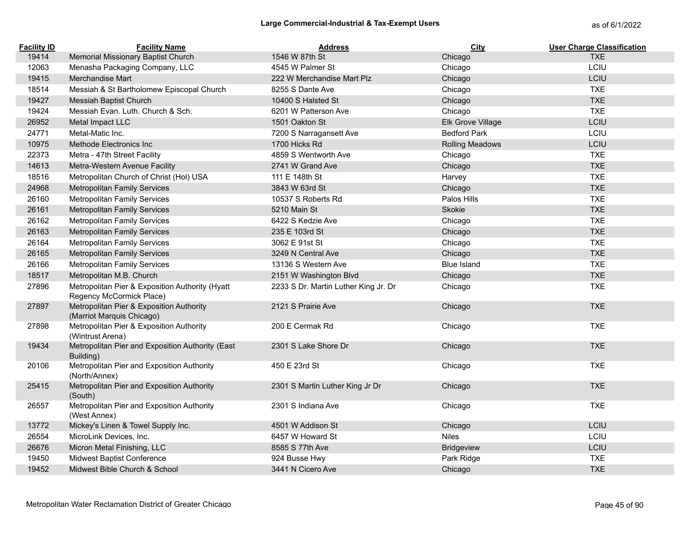| <b>Facility ID</b> | <b>Facility Name</b>                                                        | <b>Address</b>                       | <b>City</b>            | <b>User Charge Classification</b> |
|--------------------|-----------------------------------------------------------------------------|--------------------------------------|------------------------|-----------------------------------|
| 19414              | Memorial Missionary Baptist Church                                          | 1546 W 87th St                       | Chicago                | <b>TXE</b>                        |
| 12063              | Menasha Packaging Company, LLC                                              | 4545 W Palmer St                     | Chicago                | LCIU                              |
| 19415              | Merchandise Mart                                                            | 222 W Merchandise Mart Plz           | Chicago                | LCIU                              |
| 18514              | Messiah & St Bartholomew Episcopal Church                                   | 8255 S Dante Ave                     | Chicago                | <b>TXE</b>                        |
| 19427              | Messiah Baptist Church                                                      | 10400 S Halsted St                   | Chicago                | <b>TXE</b>                        |
| 19424              | Messiah Evan. Luth. Church & Sch.                                           | 6201 W Patterson Ave                 | Chicago                | <b>TXE</b>                        |
| 26952              | Metal Impact LLC                                                            | 1501 Oakton St                       | Elk Grove Village      | LCIU                              |
| 24771              | Metal-Matic Inc.                                                            | 7200 S Narragansett Ave              | <b>Bedford Park</b>    | LCIU                              |
| 10975              | Methode Electronics Inc                                                     | 1700 Hicks Rd                        | <b>Rolling Meadows</b> | LCIU                              |
| 22373              | Metra - 47th Street Facility                                                | 4859 S Wentworth Ave                 | Chicago                | <b>TXE</b>                        |
| 14613              | Metra-Western Avenue Facility                                               | 2741 W Grand Ave                     | Chicago                | <b>TXE</b>                        |
| 18516              | Metropolitan Church of Christ (Hol) USA                                     | 111 E 148th St                       | Harvey                 | <b>TXE</b>                        |
| 24968              | <b>Metropolitan Family Services</b>                                         | 3843 W 63rd St                       | Chicago                | <b>TXE</b>                        |
| 26160              | <b>Metropolitan Family Services</b>                                         | 10537 S Roberts Rd                   | Palos Hills            | <b>TXE</b>                        |
| 26161              | <b>Metropolitan Family Services</b>                                         | 5210 Main St                         | Skokie                 | <b>TXE</b>                        |
| 26162              | <b>Metropolitan Family Services</b>                                         | 6422 S Kedzie Ave                    | Chicago                | <b>TXE</b>                        |
| 26163              | <b>Metropolitan Family Services</b>                                         | 235 E 103rd St                       | Chicago                | <b>TXE</b>                        |
| 26164              | <b>Metropolitan Family Services</b>                                         | 3062 E 91st St                       | Chicago                | <b>TXE</b>                        |
| 26165              | <b>Metropolitan Family Services</b>                                         | 3249 N Central Ave                   | Chicago                | <b>TXE</b>                        |
| 26166              | <b>Metropolitan Family Services</b>                                         | 13136 S Western Ave                  | <b>Blue Island</b>     | <b>TXE</b>                        |
| 18517              | Metropolitan M.B. Church                                                    | 2151 W Washington Blvd               | Chicago                | <b>TXE</b>                        |
| 27896              | Metropolitan Pier & Exposition Authority (Hyatt<br>Regency McCormick Place) | 2233 S Dr. Martin Luther King Jr. Dr | Chicago                | <b>TXE</b>                        |
| 27897              | Metropolitan Pier & Exposition Authority<br>(Marriot Marquis Chicago)       | 2121 S Prairie Ave                   | Chicago                | <b>TXE</b>                        |
| 27898              | Metropolitan Pier & Exposition Authority<br>(Wintrust Arena)                | 200 E Cermak Rd                      | Chicago                | <b>TXE</b>                        |
| 19434              | Metropolitan Pier and Exposition Authority (East<br>Building)               | 2301 S Lake Shore Dr                 | Chicago                | <b>TXE</b>                        |
| 20106              | Metropolitan Pier and Exposition Authority<br>(North/Annex)                 | 450 E 23rd St                        | Chicago                | <b>TXE</b>                        |
| 25415              | Metropolitan Pier and Exposition Authority<br>(South)                       | 2301 S Martin Luther King Jr Dr      | Chicago                | <b>TXE</b>                        |
| 26557              | Metropolitan Pier and Exposition Authority<br>(West Annex)                  | 2301 S Indiana Ave                   | Chicago                | <b>TXE</b>                        |
| 13772              | Mickey's Linen & Towel Supply Inc.                                          | 4501 W Addison St                    | Chicago                | LCIU                              |
| 26554              | MicroLink Devices, Inc.                                                     | 6457 W Howard St                     | <b>Niles</b>           | LCIU                              |
| 26676              | Micron Metal Finishing, LLC                                                 | 8585 S 77th Ave                      | <b>Bridgeview</b>      | LCIU                              |
| 19450              | Midwest Baptist Conference                                                  | 924 Busse Hwy                        | Park Ridge             | <b>TXE</b>                        |
| 19452              | Midwest Bible Church & School                                               | 3441 N Cicero Ave                    | Chicago                | <b>TXE</b>                        |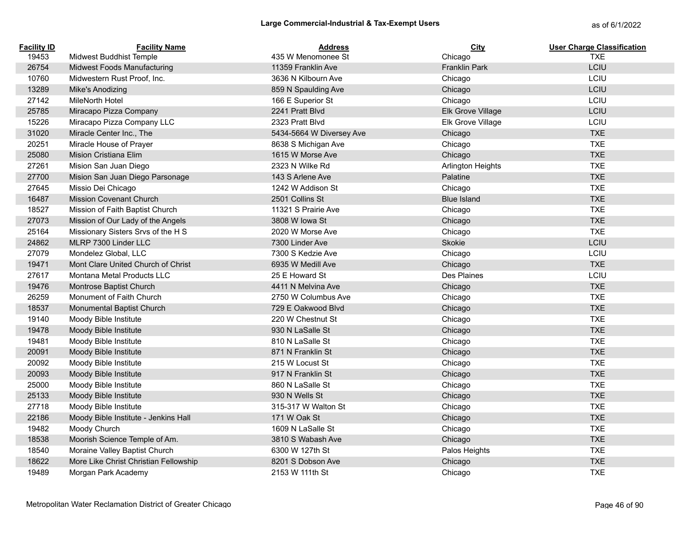| <b>Facility ID</b> | <b>Facility Name</b>                  | <b>Address</b>                           | City                     | <b>User Charge Classification</b><br><b>TXE</b> |
|--------------------|---------------------------------------|------------------------------------------|--------------------------|-------------------------------------------------|
| 19453<br>26754     | Midwest Buddhist Temple               | 435 W Menomonee St<br>11359 Franklin Ave | Chicago                  | LCIU                                            |
|                    | <b>Midwest Foods Manufacturing</b>    |                                          | <b>Franklin Park</b>     | LCIU                                            |
| 10760              | Midwestern Rust Proof, Inc.           | 3636 N Kilbourn Ave                      | Chicago                  | LCIU                                            |
| 13289              | Mike's Anodizing                      | 859 N Spaulding Ave                      | Chicago                  |                                                 |
| 27142              | <b>MileNorth Hotel</b>                | 166 E Superior St                        | Chicago                  | LCIU                                            |
| 25785              | Miracapo Pizza Company                | 2241 Pratt Blvd                          | Elk Grove Village        | LCIU                                            |
| 15226              | Miracapo Pizza Company LLC            | 2323 Pratt Blvd                          | Elk Grove Village        | LCIU                                            |
| 31020              | Miracle Center Inc., The              | 5434-5664 W Diversey Ave                 | Chicago                  | <b>TXE</b>                                      |
| 20251              | Miracle House of Prayer               | 8638 S Michigan Ave                      | Chicago                  | <b>TXE</b>                                      |
| 25080              | Mision Cristiana Elim                 | 1615 W Morse Ave                         | Chicago                  | <b>TXE</b>                                      |
| 27261              | Mision San Juan Diego                 | 2323 N Wilke Rd                          | <b>Arlington Heights</b> | <b>TXE</b>                                      |
| 27700              | Mision San Juan Diego Parsonage       | 143 S Arlene Ave                         | Palatine                 | <b>TXE</b>                                      |
| 27645              | Missio Dei Chicago                    | 1242 W Addison St                        | Chicago                  | <b>TXE</b>                                      |
| 16487              | <b>Mission Covenant Church</b>        | 2501 Collins St                          | <b>Blue Island</b>       | <b>TXE</b>                                      |
| 18527              | Mission of Faith Baptist Church       | 11321 S Prairie Ave                      | Chicago                  | <b>TXE</b>                                      |
| 27073              | Mission of Our Lady of the Angels     | 3808 W Iowa St                           | Chicago                  | <b>TXE</b>                                      |
| 25164              | Missionary Sisters Srvs of the H S    | 2020 W Morse Ave                         | Chicago                  | <b>TXE</b>                                      |
| 24862              | MLRP 7300 Linder LLC                  | 7300 Linder Ave                          | Skokie                   | LCIU                                            |
| 27079              | Mondelez Global, LLC                  | 7300 S Kedzie Ave                        | Chicago                  | LCIU                                            |
| 19471              | Mont Clare United Church of Christ    | 6935 W Medill Ave                        | Chicago                  | <b>TXE</b>                                      |
| 27617              | Montana Metal Products LLC            | 25 E Howard St                           | Des Plaines              | LCIU                                            |
| 19476              | Montrose Baptist Church               | 4411 N Melvina Ave                       | Chicago                  | <b>TXE</b>                                      |
| 26259              | Monument of Faith Church              | 2750 W Columbus Ave                      | Chicago                  | <b>TXE</b>                                      |
| 18537              | Monumental Baptist Church             | 729 E Oakwood Blvd                       | Chicago                  | <b>TXE</b>                                      |
| 19140              | Moody Bible Institute                 | 220 W Chestnut St                        | Chicago                  | <b>TXE</b>                                      |
| 19478              | Moody Bible Institute                 | 930 N LaSalle St                         | Chicago                  | <b>TXE</b>                                      |
| 19481              | Moody Bible Institute                 | 810 N LaSalle St                         | Chicago                  | <b>TXE</b>                                      |
| 20091              | Moody Bible Institute                 | 871 N Franklin St                        | Chicago                  | <b>TXE</b>                                      |
| 20092              | Moody Bible Institute                 | 215 W Locust St                          | Chicago                  | <b>TXE</b>                                      |
| 20093              | Moody Bible Institute                 | 917 N Franklin St                        | Chicago                  | <b>TXE</b>                                      |
| 25000              | Moody Bible Institute                 | 860 N LaSalle St                         | Chicago                  | <b>TXE</b>                                      |
| 25133              | Moody Bible Institute                 | 930 N Wells St                           | Chicago                  | <b>TXE</b>                                      |
| 27718              | Moody Bible Institute                 | 315-317 W Walton St                      | Chicago                  | <b>TXE</b>                                      |
| 22186              | Moody Bible Institute - Jenkins Hall  | 171 W Oak St                             | Chicago                  | <b>TXE</b>                                      |
| 19482              | Moody Church                          | 1609 N LaSalle St                        | Chicago                  | <b>TXE</b>                                      |
| 18538              | Moorish Science Temple of Am.         | 3810 S Wabash Ave                        | Chicago                  | <b>TXE</b>                                      |
| 18540              | Moraine Valley Baptist Church         | 6300 W 127th St                          | Palos Heights            | <b>TXE</b>                                      |
| 18622              | More Like Christ Christian Fellowship | 8201 S Dobson Ave                        | Chicago                  | <b>TXE</b>                                      |
| 19489              | Morgan Park Academy                   | 2153 W 111th St                          | Chicago                  | <b>TXE</b>                                      |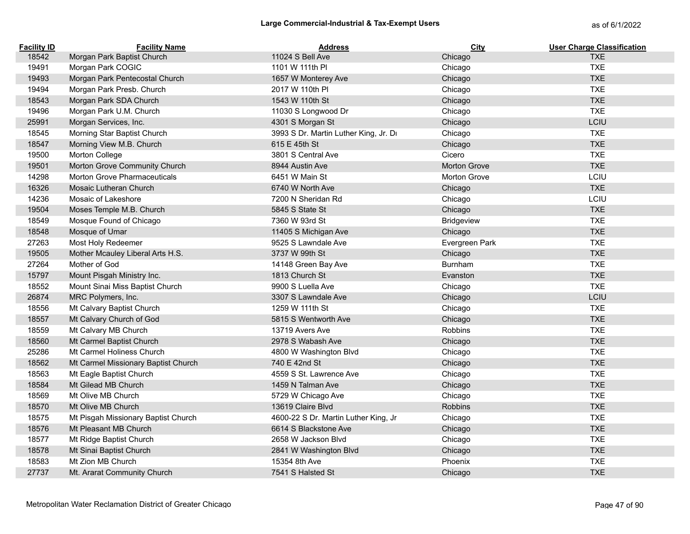| <b>Facility ID</b> | <b>Facility Name</b>                | <b>Address</b>                        | City                | <b>User Charge Classification</b> |
|--------------------|-------------------------------------|---------------------------------------|---------------------|-----------------------------------|
| 18542              | Morgan Park Baptist Church          | 11024 S Bell Ave                      | Chicago             | <b>TXE</b>                        |
| 19491              | Morgan Park COGIC                   | 1101 W 111th PI                       | Chicago             | <b>TXE</b>                        |
| 19493              | Morgan Park Pentecostal Church      | 1657 W Monterey Ave                   | Chicago             | <b>TXE</b>                        |
| 19494              | Morgan Park Presb. Church           | 2017 W 110th PI                       | Chicago             | <b>TXE</b>                        |
| 18543              | Morgan Park SDA Church              | 1543 W 110th St                       | Chicago             | <b>TXE</b>                        |
| 19496              | Morgan Park U.M. Church             | 11030 S Longwood Dr                   | Chicago             | <b>TXE</b>                        |
| 25991              | Morgan Services, Inc.               | 4301 S Morgan St                      | Chicago             | LCIU                              |
| 18545              | Morning Star Baptist Church         | 3993 S Dr. Martin Luther King, Jr. Dr | Chicago             | <b>TXE</b>                        |
| 18547              | Morning View M.B. Church            | 615 E 45th St                         | Chicago             | <b>TXE</b>                        |
| 19500              | Morton College                      | 3801 S Central Ave                    | Cicero              | <b>TXE</b>                        |
| 19501              | Morton Grove Community Church       | 8944 Austin Ave                       | <b>Morton Grove</b> | <b>TXE</b>                        |
| 14298              | Morton Grove Pharmaceuticals        | 6451 W Main St                        | <b>Morton Grove</b> | LCIU                              |
| 16326              | Mosaic Lutheran Church              | 6740 W North Ave                      | Chicago             | <b>TXE</b>                        |
| 14236              | Mosaic of Lakeshore                 | 7200 N Sheridan Rd                    | Chicago             | LCIU                              |
| 19504              | Moses Temple M.B. Church            | 5845 S State St                       | Chicago             | <b>TXE</b>                        |
| 18549              | Mosque Found of Chicago             | 7360 W 93rd St                        | Bridgeview          | <b>TXE</b>                        |
| 18548              | Mosque of Umar                      | 11405 S Michigan Ave                  | Chicago             | <b>TXE</b>                        |
| 27263              | Most Holy Redeemer                  | 9525 S Lawndale Ave                   | Evergreen Park      | <b>TXE</b>                        |
| 19505              | Mother Mcauley Liberal Arts H.S.    | 3737 W 99th St                        | Chicago             | <b>TXE</b>                        |
| 27264              | Mother of God                       | 14148 Green Bay Ave                   | Burnham             | <b>TXE</b>                        |
| 15797              | Mount Pisgah Ministry Inc.          | 1813 Church St                        | Evanston            | <b>TXE</b>                        |
| 18552              | Mount Sinai Miss Baptist Church     | 9900 S Luella Ave                     | Chicago             | <b>TXE</b>                        |
| 26874              | MRC Polymers, Inc.                  | 3307 S Lawndale Ave                   | Chicago             | LCIU                              |
| 18556              | Mt Calvary Baptist Church           | 1259 W 111th St                       | Chicago             | <b>TXE</b>                        |
| 18557              | Mt Calvary Church of God            | 5815 S Wentworth Ave                  | Chicago             | <b>TXE</b>                        |
| 18559              | Mt Calvary MB Church                | 13719 Avers Ave                       | Robbins             | <b>TXE</b>                        |
| 18560              | Mt Carmel Baptist Church            | 2978 S Wabash Ave                     | Chicago             | <b>TXE</b>                        |
| 25286              | Mt Carmel Holiness Church           | 4800 W Washington Blvd                | Chicago             | <b>TXE</b>                        |
| 18562              | Mt Carmel Missionary Baptist Church | 740 E 42nd St                         | Chicago             | <b>TXE</b>                        |
| 18563              | Mt Eagle Baptist Church             | 4559 S St. Lawrence Ave               | Chicago             | <b>TXE</b>                        |
| 18584              | Mt Gilead MB Church                 | 1459 N Talman Ave                     | Chicago             | <b>TXE</b>                        |
| 18569              | Mt Olive MB Church                  | 5729 W Chicago Ave                    | Chicago             | <b>TXE</b>                        |
| 18570              | Mt Olive MB Church                  | 13619 Claire Blvd                     | <b>Robbins</b>      | <b>TXE</b>                        |
| 18575              | Mt Pisgah Missionary Baptist Church | 4600-22 S Dr. Martin Luther King, Jr  | Chicago             | <b>TXE</b>                        |
| 18576              | Mt Pleasant MB Church               | 6614 S Blackstone Ave                 | Chicago             | <b>TXE</b>                        |
| 18577              | Mt Ridge Baptist Church             | 2658 W Jackson Blyd                   | Chicago             | <b>TXE</b>                        |
| 18578              | Mt Sinai Baptist Church             | 2841 W Washington Blvd                | Chicago             | <b>TXE</b>                        |
| 18583              | Mt Zion MB Church                   | 15354 8th Ave                         | Phoenix             | <b>TXE</b>                        |
| 27737              | Mt. Ararat Community Church         | 7541 S Halsted St                     | Chicago             | <b>TXE</b>                        |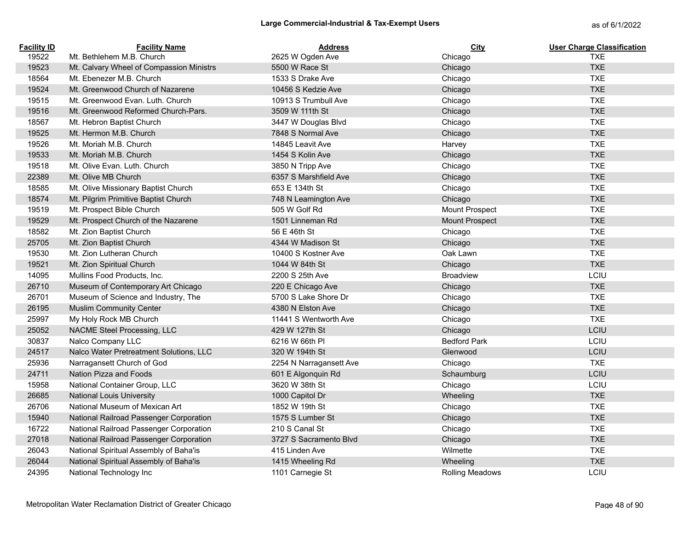| <b>Facility ID</b> | <b>Facility Name</b>                     | <b>Address</b>          | City                   | <b>User Charge Classification</b> |
|--------------------|------------------------------------------|-------------------------|------------------------|-----------------------------------|
| 19522              | Mt. Bethlehem M.B. Church                | 2625 W Ogden Ave        | Chicago                | <b>TXE</b>                        |
| 19523              | Mt. Calvary Wheel of Compassion Ministrs | 5500 W Race St          | Chicago                | <b>TXE</b>                        |
| 18564              | Mt. Ebenezer M.B. Church                 | 1533 S Drake Ave        | Chicago                | <b>TXE</b>                        |
| 19524              | Mt. Greenwood Church of Nazarene         | 10456 S Kedzie Ave      | Chicago                | <b>TXE</b>                        |
| 19515              | Mt. Greenwood Evan. Luth. Church         | 10913 S Trumbull Ave    | Chicago                | <b>TXE</b>                        |
| 19516              | Mt. Greenwood Reformed Church-Pars.      | 3509 W 111th St         | Chicago                | <b>TXE</b>                        |
| 18567              | Mt. Hebron Baptist Church                | 3447 W Douglas Blvd     | Chicago                | <b>TXE</b>                        |
| 19525              | Mt. Hermon M.B. Church                   | 7848 S Normal Ave       | Chicago                | <b>TXE</b>                        |
| 19526              | Mt. Moriah M.B. Church                   | 14845 Leavit Ave        | Harvey                 | <b>TXE</b>                        |
| 19533              | Mt. Moriah M.B. Church                   | 1454 S Kolin Ave        | Chicago                | <b>TXE</b>                        |
| 19518              | Mt. Olive Evan. Luth. Church             | 3850 N Tripp Ave        | Chicago                | <b>TXE</b>                        |
| 22389              | Mt. Olive MB Church                      | 6357 S Marshfield Ave   | Chicago                | <b>TXE</b>                        |
| 18585              | Mt. Olive Missionary Baptist Church      | 653 E 134th St          | Chicago                | <b>TXE</b>                        |
| 18574              | Mt. Pilgrim Primitive Baptist Church     | 748 N Leamington Ave    | Chicago                | <b>TXE</b>                        |
| 19519              | Mt. Prospect Bible Church                | 505 W Golf Rd           | <b>Mount Prospect</b>  | <b>TXE</b>                        |
| 19529              | Mt. Prospect Church of the Nazarene      | 1501 Linneman Rd        | Mount Prospect         | <b>TXE</b>                        |
| 18582              | Mt. Zion Baptist Church                  | 56 E 46th St            | Chicago                | <b>TXE</b>                        |
| 25705              | Mt. Zion Baptist Church                  | 4344 W Madison St       | Chicago                | <b>TXE</b>                        |
| 19530              | Mt. Zion Lutheran Church                 | 10400 S Kostner Ave     | Oak Lawn               | <b>TXE</b>                        |
| 19521              | Mt. Zion Spiritual Church                | 1044 W 84th St          | Chicago                | <b>TXE</b>                        |
| 14095              | Mullins Food Products, Inc.              | 2200 S 25th Ave         | <b>Broadview</b>       | LCIU                              |
| 26710              | Museum of Contemporary Art Chicago       | 220 E Chicago Ave       | Chicago                | <b>TXE</b>                        |
| 26701              | Museum of Science and Industry, The      | 5700 S Lake Shore Dr    | Chicago                | <b>TXE</b>                        |
| 26195              | <b>Muslim Community Center</b>           | 4380 N Elston Ave       | Chicago                | <b>TXE</b>                        |
| 25997              | My Holy Rock MB Church                   | 11441 S Wentworth Ave   | Chicago                | <b>TXE</b>                        |
| 25052              | NACME Steel Processing, LLC              | 429 W 127th St          | Chicago                | LCIU                              |
| 30837              | Nalco Company LLC                        | 6216 W 66th PI          | <b>Bedford Park</b>    | LCIU                              |
| 24517              | Nalco Water Pretreatment Solutions, LLC  | 320 W 194th St          | Glenwood               | LCIU                              |
| 25936              | Narragansett Church of God               | 2254 N Narragansett Ave | Chicago                | <b>TXE</b>                        |
| 24711              | Nation Pizza and Foods                   | 601 E Algonquin Rd      | Schaumburg             | LCIU                              |
| 15958              | National Container Group, LLC            | 3620 W 38th St          | Chicago                | LCIU                              |
| 26685              | <b>National Louis University</b>         | 1000 Capitol Dr         | Wheeling               | <b>TXE</b>                        |
| 26706              | National Museum of Mexican Art           | 1852 W 19th St          | Chicago                | <b>TXE</b>                        |
| 15940              | National Railroad Passenger Corporation  | 1575 S Lumber St        | Chicago                | <b>TXE</b>                        |
| 16722              | National Railroad Passenger Corporation  | 210 S Canal St          | Chicago                | <b>TXE</b>                        |
| 27018              | National Railroad Passenger Corporation  | 3727 S Sacramento Blvd  | Chicago                | <b>TXE</b>                        |
| 26043              | National Spiritual Assembly of Baha'is   | 415 Linden Ave          | Wilmette               | <b>TXE</b>                        |
| 26044              | National Spiritual Assembly of Baha'is   | 1415 Wheeling Rd        | Wheeling               | <b>TXE</b>                        |
| 24395              | National Technology Inc                  | 1101 Carnegie St        | <b>Rolling Meadows</b> | LCIU                              |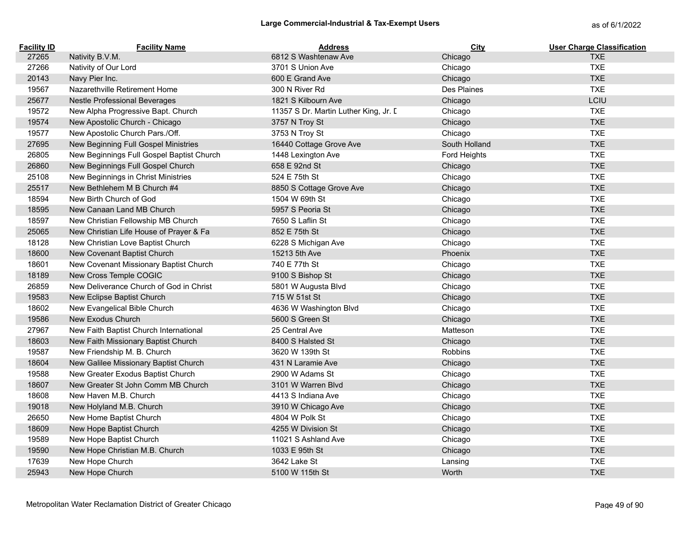| <b>Facility ID</b> | <b>Facility Name</b>                      | <b>Address</b>                        | City          | <b>User Charge Classification</b> |
|--------------------|-------------------------------------------|---------------------------------------|---------------|-----------------------------------|
| 27265              | Nativity B.V.M.                           | 6812 S Washtenaw Ave                  | Chicago       | <b>TXE</b>                        |
| 27266              | Nativity of Our Lord                      | 3701 S Union Ave                      | Chicago       | <b>TXE</b>                        |
| 20143              | Navy Pier Inc.                            | 600 E Grand Ave                       | Chicago       | <b>TXE</b>                        |
| 19567              | Nazarethville Retirement Home             | 300 N River Rd                        | Des Plaines   | <b>TXE</b>                        |
| 25677              | <b>Nestle Professional Beverages</b>      | 1821 S Kilbourn Ave                   | Chicago       | LCIU                              |
| 19572              | New Alpha Progressive Bapt. Church        | 11357 S Dr. Martin Luther King, Jr. I | Chicago       | <b>TXE</b>                        |
| 19574              | New Apostolic Church - Chicago            | 3757 N Troy St                        | Chicago       | <b>TXE</b>                        |
| 19577              | New Apostolic Church Pars./Off.           | 3753 N Troy St                        | Chicago       | <b>TXE</b>                        |
| 27695              | New Beginning Full Gospel Ministries      | 16440 Cottage Grove Ave               | South Holland | <b>TXE</b>                        |
| 26805              | New Beginnings Full Gospel Baptist Church | 1448 Lexington Ave                    | Ford Heights  | <b>TXE</b>                        |
| 26860              | New Beginnings Full Gospel Church         | 658 E 92nd St                         | Chicago       | <b>TXE</b>                        |
| 25108              | New Beginnings in Christ Ministries       | 524 E 75th St                         | Chicago       | <b>TXE</b>                        |
| 25517              | New Bethlehem M B Church #4               | 8850 S Cottage Grove Ave              | Chicago       | <b>TXE</b>                        |
| 18594              | New Birth Church of God                   | 1504 W 69th St                        | Chicago       | <b>TXE</b>                        |
| 18595              | New Canaan Land MB Church                 | 5957 S Peoria St                      | Chicago       | <b>TXE</b>                        |
| 18597              | New Christian Fellowship MB Church        | 7650 S Laflin St                      | Chicago       | <b>TXE</b>                        |
| 25065              | New Christian Life House of Prayer & Fa   | 852 E 75th St                         | Chicago       | <b>TXE</b>                        |
| 18128              | New Christian Love Baptist Church         | 6228 S Michigan Ave                   | Chicago       | <b>TXE</b>                        |
| 18600              | New Covenant Baptist Church               | 15213 5th Ave                         | Phoenix       | <b>TXE</b>                        |
| 18601              | New Covenant Missionary Baptist Church    | 740 E 77th St                         | Chicago       | <b>TXE</b>                        |
| 18189              | New Cross Temple COGIC                    | 9100 S Bishop St                      | Chicago       | <b>TXE</b>                        |
| 26859              | New Deliverance Church of God in Christ   | 5801 W Augusta Blvd                   | Chicago       | <b>TXE</b>                        |
| 19583              | New Eclipse Baptist Church                | 715 W 51st St                         | Chicago       | <b>TXE</b>                        |
| 18602              | New Evangelical Bible Church              | 4636 W Washington Blvd                | Chicago       | <b>TXE</b>                        |
| 19586              | New Exodus Church                         | 5600 S Green St                       | Chicago       | <b>TXE</b>                        |
| 27967              | New Faith Baptist Church International    | 25 Central Ave                        | Matteson      | <b>TXE</b>                        |
| 18603              | New Faith Missionary Baptist Church       | 8400 S Halsted St                     | Chicago       | <b>TXE</b>                        |
| 19587              | New Friendship M. B. Church               | 3620 W 139th St                       | Robbins       | <b>TXE</b>                        |
| 18604              | New Galilee Missionary Baptist Church     | 431 N Laramie Ave                     | Chicago       | <b>TXE</b>                        |
| 19588              | New Greater Exodus Baptist Church         | 2900 W Adams St                       | Chicago       | <b>TXE</b>                        |
| 18607              | New Greater St John Comm MB Church        | 3101 W Warren Blvd                    | Chicago       | <b>TXE</b>                        |
| 18608              | New Haven M.B. Church                     | 4413 S Indiana Ave                    | Chicago       | <b>TXE</b>                        |
| 19018              | New Holyland M.B. Church                  | 3910 W Chicago Ave                    | Chicago       | <b>TXE</b>                        |
| 26650              | New Home Baptist Church                   | 4804 W Polk St                        | Chicago       | <b>TXE</b>                        |
| 18609              | New Hope Baptist Church                   | 4255 W Division St                    | Chicago       | <b>TXE</b>                        |
| 19589              | New Hope Baptist Church                   | 11021 S Ashland Ave                   | Chicago       | <b>TXE</b>                        |
| 19590              | New Hope Christian M.B. Church            | 1033 E 95th St                        | Chicago       | <b>TXE</b>                        |
| 17639              | New Hope Church                           | 3642 Lake St                          | Lansing       | <b>TXE</b>                        |
| 25943              | New Hope Church                           | 5100 W 115th St                       | Worth         | <b>TXE</b>                        |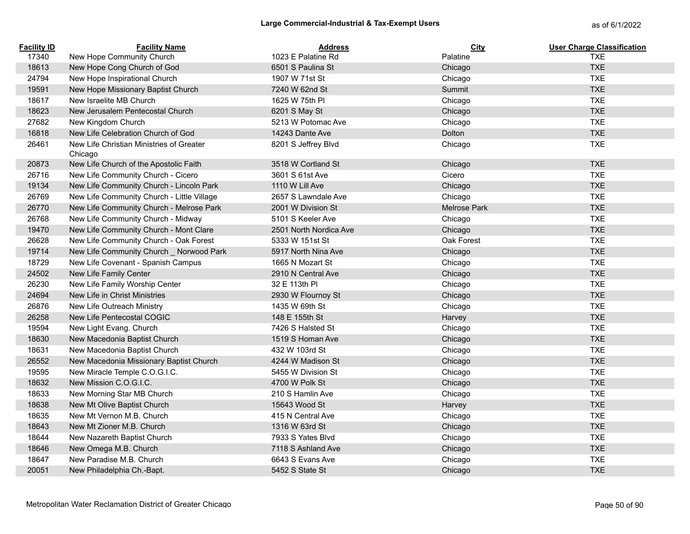| <b>Facility ID</b> | <b>Facility Name</b>                                | <b>Address</b>         | City         | <b>User Charge Classification</b> |
|--------------------|-----------------------------------------------------|------------------------|--------------|-----------------------------------|
| 17340              | New Hope Community Church                           | 1023 E Palatine Rd     | Palatine     | <b>TXE</b>                        |
| 18613              | New Hope Cong Church of God                         | 6501 S Paulina St      | Chicago      | <b>TXE</b>                        |
| 24794              | New Hope Inspirational Church                       | 1907 W 71st St         | Chicago      | <b>TXE</b>                        |
| 19591              | New Hope Missionary Baptist Church                  | 7240 W 62nd St         | Summit       | <b>TXE</b>                        |
| 18617              | New Israelite MB Church                             | 1625 W 75th PI         | Chicago      | <b>TXE</b>                        |
| 18623              | New Jerusalem Pentecostal Church                    | 6201 S May St          | Chicago      | <b>TXE</b>                        |
| 27682              | New Kingdom Church                                  | 5213 W Potomac Ave     | Chicago      | <b>TXE</b>                        |
| 16818              | New Life Celebration Church of God                  | 14243 Dante Ave        | Dolton       | <b>TXE</b>                        |
| 26461              | New Life Christian Ministries of Greater<br>Chicago | 8201 S Jeffrey Blvd    | Chicago      | <b>TXE</b>                        |
| 20873              | New Life Church of the Apostolic Faith              | 3518 W Cortland St     | Chicago      | <b>TXE</b>                        |
| 26716              | New Life Community Church - Cicero                  | 3601 S 61st Ave        | Cicero       | <b>TXE</b>                        |
| 19134              | New Life Community Church - Lincoln Park            | 1110 W Lill Ave        | Chicago      | <b>TXE</b>                        |
| 26769              | New Life Community Church - Little Village          | 2657 S Lawndale Ave    | Chicago      | <b>TXE</b>                        |
| 26770              | New Life Community Church - Melrose Park            | 2001 W Division St     | Melrose Park | <b>TXE</b>                        |
| 26768              | New Life Community Church - Midway                  | 5101 S Keeler Ave      | Chicago      | <b>TXE</b>                        |
| 19470              | New Life Community Church - Mont Clare              | 2501 North Nordica Ave | Chicago      | <b>TXE</b>                        |
| 26628              | New Life Community Church - Oak Forest              | 5333 W 151st St        | Oak Forest   | <b>TXE</b>                        |
| 19714              | New Life Community Church _ Norwood Park            | 5917 North Nina Ave    | Chicago      | <b>TXE</b>                        |
| 18729              | New Life Covenant - Spanish Campus                  | 1665 N Mozart St       | Chicago      | <b>TXE</b>                        |
| 24502              | New Life Family Center                              | 2910 N Central Ave     | Chicago      | <b>TXE</b>                        |
| 26230              | New Life Family Worship Center                      | 32 E 113th PI          | Chicago      | <b>TXE</b>                        |
| 24694              | New Life in Christ Ministries                       | 2930 W Flournoy St     | Chicago      | <b>TXE</b>                        |
| 26876              | New Life Outreach Ministry                          | 1435 W 69th St         | Chicago      | <b>TXE</b>                        |
| 26258              | New Life Pentecostal COGIC                          | 148 E 155th St         | Harvey       | <b>TXE</b>                        |
| 19594              | New Light Evang. Church                             | 7426 S Halsted St      | Chicago      | <b>TXE</b>                        |
| 18630              | New Macedonia Baptist Church                        | 1519 S Homan Ave       | Chicago      | <b>TXE</b>                        |
| 18631              | New Macedonia Baptist Church                        | 432 W 103rd St         | Chicago      | <b>TXE</b>                        |
| 26552              | New Macedonia Missionary Baptist Church             | 4244 W Madison St      | Chicago      | <b>TXE</b>                        |
| 19595              | New Miracle Temple C.O.G.I.C.                       | 5455 W Division St     | Chicago      | <b>TXE</b>                        |
| 18632              | New Mission C.O.G.I.C.                              | 4700 W Polk St         | Chicago      | <b>TXE</b>                        |
| 18633              | New Morning Star MB Church                          | 210 S Hamlin Ave       | Chicago      | <b>TXE</b>                        |
| 18638              | New Mt Olive Baptist Church                         | 15643 Wood St          | Harvey       | <b>TXE</b>                        |
| 18635              | New Mt Vernon M.B. Church                           | 415 N Central Ave      | Chicago      | <b>TXE</b>                        |
| 18643              | New Mt Zioner M.B. Church                           | 1316 W 63rd St         | Chicago      | <b>TXE</b>                        |
| 18644              | New Nazareth Baptist Church                         | 7933 S Yates Blyd      | Chicago      | <b>TXE</b>                        |
| 18646              | New Omega M.B. Church                               | 7118 S Ashland Ave     | Chicago      | <b>TXE</b>                        |
| 18647              | New Paradise M.B. Church                            | 6643 S Evans Ave       | Chicago      | <b>TXE</b>                        |
| 20051              | New Philadelphia Ch.-Bapt.                          | 5452 S State St        | Chicago      | <b>TXE</b>                        |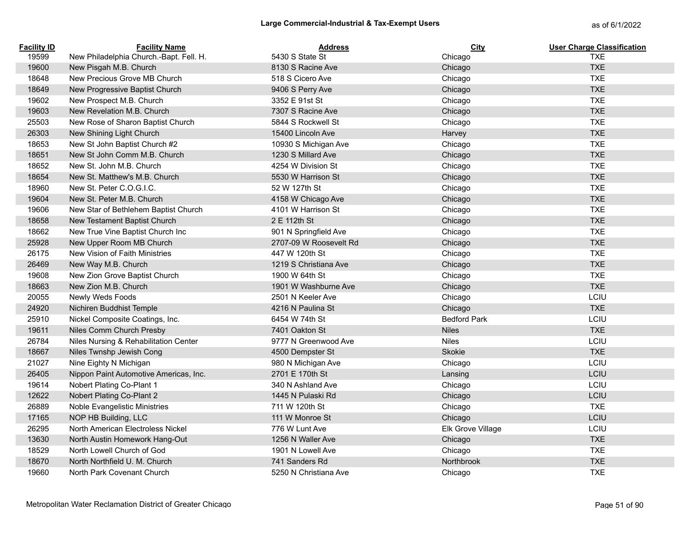| <b>Facility ID</b> | <b>Facility Name</b>                    | <b>Address</b>         | City                | <b>User Charge Classification</b> |
|--------------------|-----------------------------------------|------------------------|---------------------|-----------------------------------|
| 19599              | New Philadelphia Church.-Bapt. Fell. H. | 5430 S State St        | Chicago             | <b>TXE</b>                        |
| 19600              | New Pisgah M.B. Church                  | 8130 S Racine Ave      | Chicago             | <b>TXE</b>                        |
| 18648              | New Precious Grove MB Church            | 518 S Cicero Ave       | Chicago             | <b>TXE</b>                        |
| 18649              | New Progressive Baptist Church          | 9406 S Perry Ave       | Chicago             | <b>TXE</b>                        |
| 19602              | New Prospect M.B. Church                | 3352 E 91st St         | Chicago             | <b>TXE</b>                        |
| 19603              | New Revelation M.B. Church              | 7307 S Racine Ave      | Chicago             | <b>TXE</b>                        |
| 25503              | New Rose of Sharon Baptist Church       | 5844 S Rockwell St     | Chicago             | <b>TXE</b>                        |
| 26303              | New Shining Light Church                | 15400 Lincoln Ave      | Harvey              | <b>TXE</b>                        |
| 18653              | New St John Baptist Church #2           | 10930 S Michigan Ave   | Chicago             | <b>TXE</b>                        |
| 18651              | New St John Comm M.B. Church            | 1230 S Millard Ave     | Chicago             | <b>TXE</b>                        |
| 18652              | New St. John M.B. Church                | 4254 W Division St     | Chicago             | <b>TXE</b>                        |
| 18654              | New St. Matthew's M.B. Church           | 5530 W Harrison St     | Chicago             | <b>TXE</b>                        |
| 18960              | New St. Peter C.O.G.I.C.                | 52 W 127th St          | Chicago             | <b>TXE</b>                        |
| 19604              | New St. Peter M.B. Church               | 4158 W Chicago Ave     | Chicago             | <b>TXE</b>                        |
| 19606              | New Star of Bethlehem Baptist Church    | 4101 W Harrison St     | Chicago             | <b>TXE</b>                        |
| 18658              | New Testament Baptist Church            | 2 E 112th St           | Chicago             | <b>TXE</b>                        |
| 18662              | New True Vine Baptist Church Inc        | 901 N Springfield Ave  | Chicago             | <b>TXE</b>                        |
| 25928              | New Upper Room MB Church                | 2707-09 W Roosevelt Rd | Chicago             | <b>TXE</b>                        |
| 26175              | New Vision of Faith Ministries          | 447 W 120th St         | Chicago             | <b>TXE</b>                        |
| 26469              | New Way M.B. Church                     | 1219 S Christiana Ave  | Chicago             | <b>TXE</b>                        |
| 19608              | New Zion Grove Baptist Church           | 1900 W 64th St         | Chicago             | <b>TXE</b>                        |
| 18663              | New Zion M.B. Church                    | 1901 W Washburne Ave   | Chicago             | <b>TXE</b>                        |
| 20055              | Newly Weds Foods                        | 2501 N Keeler Ave      | Chicago             | LCIU                              |
| 24920              | Nichiren Buddhist Temple                | 4216 N Paulina St      | Chicago             | <b>TXE</b>                        |
| 25910              | Nickel Composite Coatings, Inc.         | 6454 W 74th St         | <b>Bedford Park</b> | LCIU                              |
| 19611              | Niles Comm Church Presby                | 7401 Oakton St         | <b>Niles</b>        | <b>TXE</b>                        |
| 26784              | Niles Nursing & Rehabilitation Center   | 9777 N Greenwood Ave   | <b>Niles</b>        | LCIU                              |
| 18667              | Niles Twnshp Jewish Cong                | 4500 Dempster St       | Skokie              | <b>TXE</b>                        |
| 21027              | Nine Eighty N Michigan                  | 980 N Michigan Ave     | Chicago             | LCIU                              |
| 26405              | Nippon Paint Automotive Americas, Inc.  | 2701 E 170th St        | Lansing             | LCIU                              |
| 19614              | Nobert Plating Co-Plant 1               | 340 N Ashland Ave      | Chicago             | LCIU                              |
| 12622              | Nobert Plating Co-Plant 2               | 1445 N Pulaski Rd      | Chicago             | LCIU                              |
| 26889              | Noble Evangelistic Ministries           | 711 W 120th St         | Chicago             | <b>TXE</b>                        |
| 17165              | NOP HB Building, LLC                    | 111 W Monroe St        | Chicago             | LCIU                              |
| 26295              | North American Electroless Nickel       | 776 W Lunt Ave         | Elk Grove Village   | LCIU                              |
| 13630              | North Austin Homework Hang-Out          | 1256 N Waller Ave      | Chicago             | <b>TXE</b>                        |
| 18529              | North Lowell Church of God              | 1901 N Lowell Ave      | Chicago             | <b>TXE</b>                        |
| 18670              | North Northfield U. M. Church           | 741 Sanders Rd         | Northbrook          | <b>TXE</b>                        |
| 19660              | North Park Covenant Church              | 5250 N Christiana Ave  | Chicago             | <b>TXE</b>                        |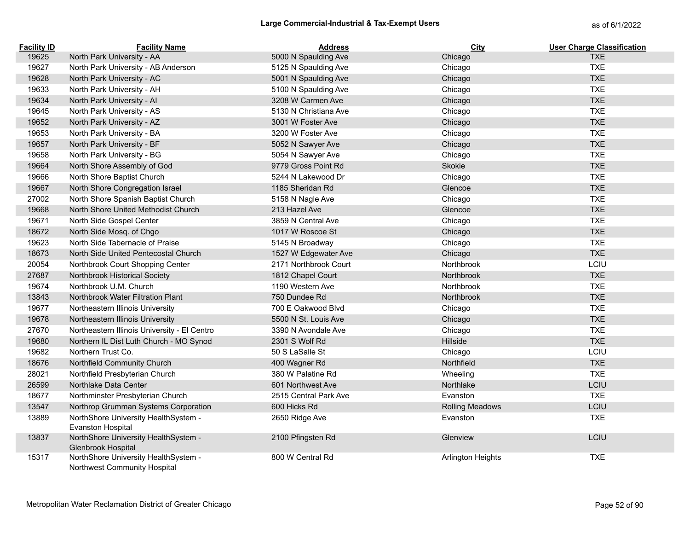| <b>Facility ID</b> | <b>Facility Name</b>                                                 | <b>Address</b>        | City                     | <b>User Charge Classification</b> |
|--------------------|----------------------------------------------------------------------|-----------------------|--------------------------|-----------------------------------|
| 19625              | North Park University - AA                                           | 5000 N Spaulding Ave  | Chicago                  | <b>TXE</b>                        |
| 19627              | North Park University - AB Anderson                                  | 5125 N Spaulding Ave  | Chicago                  | <b>TXE</b>                        |
| 19628              | North Park University - AC                                           | 5001 N Spaulding Ave  | Chicago                  | <b>TXE</b>                        |
| 19633              | North Park University - AH                                           | 5100 N Spaulding Ave  | Chicago                  | <b>TXE</b>                        |
| 19634              | North Park University - Al                                           | 3208 W Carmen Ave     | Chicago                  | <b>TXE</b>                        |
| 19645              | North Park University - AS                                           | 5130 N Christiana Ave | Chicago                  | <b>TXE</b>                        |
| 19652              | North Park University - AZ                                           | 3001 W Foster Ave     | Chicago                  | <b>TXE</b>                        |
| 19653              | North Park University - BA                                           | 3200 W Foster Ave     | Chicago                  | <b>TXE</b>                        |
| 19657              | North Park University - BF                                           | 5052 N Sawyer Ave     | Chicago                  | <b>TXE</b>                        |
| 19658              | North Park University - BG                                           | 5054 N Sawyer Ave     | Chicago                  | <b>TXE</b>                        |
| 19664              | North Shore Assembly of God                                          | 9779 Gross Point Rd   | Skokie                   | <b>TXE</b>                        |
| 19666              | North Shore Baptist Church                                           | 5244 N Lakewood Dr    | Chicago                  | <b>TXE</b>                        |
| 19667              | North Shore Congregation Israel                                      | 1185 Sheridan Rd      | Glencoe                  | <b>TXE</b>                        |
| 27002              | North Shore Spanish Baptist Church                                   | 5158 N Nagle Ave      | Chicago                  | <b>TXE</b>                        |
| 19668              | North Shore United Methodist Church                                  | 213 Hazel Ave         | Glencoe                  | <b>TXE</b>                        |
| 19671              | North Side Gospel Center                                             | 3859 N Central Ave    | Chicago                  | <b>TXE</b>                        |
| 18672              | North Side Mosq. of Chgo                                             | 1017 W Roscoe St      | Chicago                  | <b>TXE</b>                        |
| 19623              | North Side Tabernacle of Praise                                      | 5145 N Broadway       | Chicago                  | <b>TXE</b>                        |
| 18673              | North Side United Pentecostal Church                                 | 1527 W Edgewater Ave  | Chicago                  | <b>TXE</b>                        |
| 20054              | Northbrook Court Shopping Center                                     | 2171 Northbrook Court | Northbrook               | LCIU                              |
| 27687              | Northbrook Historical Society                                        | 1812 Chapel Court     | Northbrook               | <b>TXE</b>                        |
| 19674              | Northbrook U.M. Church                                               | 1190 Western Ave      | Northbrook               | <b>TXE</b>                        |
| 13843              | Northbrook Water Filtration Plant                                    | 750 Dundee Rd         | Northbrook               | <b>TXE</b>                        |
| 19677              | Northeastern Illinois University                                     | 700 E Oakwood Blyd    | Chicago                  | <b>TXE</b>                        |
| 19678              | Northeastern Illinois University                                     | 5500 N St. Louis Ave  | Chicago                  | <b>TXE</b>                        |
| 27670              | Northeastern Illinois University - El Centro                         | 3390 N Avondale Ave   | Chicago                  | <b>TXE</b>                        |
| 19680              | Northern IL Dist Luth Church - MO Synod                              | 2301 S Wolf Rd        | Hillside                 | <b>TXE</b>                        |
| 19682              | Northern Trust Co.                                                   | 50 S LaSalle St       | Chicago                  | LCIU                              |
| 18676              | Northfield Community Church                                          | 400 Wagner Rd         | Northfield               | <b>TXE</b>                        |
| 28021              | Northfield Presbyterian Church                                       | 380 W Palatine Rd     | Wheeling                 | <b>TXE</b>                        |
| 26599              | Northlake Data Center                                                | 601 Northwest Ave     | Northlake                | LCIU                              |
| 18677              | Northminster Presbyterian Church                                     | 2515 Central Park Ave | Evanston                 | <b>TXE</b>                        |
| 13547              | Northrop Grumman Systems Corporation                                 | 600 Hicks Rd          | <b>Rolling Meadows</b>   | LCIU                              |
| 13889              | NorthShore University HealthSystem -<br><b>Evanston Hospital</b>     | 2650 Ridge Ave        | Evanston                 | <b>TXE</b>                        |
| 13837              | NorthShore University HealthSystem -<br>Glenbrook Hospital           | 2100 Pfingsten Rd     | Glenview                 | LCIU                              |
| 15317              | NorthShore University HealthSystem -<br>Northwest Community Hospital | 800 W Central Rd      | <b>Arlington Heights</b> | <b>TXE</b>                        |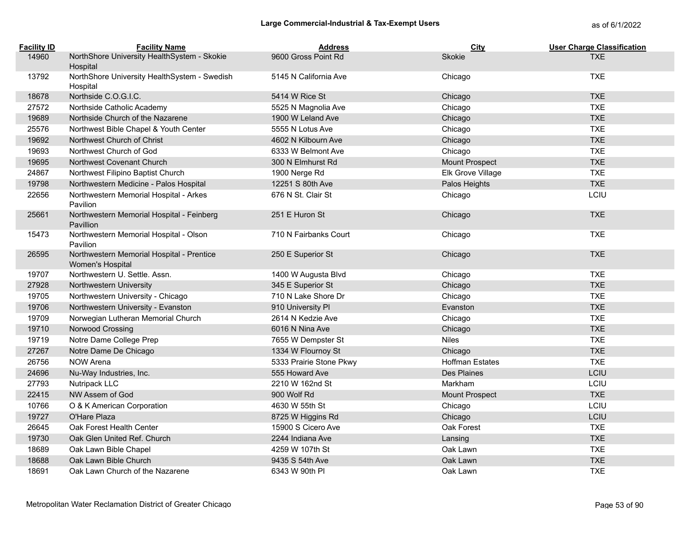| <b>Facility ID</b> | <b>Facility Name</b>                                          | <b>Address</b>          | City                   | <b>User Charge Classification</b> |
|--------------------|---------------------------------------------------------------|-------------------------|------------------------|-----------------------------------|
| 14960              | NorthShore University HealthSystem - Skokie<br>Hospital       | 9600 Gross Point Rd     | Skokie                 | <b>TXE</b>                        |
| 13792              | NorthShore University HealthSystem - Swedish<br>Hospital      | 5145 N California Ave   | Chicago                | <b>TXE</b>                        |
| 18678              | Northside C.O.G.I.C.                                          | 5414 W Rice St          | Chicago                | <b>TXE</b>                        |
| 27572              | Northside Catholic Academy                                    | 5525 N Magnolia Ave     | Chicago                | <b>TXE</b>                        |
| 19689              | Northside Church of the Nazarene                              | 1900 W Leland Ave       | Chicago                | <b>TXE</b>                        |
| 25576              | Northwest Bible Chapel & Youth Center                         | 5555 N Lotus Ave        | Chicago                | <b>TXE</b>                        |
| 19692              | Northwest Church of Christ                                    | 4602 N Kilbourn Ave     | Chicago                | <b>TXE</b>                        |
| 19693              | Northwest Church of God                                       | 6333 W Belmont Ave      | Chicago                | <b>TXE</b>                        |
| 19695              | Northwest Covenant Church                                     | 300 N Elmhurst Rd       | Mount Prospect         | <b>TXE</b>                        |
| 24867              | Northwest Filipino Baptist Church                             | 1900 Nerge Rd           | Elk Grove Village      | <b>TXE</b>                        |
| 19798              | Northwestern Medicine - Palos Hospital                        | 12251 S 80th Ave        | Palos Heights          | <b>TXE</b>                        |
| 22656              | Northwestern Memorial Hospital - Arkes<br>Pavilion            | 676 N St. Clair St      | Chicago                | LCIU                              |
| 25661              | Northwestern Memorial Hospital - Feinberg<br>Pavillion        | 251 E Huron St          | Chicago                | <b>TXE</b>                        |
| 15473              | Northwestern Memorial Hospital - Olson<br>Pavilion            | 710 N Fairbanks Court   | Chicago                | <b>TXE</b>                        |
| 26595              | Northwestern Memorial Hospital - Prentice<br>Women's Hospital | 250 E Superior St       | Chicago                | <b>TXE</b>                        |
| 19707              | Northwestern U. Settle. Assn.                                 | 1400 W Augusta Blvd     | Chicago                | <b>TXE</b>                        |
| 27928              | Northwestern University                                       | 345 E Superior St       | Chicago                | <b>TXE</b>                        |
| 19705              | Northwestern University - Chicago                             | 710 N Lake Shore Dr     | Chicago                | <b>TXE</b>                        |
| 19706              | Northwestern University - Evanston                            | 910 University PI       | Evanston               | <b>TXE</b>                        |
| 19709              | Norwegian Lutheran Memorial Church                            | 2614 N Kedzie Ave       | Chicago                | <b>TXE</b>                        |
| 19710              | Norwood Crossing                                              | 6016 N Nina Ave         | Chicago                | <b>TXE</b>                        |
| 19719              | Notre Dame College Prep                                       | 7655 W Dempster St      | <b>Niles</b>           | <b>TXE</b>                        |
| 27267              | Notre Dame De Chicago                                         | 1334 W Flournoy St      | Chicago                | <b>TXE</b>                        |
| 26756              | <b>NOW Arena</b>                                              | 5333 Prairie Stone Pkwy | <b>Hoffman Estates</b> | <b>TXE</b>                        |
| 24696              | Nu-Way Industries, Inc.                                       | 555 Howard Ave          | Des Plaines            | LCIU                              |
| 27793              | Nutripack LLC                                                 | 2210 W 162nd St         | Markham                | LCIU                              |
| 22415              | NW Assem of God                                               | 900 Wolf Rd             | <b>Mount Prospect</b>  | <b>TXE</b>                        |
| 10766              | O & K American Corporation                                    | 4630 W 55th St          | Chicago                | LCIU                              |
| 19727              | O'Hare Plaza                                                  | 8725 W Higgins Rd       | Chicago                | LCIU                              |
| 26645              | Oak Forest Health Center                                      | 15900 S Cicero Ave      | Oak Forest             | <b>TXE</b>                        |
| 19730              | Oak Glen United Ref. Church                                   | 2244 Indiana Ave        | Lansing                | <b>TXE</b>                        |
| 18689              | Oak Lawn Bible Chapel                                         | 4259 W 107th St         | Oak Lawn               | <b>TXE</b>                        |
| 18688              | Oak Lawn Bible Church                                         | 9435 S 54th Ave         | Oak Lawn               | <b>TXE</b>                        |
| 18691              | Oak Lawn Church of the Nazarene                               | 6343 W 90th PI          | Oak Lawn               | <b>TXE</b>                        |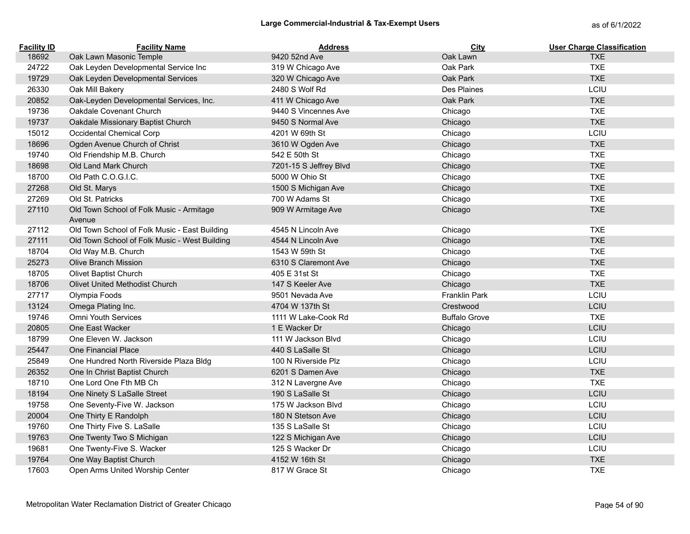| <b>Facility ID</b> | <b>Facility Name</b>                               | <b>Address</b>         | City                 | <b>User Charge Classification</b> |
|--------------------|----------------------------------------------------|------------------------|----------------------|-----------------------------------|
| 18692              | Oak Lawn Masonic Temple                            | 9420 52nd Ave          | Oak Lawn             | <b>TXE</b>                        |
| 24722              | Oak Leyden Developmental Service Inc               | 319 W Chicago Ave      | Oak Park             | <b>TXE</b>                        |
| 19729              | Oak Leyden Developmental Services                  | 320 W Chicago Ave      | Oak Park             | <b>TXE</b>                        |
| 26330              | Oak Mill Bakery                                    | 2480 S Wolf Rd         | Des Plaines          | LCIU                              |
| 20852              | Oak-Leyden Developmental Services, Inc.            | 411 W Chicago Ave      | Oak Park             | <b>TXE</b>                        |
| 19736              | Oakdale Covenant Church                            | 9440 S Vincennes Ave   | Chicago              | <b>TXE</b>                        |
| 19737              | Oakdale Missionary Baptist Church                  | 9450 S Normal Ave      | Chicago              | <b>TXE</b>                        |
| 15012              | Occidental Chemical Corp                           | 4201 W 69th St         | Chicago              | LCIU                              |
| 18696              | Ogden Avenue Church of Christ                      | 3610 W Ogden Ave       | Chicago              | <b>TXE</b>                        |
| 19740              | Old Friendship M.B. Church                         | 542 E 50th St          | Chicago              | <b>TXE</b>                        |
| 18698              | Old Land Mark Church                               | 7201-15 S Jeffrey Blvd | Chicago              | <b>TXE</b>                        |
| 18700              | Old Path C.O.G.I.C.                                | 5000 W Ohio St         | Chicago              | <b>TXE</b>                        |
| 27268              | Old St. Marys                                      | 1500 S Michigan Ave    | Chicago              | <b>TXE</b>                        |
| 27269              | Old St. Patricks                                   | 700 W Adams St         | Chicago              | <b>TXE</b>                        |
| 27110              | Old Town School of Folk Music - Armitage<br>Avenue | 909 W Armitage Ave     | Chicago              | <b>TXE</b>                        |
| 27112              | Old Town School of Folk Music - East Building      | 4545 N Lincoln Ave     | Chicago              | <b>TXE</b>                        |
| 27111              | Old Town School of Folk Music - West Building      | 4544 N Lincoln Ave     | Chicago              | <b>TXE</b>                        |
| 18704              | Old Way M.B. Church                                | 1543 W 59th St         | Chicago              | <b>TXE</b>                        |
| 25273              | <b>Olive Branch Mission</b>                        | 6310 S Claremont Ave   | Chicago              | <b>TXE</b>                        |
| 18705              | Olivet Baptist Church                              | 405 E 31st St          | Chicago              | <b>TXE</b>                        |
| 18706              | <b>Olivet United Methodist Church</b>              | 147 S Keeler Ave       | Chicago              | <b>TXE</b>                        |
| 27717              | Olympia Foods                                      | 9501 Nevada Ave        | <b>Franklin Park</b> | LCIU                              |
| 13124              | Omega Plating Inc.                                 | 4704 W 137th St        | Crestwood            | LCIU                              |
| 19746              | <b>Omni Youth Services</b>                         | 1111 W Lake-Cook Rd    | <b>Buffalo Grove</b> | <b>TXE</b>                        |
| 20805              | One East Wacker                                    | 1 E Wacker Dr          | Chicago              | LCIU                              |
| 18799              | One Eleven W. Jackson                              | 111 W Jackson Blvd     | Chicago              | LCIU                              |
| 25447              | One Financial Place                                | 440 S LaSalle St       | Chicago              | LCIU                              |
| 25849              | One Hundred North Riverside Plaza Bldg             | 100 N Riverside Plz    | Chicago              | LCIU                              |
| 26352              | One In Christ Baptist Church                       | 6201 S Damen Ave       | Chicago              | <b>TXE</b>                        |
| 18710              | One Lord One Fth MB Ch                             | 312 N Lavergne Ave     | Chicago              | <b>TXE</b>                        |
| 18194              | One Ninety S LaSalle Street                        | 190 S LaSalle St       | Chicago              | LCIU                              |
| 19758              | One Seventy-Five W. Jackson                        | 175 W Jackson Blvd     | Chicago              | LCIU                              |
| 20004              | One Thirty E Randolph                              | 180 N Stetson Ave      | Chicago              | LCIU                              |
| 19760              | One Thirty Five S. LaSalle                         | 135 S LaSalle St       | Chicago              | LCIU                              |
| 19763              | One Twenty Two S Michigan                          | 122 S Michigan Ave     | Chicago              | LCIU                              |
| 19681              | One Twenty-Five S. Wacker                          | 125 S Wacker Dr        | Chicago              | LCIU                              |
| 19764              | One Way Baptist Church                             | 4152 W 16th St         | Chicago              | <b>TXE</b>                        |
| 17603              | Open Arms United Worship Center                    | 817 W Grace St         | Chicago              | <b>TXE</b>                        |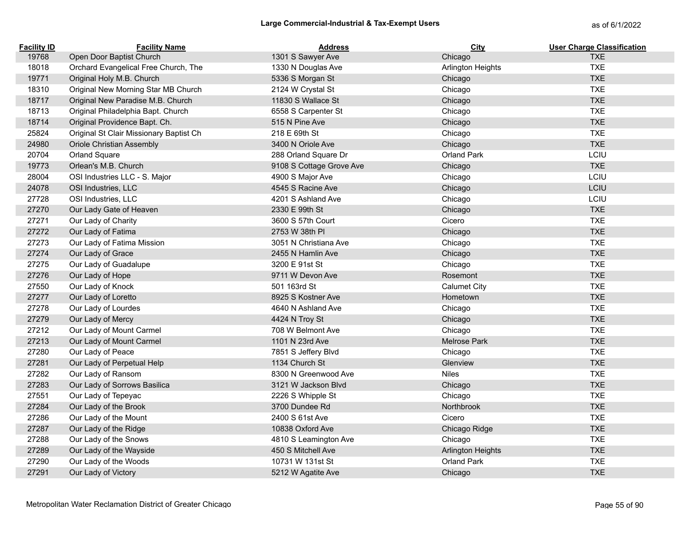| <b>Facility ID</b> | <b>Facility Name</b>                    | <b>Address</b>           | <b>City</b>              | <b>User Charge Classification</b> |
|--------------------|-----------------------------------------|--------------------------|--------------------------|-----------------------------------|
| 19768              | Open Door Baptist Church                | 1301 S Sawyer Ave        | Chicago                  | <b>TXE</b>                        |
| 18018              | Orchard Evangelical Free Church, The    | 1330 N Douglas Ave       | Arlington Heights        | <b>TXE</b>                        |
| 19771              | Original Holy M.B. Church               | 5336 S Morgan St         | Chicago                  | <b>TXE</b>                        |
| 18310              | Original New Morning Star MB Church     | 2124 W Crystal St        | Chicago                  | <b>TXE</b>                        |
| 18717              | Original New Paradise M.B. Church       | 11830 S Wallace St       | Chicago                  | <b>TXE</b>                        |
| 18713              | Original Philadelphia Bapt. Church      | 6558 S Carpenter St      | Chicago                  | <b>TXE</b>                        |
| 18714              | Original Providence Bapt. Ch.           | 515 N Pine Ave           | Chicago                  | <b>TXE</b>                        |
| 25824              | Original St Clair Missionary Baptist Ch | 218 E 69th St            | Chicago                  | <b>TXE</b>                        |
| 24980              | Oriole Christian Assembly               | 3400 N Oriole Ave        | Chicago                  | <b>TXE</b>                        |
| 20704              | Orland Square                           | 288 Orland Square Dr     | Orland Park              | LCIU                              |
| 19773              | Orlean's M.B. Church                    | 9108 S Cottage Grove Ave | Chicago                  | <b>TXE</b>                        |
| 28004              | OSI Industries LLC - S. Major           | 4900 S Major Ave         | Chicago                  | LCIU                              |
| 24078              | OSI Industries, LLC                     | 4545 S Racine Ave        | Chicago                  | LCIU                              |
| 27728              | OSI Industries, LLC                     | 4201 S Ashland Ave       | Chicago                  | LCIU                              |
| 27270              | Our Lady Gate of Heaven                 | 2330 E 99th St           | Chicago                  | <b>TXE</b>                        |
| 27271              | Our Lady of Charity                     | 3600 S 57th Court        | Cicero                   | <b>TXE</b>                        |
| 27272              | Our Lady of Fatima                      | 2753 W 38th PI           | Chicago                  | <b>TXE</b>                        |
| 27273              | Our Lady of Fatima Mission              | 3051 N Christiana Ave    | Chicago                  | <b>TXE</b>                        |
| 27274              | Our Lady of Grace                       | 2455 N Hamlin Ave        | Chicago                  | <b>TXE</b>                        |
| 27275              | Our Lady of Guadalupe                   | 3200 E 91st St           | Chicago                  | <b>TXE</b>                        |
| 27276              | Our Lady of Hope                        | 9711 W Devon Ave         | Rosemont                 | <b>TXE</b>                        |
| 27550              | Our Lady of Knock                       | 501 163rd St             | <b>Calumet City</b>      | <b>TXE</b>                        |
| 27277              | Our Lady of Loretto                     | 8925 S Kostner Ave       | Hometown                 | <b>TXE</b>                        |
| 27278              | Our Lady of Lourdes                     | 4640 N Ashland Ave       | Chicago                  | <b>TXE</b>                        |
| 27279              | Our Lady of Mercy                       | 4424 N Troy St           | Chicago                  | <b>TXE</b>                        |
| 27212              | Our Lady of Mount Carmel                | 708 W Belmont Ave        | Chicago                  | <b>TXE</b>                        |
| 27213              | Our Lady of Mount Carmel                | 1101 N 23rd Ave          | Melrose Park             | <b>TXE</b>                        |
| 27280              | Our Lady of Peace                       | 7851 S Jeffery Blvd      | Chicago                  | <b>TXE</b>                        |
| 27281              | Our Lady of Perpetual Help              | 1134 Church St           | Glenview                 | <b>TXE</b>                        |
| 27282              | Our Lady of Ransom                      | 8300 N Greenwood Ave     | <b>Niles</b>             | <b>TXE</b>                        |
| 27283              | Our Lady of Sorrows Basilica            | 3121 W Jackson Blvd      | Chicago                  | <b>TXE</b>                        |
| 27551              | Our Lady of Tepeyac                     | 2226 S Whipple St        | Chicago                  | <b>TXE</b>                        |
| 27284              | Our Lady of the Brook                   | 3700 Dundee Rd           | Northbrook               | <b>TXE</b>                        |
| 27286              | Our Lady of the Mount                   | 2400 S 61st Ave          | Cicero                   | <b>TXE</b>                        |
| 27287              | Our Lady of the Ridge                   | 10838 Oxford Ave         | Chicago Ridge            | <b>TXE</b>                        |
| 27288              | Our Lady of the Snows                   | 4810 S Leamington Ave    | Chicago                  | <b>TXE</b>                        |
| 27289              | Our Lady of the Wayside                 | 450 S Mitchell Ave       | <b>Arlington Heights</b> | <b>TXE</b>                        |
| 27290              | Our Lady of the Woods                   | 10731 W 131st St         | Orland Park              | <b>TXE</b>                        |
| 27291              | Our Lady of Victory                     | 5212 W Agatite Ave       | Chicago                  | <b>TXE</b>                        |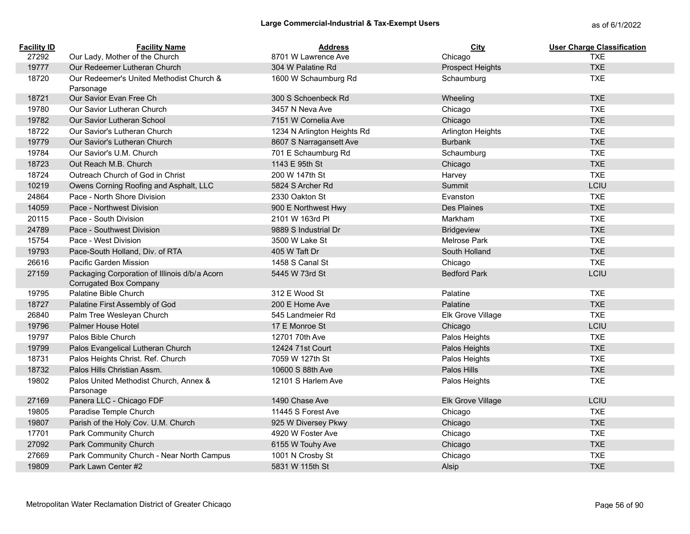| <b>Facility ID</b> | <b>Facility Name</b>                                                           | <b>Address</b>              | <b>City</b>              | <b>User Charge Classification</b> |
|--------------------|--------------------------------------------------------------------------------|-----------------------------|--------------------------|-----------------------------------|
| 27292              | Our Lady, Mother of the Church                                                 | 8701 W Lawrence Ave         | Chicago                  | <b>TXE</b>                        |
| 19777              | Our Redeemer Lutheran Church                                                   | 304 W Palatine Rd           | <b>Prospect Heights</b>  | <b>TXE</b>                        |
| 18720              | Our Redeemer's United Methodist Church &<br>Parsonage                          | 1600 W Schaumburg Rd        | Schaumburg               | <b>TXE</b>                        |
| 18721              | Our Savior Evan Free Ch                                                        | 300 S Schoenbeck Rd         | Wheeling                 | <b>TXE</b>                        |
| 19780              | Our Savior Lutheran Church                                                     | 3457 N Neva Ave             | Chicago                  | <b>TXE</b>                        |
| 19782              | Our Savior Lutheran School                                                     | 7151 W Cornelia Ave         | Chicago                  | <b>TXE</b>                        |
| 18722              | Our Savior's Lutheran Church                                                   | 1234 N Arlington Heights Rd | <b>Arlington Heights</b> | <b>TXE</b>                        |
| 19779              | Our Savior's Lutheran Church                                                   | 8607 S Narragansett Ave     | <b>Burbank</b>           | <b>TXE</b>                        |
| 19784              | Our Savior's U.M. Church                                                       | 701 E Schaumburg Rd         | Schaumburg               | <b>TXE</b>                        |
| 18723              | Out Reach M.B. Church                                                          | 1143 E 95th St              | Chicago                  | <b>TXE</b>                        |
| 18724              | Outreach Church of God in Christ                                               | 200 W 147th St              | Harvey                   | <b>TXE</b>                        |
| 10219              | Owens Corning Roofing and Asphalt, LLC                                         | 5824 S Archer Rd            | Summit                   | LCIU                              |
| 24864              | Pace - North Shore Division                                                    | 2330 Oakton St              | Evanston                 | <b>TXE</b>                        |
| 14059              | Pace - Northwest Division                                                      | 900 E Northwest Hwy         | <b>Des Plaines</b>       | <b>TXE</b>                        |
| 20115              | Pace - South Division                                                          | 2101 W 163rd PI             | Markham                  | <b>TXE</b>                        |
| 24789              | Pace - Southwest Division                                                      | 9889 S Industrial Dr        | <b>Bridgeview</b>        | <b>TXE</b>                        |
| 15754              | Pace - West Division                                                           | 3500 W Lake St              | <b>Melrose Park</b>      | <b>TXE</b>                        |
| 19793              | Pace-South Holland, Div. of RTA                                                | 405 W Taft Dr               | South Holland            | <b>TXE</b>                        |
| 26616              | Pacific Garden Mission                                                         | 1458 S Canal St             | Chicago                  | <b>TXE</b>                        |
| 27159              | Packaging Corporation of Illinois d/b/a Acorn<br><b>Corrugated Box Company</b> | 5445 W 73rd St              | <b>Bedford Park</b>      | LCIU                              |
| 19795              | Palatine Bible Church                                                          | 312 E Wood St               | Palatine                 | <b>TXE</b>                        |
| 18727              | Palatine First Assembly of God                                                 | 200 E Home Ave              | Palatine                 | <b>TXE</b>                        |
| 26840              | Palm Tree Wesleyan Church                                                      | 545 Landmeier Rd            | Elk Grove Village        | <b>TXE</b>                        |
| 19796              | <b>Palmer House Hotel</b>                                                      | 17 E Monroe St              | Chicago                  | LCIU                              |
| 19797              | Palos Bible Church                                                             | 12701 70th Ave              | Palos Heights            | <b>TXE</b>                        |
| 19799              | Palos Evangelical Lutheran Church                                              | 12424 71st Court            | Palos Heights            | <b>TXE</b>                        |
| 18731              | Palos Heights Christ. Ref. Church                                              | 7059 W 127th St             | Palos Heights            | <b>TXE</b>                        |
| 18732              | Palos Hills Christian Assm.                                                    | 10600 S 88th Ave            | Palos Hills              | <b>TXE</b>                        |
| 19802              | Palos United Methodist Church, Annex &<br>Parsonage                            | 12101 S Harlem Ave          | Palos Heights            | <b>TXE</b>                        |
| 27169              | Panera LLC - Chicago FDF                                                       | 1490 Chase Ave              | Elk Grove Village        | LCIU                              |
| 19805              | Paradise Temple Church                                                         | 11445 S Forest Ave          | Chicago                  | <b>TXE</b>                        |
| 19807              | Parish of the Holy Cov. U.M. Church                                            | 925 W Diversey Pkwy         | Chicago                  | <b>TXE</b>                        |
| 17701              | Park Community Church                                                          | 4920 W Foster Ave           | Chicago                  | <b>TXE</b>                        |
| 27092              | Park Community Church                                                          | 6155 W Touhy Ave            | Chicago                  | <b>TXE</b>                        |
| 27669              | Park Community Church - Near North Campus                                      | 1001 N Crosby St            | Chicago                  | <b>TXE</b>                        |
| 19809              | Park Lawn Center #2                                                            | 5831 W 115th St             | Alsip                    | <b>TXE</b>                        |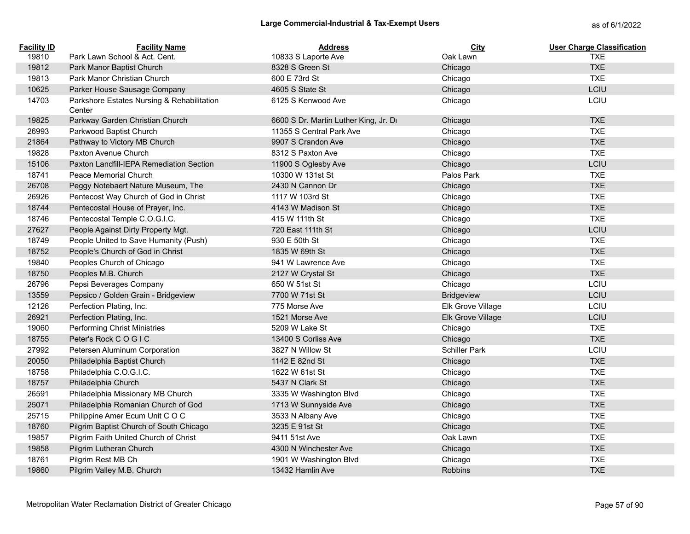| <b>Facility ID</b> | <b>Facility Name</b>                                 | <b>Address</b>                        | City                 | <b>User Charge Classification</b> |
|--------------------|------------------------------------------------------|---------------------------------------|----------------------|-----------------------------------|
| 19810              | Park Lawn School & Act. Cent.                        | 10833 S Laporte Ave                   | Oak Lawn             | <b>TXE</b>                        |
| 19812              | Park Manor Baptist Church                            | 8328 S Green St                       | Chicago              | <b>TXE</b>                        |
| 19813              | Park Manor Christian Church                          | 600 E 73rd St                         | Chicago              | <b>TXE</b>                        |
| 10625              | Parker House Sausage Company                         | 4605 S State St                       | Chicago              | LCIU                              |
| 14703              | Parkshore Estates Nursing & Rehabilitation<br>Center | 6125 S Kenwood Ave                    | Chicago              | LCIU                              |
| 19825              | Parkway Garden Christian Church                      | 6600 S Dr. Martin Luther King, Jr. Dr | Chicago              | <b>TXE</b>                        |
| 26993              | Parkwood Baptist Church                              | 11355 S Central Park Ave              | Chicago              | <b>TXE</b>                        |
| 21864              | Pathway to Victory MB Church                         | 9907 S Crandon Ave                    | Chicago              | <b>TXE</b>                        |
| 19828              | Paxton Avenue Church                                 | 8312 S Paxton Ave                     | Chicago              | <b>TXE</b>                        |
| 15106              | Paxton Landfill-IEPA Remediation Section             | 11900 S Oglesby Ave                   | Chicago              | LCIU                              |
| 18741              | Peace Memorial Church                                | 10300 W 131st St                      | Palos Park           | <b>TXE</b>                        |
| 26708              | Peggy Notebaert Nature Museum, The                   | 2430 N Cannon Dr                      | Chicago              | <b>TXE</b>                        |
| 26926              | Pentecost Way Church of God in Christ                | 1117 W 103rd St                       | Chicago              | <b>TXE</b>                        |
| 18744              | Pentecostal House of Prayer, Inc.                    | 4143 W Madison St                     | Chicago              | <b>TXE</b>                        |
| 18746              | Pentecostal Temple C.O.G.I.C.                        | 415 W 111th St                        | Chicago              | <b>TXE</b>                        |
| 27627              | People Against Dirty Property Mgt.                   | 720 East 111th St                     | Chicago              | LCIU                              |
| 18749              | People United to Save Humanity (Push)                | 930 E 50th St                         | Chicago              | <b>TXE</b>                        |
| 18752              | People's Church of God in Christ                     | 1835 W 69th St                        | Chicago              | <b>TXE</b>                        |
| 19840              | Peoples Church of Chicago                            | 941 W Lawrence Ave                    | Chicago              | <b>TXE</b>                        |
| 18750              | Peoples M.B. Church                                  | 2127 W Crystal St                     | Chicago              | <b>TXE</b>                        |
| 26796              | Pepsi Beverages Company                              | 650 W 51st St                         | Chicago              | LCIU                              |
| 13559              | Pepsico / Golden Grain - Bridgeview                  | 7700 W 71st St                        | <b>Bridgeview</b>    | LCIU                              |
| 12126              | Perfection Plating, Inc.                             | 775 Morse Ave                         | Elk Grove Village    | LCIU                              |
| 26921              | Perfection Plating, Inc.                             | 1521 Morse Ave                        | Elk Grove Village    | LCIU                              |
| 19060              | <b>Performing Christ Ministries</b>                  | 5209 W Lake St                        | Chicago              | <b>TXE</b>                        |
| 18755              | Peter's Rock C O G I C                               | 13400 S Corliss Ave                   | Chicago              | <b>TXE</b>                        |
| 27992              | Petersen Aluminum Corporation                        | 3827 N Willow St                      | <b>Schiller Park</b> | LCIU                              |
| 20050              | Philadelphia Baptist Church                          | 1142 E 82nd St                        | Chicago              | <b>TXE</b>                        |
| 18758              | Philadelphia C.O.G.I.C.                              | 1622 W 61st St                        | Chicago              | <b>TXE</b>                        |
| 18757              | Philadelphia Church                                  | 5437 N Clark St                       | Chicago              | <b>TXE</b>                        |
| 26591              | Philadelphia Missionary MB Church                    | 3335 W Washington Blvd                | Chicago              | <b>TXE</b>                        |
| 25071              | Philadelphia Romanian Church of God                  | 1713 W Sunnyside Ave                  | Chicago              | <b>TXE</b>                        |
| 25715              | Philippine Amer Ecum Unit COC                        | 3533 N Albany Ave                     | Chicago              | <b>TXE</b>                        |
| 18760              | Pilgrim Baptist Church of South Chicago              | 3235 E 91st St                        | Chicago              | <b>TXE</b>                        |
| 19857              | Pilgrim Faith United Church of Christ                | 9411 51st Ave                         | Oak Lawn             | <b>TXE</b>                        |
| 19858              | Pilgrim Lutheran Church                              | 4300 N Winchester Ave                 | Chicago              | <b>TXE</b>                        |
| 18761              | Pilgrim Rest MB Ch                                   | 1901 W Washington Blvd                | Chicago              | <b>TXE</b>                        |
| 19860              | Pilgrim Valley M.B. Church                           | 13432 Hamlin Ave                      | <b>Robbins</b>       | <b>TXE</b>                        |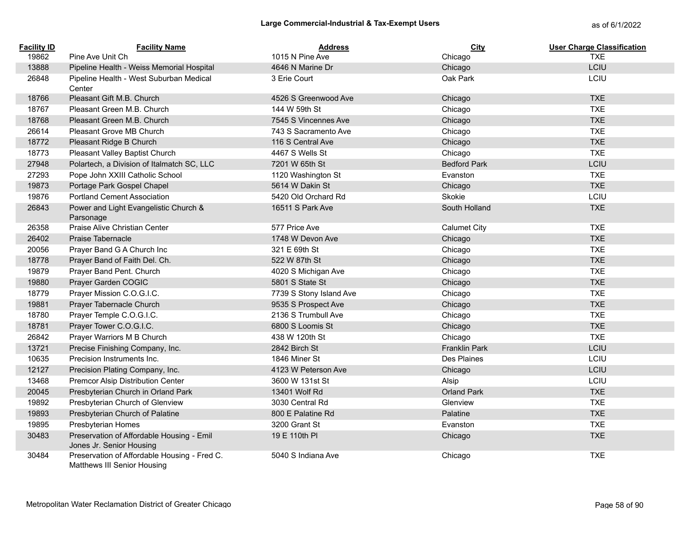## Large Commercial-Industrial & Tax-Exempt Users<br>
as of 6/1/2022

| <b>Facility ID</b> | <b>Facility Name</b>                                                        | <b>Address</b>          | <b>City</b>          | <b>User Charge Classification</b> |
|--------------------|-----------------------------------------------------------------------------|-------------------------|----------------------|-----------------------------------|
| 19862              | Pine Ave Unit Ch                                                            | 1015 N Pine Ave         | Chicago              | <b>TXE</b>                        |
| 13888              | Pipeline Health - Weiss Memorial Hospital                                   | 4646 N Marine Dr        | Chicago              | LCIU                              |
| 26848              | Pipeline Health - West Suburban Medical<br>Center                           | 3 Erie Court            | Oak Park             | LCIU                              |
| 18766              | Pleasant Gift M.B. Church                                                   | 4526 S Greenwood Ave    | Chicago              | <b>TXE</b>                        |
| 18767              | Pleasant Green M.B. Church                                                  | 144 W 59th St           | Chicago              | <b>TXE</b>                        |
| 18768              | Pleasant Green M.B. Church                                                  | 7545 S Vincennes Ave    | Chicago              | <b>TXE</b>                        |
| 26614              | Pleasant Grove MB Church                                                    | 743 S Sacramento Ave    | Chicago              | <b>TXE</b>                        |
| 18772              | Pleasant Ridge B Church                                                     | 116 S Central Ave       | Chicago              | <b>TXE</b>                        |
| 18773              | Pleasant Valley Baptist Church                                              | 4467 S Wells St         | Chicago              | <b>TXE</b>                        |
| 27948              | Polartech, a Division of Italmatch SC, LLC                                  | 7201 W 65th St          | <b>Bedford Park</b>  | LCIU                              |
| 27293              | Pope John XXIII Catholic School                                             | 1120 Washington St      | Evanston             | <b>TXE</b>                        |
| 19873              | Portage Park Gospel Chapel                                                  | 5614 W Dakin St         | Chicago              | <b>TXE</b>                        |
| 19876              | <b>Portland Cement Association</b>                                          | 5420 Old Orchard Rd     | Skokie               | LCIU                              |
| 26843              | Power and Light Evangelistic Church &<br>Parsonage                          | 16511 S Park Ave        | South Holland        | <b>TXE</b>                        |
| 26358              | Praise Alive Christian Center                                               | 577 Price Ave           | <b>Calumet City</b>  | <b>TXE</b>                        |
| 26402              | Praise Tabernacle                                                           | 1748 W Devon Ave        | Chicago              | <b>TXE</b>                        |
| 20056              | Prayer Band G A Church Inc                                                  | 321 E 69th St           | Chicago              | <b>TXE</b>                        |
| 18778              | Prayer Band of Faith Del. Ch.                                               | 522 W 87th St           | Chicago              | <b>TXE</b>                        |
| 19879              | Prayer Band Pent. Church                                                    | 4020 S Michigan Ave     | Chicago              | <b>TXE</b>                        |
| 19880              | Prayer Garden COGIC                                                         | 5801 S State St         | Chicago              | <b>TXE</b>                        |
| 18779              | Prayer Mission C.O.G.I.C.                                                   | 7739 S Stony Island Ave | Chicago              | <b>TXE</b>                        |
| 19881              | Prayer Tabernacle Church                                                    | 9535 S Prospect Ave     | Chicago              | <b>TXE</b>                        |
| 18780              | Prayer Temple C.O.G.I.C.                                                    | 2136 S Trumbull Ave     | Chicago              | <b>TXE</b>                        |
| 18781              | Prayer Tower C.O.G.I.C.                                                     | 6800 S Loomis St        | Chicago              | <b>TXE</b>                        |
| 26842              | Prayer Warriors M B Church                                                  | 438 W 120th St          | Chicago              | <b>TXE</b>                        |
| 13721              | Precise Finishing Company, Inc.                                             | 2842 Birch St           | <b>Franklin Park</b> | LCIU                              |
| 10635              | Precision Instruments Inc.                                                  | 1846 Miner St           | Des Plaines          | LCIU                              |
| 12127              | Precision Plating Company, Inc.                                             | 4123 W Peterson Ave     | Chicago              | LCIU                              |
| 13468              | Premcor Alsip Distribution Center                                           | 3600 W 131st St         | Alsip                | LCIU                              |
| 20045              | Presbyterian Church in Orland Park                                          | 13401 Wolf Rd           | <b>Orland Park</b>   | <b>TXE</b>                        |
| 19892              | Presbyterian Church of Glenview                                             | 3030 Central Rd         | Glenview             | <b>TXE</b>                        |
| 19893              | Presbyterian Church of Palatine                                             | 800 E Palatine Rd       | Palatine             | <b>TXE</b>                        |
| 19895              | Presbyterian Homes                                                          | 3200 Grant St           | Evanston             | <b>TXE</b>                        |
| 30483              | Preservation of Affordable Housing - Emil<br>Jones Jr. Senior Housing       | 19 E 110th PI           | Chicago              | <b>TXE</b>                        |
| 30484              | Preservation of Affordable Housing - Fred C.<br>Matthews III Senior Housing | 5040 S Indiana Ave      | Chicago              | <b>TXE</b>                        |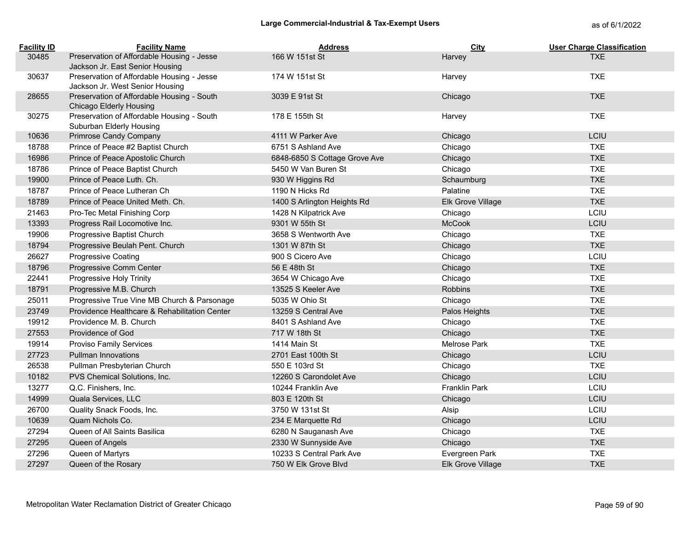| <b>Facility ID</b> | <b>Facility Name</b>                                                  | <b>Address</b>                | <b>City</b>       | <b>User Charge Classification</b> |
|--------------------|-----------------------------------------------------------------------|-------------------------------|-------------------|-----------------------------------|
| 30485              | Preservation of Affordable Housing - Jesse                            | 166 W 151st St                | Harvey            | <b>TXF</b>                        |
|                    | Jackson Jr. East Senior Housing                                       |                               |                   |                                   |
| 30637              | Preservation of Affordable Housing - Jesse                            | 174 W 151st St                | Harvey            | <b>TXE</b>                        |
|                    | Jackson Jr. West Senior Housing                                       |                               |                   |                                   |
| 28655              | Preservation of Affordable Housing - South                            | 3039 E 91st St                | Chicago           | <b>TXE</b>                        |
| 30275              | Chicago Elderly Housing<br>Preservation of Affordable Housing - South | 178 E 155th St                |                   | <b>TXE</b>                        |
|                    | Suburban Elderly Housing                                              |                               | Harvey            |                                   |
| 10636              | Primrose Candy Company                                                | 4111 W Parker Ave             | Chicago           | LCIU                              |
| 18788              | Prince of Peace #2 Baptist Church                                     | 6751 S Ashland Ave            | Chicago           | <b>TXE</b>                        |
| 16986              | Prince of Peace Apostolic Church                                      | 6848-6850 S Cottage Grove Ave | Chicago           | <b>TXE</b>                        |
| 18786              | Prince of Peace Baptist Church                                        | 5450 W Van Buren St           | Chicago           | <b>TXE</b>                        |
| 19900              | Prince of Peace Luth. Ch.                                             | 930 W Higgins Rd              | Schaumburg        | <b>TXE</b>                        |
| 18787              | Prince of Peace Lutheran Ch                                           | 1190 N Hicks Rd               | Palatine          | <b>TXE</b>                        |
| 18789              | Prince of Peace United Meth. Ch.                                      | 1400 S Arlington Heights Rd   | Elk Grove Village | <b>TXE</b>                        |
| 21463              | Pro-Tec Metal Finishing Corp                                          | 1428 N Kilpatrick Ave         | Chicago           | LCIU                              |
| 13393              | Progress Rail Locomotive Inc.                                         | 9301 W 55th St                | <b>McCook</b>     | LCIU                              |
| 19906              | Progressive Baptist Church                                            | 3658 S Wentworth Ave          | Chicago           | <b>TXE</b>                        |
| 18794              | Progressive Beulah Pent. Church                                       | 1301 W 87th St                | Chicago           | <b>TXE</b>                        |
| 26627              | <b>Progressive Coating</b>                                            | 900 S Cicero Ave              | Chicago           | LCIU                              |
| 18796              | Progressive Comm Center                                               | 56 E 48th St                  | Chicago           | <b>TXE</b>                        |
| 22441              | Progressive Holy Trinity                                              | 3654 W Chicago Ave            | Chicago           | <b>TXE</b>                        |
| 18791              | Progressive M.B. Church                                               | 13525 S Keeler Ave            | <b>Robbins</b>    | <b>TXE</b>                        |
| 25011              | Progressive True Vine MB Church & Parsonage                           | 5035 W Ohio St                | Chicago           | <b>TXE</b>                        |
| 23749              | Providence Healthcare & Rehabilitation Center                         | 13259 S Central Ave           | Palos Heights     | <b>TXE</b>                        |
| 19912              | Providence M. B. Church                                               | 8401 S Ashland Ave            | Chicago           | <b>TXE</b>                        |
| 27553              | Providence of God                                                     | 717 W 18th St                 | Chicago           | <b>TXE</b>                        |
| 19914              | <b>Proviso Family Services</b>                                        | 1414 Main St                  | Melrose Park      | <b>TXE</b>                        |
| 27723              | <b>Pullman Innovations</b>                                            | 2701 East 100th St            | Chicago           | LCIU                              |
| 26538              | Pullman Presbyterian Church                                           | 550 E 103rd St                | Chicago           | <b>TXE</b>                        |
| 10182              | PVS Chemical Solutions, Inc.                                          | 12260 S Carondolet Ave        | Chicago           | LCIU                              |
| 13277              | Q.C. Finishers, Inc.                                                  | 10244 Franklin Ave            | Franklin Park     | LCIU                              |
| 14999              | Quala Services, LLC                                                   | 803 E 120th St                | Chicago           | LCIU                              |
| 26700              | Quality Snack Foods, Inc.                                             | 3750 W 131st St               | Alsip             | LCIU                              |
| 10639              | Quam Nichols Co.                                                      | 234 E Marquette Rd            | Chicago           | LCIU                              |
| 27294              | Queen of All Saints Basilica                                          | 6280 N Sauganash Ave          | Chicago           | <b>TXE</b>                        |
| 27295              | Queen of Angels                                                       | 2330 W Sunnyside Ave          | Chicago           | <b>TXE</b>                        |
| 27296              | Queen of Martyrs                                                      | 10233 S Central Park Ave      | Evergreen Park    | <b>TXE</b>                        |
| 27297              | Queen of the Rosary                                                   | 750 W Elk Grove Blvd          | Elk Grove Village | <b>TXE</b>                        |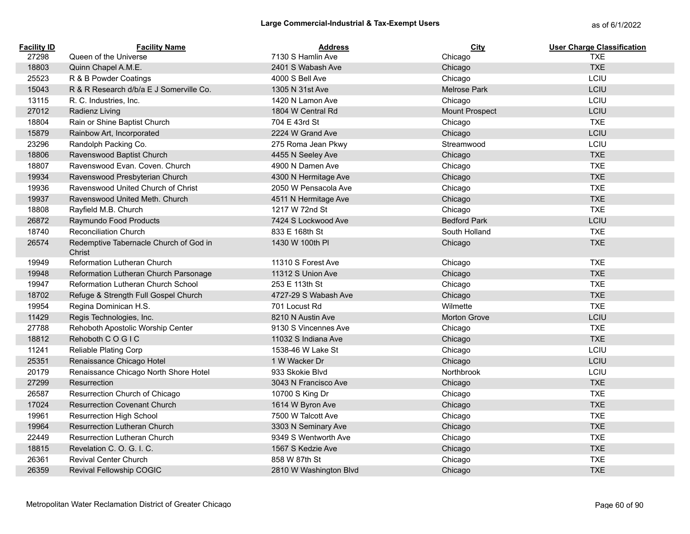| <b>Facility ID</b> | <b>Facility Name</b>                             | <b>Address</b>         | City                | <b>User Charge Classification</b> |
|--------------------|--------------------------------------------------|------------------------|---------------------|-----------------------------------|
| 27298              | Queen of the Universe                            | 7130 S Hamlin Ave      | Chicago             | <b>TXE</b>                        |
| 18803              | Quinn Chapel A.M.E.                              | 2401 S Wabash Ave      | Chicago             | <b>TXE</b>                        |
| 25523              | R & B Powder Coatings                            | 4000 S Bell Ave        | Chicago             | LCIU                              |
| 15043              | R & R Research d/b/a E J Somerville Co.          | 1305 N 31st Ave        | <b>Melrose Park</b> | LCIU                              |
| 13115              | R. C. Industries, Inc.                           | 1420 N Lamon Ave       | Chicago             | LCIU                              |
| 27012              | Radienz Living                                   | 1804 W Central Rd      | Mount Prospect      | LCIU                              |
| 18804              | Rain or Shine Baptist Church                     | 704 E 43rd St          | Chicago             | <b>TXE</b>                        |
| 15879              | Rainbow Art, Incorporated                        | 2224 W Grand Ave       | Chicago             | LCIU                              |
| 23296              | Randolph Packing Co.                             | 275 Roma Jean Pkwy     | Streamwood          | LCIU                              |
| 18806              | Ravenswood Baptist Church                        | 4455 N Seeley Ave      | Chicago             | <b>TXE</b>                        |
| 18807              | Ravenswood Evan, Coven, Church                   | 4900 N Damen Ave       | Chicago             | <b>TXE</b>                        |
| 19934              | Ravenswood Presbyterian Church                   | 4300 N Hermitage Ave   | Chicago             | <b>TXE</b>                        |
| 19936              | Ravenswood United Church of Christ               | 2050 W Pensacola Ave   | Chicago             | <b>TXE</b>                        |
| 19937              | Ravenswood United Meth. Church                   | 4511 N Hermitage Ave   | Chicago             | <b>TXE</b>                        |
| 18808              | Rayfield M.B. Church                             | 1217 W 72nd St         | Chicago             | <b>TXE</b>                        |
| 26872              | Raymundo Food Products                           | 7424 S Lockwood Ave    | <b>Bedford Park</b> | LCIU                              |
| 18740              | <b>Reconciliation Church</b>                     | 833 E 168th St         | South Holland       | <b>TXE</b>                        |
| 26574              | Redemptive Tabernacle Church of God in<br>Christ | 1430 W 100th PI        | Chicago             | <b>TXE</b>                        |
| 19949              | Reformation Lutheran Church                      | 11310 S Forest Ave     | Chicago             | <b>TXE</b>                        |
| 19948              | Reformation Lutheran Church Parsonage            | 11312 S Union Ave      | Chicago             | <b>TXE</b>                        |
| 19947              | Reformation Lutheran Church School               | 253 E 113th St         | Chicago             | <b>TXE</b>                        |
| 18702              | Refuge & Strength Full Gospel Church             | 4727-29 S Wabash Ave   | Chicago             | <b>TXE</b>                        |
| 19954              | Regina Dominican H.S.                            | 701 Locust Rd          | Wilmette            | <b>TXE</b>                        |
| 11429              | Regis Technologies, Inc.                         | 8210 N Austin Ave      | Morton Grove        | LCIU                              |
| 27788              | Rehoboth Apostolic Worship Center                | 9130 S Vincennes Ave   | Chicago             | <b>TXE</b>                        |
| 18812              | Rehoboth COGIC                                   | 11032 S Indiana Ave    | Chicago             | <b>TXE</b>                        |
| 11241              | Reliable Plating Corp                            | 1538-46 W Lake St      | Chicago             | LCIU                              |
| 25351              | Renaissance Chicago Hotel                        | 1 W Wacker Dr          | Chicago             | LCIU                              |
| 20179              | Renaissance Chicago North Shore Hotel            | 933 Skokie Blvd        | Northbrook          | LCIU                              |
| 27299              | Resurrection                                     | 3043 N Francisco Ave   | Chicago             | <b>TXE</b>                        |
| 26587              | Resurrection Church of Chicago                   | 10700 S King Dr        | Chicago             | <b>TXE</b>                        |
| 17024              | <b>Resurrection Covenant Church</b>              | 1614 W Byron Ave       | Chicago             | <b>TXE</b>                        |
| 19961              | <b>Resurrection High School</b>                  | 7500 W Talcott Ave     | Chicago             | <b>TXE</b>                        |
| 19964              | Resurrection Lutheran Church                     | 3303 N Seminary Ave    | Chicago             | <b>TXE</b>                        |
| 22449              | <b>Resurrection Lutheran Church</b>              | 9349 S Wentworth Ave   | Chicago             | <b>TXE</b>                        |
| 18815              | Revelation C. O. G. I. C.                        | 1567 S Kedzie Ave      | Chicago             | <b>TXE</b>                        |
| 26361              | <b>Revival Center Church</b>                     | 858 W 87th St          | Chicago             | <b>TXE</b>                        |
| 26359              | <b>Revival Fellowship COGIC</b>                  | 2810 W Washington Blvd | Chicago             | <b>TXE</b>                        |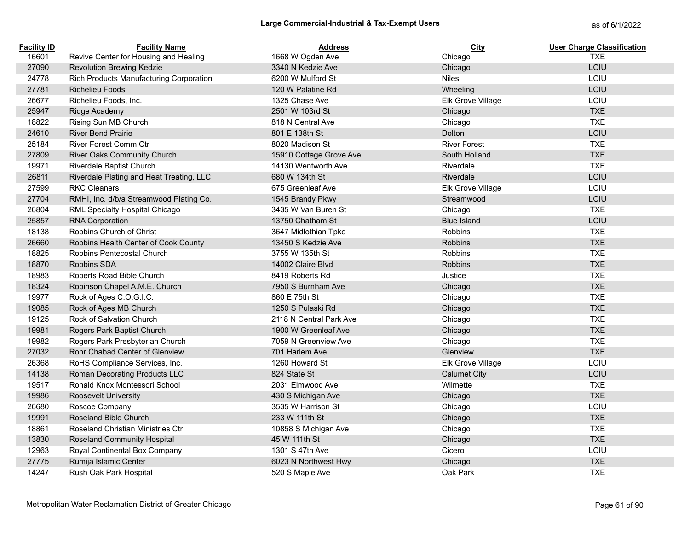| <b>Facility ID</b> | <b>Facility Name</b>                     | <b>Address</b>          | City                | <b>User Charge Classification</b> |
|--------------------|------------------------------------------|-------------------------|---------------------|-----------------------------------|
| 16601              | Revive Center for Housing and Healing    | 1668 W Ogden Ave        | Chicago             | <b>TXE</b>                        |
| 27090              | <b>Revolution Brewing Kedzie</b>         | 3340 N Kedzie Ave       | Chicago             | LCIU                              |
| 24778              | Rich Products Manufacturing Corporation  | 6200 W Mulford St       | <b>Niles</b>        | LCIU                              |
| 27781              | <b>Richelieu Foods</b>                   | 120 W Palatine Rd       | Wheeling            | LCIU                              |
| 26677              | Richelieu Foods, Inc.                    | 1325 Chase Ave          | Elk Grove Village   | LCIU                              |
| 25947              | Ridge Academy                            | 2501 W 103rd St         | Chicago             | <b>TXE</b>                        |
| 18822              | Rising Sun MB Church                     | 818 N Central Ave       | Chicago             | <b>TXE</b>                        |
| 24610              | <b>River Bend Prairie</b>                | 801 E 138th St          | Dolton              | LCIU                              |
| 25184              | <b>River Forest Comm Ctr</b>             | 8020 Madison St         | <b>River Forest</b> | <b>TXE</b>                        |
| 27809              | River Oaks Community Church              | 15910 Cottage Grove Ave | South Holland       | <b>TXE</b>                        |
| 19971              | Riverdale Baptist Church                 | 14130 Wentworth Ave     | Riverdale           | <b>TXE</b>                        |
| 26811              | Riverdale Plating and Heat Treating, LLC | 680 W 134th St          | Riverdale           | LCIU                              |
| 27599              | <b>RKC Cleaners</b>                      | 675 Greenleaf Ave       | Elk Grove Village   | LCIU                              |
| 27704              | RMHI, Inc. d/b/a Streamwood Plating Co.  | 1545 Brandy Pkwy        | Streamwood          | LCIU                              |
| 26804              | RML Specialty Hospital Chicago           | 3435 W Van Buren St     | Chicago             | <b>TXE</b>                        |
| 25857              | <b>RNA Corporation</b>                   | 13750 Chatham St        | <b>Blue Island</b>  | LCIU                              |
| 18138              | Robbins Church of Christ                 | 3647 Midlothian Tpke    | Robbins             | <b>TXE</b>                        |
| 26660              | Robbins Health Center of Cook County     | 13450 S Kedzie Ave      | <b>Robbins</b>      | <b>TXE</b>                        |
| 18825              | <b>Robbins Pentecostal Church</b>        | 3755 W 135th St         | Robbins             | <b>TXE</b>                        |
| 18870              | <b>Robbins SDA</b>                       | 14002 Claire Blvd       | <b>Robbins</b>      | <b>TXE</b>                        |
| 18983              | Roberts Road Bible Church                | 8419 Roberts Rd         | Justice             | <b>TXE</b>                        |
| 18324              | Robinson Chapel A.M.E. Church            | 7950 S Burnham Ave      | Chicago             | <b>TXE</b>                        |
| 19977              | Rock of Ages C.O.G.I.C.                  | 860 E 75th St           | Chicago             | <b>TXE</b>                        |
| 19085              | Rock of Ages MB Church                   | 1250 S Pulaski Rd       | Chicago             | <b>TXE</b>                        |
| 19125              | Rock of Salvation Church                 | 2118 N Central Park Ave | Chicago             | <b>TXE</b>                        |
| 19981              | Rogers Park Baptist Church               | 1900 W Greenleaf Ave    | Chicago             | <b>TXE</b>                        |
| 19982              | Rogers Park Presbyterian Church          | 7059 N Greenview Ave    | Chicago             | <b>TXE</b>                        |
| 27032              | Rohr Chabad Center of Glenview           | 701 Harlem Ave          | Glenview            | <b>TXE</b>                        |
| 26368              | RoHS Compliance Services, Inc.           | 1260 Howard St          | Elk Grove Village   | LCIU                              |
| 14138              | Roman Decorating Products LLC            | 824 State St            | <b>Calumet City</b> | LCIU                              |
| 19517              | Ronald Knox Montessori School            | 2031 Elmwood Ave        | Wilmette            | <b>TXE</b>                        |
| 19986              | <b>Roosevelt University</b>              | 430 S Michigan Ave      | Chicago             | <b>TXE</b>                        |
| 26680              | Roscoe Company                           | 3535 W Harrison St      | Chicago             | LCIU                              |
| 19991              | Roseland Bible Church                    | 233 W 111th St          | Chicago             | <b>TXE</b>                        |
| 18861              | Roseland Christian Ministries Ctr        | 10858 S Michigan Ave    | Chicago             | <b>TXE</b>                        |
| 13830              | <b>Roseland Community Hospital</b>       | 45 W 111th St           | Chicago             | <b>TXE</b>                        |
| 12963              | Royal Continental Box Company            | 1301 S 47th Ave         | Cicero              | LCIU                              |
| 27775              | Rumija Islamic Center                    | 6023 N Northwest Hwy    | Chicago             | <b>TXE</b>                        |
| 14247              | Rush Oak Park Hospital                   | 520 S Maple Ave         | Oak Park            | <b>TXE</b>                        |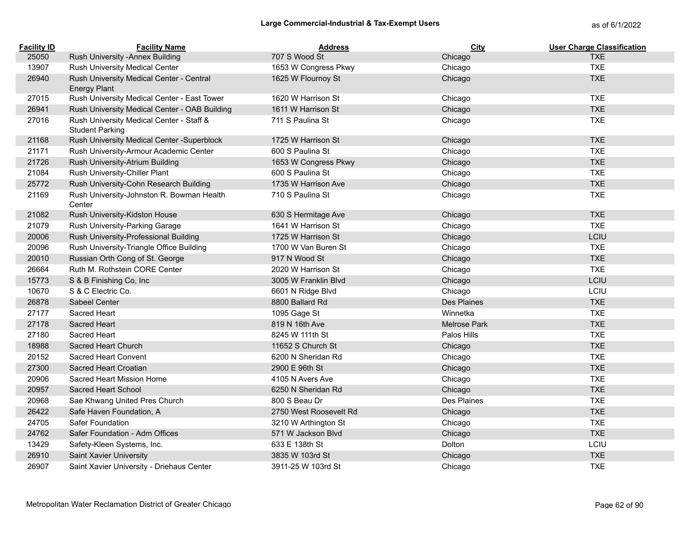| <b>Facility ID</b> | <b>Facility Name</b>                                               | <b>Address</b>         | <b>City</b>  | <b>User Charge Classification</b> |
|--------------------|--------------------------------------------------------------------|------------------------|--------------|-----------------------------------|
| 25050              | Rush University - Annex Building                                   | 707 S Wood St          | Chicago      | <b>TXE</b>                        |
| 13907              | Rush University Medical Center                                     | 1653 W Congress Pkwy   | Chicago      | <b>TXE</b>                        |
| 26940              | Rush University Medical Center - Central<br><b>Energy Plant</b>    | 1625 W Flournoy St     | Chicago      | <b>TXE</b>                        |
| 27015              | Rush University Medical Center - East Tower                        | 1620 W Harrison St     | Chicago      | <b>TXE</b>                        |
| 26941              | Rush University Medical Center - OAB Building                      | 1611 W Harrison St     | Chicago      | <b>TXE</b>                        |
| 27016              | Rush University Medical Center - Staff &<br><b>Student Parking</b> | 711 S Paulina St       | Chicago      | <b>TXE</b>                        |
| 21168              | Rush University Medical Center - Superblock                        | 1725 W Harrison St     | Chicago      | <b>TXE</b>                        |
| 21171              | Rush University-Armour Academic Center                             | 600 S Paulina St       | Chicago      | <b>TXE</b>                        |
| 21726              | Rush University-Atrium Building                                    | 1653 W Congress Pkwy   | Chicago      | <b>TXE</b>                        |
| 21084              | Rush University-Chiller Plant                                      | 600 S Paulina St       | Chicago      | <b>TXE</b>                        |
| 25772              | Rush University-Cohn Research Building                             | 1735 W Harrison Ave    | Chicago      | <b>TXE</b>                        |
| 21169              | Rush University-Johnston R. Bowman Health<br>Center                | 710 S Paulina St       | Chicago      | <b>TXE</b>                        |
| 21082              | Rush University-Kidston House                                      | 630 S Hermitage Ave    | Chicago      | <b>TXE</b>                        |
| 21079              | Rush University-Parking Garage                                     | 1641 W Harrison St     | Chicago      | <b>TXE</b>                        |
| 20006              | Rush University-Professional Building                              | 1725 W Harrison St     | Chicago      | LCIU                              |
| 20096              | Rush University-Triangle Office Building                           | 1700 W Van Buren St    | Chicago      | <b>TXE</b>                        |
| 20010              | Russian Orth Cong of St. George                                    | 917 N Wood St          | Chicago      | <b>TXE</b>                        |
| 26664              | Ruth M. Rothstein CORE Center                                      | 2020 W Harrison St     | Chicago      | <b>TXE</b>                        |
| 15773              | S & B Finishing Co, Inc                                            | 3005 W Franklin Blvd   | Chicago      | LCIU                              |
| 10670              | S & C Electric Co.                                                 | 6601 N Ridge Blvd      | Chicago      | LCIU                              |
| 26878              | Sabeel Center                                                      | 8800 Ballard Rd        | Des Plaines  | <b>TXE</b>                        |
| 27177              | Sacred Heart                                                       | 1095 Gage St           | Winnetka     | <b>TXE</b>                        |
| 27178              | Sacred Heart                                                       | 819 N 16th Ave         | Melrose Park | <b>TXE</b>                        |
| 27180              | Sacred Heart                                                       | 8245 W 111th St        | Palos Hills  | <b>TXE</b>                        |
| 18988              | Sacred Heart Church                                                | 11652 S Church St      | Chicago      | <b>TXE</b>                        |
| 20152              | Sacred Heart Convent                                               | 6200 N Sheridan Rd     | Chicago      | <b>TXE</b>                        |
| 27300              | Sacred Heart Croatian                                              | 2900 E 96th St         | Chicago      | <b>TXE</b>                        |
| 20906              | Sacred Heart Mission Home                                          | 4105 N Avers Ave       | Chicago      | <b>TXE</b>                        |
| 20957              | Sacred Heart School                                                | 6250 N Sheridan Rd     | Chicago      | <b>TXE</b>                        |
| 20968              | Sae Khwang United Pres Church                                      | 800 S Beau Dr          | Des Plaines  | <b>TXE</b>                        |
| 26422              | Safe Haven Foundation, A                                           | 2750 West Roosevelt Rd | Chicago      | <b>TXE</b>                        |
| 24705              | Safer Foundation                                                   | 3210 W Arthington St   | Chicago      | <b>TXE</b>                        |
| 24762              | Safer Foundation - Adm Offices                                     | 571 W Jackson Blvd     | Chicago      | <b>TXE</b>                        |
| 13429              | Safety-Kleen Systems, Inc.                                         | 633 E 138th St         | Dolton       | LCIU                              |
| 26910              | Saint Xavier University                                            | 3835 W 103rd St        | Chicago      | <b>TXE</b>                        |
| 26907              | Saint Xavier University - Driehaus Center                          | 3911-25 W 103rd St     | Chicago      | <b>TXE</b>                        |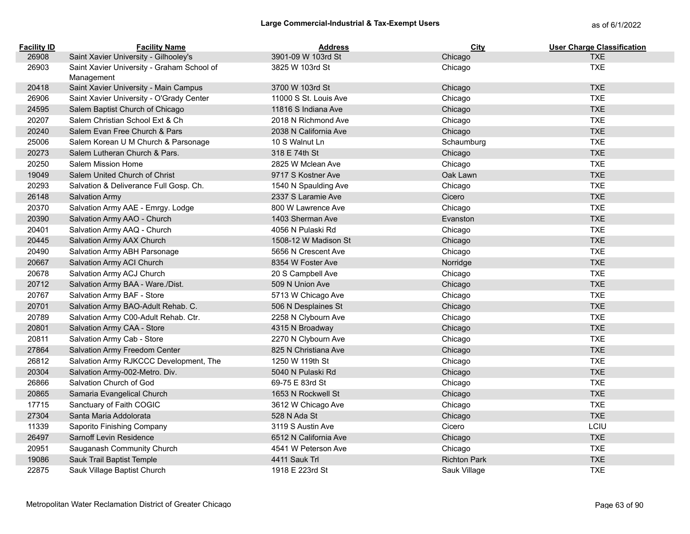| <b>Facility ID</b> | <b>Facility Name</b>                                     | <b>Address</b>        | City                | <b>User Charge Classification</b> |
|--------------------|----------------------------------------------------------|-----------------------|---------------------|-----------------------------------|
| 26908              | Saint Xavier University - Gilhooley's                    | 3901-09 W 103rd St    | Chicago             | <b>TXE</b>                        |
| 26903              | Saint Xavier University - Graham School of<br>Management | 3825 W 103rd St       | Chicago             | <b>TXE</b>                        |
| 20418              | Saint Xavier University - Main Campus                    | 3700 W 103rd St       | Chicago             | <b>TXE</b>                        |
| 26906              | Saint Xavier University - O'Grady Center                 | 11000 S St. Louis Ave | Chicago             | <b>TXE</b>                        |
| 24595              | Salem Baptist Church of Chicago                          | 11816 S Indiana Ave   | Chicago             | <b>TXE</b>                        |
| 20207              | Salem Christian School Ext & Ch                          | 2018 N Richmond Ave   | Chicago             | <b>TXE</b>                        |
| 20240              | Salem Evan Free Church & Pars                            | 2038 N California Ave | Chicago             | <b>TXE</b>                        |
| 25006              | Salem Korean U M Church & Parsonage                      | 10 S Walnut Ln        | Schaumburg          | <b>TXE</b>                        |
| 20273              | Salem Lutheran Church & Pars.                            | 318 E 74th St         | Chicago             | <b>TXE</b>                        |
| 20250              | Salem Mission Home                                       | 2825 W Mclean Ave     | Chicago             | <b>TXE</b>                        |
| 19049              | Salem United Church of Christ                            | 9717 S Kostner Ave    | Oak Lawn            | <b>TXE</b>                        |
| 20293              | Salvation & Deliverance Full Gosp. Ch.                   | 1540 N Spaulding Ave  | Chicago             | <b>TXE</b>                        |
| 26148              | <b>Salvation Army</b>                                    | 2337 S Laramie Ave    | Cicero              | <b>TXE</b>                        |
| 20370              | Salvation Army AAE - Emrgy. Lodge                        | 800 W Lawrence Ave    | Chicago             | <b>TXE</b>                        |
| 20390              | Salvation Army AAO - Church                              | 1403 Sherman Ave      | Evanston            | <b>TXE</b>                        |
| 20401              | Salvation Army AAQ - Church                              | 4056 N Pulaski Rd     | Chicago             | <b>TXE</b>                        |
| 20445              | Salvation Army AAX Church                                | 1508-12 W Madison St  | Chicago             | <b>TXE</b>                        |
| 20490              | Salvation Army ABH Parsonage                             | 5656 N Crescent Ave   | Chicago             | <b>TXE</b>                        |
| 20667              | Salvation Army ACI Church                                | 8354 W Foster Ave     | Norridge            | <b>TXE</b>                        |
| 20678              | Salvation Army ACJ Church                                | 20 S Campbell Ave     | Chicago             | <b>TXE</b>                        |
| 20712              | Salvation Army BAA - Ware./Dist.                         | 509 N Union Ave       | Chicago             | <b>TXE</b>                        |
| 20767              | Salvation Army BAF - Store                               | 5713 W Chicago Ave    | Chicago             | <b>TXE</b>                        |
| 20701              | Salvation Army BAO-Adult Rehab. C.                       | 506 N Desplaines St   | Chicago             | <b>TXE</b>                        |
| 20789              | Salvation Army C00-Adult Rehab. Ctr.                     | 2258 N Clybourn Ave   | Chicago             | <b>TXE</b>                        |
| 20801              | Salvation Army CAA - Store                               | 4315 N Broadway       | Chicago             | <b>TXE</b>                        |
| 20811              | Salvation Army Cab - Store                               | 2270 N Clybourn Ave   | Chicago             | <b>TXE</b>                        |
| 27864              | Salvation Army Freedom Center                            | 825 N Christiana Ave  | Chicago             | <b>TXE</b>                        |
| 26812              | Salvation Army RJKCCC Development, The                   | 1250 W 119th St       | Chicago             | <b>TXE</b>                        |
| 20304              | Salvation Army-002-Metro. Div.                           | 5040 N Pulaski Rd     | Chicago             | <b>TXE</b>                        |
| 26866              | Salvation Church of God                                  | 69-75 E 83rd St       | Chicago             | <b>TXE</b>                        |
| 20865              | Samaria Evangelical Church                               | 1653 N Rockwell St    | Chicago             | <b>TXE</b>                        |
| 17715              | Sanctuary of Faith COGIC                                 | 3612 W Chicago Ave    | Chicago             | <b>TXE</b>                        |
| 27304              | Santa Maria Addolorata                                   | 528 N Ada St          | Chicago             | <b>TXE</b>                        |
| 11339              | Saporito Finishing Company                               | 3119 S Austin Ave     | Cicero              | LCIU                              |
| 26497              | Sarnoff Levin Residence                                  | 6512 N California Ave | Chicago             | <b>TXE</b>                        |
| 20951              | Sauganash Community Church                               | 4541 W Peterson Ave   | Chicago             | <b>TXE</b>                        |
| 19086              | Sauk Trail Baptist Temple                                | 4411 Sauk Trl         | <b>Richton Park</b> | <b>TXE</b>                        |
| 22875              | Sauk Village Baptist Church                              | 1918 E 223rd St       | Sauk Village        | <b>TXE</b>                        |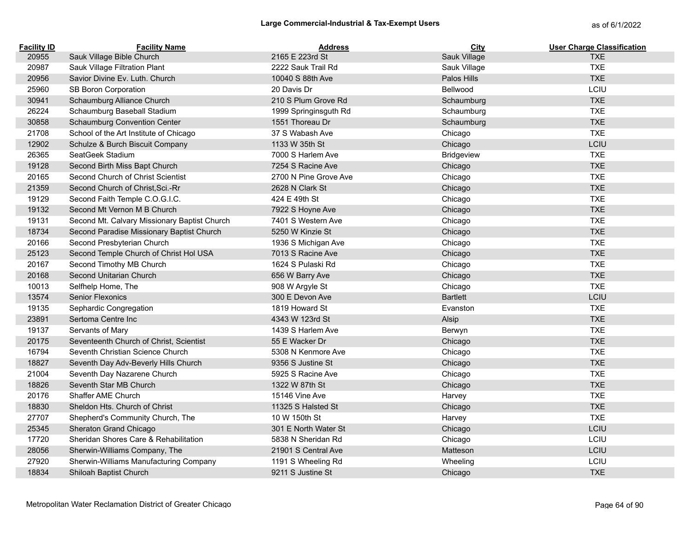# Large Commercial-Industrial & Tax-Exempt Users<br>
as of 6/1/2022

| <b>Facility ID</b> | <b>Facility Name</b>                         | <b>Address</b>        | City            | <b>User Charge Classification</b> |
|--------------------|----------------------------------------------|-----------------------|-----------------|-----------------------------------|
| 20955              | Sauk Village Bible Church                    | 2165 E 223rd St       | Sauk Village    | <b>TXE</b>                        |
| 20987              | Sauk Village Filtration Plant                | 2222 Sauk Trail Rd    | Sauk Village    | <b>TXE</b>                        |
| 20956              | Savior Divine Ev. Luth. Church               | 10040 S 88th Ave      | Palos Hills     | <b>TXE</b>                        |
| 25960              | SB Boron Corporation                         | 20 Davis Dr           | Bellwood        | LCIU                              |
| 30941              | Schaumburg Alliance Church                   | 210 S Plum Grove Rd   | Schaumburg      | <b>TXE</b>                        |
| 26224              | Schaumburg Baseball Stadium                  | 1999 Springinsguth Rd | Schaumburg      | <b>TXE</b>                        |
| 30858              | <b>Schaumburg Convention Center</b>          | 1551 Thoreau Dr       | Schaumburg      | <b>TXE</b>                        |
| 21708              | School of the Art Institute of Chicago       | 37 S Wabash Ave       | Chicago         | <b>TXE</b>                        |
| 12902              | Schulze & Burch Biscuit Company              | 1133 W 35th St        | Chicago         | LCIU                              |
| 26365              | SeatGeek Stadium                             | 7000 S Harlem Ave     | Bridgeview      | <b>TXE</b>                        |
| 19128              | Second Birth Miss Bapt Church                | 7254 S Racine Ave     | Chicago         | <b>TXE</b>                        |
| 20165              | Second Church of Christ Scientist            | 2700 N Pine Grove Ave | Chicago         | <b>TXE</b>                        |
| 21359              | Second Church of Christ, Sci.-Rr             | 2628 N Clark St       | Chicago         | <b>TXE</b>                        |
| 19129              | Second Faith Temple C.O.G.I.C.               | 424 E 49th St         | Chicago         | <b>TXE</b>                        |
| 19132              | Second Mt Vernon M B Church                  | 7922 S Hoyne Ave      | Chicago         | <b>TXE</b>                        |
| 19131              | Second Mt. Calvary Missionary Baptist Church | 7401 S Western Ave    | Chicago         | <b>TXE</b>                        |
| 18734              | Second Paradise Missionary Baptist Church    | 5250 W Kinzie St      | Chicago         | <b>TXE</b>                        |
| 20166              | Second Presbyterian Church                   | 1936 S Michigan Ave   | Chicago         | <b>TXE</b>                        |
| 25123              | Second Temple Church of Christ Hol USA       | 7013 S Racine Ave     | Chicago         | <b>TXE</b>                        |
| 20167              | Second Timothy MB Church                     | 1624 S Pulaski Rd     | Chicago         | <b>TXE</b>                        |
| 20168              | Second Unitarian Church                      | 656 W Barry Ave       | Chicago         | <b>TXE</b>                        |
| 10013              | Selfhelp Home, The                           | 908 W Argyle St       | Chicago         | <b>TXE</b>                        |
| 13574              | <b>Senior Flexonics</b>                      | 300 E Devon Ave       | <b>Bartlett</b> | LCIU                              |
| 19135              | Sephardic Congregation                       | 1819 Howard St        | Evanston        | <b>TXE</b>                        |
| 23891              | Sertoma Centre Inc                           | 4343 W 123rd St       | Alsip           | <b>TXE</b>                        |
| 19137              | Servants of Mary                             | 1439 S Harlem Ave     | Berwyn          | <b>TXE</b>                        |
| 20175              | Seventeenth Church of Christ, Scientist      | 55 E Wacker Dr        | Chicago         | <b>TXE</b>                        |
| 16794              | Seventh Christian Science Church             | 5308 N Kenmore Ave    | Chicago         | <b>TXE</b>                        |
| 18827              | Seventh Day Adv-Beverly Hills Church         | 9356 S Justine St     | Chicago         | <b>TXE</b>                        |
| 21004              | Seventh Day Nazarene Church                  | 5925 S Racine Ave     | Chicago         | <b>TXE</b>                        |
| 18826              | Seventh Star MB Church                       | 1322 W 87th St        | Chicago         | <b>TXE</b>                        |
| 20176              | Shaffer AME Church                           | 15146 Vine Ave        | Harvey          | <b>TXE</b>                        |
| 18830              | Sheldon Hts. Church of Christ                | 11325 S Halsted St    | Chicago         | <b>TXE</b>                        |
| 27707              | Shepherd's Community Church, The             | 10 W 150th St         | Harvey          | <b>TXE</b>                        |
| 25345              | Sheraton Grand Chicago                       | 301 E North Water St  | Chicago         | LCIU                              |
| 17720              | Sheridan Shores Care & Rehabilitation        | 5838 N Sheridan Rd    | Chicago         | LCIU                              |
| 28056              | Sherwin-Williams Company, The                | 21901 S Central Ave   | Matteson        | LCIU                              |
| 27920              | Sherwin-Williams Manufacturing Company       | 1191 S Wheeling Rd    | Wheeling        | LCIU                              |
| 18834              | Shiloah Baptist Church                       | 9211 S Justine St     | Chicago         | <b>TXE</b>                        |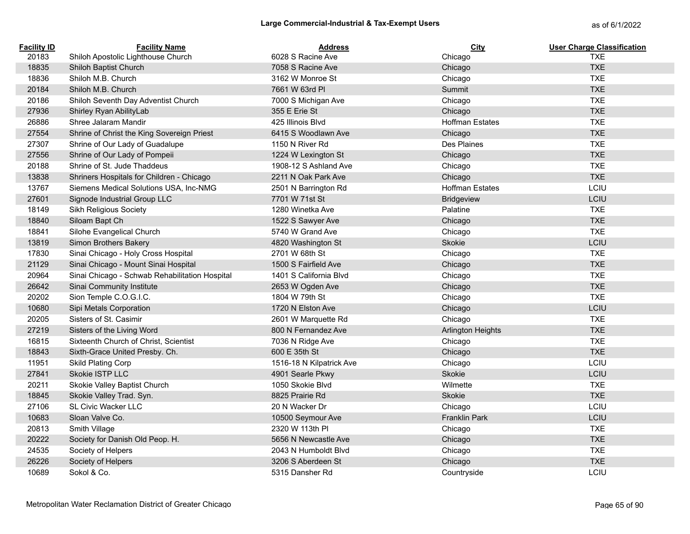| <b>Facility ID</b> | <b>Facility Name</b>                           | <b>Address</b>           | <b>City</b>              | <b>User Charge Classification</b> |
|--------------------|------------------------------------------------|--------------------------|--------------------------|-----------------------------------|
| 20183              | Shiloh Apostolic Lighthouse Church             | 6028 S Racine Ave        | Chicago                  | <b>TXE</b>                        |
| 18835              | Shiloh Baptist Church                          | 7058 S Racine Ave        | Chicago                  | <b>TXE</b>                        |
| 18836              | Shiloh M.B. Church                             | 3162 W Monroe St         | Chicago                  | <b>TXE</b>                        |
| 20184              | Shiloh M.B. Church                             | 7661 W 63rd PI           | <b>Summit</b>            | <b>TXE</b>                        |
| 20186              | Shiloh Seventh Day Adventist Church            | 7000 S Michigan Ave      | Chicago                  | <b>TXE</b>                        |
| 27936              | Shirley Ryan AbilityLab                        | 355 E Erie St            | Chicago                  | <b>TXE</b>                        |
| 26886              | Shree Jalaram Mandir                           | 425 Illinois Blvd        | <b>Hoffman Estates</b>   | <b>TXE</b>                        |
| 27554              | Shrine of Christ the King Sovereign Priest     | 6415 S Woodlawn Ave      | Chicago                  | <b>TXE</b>                        |
| 27307              | Shrine of Our Lady of Guadalupe                | 1150 N River Rd          | Des Plaines              | <b>TXE</b>                        |
| 27556              | Shrine of Our Lady of Pompeii                  | 1224 W Lexington St      | Chicago                  | <b>TXE</b>                        |
| 20188              | Shrine of St. Jude Thaddeus                    | 1908-12 S Ashland Ave    | Chicago                  | <b>TXE</b>                        |
| 13838              | Shriners Hospitals for Children - Chicago      | 2211 N Oak Park Ave      | Chicago                  | <b>TXE</b>                        |
| 13767              | Siemens Medical Solutions USA, Inc-NMG         | 2501 N Barrington Rd     | <b>Hoffman Estates</b>   | LCIU                              |
| 27601              | Signode Industrial Group LLC                   | 7701 W 71st St           | <b>Bridgeview</b>        | LCIU                              |
| 18149              | Sikh Religious Society                         | 1280 Winetka Ave         | Palatine                 | <b>TXE</b>                        |
| 18840              | Siloam Bapt Ch                                 | 1522 S Sawyer Ave        | Chicago                  | <b>TXE</b>                        |
| 18841              | Silohe Evangelical Church                      | 5740 W Grand Ave         | Chicago                  | <b>TXE</b>                        |
| 13819              | Simon Brothers Bakery                          | 4820 Washington St       | Skokie                   | LCIU                              |
| 17830              | Sinai Chicago - Holy Cross Hospital            | 2701 W 68th St           | Chicago                  | <b>TXE</b>                        |
| 21129              | Sinai Chicago - Mount Sinai Hospital           | 1500 S Fairfield Ave     | Chicago                  | <b>TXE</b>                        |
| 20964              | Sinai Chicago - Schwab Rehabilitation Hospital | 1401 S California Blvd   | Chicago                  | <b>TXE</b>                        |
| 26642              | Sinai Community Institute                      | 2653 W Ogden Ave         | Chicago                  | <b>TXE</b>                        |
| 20202              | Sion Temple C.O.G.I.C.                         | 1804 W 79th St           | Chicago                  | <b>TXE</b>                        |
| 10680              | Sipi Metals Corporation                        | 1720 N Elston Ave        | Chicago                  | LCIU                              |
| 20205              | Sisters of St. Casimir                         | 2601 W Marquette Rd      | Chicago                  | <b>TXE</b>                        |
| 27219              | Sisters of the Living Word                     | 800 N Fernandez Ave      | <b>Arlington Heights</b> | <b>TXE</b>                        |
| 16815              | Sixteenth Church of Christ, Scientist          | 7036 N Ridge Ave         | Chicago                  | <b>TXE</b>                        |
| 18843              | Sixth-Grace United Presby. Ch.                 | 600 E 35th St            | Chicago                  | <b>TXE</b>                        |
| 11951              | Skild Plating Corp                             | 1516-18 N Kilpatrick Ave | Chicago                  | LCIU                              |
| 27841              | Skokie ISTP LLC                                | 4901 Searle Pkwy         | <b>Skokie</b>            | LCIU                              |
| 20211              | Skokie Valley Baptist Church                   | 1050 Skokie Blvd         | Wilmette                 | <b>TXE</b>                        |
| 18845              | Skokie Valley Trad. Syn.                       | 8825 Prairie Rd          | <b>Skokie</b>            | <b>TXE</b>                        |
| 27106              | SL Civic Wacker LLC                            | 20 N Wacker Dr           | Chicago                  | LCIU                              |
| 10683              | Sloan Valve Co.                                | 10500 Seymour Ave        | <b>Franklin Park</b>     | LCIU                              |
| 20813              | Smith Village                                  | 2320 W 113th PI          | Chicago                  | <b>TXE</b>                        |
| 20222              | Society for Danish Old Peop. H.                | 5656 N Newcastle Ave     | Chicago                  | <b>TXE</b>                        |
| 24535              | Society of Helpers                             | 2043 N Humboldt Blvd     | Chicago                  | <b>TXE</b>                        |
| 26226              | Society of Helpers                             | 3206 S Aberdeen St       | Chicago                  | <b>TXE</b>                        |
| 10689              | Sokol & Co.                                    | 5315 Dansher Rd          | Countryside              | LCIU                              |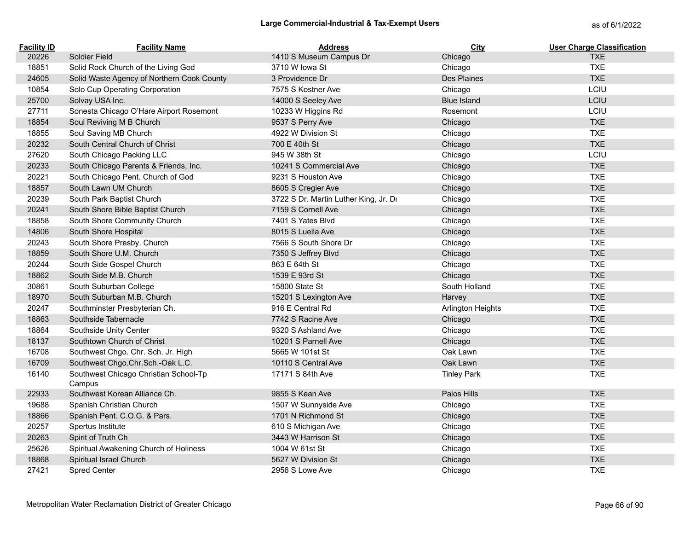| <b>Facility ID</b> | <b>Facility Name</b>                            | <b>Address</b>                        | City               | <b>User Charge Classification</b> |
|--------------------|-------------------------------------------------|---------------------------------------|--------------------|-----------------------------------|
| 20226              | Soldier Field                                   | 1410 S Museum Campus Dr               | Chicago            | <b>TXE</b>                        |
| 18851              | Solid Rock Church of the Living God             | 3710 W lowa St                        | Chicago            | <b>TXE</b>                        |
| 24605              | Solid Waste Agency of Northern Cook County      | 3 Providence Dr                       | Des Plaines        | <b>TXE</b>                        |
| 10854              | Solo Cup Operating Corporation                  | 7575 S Kostner Ave                    | Chicago            | LCIU                              |
| 25700              | Solvay USA Inc.                                 | 14000 S Seeley Ave                    | <b>Blue Island</b> | LCIU                              |
| 27711              | Sonesta Chicago O'Hare Airport Rosemont         | 10233 W Higgins Rd                    | Rosemont           | LCIU                              |
| 18854              | Soul Reviving M B Church                        | 9537 S Perry Ave                      | Chicago            | <b>TXE</b>                        |
| 18855              | Soul Saving MB Church                           | 4922 W Division St                    | Chicago            | <b>TXE</b>                        |
| 20232              | South Central Church of Christ                  | 700 E 40th St                         | Chicago            | <b>TXE</b>                        |
| 27620              | South Chicago Packing LLC                       | 945 W 38th St                         | Chicago            | LCIU                              |
| 20233              | South Chicago Parents & Friends, Inc.           | 10241 S Commercial Ave                | Chicago            | <b>TXE</b>                        |
| 20221              | South Chicago Pent. Church of God               | 9231 S Houston Ave                    | Chicago            | <b>TXE</b>                        |
| 18857              | South Lawn UM Church                            | 8605 S Cregier Ave                    | Chicago            | <b>TXE</b>                        |
| 20239              | South Park Baptist Church                       | 3722 S Dr. Martin Luther King, Jr. Dr | Chicago            | <b>TXE</b>                        |
| 20241              | South Shore Bible Baptist Church                | 7159 S Cornell Ave                    | Chicago            | <b>TXE</b>                        |
| 18858              | South Shore Community Church                    | 7401 S Yates Blvd                     | Chicago            | <b>TXE</b>                        |
| 14806              | South Shore Hospital                            | 8015 S Luella Ave                     | Chicago            | <b>TXE</b>                        |
| 20243              | South Shore Presby. Church                      | 7566 S South Shore Dr                 | Chicago            | <b>TXE</b>                        |
| 18859              | South Shore U.M. Church                         | 7350 S Jeffrey Blvd                   | Chicago            | <b>TXE</b>                        |
| 20244              | South Side Gospel Church                        | 863 E 64th St                         | Chicago            | <b>TXE</b>                        |
| 18862              | South Side M.B. Church                          | 1539 E 93rd St                        | Chicago            | <b>TXE</b>                        |
| 30861              | South Suburban College                          | 15800 State St                        | South Holland      | <b>TXE</b>                        |
| 18970              | South Suburban M.B. Church                      | 15201 S Lexington Ave                 | Harvey             | <b>TXE</b>                        |
| 20247              | Southminster Presbyterian Ch.                   | 916 E Central Rd                      | Arlington Heights  | <b>TXE</b>                        |
| 18863              | Southside Tabernacle                            | 7742 S Racine Ave                     | Chicago            | <b>TXE</b>                        |
| 18864              | Southside Unity Center                          | 9320 S Ashland Ave                    | Chicago            | <b>TXE</b>                        |
| 18137              | Southtown Church of Christ                      | 10201 S Parnell Ave                   | Chicago            | <b>TXE</b>                        |
| 16708              | Southwest Chgo. Chr. Sch. Jr. High              | 5665 W 101st St                       | Oak Lawn           | <b>TXE</b>                        |
| 16709              | Southwest Chgo.Chr.Sch.-Oak L.C.                | 10110 S Central Ave                   | Oak Lawn           | <b>TXE</b>                        |
| 16140              | Southwest Chicago Christian School-Tp<br>Campus | 17171 S 84th Ave                      | <b>Tinley Park</b> | <b>TXE</b>                        |
| 22933              | Southwest Korean Alliance Ch.                   | 9855 S Kean Ave                       | Palos Hills        | <b>TXE</b>                        |
| 19688              | Spanish Christian Church                        | 1507 W Sunnyside Ave                  | Chicago            | <b>TXE</b>                        |
| 18866              | Spanish Pent. C.O.G. & Pars.                    | 1701 N Richmond St                    | Chicago            | <b>TXE</b>                        |
| 20257              | Spertus Institute                               | 610 S Michigan Ave                    | Chicago            | <b>TXE</b>                        |
| 20263              | Spirit of Truth Ch                              | 3443 W Harrison St                    | Chicago            | <b>TXE</b>                        |
| 25626              | Spiritual Awakening Church of Holiness          | 1004 W 61st St                        | Chicago            | <b>TXE</b>                        |
| 18868              | Spiritual Israel Church                         | 5627 W Division St                    | Chicago            | <b>TXE</b>                        |
| 27421              | Spred Center                                    | 2956 S Lowe Ave                       | Chicago            | <b>TXE</b>                        |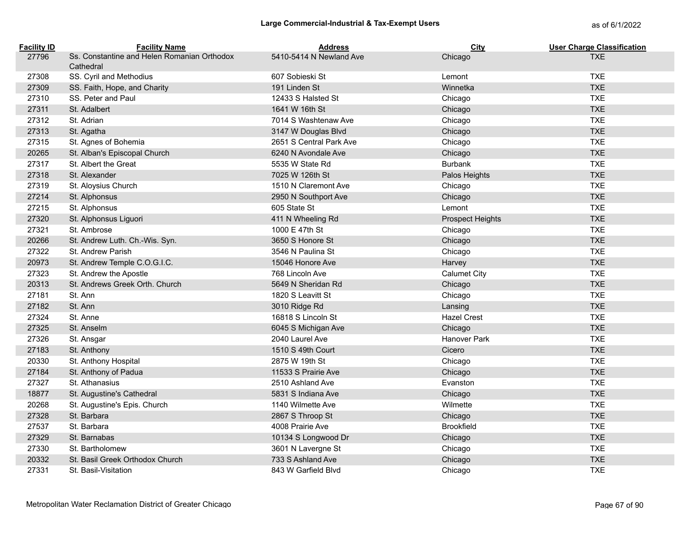| <b>Facility ID</b> | <b>Facility Name</b>                                     | <b>Address</b>          | City                    | <b>User Charge Classification</b> |
|--------------------|----------------------------------------------------------|-------------------------|-------------------------|-----------------------------------|
| 27796              | Ss. Constantine and Helen Romanian Orthodox<br>Cathedral | 5410-5414 N Newland Ave | Chicago                 | <b>TXE</b>                        |
| 27308              | SS. Cyril and Methodius                                  | 607 Sobieski St         | Lemont                  | <b>TXE</b>                        |
| 27309              | SS. Faith, Hope, and Charity                             | 191 Linden St           | Winnetka                | <b>TXE</b>                        |
| 27310              | SS. Peter and Paul                                       | 12433 S Halsted St      | Chicago                 | <b>TXE</b>                        |
| 27311              | St. Adalbert                                             | 1641 W 16th St          | Chicago                 | <b>TXE</b>                        |
| 27312              | St. Adrian                                               | 7014 S Washtenaw Ave    | Chicago                 | <b>TXE</b>                        |
| 27313              | St. Agatha                                               | 3147 W Douglas Blvd     | Chicago                 | <b>TXE</b>                        |
| 27315              | St. Agnes of Bohemia                                     | 2651 S Central Park Ave | Chicago                 | <b>TXE</b>                        |
| 20265              | St. Alban's Episcopal Church                             | 6240 N Avondale Ave     | Chicago                 | <b>TXE</b>                        |
| 27317              | St. Albert the Great                                     | 5535 W State Rd         | Burbank                 | <b>TXE</b>                        |
| 27318              | St. Alexander                                            | 7025 W 126th St         | Palos Heights           | <b>TXE</b>                        |
| 27319              | St. Aloysius Church                                      | 1510 N Claremont Ave    | Chicago                 | <b>TXE</b>                        |
| 27214              | St. Alphonsus                                            | 2950 N Southport Ave    | Chicago                 | <b>TXE</b>                        |
| 27215              | St. Alphonsus                                            | 605 State St            | Lemont                  | <b>TXE</b>                        |
| 27320              | St. Alphonsus Liguori                                    | 411 N Wheeling Rd       | <b>Prospect Heights</b> | <b>TXE</b>                        |
| 27321              | St. Ambrose                                              | 1000 E 47th St          | Chicago                 | <b>TXE</b>                        |
| 20266              | St. Andrew Luth. Ch.-Wis. Syn.                           | 3650 S Honore St        | Chicago                 | <b>TXE</b>                        |
| 27322              | St. Andrew Parish                                        | 3546 N Paulina St       | Chicago                 | <b>TXE</b>                        |
| 20973              | St. Andrew Temple C.O.G.I.C.                             | 15046 Honore Ave        | Harvey                  | <b>TXE</b>                        |
| 27323              | St. Andrew the Apostle                                   | 768 Lincoln Ave         | <b>Calumet City</b>     | <b>TXE</b>                        |
| 20313              | St. Andrews Greek Orth. Church                           | 5649 N Sheridan Rd      | Chicago                 | <b>TXE</b>                        |
| 27181              | St. Ann                                                  | 1820 S Leavitt St       | Chicago                 | <b>TXE</b>                        |
| 27182              | St. Ann                                                  | 3010 Ridge Rd           | Lansing                 | <b>TXE</b>                        |
| 27324              | St. Anne                                                 | 16818 S Lincoln St      | <b>Hazel Crest</b>      | <b>TXE</b>                        |
| 27325              | St. Anselm                                               | 6045 S Michigan Ave     | Chicago                 | <b>TXE</b>                        |
| 27326              | St. Ansgar                                               | 2040 Laurel Ave         | Hanover Park            | <b>TXE</b>                        |
| 27183              | St. Anthony                                              | 1510 S 49th Court       | Cicero                  | <b>TXE</b>                        |
| 20330              | St. Anthony Hospital                                     | 2875 W 19th St          | Chicago                 | <b>TXE</b>                        |
| 27184              | St. Anthony of Padua                                     | 11533 S Prairie Ave     | Chicago                 | <b>TXE</b>                        |
| 27327              | St. Athanasius                                           | 2510 Ashland Ave        | Evanston                | <b>TXE</b>                        |
| 18877              | St. Augustine's Cathedral                                | 5831 S Indiana Ave      | Chicago                 | <b>TXE</b>                        |
| 20268              | St. Augustine's Epis. Church                             | 1140 Wilmette Ave       | Wilmette                | <b>TXE</b>                        |
| 27328              | St. Barbara                                              | 2867 S Throop St        | Chicago                 | <b>TXE</b>                        |
| 27537              | St. Barbara                                              | 4008 Prairie Ave        | <b>Brookfield</b>       | <b>TXE</b>                        |
| 27329              | St. Barnabas                                             | 10134 S Longwood Dr     | Chicago                 | <b>TXE</b>                        |
| 27330              | St. Bartholomew                                          | 3601 N Lavergne St      | Chicago                 | <b>TXE</b>                        |
| 20332              | St. Basil Greek Orthodox Church                          | 733 S Ashland Ave       | Chicago                 | <b>TXE</b>                        |
| 27331              | St. Basil-Visitation                                     | 843 W Garfield Blvd     | Chicago                 | <b>TXE</b>                        |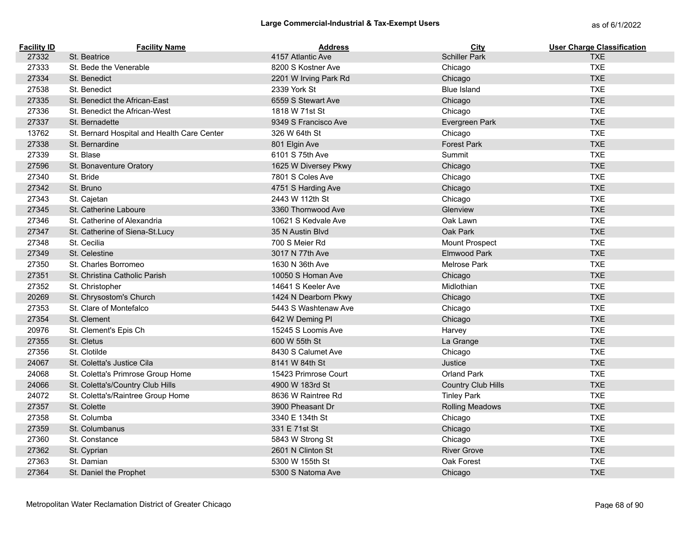| <b>Facility ID</b> | <b>Facility Name</b>                        | <b>Address</b>        | <b>City</b>               | <b>User Charge Classification</b> |
|--------------------|---------------------------------------------|-----------------------|---------------------------|-----------------------------------|
| 27332              | St. Beatrice                                | 4157 Atlantic Ave     | <b>Schiller Park</b>      | <b>TXE</b>                        |
| 27333              | St. Bede the Venerable                      | 8200 S Kostner Ave    | Chicago                   | <b>TXE</b>                        |
| 27334              | St. Benedict                                | 2201 W Irving Park Rd | Chicago                   | <b>TXE</b>                        |
| 27538              | St. Benedict                                | 2339 York St          | <b>Blue Island</b>        | <b>TXE</b>                        |
| 27335              | St. Benedict the African-East               | 6559 S Stewart Ave    | Chicago                   | <b>TXE</b>                        |
| 27336              | St. Benedict the African-West               | 1818 W 71st St        | Chicago                   | <b>TXE</b>                        |
| 27337              | St. Bernadette                              | 9349 S Francisco Ave  | Evergreen Park            | <b>TXE</b>                        |
| 13762              | St. Bernard Hospital and Health Care Center | 326 W 64th St         | Chicago                   | <b>TXE</b>                        |
| 27338              | St. Bernardine                              | 801 Elgin Ave         | <b>Forest Park</b>        | <b>TXE</b>                        |
| 27339              | St. Blase                                   | 6101 S 75th Ave       | Summit                    | <b>TXE</b>                        |
| 27596              | St. Bonaventure Oratory                     | 1625 W Diversey Pkwy  | Chicago                   | <b>TXE</b>                        |
| 27340              | St. Bride                                   | 7801 S Coles Ave      | Chicago                   | <b>TXE</b>                        |
| 27342              | St. Bruno                                   | 4751 S Harding Ave    | Chicago                   | <b>TXE</b>                        |
| 27343              | St. Cajetan                                 | 2443 W 112th St       | Chicago                   | <b>TXE</b>                        |
| 27345              | St. Catherine Laboure                       | 3360 Thornwood Ave    | Glenview                  | <b>TXE</b>                        |
| 27346              | St. Catherine of Alexandria                 | 10621 S Kedvale Ave   | Oak Lawn                  | <b>TXE</b>                        |
| 27347              | St. Catherine of Siena-St.Lucy              | 35 N Austin Blvd      | Oak Park                  | <b>TXE</b>                        |
| 27348              | St. Cecilia                                 | 700 S Meier Rd        | Mount Prospect            | <b>TXE</b>                        |
| 27349              | St. Celestine                               | 3017 N 77th Ave       | Elmwood Park              | <b>TXE</b>                        |
| 27350              | St. Charles Borromeo                        | 1630 N 36th Ave       | <b>Melrose Park</b>       | <b>TXE</b>                        |
| 27351              | St. Christina Catholic Parish               | 10050 S Homan Ave     | Chicago                   | <b>TXE</b>                        |
| 27352              | St. Christopher                             | 14641 S Keeler Ave    | Midlothian                | <b>TXE</b>                        |
| 20269              | St. Chrysostom's Church                     | 1424 N Dearborn Pkwy  | Chicago                   | <b>TXE</b>                        |
| 27353              | St. Clare of Montefalco                     | 5443 S Washtenaw Ave  | Chicago                   | <b>TXE</b>                        |
| 27354              | St. Clement                                 | 642 W Deming PI       | Chicago                   | <b>TXE</b>                        |
| 20976              | St. Clement's Epis Ch                       | 15245 S Loomis Ave    | Harvey                    | <b>TXE</b>                        |
| 27355              | St. Cletus                                  | 600 W 55th St         | La Grange                 | <b>TXE</b>                        |
| 27356              | St. Clotilde                                | 8430 S Calumet Ave    | Chicago                   | <b>TXE</b>                        |
| 24067              | St. Coletta's Justice Cila                  | 8141 W 84th St        | Justice                   | <b>TXE</b>                        |
| 24068              | St. Coletta's Primrose Group Home           | 15423 Primrose Court  | Orland Park               | <b>TXE</b>                        |
| 24066              | St. Coletta's/Country Club Hills            | 4900 W 183rd St       | <b>Country Club Hills</b> | <b>TXE</b>                        |
| 24072              | St. Coletta's/Raintree Group Home           | 8636 W Raintree Rd    | <b>Tinley Park</b>        | <b>TXE</b>                        |
| 27357              | St. Colette                                 | 3900 Pheasant Dr      | <b>Rolling Meadows</b>    | <b>TXE</b>                        |
| 27358              | St. Columba                                 | 3340 E 134th St       | Chicago                   | <b>TXE</b>                        |
| 27359              | St. Columbanus                              | 331 E 71st St         | Chicago                   | <b>TXE</b>                        |
| 27360              | St. Constance                               | 5843 W Strong St      | Chicago                   | <b>TXE</b>                        |
| 27362              | St. Cyprian                                 | 2601 N Clinton St     | <b>River Grove</b>        | <b>TXE</b>                        |
| 27363              | St. Damian                                  | 5300 W 155th St       | Oak Forest                | <b>TXE</b>                        |
| 27364              | St. Daniel the Prophet                      | 5300 S Natoma Ave     | Chicago                   | <b>TXE</b>                        |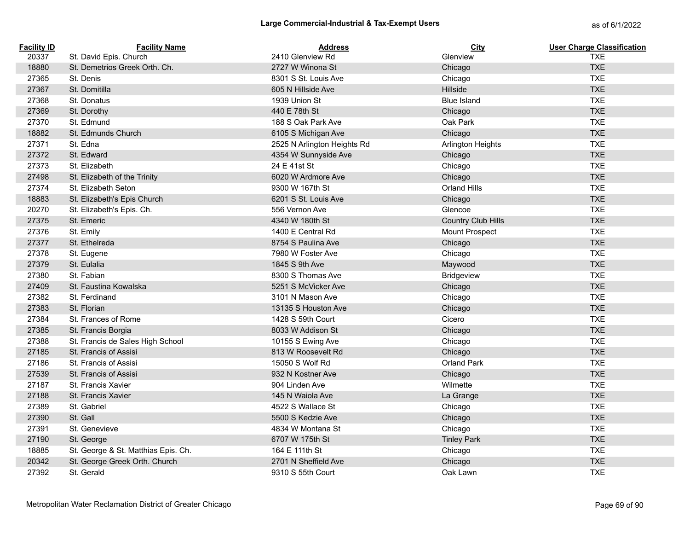| <b>Facility ID</b> | <b>Facility Name</b>                | <b>Address</b>              | <b>City</b>               | <b>User Charge Classification</b> |
|--------------------|-------------------------------------|-----------------------------|---------------------------|-----------------------------------|
| 20337              | St. David Epis. Church              | 2410 Glenview Rd            | Glenview                  | <b>TXE</b>                        |
| 18880              | St. Demetrios Greek Orth. Ch.       | 2727 W Winona St            | Chicago                   | <b>TXE</b>                        |
| 27365              | St. Denis                           | 8301 S St. Louis Ave        | Chicago                   | <b>TXE</b>                        |
| 27367              | St. Domitilla                       | 605 N Hillside Ave          | Hillside                  | <b>TXE</b>                        |
| 27368              | St. Donatus                         | 1939 Union St               | <b>Blue Island</b>        | <b>TXE</b>                        |
| 27369              | St. Dorothy                         | 440 E 78th St               | Chicago                   | <b>TXE</b>                        |
| 27370              | St. Edmund                          | 188 S Oak Park Ave          | Oak Park                  | <b>TXE</b>                        |
| 18882              | St. Edmunds Church                  | 6105 S Michigan Ave         | Chicago                   | <b>TXE</b>                        |
| 27371              | St. Edna                            | 2525 N Arlington Heights Rd | Arlington Heights         | <b>TXE</b>                        |
| 27372              | St. Edward                          | 4354 W Sunnyside Ave        | Chicago                   | <b>TXE</b>                        |
| 27373              | St. Elizabeth                       | 24 E 41st St                | Chicago                   | <b>TXE</b>                        |
| 27498              | St. Elizabeth of the Trinity        | 6020 W Ardmore Ave          | Chicago                   | <b>TXE</b>                        |
| 27374              | St. Elizabeth Seton                 | 9300 W 167th St             | Orland Hills              | <b>TXE</b>                        |
| 18883              | St. Elizabeth's Epis Church         | 6201 S St. Louis Ave        | Chicago                   | <b>TXE</b>                        |
| 20270              | St. Elizabeth's Epis. Ch.           | 556 Vernon Ave              | Glencoe                   | <b>TXE</b>                        |
| 27375              | St. Emeric                          | 4340 W 180th St             | <b>Country Club Hills</b> | <b>TXE</b>                        |
| 27376              | St. Emily                           | 1400 E Central Rd           | Mount Prospect            | <b>TXE</b>                        |
| 27377              | St. Ethelreda                       | 8754 S Paulina Ave          | Chicago                   | <b>TXE</b>                        |
| 27378              | St. Eugene                          | 7980 W Foster Ave           | Chicago                   | <b>TXE</b>                        |
| 27379              | St. Eulalia                         | 1845 S 9th Ave              | Maywood                   | <b>TXE</b>                        |
| 27380              | St. Fabian                          | 8300 S Thomas Ave           | Bridgeview                | <b>TXE</b>                        |
| 27409              | St. Faustina Kowalska               | 5251 S McVicker Ave         | Chicago                   | <b>TXE</b>                        |
| 27382              | St. Ferdinand                       | 3101 N Mason Ave            | Chicago                   | <b>TXE</b>                        |
| 27383              | St. Florian                         | 13135 S Houston Ave         | Chicago                   | <b>TXE</b>                        |
| 27384              | St. Frances of Rome                 | 1428 S 59th Court           | Cicero                    | <b>TXE</b>                        |
| 27385              | St. Francis Borgia                  | 8033 W Addison St           | Chicago                   | <b>TXE</b>                        |
| 27388              | St. Francis de Sales High School    | 10155 S Ewing Ave           | Chicago                   | <b>TXE</b>                        |
| 27185              | St. Francis of Assisi               | 813 W Roosevelt Rd          | Chicago                   | <b>TXE</b>                        |
| 27186              | St. Francis of Assisi               | 15050 S Wolf Rd             | Orland Park               | <b>TXE</b>                        |
| 27539              | St. Francis of Assisi               | 932 N Kostner Ave           | Chicago                   | <b>TXE</b>                        |
| 27187              | St. Francis Xavier                  | 904 Linden Ave              | Wilmette                  | <b>TXE</b>                        |
| 27188              | St. Francis Xavier                  | 145 N Waiola Ave            | La Grange                 | <b>TXE</b>                        |
| 27389              | St. Gabriel                         | 4522 S Wallace St           | Chicago                   | <b>TXE</b>                        |
| 27390              | St. Gall                            | 5500 S Kedzie Ave           | Chicago                   | <b>TXE</b>                        |
| 27391              | St. Genevieve                       | 4834 W Montana St           | Chicago                   | <b>TXE</b>                        |
| 27190              | St. George                          | 6707 W 175th St             | <b>Tinley Park</b>        | <b>TXE</b>                        |
| 18885              | St. George & St. Matthias Epis. Ch. | 164 E 111th St              | Chicago                   | <b>TXE</b>                        |
| 20342              | St. George Greek Orth. Church       | 2701 N Sheffield Ave        | Chicago                   | <b>TXE</b>                        |
| 27392              | St. Gerald                          | 9310 S 55th Court           | Oak Lawn                  | <b>TXE</b>                        |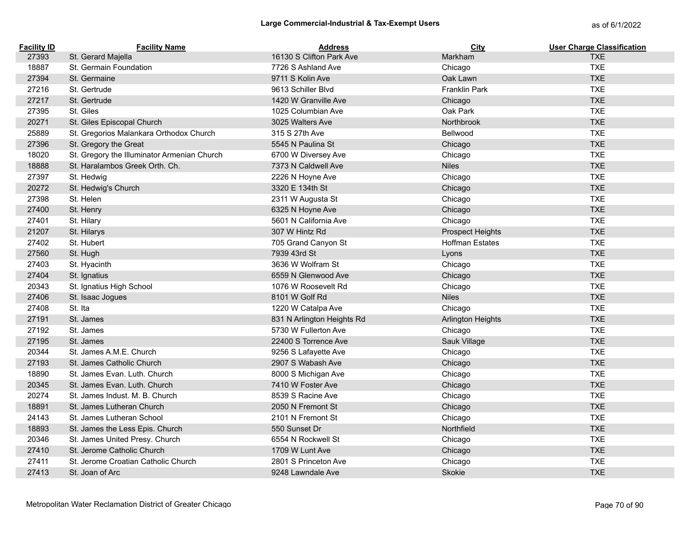| <b>Facility ID</b> | <b>Facility Name</b>                        | <b>Address</b>             | <b>City</b>              | <b>User Charge Classification</b> |
|--------------------|---------------------------------------------|----------------------------|--------------------------|-----------------------------------|
| 27393              | St. Gerard Majella                          | 16130 S Clifton Park Ave   | Markham                  | <b>TXE</b>                        |
| 18887              | St. Germain Foundation                      | 7726 S Ashland Ave         | Chicago                  | <b>TXE</b>                        |
| 27394              | St. Germaine                                | 9711 S Kolin Ave           | Oak Lawn                 | <b>TXE</b>                        |
| 27216              | St. Gertrude                                | 9613 Schiller Blvd         | <b>Franklin Park</b>     | <b>TXE</b>                        |
| 27217              | St. Gertrude                                | 1420 W Granville Ave       | Chicago                  | <b>TXE</b>                        |
| 27395              | St. Giles                                   | 1025 Columbian Ave         | Oak Park                 | <b>TXE</b>                        |
| 20271              | St. Giles Episcopal Church                  | 3025 Walters Ave           | Northbrook               | <b>TXE</b>                        |
| 25889              | St. Gregorios Malankara Orthodox Church     | 315 S 27th Ave             | Bellwood                 | <b>TXE</b>                        |
| 27396              | St. Gregory the Great                       | 5545 N Paulina St          | Chicago                  | <b>TXE</b>                        |
| 18020              | St. Gregory the Illuminator Armenian Church | 6700 W Diversey Ave        | Chicago                  | <b>TXE</b>                        |
| 18888              | St. Haralambos Greek Orth. Ch.              | 7373 N Caldwell Ave        | <b>Niles</b>             | <b>TXE</b>                        |
| 27397              | St. Hedwig                                  | 2226 N Hoyne Ave           | Chicago                  | <b>TXE</b>                        |
| 20272              | St. Hedwig's Church                         | 3320 E 134th St            | Chicago                  | <b>TXE</b>                        |
| 27398              | St. Helen                                   | 2311 W Augusta St          | Chicago                  | <b>TXE</b>                        |
| 27400              | St. Henry                                   | 6325 N Hoyne Ave           | Chicago                  | <b>TXE</b>                        |
| 27401              | St. Hilary                                  | 5601 N California Ave      | Chicago                  | <b>TXE</b>                        |
| 21207              | St. Hilarys                                 | 307 W Hintz Rd             | <b>Prospect Heights</b>  | <b>TXE</b>                        |
| 27402              | St. Hubert                                  | 705 Grand Canyon St        | <b>Hoffman Estates</b>   | <b>TXE</b>                        |
| 27560              | St. Hugh                                    | 7939 43rd St               | Lyons                    | <b>TXE</b>                        |
| 27403              | St. Hyacinth                                | 3636 W Wolfram St          | Chicago                  | <b>TXE</b>                        |
| 27404              | St. Ignatius                                | 6559 N Glenwood Ave        | Chicago                  | <b>TXE</b>                        |
| 20343              | St. Ignatius High School                    | 1076 W Roosevelt Rd        | Chicago                  | <b>TXE</b>                        |
| 27406              | St. Isaac Jogues                            | 8101 W Golf Rd             | <b>Niles</b>             | <b>TXE</b>                        |
| 27408              | St. Ita                                     | 1220 W Catalpa Ave         | Chicago                  | <b>TXE</b>                        |
| 27191              | St. James                                   | 831 N Arlington Heights Rd | <b>Arlington Heights</b> | <b>TXE</b>                        |
| 27192              | St. James                                   | 5730 W Fullerton Ave       | Chicago                  | <b>TXE</b>                        |
| 27195              | St. James                                   | 22400 S Torrence Ave       | Sauk Village             | <b>TXE</b>                        |
| 20344              | St. James A.M.E. Church                     | 9256 S Lafayette Ave       | Chicago                  | <b>TXE</b>                        |
| 27193              | St. James Catholic Church                   | 2907 S Wabash Ave          | Chicago                  | <b>TXE</b>                        |
| 18890              | St. James Evan. Luth. Church                | 8000 S Michigan Ave        | Chicago                  | <b>TXE</b>                        |
| 20345              | St. James Evan, Luth. Church                | 7410 W Foster Ave          | Chicago                  | <b>TXE</b>                        |
| 20274              | St. James Indust. M. B. Church              | 8539 S Racine Ave          | Chicago                  | <b>TXE</b>                        |
| 18891              | St. James Lutheran Church                   | 2050 N Fremont St          | Chicago                  | <b>TXE</b>                        |
| 24143              | St. James Lutheran School                   | 2101 N Fremont St          | Chicago                  | <b>TXE</b>                        |
| 18893              | St. James the Less Epis. Church             | 550 Sunset Dr              | Northfield               | <b>TXE</b>                        |
| 20346              | St. James United Presy. Church              | 6554 N Rockwell St         | Chicago                  | <b>TXE</b>                        |
| 27410              | St. Jerome Catholic Church                  | 1709 W Lunt Ave            | Chicago                  | <b>TXE</b>                        |
| 27411              | St. Jerome Croatian Catholic Church         | 2801 S Princeton Ave       | Chicago                  | <b>TXE</b>                        |
| 27413              | St. Joan of Arc                             | 9248 Lawndale Ave          | Skokie                   | <b>TXE</b>                        |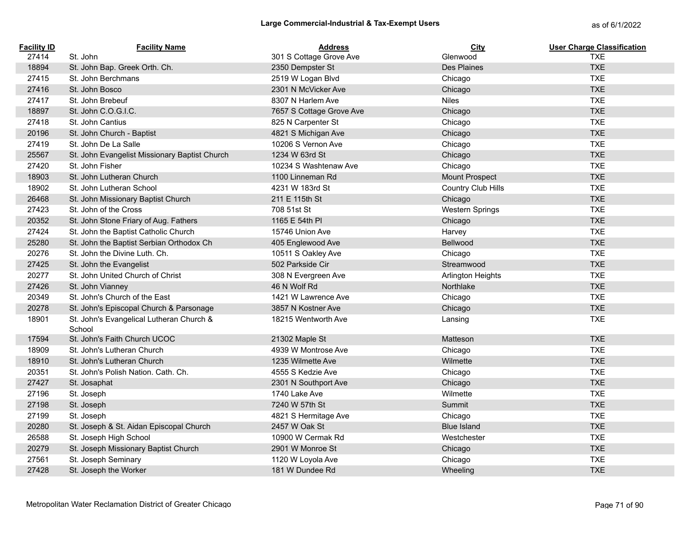| <b>Facility ID</b> | <b>Facility Name</b>                               | <b>Address</b>           | City                     | <b>User Charge Classification</b> |
|--------------------|----------------------------------------------------|--------------------------|--------------------------|-----------------------------------|
| 27414              | St. John                                           | 301 S Cottage Grove Ave  | Glenwood                 | <b>TXE</b>                        |
| 18894              | St. John Bap. Greek Orth. Ch.                      | 2350 Dempster St         | Des Plaines              | <b>TXE</b>                        |
| 27415              | St. John Berchmans                                 | 2519 W Logan Blvd        | Chicago                  | <b>TXE</b>                        |
| 27416              | St. John Bosco                                     | 2301 N McVicker Ave      | Chicago                  | <b>TXE</b>                        |
| 27417              | St. John Brebeuf                                   | 8307 N Harlem Ave        | <b>Niles</b>             | <b>TXE</b>                        |
| 18897              | St. John C.O.G.I.C.                                | 7657 S Cottage Grove Ave | Chicago                  | <b>TXE</b>                        |
| 27418              | St. John Cantius                                   | 825 N Carpenter St       | Chicago                  | <b>TXE</b>                        |
| 20196              | St. John Church - Baptist                          | 4821 S Michigan Ave      | Chicago                  | <b>TXE</b>                        |
| 27419              | St. John De La Salle                               | 10206 S Vernon Ave       | Chicago                  | <b>TXE</b>                        |
| 25567              | St. John Evangelist Missionary Baptist Church      | 1234 W 63rd St           | Chicago                  | <b>TXE</b>                        |
| 27420              | St. John Fisher                                    | 10234 S Washtenaw Ave    | Chicago                  | <b>TXE</b>                        |
| 18903              | St. John Lutheran Church                           | 1100 Linneman Rd         | <b>Mount Prospect</b>    | <b>TXE</b>                        |
| 18902              | St. John Lutheran School                           | 4231 W 183rd St          | Country Club Hills       | <b>TXE</b>                        |
| 26468              | St. John Missionary Baptist Church                 | 211 E 115th St           | Chicago                  | <b>TXE</b>                        |
| 27423              | St. John of the Cross                              | 708 51st St              | <b>Western Springs</b>   | <b>TXE</b>                        |
| 20352              | St. John Stone Friary of Aug. Fathers              | 1165 E 54th PI           | Chicago                  | <b>TXE</b>                        |
| 27424              | St. John the Baptist Catholic Church               | 15746 Union Ave          | Harvey                   | <b>TXE</b>                        |
| 25280              | St. John the Baptist Serbian Orthodox Ch           | 405 Englewood Ave        | Bellwood                 | <b>TXE</b>                        |
| 20276              | St. John the Divine Luth. Ch.                      | 10511 S Oakley Ave       | Chicago                  | <b>TXE</b>                        |
| 27425              | St. John the Evangelist                            | 502 Parkside Cir         | Streamwood               | <b>TXE</b>                        |
| 20277              | St. John United Church of Christ                   | 308 N Evergreen Ave      | <b>Arlington Heights</b> | <b>TXE</b>                        |
| 27426              | St. John Vianney                                   | 46 N Wolf Rd             | Northlake                | <b>TXE</b>                        |
| 20349              | St. John's Church of the East                      | 1421 W Lawrence Ave      | Chicago                  | <b>TXE</b>                        |
| 20278              | St. John's Episcopal Church & Parsonage            | 3857 N Kostner Ave       | Chicago                  | <b>TXE</b>                        |
| 18901              | St. John's Evangelical Lutheran Church &<br>School | 18215 Wentworth Ave      | Lansing                  | <b>TXE</b>                        |
| 17594              | St. John's Faith Church UCOC                       | 21302 Maple St           | Matteson                 | <b>TXE</b>                        |
| 18909              | St. John's Lutheran Church                         | 4939 W Montrose Ave      | Chicago                  | <b>TXE</b>                        |
| 18910              | St. John's Lutheran Church                         | 1235 Wilmette Ave        | Wilmette                 | <b>TXE</b>                        |
| 20351              | St. John's Polish Nation. Cath. Ch.                | 4555 S Kedzie Ave        | Chicago                  | <b>TXE</b>                        |
| 27427              | St. Josaphat                                       | 2301 N Southport Ave     | Chicago                  | <b>TXE</b>                        |
| 27196              | St. Joseph                                         | 1740 Lake Ave            | Wilmette                 | <b>TXE</b>                        |
| 27198              | St. Joseph                                         | 7240 W 57th St           | Summit                   | <b>TXE</b>                        |
| 27199              | St. Joseph                                         | 4821 S Hermitage Ave     | Chicago                  | <b>TXE</b>                        |
| 20280              | St. Joseph & St. Aidan Episcopal Church            | 2457 W Oak St            | <b>Blue Island</b>       | <b>TXE</b>                        |
| 26588              | St. Joseph High School                             | 10900 W Cermak Rd        | Westchester              | <b>TXE</b>                        |
| 20279              | St. Joseph Missionary Baptist Church               | 2901 W Monroe St         | Chicago                  | <b>TXE</b>                        |
| 27561              | St. Joseph Seminary                                | 1120 W Loyola Ave        | Chicago                  | <b>TXE</b>                        |
| 27428              | St. Joseph the Worker                              | 181 W Dundee Rd          | Wheeling                 | <b>TXE</b>                        |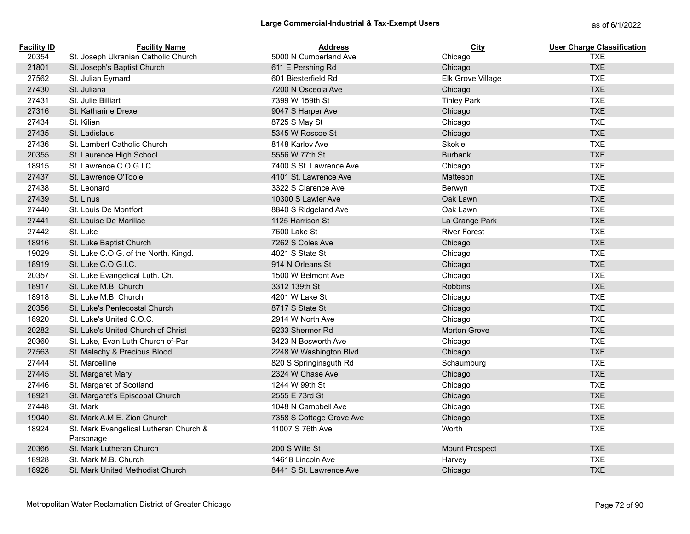| <b>Facility ID</b> | <b>Facility Name</b>                   | <b>Address</b>           | <b>City</b>           | <b>User Charge Classification</b> |
|--------------------|----------------------------------------|--------------------------|-----------------------|-----------------------------------|
| 20354              | St. Joseph Ukranian Catholic Church    | 5000 N Cumberland Ave    | Chicago               | <b>TXE</b>                        |
| 21801              | St. Joseph's Baptist Church            | 611 E Pershing Rd        | Chicago               | <b>TXE</b>                        |
| 27562              | St. Julian Eymard                      | 601 Biesterfield Rd      | Elk Grove Village     | <b>TXE</b>                        |
| 27430              | St. Juliana                            | 7200 N Osceola Ave       | Chicago               | <b>TXE</b>                        |
| 27431              | St. Julie Billiart                     | 7399 W 159th St          | <b>Tinley Park</b>    | <b>TXE</b>                        |
| 27316              | St. Katharine Drexel                   | 9047 S Harper Ave        | Chicago               | <b>TXE</b>                        |
| 27434              | St. Kilian                             | 8725 S May St            | Chicago               | <b>TXE</b>                        |
| 27435              | St. Ladislaus                          | 5345 W Roscoe St         | Chicago               | <b>TXE</b>                        |
| 27436              | St. Lambert Catholic Church            | 8148 Karlov Ave          | Skokie                | <b>TXE</b>                        |
| 20355              | St. Laurence High School               | 5556 W 77th St           | <b>Burbank</b>        | <b>TXE</b>                        |
| 18915              | St. Lawrence C.O.G.I.C.                | 7400 S St. Lawrence Ave  | Chicago               | <b>TXE</b>                        |
| 27437              | St. Lawrence O'Toole                   | 4101 St. Lawrence Ave    | Matteson              | <b>TXE</b>                        |
| 27438              | St. Leonard                            | 3322 S Clarence Ave      | Berwyn                | <b>TXE</b>                        |
| 27439              | St. Linus                              | 10300 S Lawler Ave       | Oak Lawn              | <b>TXE</b>                        |
| 27440              | St. Louis De Montfort                  | 8840 S Ridgeland Ave     | Oak Lawn              | <b>TXE</b>                        |
| 27441              | St. Louise De Marillac                 | 1125 Harrison St         | La Grange Park        | <b>TXE</b>                        |
| 27442              | St. Luke                               | 7600 Lake St             | <b>River Forest</b>   | <b>TXE</b>                        |
| 18916              | St. Luke Baptist Church                | 7262 S Coles Ave         | Chicago               | <b>TXE</b>                        |
| 19029              | St. Luke C.O.G. of the North. Kingd.   | 4021 S State St          | Chicago               | <b>TXE</b>                        |
| 18919              | St. Luke C.O.G.I.C.                    | 914 N Orleans St         | Chicago               | <b>TXE</b>                        |
| 20357              | St. Luke Evangelical Luth. Ch.         | 1500 W Belmont Ave       | Chicago               | <b>TXE</b>                        |
| 18917              | St. Luke M.B. Church                   | 3312 139th St            | <b>Robbins</b>        | <b>TXE</b>                        |
| 18918              | St. Luke M.B. Church                   | 4201 W Lake St           | Chicago               | <b>TXE</b>                        |
| 20356              | St. Luke's Pentecostal Church          | 8717 S State St          | Chicago               | <b>TXE</b>                        |
| 18920              | St. Luke's United C.O.C.               | 2914 W North Ave         | Chicago               | <b>TXE</b>                        |
| 20282              | St. Luke's United Church of Christ     | 9233 Shermer Rd          | <b>Morton Grove</b>   | <b>TXE</b>                        |
| 20360              | St. Luke, Evan Luth Church of-Par      | 3423 N Bosworth Ave      | Chicago               | <b>TXE</b>                        |
| 27563              | St. Malachy & Precious Blood           | 2248 W Washington Blvd   | Chicago               | <b>TXE</b>                        |
| 27444              | St. Marcelline                         | 820 S Springinsguth Rd   | Schaumburg            | <b>TXE</b>                        |
| 27445              | St. Margaret Mary                      | 2324 W Chase Ave         | Chicago               | <b>TXE</b>                        |
| 27446              | St. Margaret of Scotland               | 1244 W 99th St           | Chicago               | <b>TXE</b>                        |
| 18921              | St. Margaret's Episcopal Church        | 2555 E 73rd St           | Chicago               | <b>TXE</b>                        |
| 27448              | St. Mark                               | 1048 N Campbell Ave      | Chicago               | <b>TXE</b>                        |
| 19040              | St. Mark A.M.E. Zion Church            | 7358 S Cottage Grove Ave | Chicago               | <b>TXE</b>                        |
| 18924              | St. Mark Evangelical Lutheran Church & | 11007 S 76th Ave         | Worth                 | <b>TXE</b>                        |
|                    | Parsonage                              |                          |                       |                                   |
| 20366              | St. Mark Lutheran Church               | 200 S Wille St           | <b>Mount Prospect</b> | <b>TXE</b>                        |
| 18928              | St. Mark M.B. Church                   | 14618 Lincoln Ave        | Harvey                | <b>TXE</b>                        |
| 18926              | St. Mark United Methodist Church       | 8441 S St. Lawrence Ave  | Chicago               | <b>TXE</b>                        |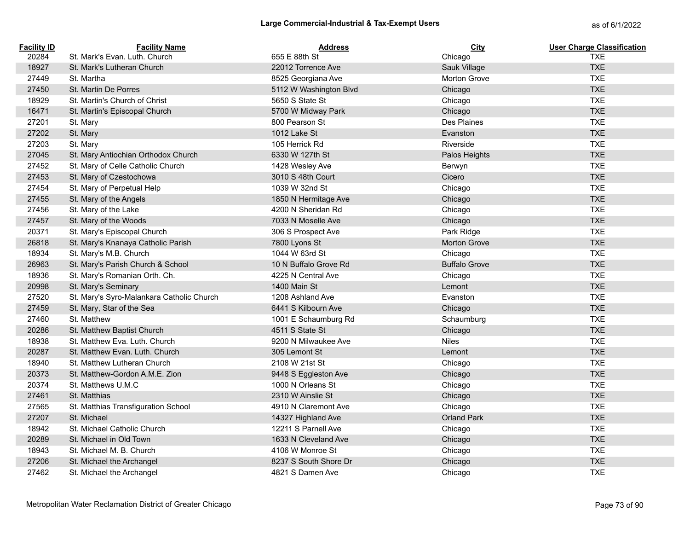| <b>Facility ID</b> | <b>Facility Name</b>                      | <b>Address</b>         | <b>City</b>          | <b>User Charge Classification</b> |
|--------------------|-------------------------------------------|------------------------|----------------------|-----------------------------------|
| 20284              | St. Mark's Evan. Luth. Church             | 655 E 88th St          | Chicago              | <b>TXE</b>                        |
| 18927              | St. Mark's Lutheran Church                | 22012 Torrence Ave     | Sauk Village         | <b>TXE</b>                        |
| 27449              | St. Martha                                | 8525 Georgiana Ave     | <b>Morton Grove</b>  | <b>TXE</b>                        |
| 27450              | St. Martin De Porres                      | 5112 W Washington Blvd | Chicago              | <b>TXE</b>                        |
| 18929              | St. Martin's Church of Christ             | 5650 S State St        | Chicago              | <b>TXE</b>                        |
| 16471              | St. Martin's Episcopal Church             | 5700 W Midway Park     | Chicago              | <b>TXE</b>                        |
| 27201              | St. Mary                                  | 800 Pearson St         | Des Plaines          | <b>TXE</b>                        |
| 27202              | St. Mary                                  | 1012 Lake St           | Evanston             | <b>TXE</b>                        |
| 27203              | St. Mary                                  | 105 Herrick Rd         | Riverside            | <b>TXE</b>                        |
| 27045              | St. Mary Antiochian Orthodox Church       | 6330 W 127th St        | Palos Heights        | <b>TXE</b>                        |
| 27452              | St. Mary of Celle Catholic Church         | 1428 Wesley Ave        | Berwyn               | <b>TXE</b>                        |
| 27453              | St. Mary of Czestochowa                   | 3010 S 48th Court      | Cicero               | <b>TXE</b>                        |
| 27454              | St. Mary of Perpetual Help                | 1039 W 32nd St         | Chicago              | <b>TXE</b>                        |
| 27455              | St. Mary of the Angels                    | 1850 N Hermitage Ave   | Chicago              | <b>TXE</b>                        |
| 27456              | St. Mary of the Lake                      | 4200 N Sheridan Rd     | Chicago              | <b>TXE</b>                        |
| 27457              | St. Mary of the Woods                     | 7033 N Moselle Ave     | Chicago              | <b>TXE</b>                        |
| 20371              | St. Mary's Episcopal Church               | 306 S Prospect Ave     | Park Ridge           | <b>TXE</b>                        |
| 26818              | St. Mary's Knanaya Catholic Parish        | 7800 Lyons St          | Morton Grove         | <b>TXE</b>                        |
| 18934              | St. Mary's M.B. Church                    | 1044 W 63rd St         | Chicago              | <b>TXE</b>                        |
| 26963              | St. Mary's Parish Church & School         | 10 N Buffalo Grove Rd  | <b>Buffalo Grove</b> | <b>TXE</b>                        |
| 18936              | St. Mary's Romanian Orth. Ch.             | 4225 N Central Ave     | Chicago              | <b>TXE</b>                        |
| 20998              | St. Mary's Seminary                       | 1400 Main St           | Lemont               | <b>TXE</b>                        |
| 27520              | St. Mary's Syro-Malankara Catholic Church | 1208 Ashland Ave       | Evanston             | <b>TXE</b>                        |
| 27459              | St. Mary, Star of the Sea                 | 6441 S Kilbourn Ave    | Chicago              | <b>TXE</b>                        |
| 27460              | St. Matthew                               | 1001 E Schaumburg Rd   | Schaumburg           | <b>TXE</b>                        |
| 20286              | St. Matthew Baptist Church                | 4511 S State St        | Chicago              | <b>TXE</b>                        |
| 18938              | St. Matthew Eva. Luth. Church             | 9200 N Milwaukee Ave   | <b>Niles</b>         | <b>TXE</b>                        |
| 20287              | St. Matthew Evan. Luth. Church            | 305 Lemont St          | Lemont               | <b>TXE</b>                        |
| 18940              | St. Matthew Lutheran Church               | 2108 W 21st St         | Chicago              | <b>TXE</b>                        |
| 20373              | St. Matthew-Gordon A.M.E. Zion            | 9448 S Eggleston Ave   | Chicago              | <b>TXE</b>                        |
| 20374              | St. Matthews U.M.C                        | 1000 N Orleans St      | Chicago              | <b>TXE</b>                        |
| 27461              | St. Matthias                              | 2310 W Ainslie St      | Chicago              | <b>TXE</b>                        |
| 27565              | St. Matthias Transfiguration School       | 4910 N Claremont Ave   | Chicago              | <b>TXE</b>                        |
| 27207              | St. Michael                               | 14327 Highland Ave     | <b>Orland Park</b>   | <b>TXE</b>                        |
| 18942              | St. Michael Catholic Church               | 12211 S Parnell Ave    | Chicago              | <b>TXE</b>                        |
| 20289              | St. Michael in Old Town                   | 1633 N Cleveland Ave   | Chicago              | <b>TXE</b>                        |
| 18943              | St. Michael M. B. Church                  | 4106 W Monroe St       | Chicago              | <b>TXE</b>                        |
| 27206              | St. Michael the Archangel                 | 8237 S South Shore Dr  | Chicago              | <b>TXE</b>                        |
| 27462              | St. Michael the Archangel                 | 4821 S Damen Ave       | Chicago              | <b>TXE</b>                        |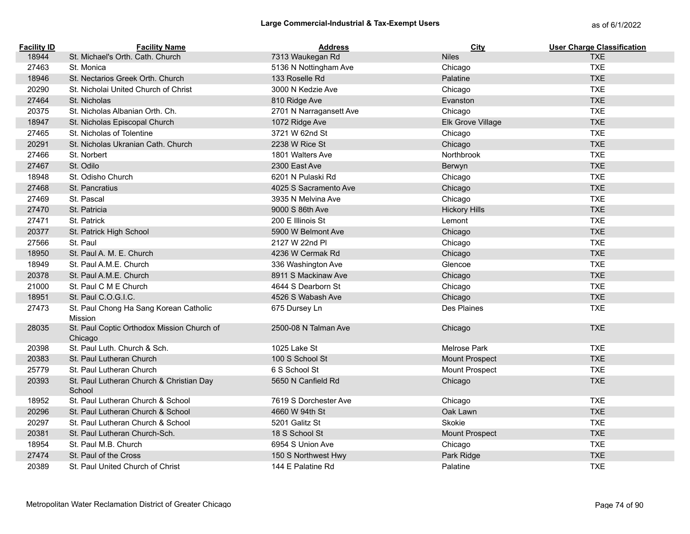| <b>Facility ID</b> | <b>Facility Name</b>                                  | <b>Address</b>          | City                  | <b>User Charge Classification</b> |
|--------------------|-------------------------------------------------------|-------------------------|-----------------------|-----------------------------------|
| 18944              | St. Michael's Orth. Cath. Church                      | 7313 Waukegan Rd        | <b>Niles</b>          | <b>TXE</b>                        |
| 27463              | St. Monica                                            | 5136 N Nottingham Ave   | Chicago               | <b>TXE</b>                        |
| 18946              | St. Nectarios Greek Orth. Church                      | 133 Roselle Rd          | Palatine              | <b>TXE</b>                        |
| 20290              | St. Nicholai United Church of Christ                  | 3000 N Kedzie Ave       | Chicago               | <b>TXE</b>                        |
| 27464              | St. Nicholas                                          | 810 Ridge Ave           | Evanston              | <b>TXE</b>                        |
| 20375              | St. Nicholas Albanian Orth. Ch.                       | 2701 N Narragansett Ave | Chicago               | <b>TXE</b>                        |
| 18947              | St. Nicholas Episcopal Church                         | 1072 Ridge Ave          | Elk Grove Village     | <b>TXE</b>                        |
| 27465              | St. Nicholas of Tolentine                             | 3721 W 62nd St          | Chicago               | <b>TXE</b>                        |
| 20291              | St. Nicholas Ukranian Cath. Church                    | 2238 W Rice St          | Chicago               | <b>TXE</b>                        |
| 27466              | St. Norbert                                           | 1801 Walters Ave        | Northbrook            | <b>TXE</b>                        |
| 27467              | St. Odilo                                             | 2300 East Ave           | Berwyn                | <b>TXE</b>                        |
| 18948              | St. Odisho Church                                     | 6201 N Pulaski Rd       | Chicago               | <b>TXE</b>                        |
| 27468              | St. Pancratius                                        | 4025 S Sacramento Ave   | Chicago               | <b>TXE</b>                        |
| 27469              | St. Pascal                                            | 3935 N Melvina Ave      | Chicago               | <b>TXE</b>                        |
| 27470              | St. Patricia                                          | 9000 S 86th Ave         | <b>Hickory Hills</b>  | <b>TXE</b>                        |
| 27471              | St. Patrick                                           | 200 E Illinois St       | Lemont                | <b>TXE</b>                        |
| 20377              | St. Patrick High School                               | 5900 W Belmont Ave      | Chicago               | <b>TXE</b>                        |
| 27566              | St. Paul                                              | 2127 W 22nd Pl          | Chicago               | <b>TXE</b>                        |
| 18950              | St. Paul A. M. E. Church                              | 4236 W Cermak Rd        | Chicago               | <b>TXE</b>                        |
| 18949              | St. Paul A.M.E. Church                                | 336 Washington Ave      | Glencoe               | <b>TXE</b>                        |
| 20378              | St. Paul A.M.E. Church                                | 8911 S Mackinaw Ave     | Chicago               | <b>TXE</b>                        |
| 21000              | St. Paul C M E Church                                 | 4644 S Dearborn St      | Chicago               | <b>TXE</b>                        |
| 18951              | St. Paul C.O.G.I.C.                                   | 4526 S Wabash Ave       | Chicago               | <b>TXE</b>                        |
| 27473              | St. Paul Chong Ha Sang Korean Catholic<br>Mission     | 675 Dursey Ln           | Des Plaines           | <b>TXE</b>                        |
| 28035              | St. Paul Coptic Orthodox Mission Church of<br>Chicago | 2500-08 N Talman Ave    | Chicago               | <b>TXE</b>                        |
| 20398              | St. Paul Luth. Church & Sch.                          | 1025 Lake St            | <b>Melrose Park</b>   | <b>TXE</b>                        |
| 20383              | St. Paul Lutheran Church                              | 100 S School St         | Mount Prospect        | <b>TXE</b>                        |
| 25779              | St. Paul Lutheran Church                              | 6 S School St           | Mount Prospect        | <b>TXE</b>                        |
| 20393              | St. Paul Lutheran Church & Christian Day<br>School    | 5650 N Canfield Rd      | Chicago               | <b>TXE</b>                        |
| 18952              | St. Paul Lutheran Church & School                     | 7619 S Dorchester Ave   | Chicago               | <b>TXE</b>                        |
| 20296              | St. Paul Lutheran Church & School                     | 4660 W 94th St          | Oak Lawn              | <b>TXE</b>                        |
| 20297              | St. Paul Lutheran Church & School                     | 5201 Galitz St          | Skokie                | <b>TXE</b>                        |
| 20381              | St. Paul Lutheran Church-Sch.                         | 18 S School St          | <b>Mount Prospect</b> | <b>TXE</b>                        |
| 18954              | St. Paul M.B. Church                                  | 6954 S Union Ave        | Chicago               | <b>TXE</b>                        |
| 27474              | St. Paul of the Cross                                 | 150 S Northwest Hwy     | Park Ridge            | <b>TXE</b>                        |
| 20389              | St. Paul United Church of Christ                      | 144 E Palatine Rd       | Palatine              | <b>TXE</b>                        |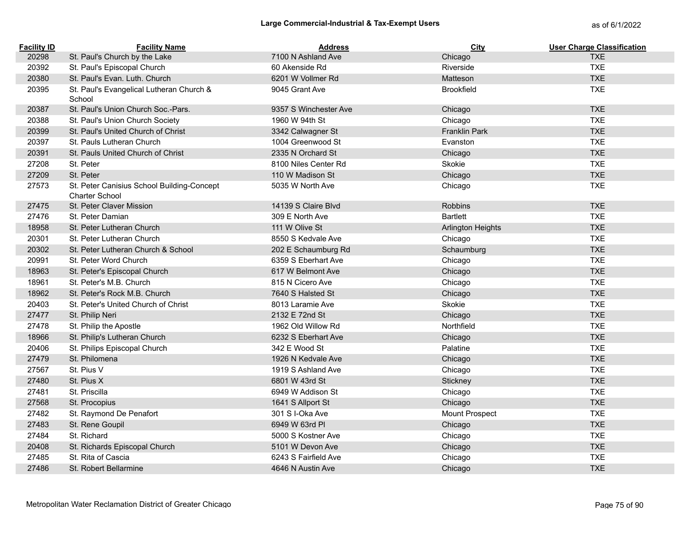| <b>Facility ID</b> | <b>Facility Name</b>                                                | Address               | <b>City</b>              | <b>User Charge Classification</b> |
|--------------------|---------------------------------------------------------------------|-----------------------|--------------------------|-----------------------------------|
| 20298              | St. Paul's Church by the Lake                                       | 7100 N Ashland Ave    | Chicago                  | <b>TXE</b>                        |
| 20392              | St. Paul's Episcopal Church                                         | 60 Akenside Rd        | Riverside                | <b>TXE</b>                        |
| 20380              | St. Paul's Evan. Luth. Church                                       | 6201 W Vollmer Rd     | Matteson                 | <b>TXE</b>                        |
| 20395              | St. Paul's Evangelical Lutheran Church &<br>School                  | 9045 Grant Ave        | <b>Brookfield</b>        | <b>TXE</b>                        |
| 20387              | St. Paul's Union Church Soc.-Pars.                                  | 9357 S Winchester Ave | Chicago                  | <b>TXE</b>                        |
| 20388              | St. Paul's Union Church Society                                     | 1960 W 94th St        | Chicago                  | <b>TXE</b>                        |
| 20399              | St. Paul's United Church of Christ                                  | 3342 Calwagner St     | <b>Franklin Park</b>     | <b>TXE</b>                        |
| 20397              | St. Pauls Lutheran Church                                           | 1004 Greenwood St     | Evanston                 | <b>TXE</b>                        |
| 20391              | St. Pauls United Church of Christ                                   | 2335 N Orchard St     | Chicago                  | <b>TXE</b>                        |
| 27208              | St. Peter                                                           | 8100 Niles Center Rd  | Skokie                   | <b>TXE</b>                        |
| 27209              | St. Peter                                                           | 110 W Madison St      | Chicago                  | <b>TXE</b>                        |
| 27573              | St. Peter Canisius School Building-Concept<br><b>Charter School</b> | 5035 W North Ave      | Chicago                  | <b>TXE</b>                        |
| 27475              | St. Peter Claver Mission                                            | 14139 S Claire Blvd   | <b>Robbins</b>           | <b>TXE</b>                        |
| 27476              | St. Peter Damian                                                    | 309 E North Ave       | <b>Bartlett</b>          | <b>TXE</b>                        |
| 18958              | St. Peter Lutheran Church                                           | 111 W Olive St        | <b>Arlington Heights</b> | <b>TXE</b>                        |
| 20301              | St. Peter Lutheran Church                                           | 8550 S Kedvale Ave    | Chicago                  | <b>TXE</b>                        |
| 20302              | St. Peter Lutheran Church & School                                  | 202 E Schaumburg Rd   | Schaumburg               | <b>TXE</b>                        |
| 20991              | St. Peter Word Church                                               | 6359 S Eberhart Ave   | Chicago                  | <b>TXE</b>                        |
| 18963              | St. Peter's Episcopal Church                                        | 617 W Belmont Ave     | Chicago                  | <b>TXE</b>                        |
| 18961              | St. Peter's M.B. Church                                             | 815 N Cicero Ave      | Chicago                  | <b>TXE</b>                        |
| 18962              | St. Peter's Rock M.B. Church                                        | 7640 S Halsted St     | Chicago                  | <b>TXE</b>                        |
| 20403              | St. Peter's United Church of Christ                                 | 8013 Laramie Ave      | Skokie                   | <b>TXE</b>                        |
| 27477              | St. Philip Neri                                                     | 2132 E 72nd St        | Chicago                  | <b>TXE</b>                        |
| 27478              | St. Philip the Apostle                                              | 1962 Old Willow Rd    | Northfield               | <b>TXE</b>                        |
| 18966              | St. Philip's Lutheran Church                                        | 6232 S Eberhart Ave   | Chicago                  | <b>TXE</b>                        |
| 20406              | St. Philips Episcopal Church                                        | 342 E Wood St         | Palatine                 | <b>TXE</b>                        |
| 27479              | St. Philomena                                                       | 1926 N Kedvale Ave    | Chicago                  | <b>TXE</b>                        |
| 27567              | St. Pius V                                                          | 1919 S Ashland Ave    | Chicago                  | <b>TXE</b>                        |
| 27480              | St. Pius X                                                          | 6801 W 43rd St        | Stickney                 | <b>TXE</b>                        |
| 27481              | St. Priscilla                                                       | 6949 W Addison St     | Chicago                  | <b>TXE</b>                        |
| 27568              | St. Procopius                                                       | 1641 S Allport St     | Chicago                  | <b>TXE</b>                        |
| 27482              | St. Raymond De Penafort                                             | 301 S I-Oka Ave       | Mount Prospect           | <b>TXE</b>                        |
| 27483              | St. Rene Goupil                                                     | 6949 W 63rd PI        | Chicago                  | <b>TXE</b>                        |
| 27484              | St. Richard                                                         | 5000 S Kostner Ave    | Chicago                  | <b>TXE</b>                        |
| 20408              | St. Richards Episcopal Church                                       | 5101 W Devon Ave      | Chicago                  | <b>TXE</b>                        |
| 27485              | St. Rita of Cascia                                                  | 6243 S Fairfield Ave  | Chicago                  | <b>TXE</b>                        |
| 27486              | St. Robert Bellarmine                                               | 4646 N Austin Ave     | Chicago                  | <b>TXE</b>                        |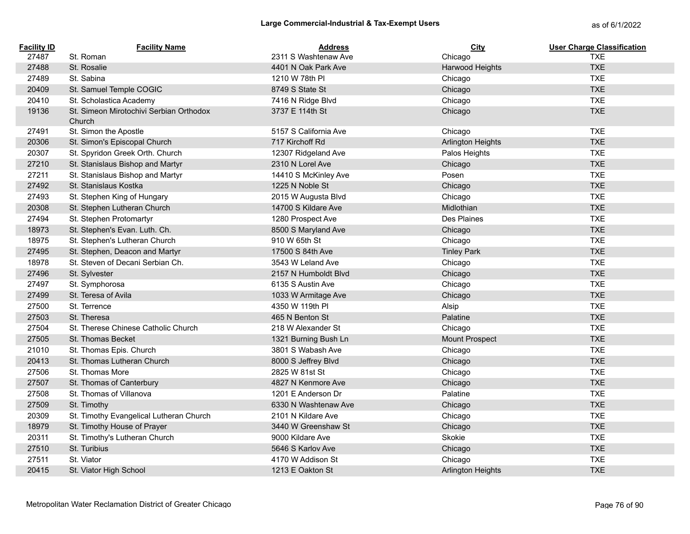| <b>Facility ID</b> | <b>Facility Name</b>                              | <b>Address</b>        | <b>City</b>              | <b>User Charge Classification</b> |
|--------------------|---------------------------------------------------|-----------------------|--------------------------|-----------------------------------|
| 27487              | St. Roman                                         | 2311 S Washtenaw Ave  | Chicago                  | <b>TXE</b>                        |
| 27488              | St. Rosalie                                       | 4401 N Oak Park Ave   | Harwood Heights          | <b>TXE</b>                        |
| 27489              | St. Sabina                                        | 1210 W 78th PI        | Chicago                  | <b>TXE</b>                        |
| 20409              | St. Samuel Temple COGIC                           | 8749 S State St       | Chicago                  | <b>TXE</b>                        |
| 20410              | St. Scholastica Academy                           | 7416 N Ridge Blvd     | Chicago                  | <b>TXE</b>                        |
| 19136              | St. Simeon Mirotochivi Serbian Orthodox<br>Church | 3737 E 114th St       | Chicago                  | <b>TXE</b>                        |
| 27491              | St. Simon the Apostle                             | 5157 S California Ave | Chicago                  | <b>TXE</b>                        |
| 20306              | St. Simon's Episcopal Church                      | 717 Kirchoff Rd       | <b>Arlington Heights</b> | <b>TXE</b>                        |
| 20307              | St. Spyridon Greek Orth. Church                   | 12307 Ridgeland Ave   | Palos Heights            | <b>TXE</b>                        |
| 27210              | St. Stanislaus Bishop and Martyr                  | 2310 N Lorel Ave      | Chicago                  | <b>TXE</b>                        |
| 27211              | St. Stanislaus Bishop and Martyr                  | 14410 S McKinley Ave  | Posen                    | <b>TXE</b>                        |
| 27492              | St. Stanislaus Kostka                             | 1225 N Noble St       | Chicago                  | <b>TXE</b>                        |
| 27493              | St. Stephen King of Hungary                       | 2015 W Augusta Blvd   | Chicago                  | <b>TXE</b>                        |
| 20308              | St. Stephen Lutheran Church                       | 14700 S Kildare Ave   | Midlothian               | <b>TXE</b>                        |
| 27494              | St. Stephen Protomartyr                           | 1280 Prospect Ave     | Des Plaines              | <b>TXE</b>                        |
| 18973              | St. Stephen's Evan. Luth. Ch.                     | 8500 S Maryland Ave   | Chicago                  | <b>TXE</b>                        |
| 18975              | St. Stephen's Lutheran Church                     | 910 W 65th St         | Chicago                  | <b>TXE</b>                        |
| 27495              | St. Stephen, Deacon and Martyr                    | 17500 S 84th Ave      | <b>Tinley Park</b>       | <b>TXE</b>                        |
| 18978              | St. Steven of Decani Serbian Ch.                  | 3543 W Leland Ave     | Chicago                  | <b>TXE</b>                        |
| 27496              | St. Sylvester                                     | 2157 N Humboldt Blvd  | Chicago                  | <b>TXE</b>                        |
| 27497              | St. Symphorosa                                    | 6135 S Austin Ave     | Chicago                  | <b>TXE</b>                        |
| 27499              | St. Teresa of Avila                               | 1033 W Armitage Ave   | Chicago                  | <b>TXE</b>                        |
| 27500              | St. Terrence                                      | 4350 W 119th PI       | Alsip                    | <b>TXE</b>                        |
| 27503              | St. Theresa                                       | 465 N Benton St       | Palatine                 | <b>TXE</b>                        |
| 27504              | St. Therese Chinese Catholic Church               | 218 W Alexander St    | Chicago                  | <b>TXE</b>                        |
| 27505              | St. Thomas Becket                                 | 1321 Burning Bush Ln  | <b>Mount Prospect</b>    | <b>TXE</b>                        |
| 21010              | St. Thomas Epis. Church                           | 3801 S Wabash Ave     | Chicago                  | <b>TXE</b>                        |
| 20413              | St. Thomas Lutheran Church                        | 8000 S Jeffrey Blvd   | Chicago                  | <b>TXE</b>                        |
| 27506              | St. Thomas More                                   | 2825 W 81st St        | Chicago                  | <b>TXE</b>                        |
| 27507              | St. Thomas of Canterbury                          | 4827 N Kenmore Ave    | Chicago                  | <b>TXE</b>                        |
| 27508              | St. Thomas of Villanova                           | 1201 E Anderson Dr    | Palatine                 | <b>TXE</b>                        |
| 27509              | St. Timothy                                       | 6330 N Washtenaw Ave  | Chicago                  | <b>TXE</b>                        |
| 20309              | St. Timothy Evangelical Lutheran Church           | 2101 N Kildare Ave    | Chicago                  | <b>TXE</b>                        |
| 18979              | St. Timothy House of Prayer                       | 3440 W Greenshaw St   | Chicago                  | <b>TXE</b>                        |
| 20311              | St. Timothy's Lutheran Church                     | 9000 Kildare Ave      | Skokie                   | <b>TXE</b>                        |
| 27510              | St. Turibius                                      | 5646 S Karlov Ave     | Chicago                  | <b>TXE</b>                        |
| 27511              | St. Viator                                        | 4170 W Addison St     | Chicago                  | <b>TXE</b>                        |
| 20415              | St. Viator High School                            | 1213 E Oakton St      | <b>Arlington Heights</b> | <b>TXE</b>                        |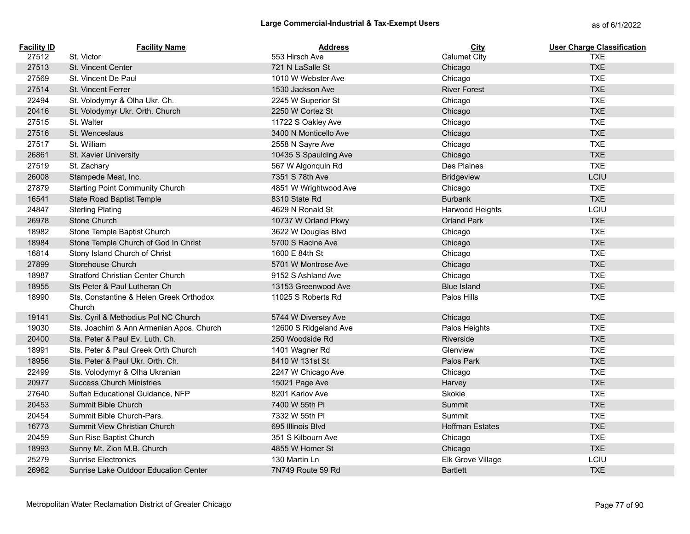| <b>Facility ID</b> | <b>Facility Name</b>                              | <b>Address</b>        | City                   | <b>User Charge Classification</b> |
|--------------------|---------------------------------------------------|-----------------------|------------------------|-----------------------------------|
| 27512              | St. Victor                                        | 553 Hirsch Ave        | <b>Calumet City</b>    | <b>TXE</b>                        |
| 27513              | <b>St. Vincent Center</b>                         | 721 N LaSalle St      | Chicago                | <b>TXE</b>                        |
| 27569              | St. Vincent De Paul                               | 1010 W Webster Ave    | Chicago                | <b>TXE</b>                        |
| 27514              | St. Vincent Ferrer                                | 1530 Jackson Ave      | <b>River Forest</b>    | <b>TXE</b>                        |
| 22494              | St. Volodymyr & Olha Ukr. Ch.                     | 2245 W Superior St    | Chicago                | <b>TXE</b>                        |
| 20416              | St. Volodymyr Ukr. Orth. Church                   | 2250 W Cortez St      | Chicago                | <b>TXE</b>                        |
| 27515              | St. Walter                                        | 11722 S Oakley Ave    | Chicago                | <b>TXE</b>                        |
| 27516              | St. Wenceslaus                                    | 3400 N Monticello Ave | Chicago                | <b>TXE</b>                        |
| 27517              | St. William                                       | 2558 N Sayre Ave      | Chicago                | <b>TXE</b>                        |
| 26861              | St. Xavier University                             | 10435 S Spaulding Ave | Chicago                | <b>TXE</b>                        |
| 27519              | St. Zachary                                       | 567 W Algonquin Rd    | Des Plaines            | <b>TXE</b>                        |
| 26008              | Stampede Meat, Inc.                               | 7351 S 78th Ave       | <b>Bridgeview</b>      | LCIU                              |
| 27879              | <b>Starting Point Community Church</b>            | 4851 W Wrightwood Ave | Chicago                | <b>TXE</b>                        |
| 16541              | <b>State Road Baptist Temple</b>                  | 8310 State Rd         | <b>Burbank</b>         | <b>TXE</b>                        |
| 24847              | <b>Sterling Plating</b>                           | 4629 N Ronald St      | Harwood Heights        | LCIU                              |
| 26978              | Stone Church                                      | 10737 W Orland Pkwy   | <b>Orland Park</b>     | <b>TXE</b>                        |
| 18982              | Stone Temple Baptist Church                       | 3622 W Douglas Blvd   | Chicago                | <b>TXE</b>                        |
| 18984              | Stone Temple Church of God In Christ              | 5700 S Racine Ave     | Chicago                | <b>TXE</b>                        |
| 16814              | Stony Island Church of Christ                     | 1600 E 84th St        | Chicago                | <b>TXE</b>                        |
| 27899              | Storehouse Church                                 | 5701 W Montrose Ave   | Chicago                | <b>TXE</b>                        |
| 18987              | Stratford Christian Center Church                 | 9152 S Ashland Ave    | Chicago                | <b>TXE</b>                        |
| 18955              | Sts Peter & Paul Lutheran Ch                      | 13153 Greenwood Ave   | <b>Blue Island</b>     | <b>TXE</b>                        |
| 18990              | Sts. Constantine & Helen Greek Orthodox<br>Church | 11025 S Roberts Rd    | Palos Hills            | <b>TXE</b>                        |
| 19141              | Sts. Cyril & Methodius Pol NC Church              | 5744 W Diversey Ave   | Chicago                | <b>TXE</b>                        |
| 19030              | Sts. Joachim & Ann Armenian Apos. Church          | 12600 S Ridgeland Ave | Palos Heights          | <b>TXE</b>                        |
| 20400              | Sts. Peter & Paul Ev. Luth. Ch.                   | 250 Woodside Rd       | Riverside              | <b>TXE</b>                        |
| 18991              | Sts. Peter & Paul Greek Orth Church               | 1401 Wagner Rd        | Glenview               | <b>TXE</b>                        |
| 18956              | Sts. Peter & Paul Ukr. Orth. Ch.                  | 8410 W 131st St       | Palos Park             | <b>TXE</b>                        |
| 22499              | Sts. Volodymyr & Olha Ukranian                    | 2247 W Chicago Ave    | Chicago                | <b>TXE</b>                        |
| 20977              | <b>Success Church Ministries</b>                  | 15021 Page Ave        | Harvey                 | <b>TXE</b>                        |
| 27640              | Suffah Educational Guidance, NFP                  | 8201 Karlov Ave       | Skokie                 | <b>TXE</b>                        |
| 20453              | Summit Bible Church                               | 7400 W 55th PI        | Summit                 | <b>TXE</b>                        |
| 20454              | Summit Bible Church-Pars.                         | 7332 W 55th PI        | Summit                 | <b>TXE</b>                        |
| 16773              | Summit View Christian Church                      | 695 Illinois Blvd     | <b>Hoffman Estates</b> | <b>TXE</b>                        |
| 20459              | Sun Rise Baptist Church                           | 351 S Kilbourn Ave    | Chicago                | <b>TXE</b>                        |
| 18993              | Sunny Mt. Zion M.B. Church                        | 4855 W Homer St       | Chicago                | <b>TXE</b>                        |
| 25279              | <b>Sunrise Electronics</b>                        | 130 Martin Ln         | Elk Grove Village      | LCIU                              |
| 26962              | Sunrise Lake Outdoor Education Center             | 7N749 Route 59 Rd     | <b>Bartlett</b>        | <b>TXE</b>                        |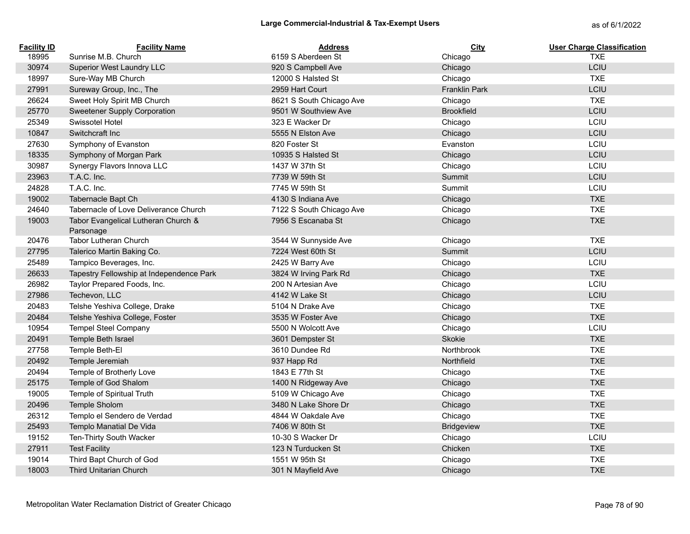| <b>Facility ID</b> | <b>Facility Name</b>                             | <b>Address</b>           | City                 | <b>User Charge Classification</b> |
|--------------------|--------------------------------------------------|--------------------------|----------------------|-----------------------------------|
| 18995              | Sunrise M.B. Church                              | 6159 S Aberdeen St       | Chicago              | <b>TXE</b>                        |
| 30974              | Superior West Laundry LLC                        | 920 S Campbell Ave       | Chicago              | LCIU                              |
| 18997              | Sure-Way MB Church                               | 12000 S Halsted St       | Chicago              | <b>TXE</b>                        |
| 27991              | Sureway Group, Inc., The                         | 2959 Hart Court          | <b>Franklin Park</b> | LCIU                              |
| 26624              | Sweet Holy Spirit MB Church                      | 8621 S South Chicago Ave | Chicago              | <b>TXE</b>                        |
| 25770              | Sweetener Supply Corporation                     | 9501 W Southview Ave     | <b>Brookfield</b>    | LCIU                              |
| 25349              | Swissotel Hotel                                  | 323 E Wacker Dr          | Chicago              | LCIU                              |
| 10847              | Switchcraft Inc                                  | 5555 N Elston Ave        | Chicago              | LCIU                              |
| 27630              | Symphony of Evanston                             | 820 Foster St            | Evanston             | LCIU                              |
| 18335              | Symphony of Morgan Park                          | 10935 S Halsted St       | Chicago              | LCIU                              |
| 30987              | Synergy Flavors Innova LLC                       | 1437 W 37th St           | Chicago              | LCIU                              |
| 23963              | T.A.C. Inc.                                      | 7739 W 59th St           | Summit               | LCIU                              |
| 24828              | T.A.C. Inc.                                      | 7745 W 59th St           | Summit               | LCIU                              |
| 19002              | Tabernacle Bapt Ch                               | 4130 S Indiana Ave       | Chicago              | <b>TXE</b>                        |
| 24640              | Tabernacle of Love Deliverance Church            | 7122 S South Chicago Ave | Chicago              | <b>TXE</b>                        |
| 19003              | Tabor Evangelical Lutheran Church &<br>Parsonage | 7956 S Escanaba St       | Chicago              | <b>TXE</b>                        |
| 20476              | Tabor Lutheran Church                            | 3544 W Sunnyside Ave     | Chicago              | <b>TXE</b>                        |
| 27795              | Talerico Martin Baking Co.                       | 7224 West 60th St        | Summit               | LCIU                              |
| 25489              | Tampico Beverages, Inc.                          | 2425 W Barry Ave         | Chicago              | LCIU                              |
| 26633              | Tapestry Fellowship at Independence Park         | 3824 W Irving Park Rd    | Chicago              | <b>TXE</b>                        |
| 26982              | Taylor Prepared Foods, Inc.                      | 200 N Artesian Ave       | Chicago              | LCIU                              |
| 27986              | Techevon, LLC                                    | 4142 W Lake St           | Chicago              | LCIU                              |
| 20483              | Telshe Yeshiva College, Drake                    | 5104 N Drake Ave         | Chicago              | <b>TXE</b>                        |
| 20484              | Telshe Yeshiva College, Foster                   | 3535 W Foster Ave        | Chicago              | <b>TXE</b>                        |
| 10954              | <b>Tempel Steel Company</b>                      | 5500 N Wolcott Ave       | Chicago              | LCIU                              |
| 20491              | Temple Beth Israel                               | 3601 Dempster St         | Skokie               | <b>TXE</b>                        |
| 27758              | Temple Beth-El                                   | 3610 Dundee Rd           | Northbrook           | <b>TXE</b>                        |
| 20492              | Temple Jeremiah                                  | 937 Happ Rd              | <b>Northfield</b>    | <b>TXE</b>                        |
| 20494              | Temple of Brotherly Love                         | 1843 E 77th St           | Chicago              | <b>TXE</b>                        |
| 25175              | Temple of God Shalom                             | 1400 N Ridgeway Ave      | Chicago              | <b>TXE</b>                        |
| 19005              | Temple of Spiritual Truth                        | 5109 W Chicago Ave       | Chicago              | <b>TXE</b>                        |
| 20496              | Temple Sholom                                    | 3480 N Lake Shore Dr     | Chicago              | <b>TXE</b>                        |
| 26312              | Templo el Sendero de Verdad                      | 4844 W Oakdale Ave       | Chicago              | <b>TXE</b>                        |
| 25493              | Templo Manatial De Vida                          | 7406 W 80th St           | Bridgeview           | <b>TXE</b>                        |
| 19152              | Ten-Thirty South Wacker                          | 10-30 S Wacker Dr        | Chicago              | LCIU                              |
| 27911              | <b>Test Facility</b>                             | 123 N Turducken St       | Chicken              | <b>TXE</b>                        |
| 19014              | Third Bapt Church of God                         | 1551 W 95th St           | Chicago              | <b>TXE</b>                        |
| 18003              | <b>Third Unitarian Church</b>                    | 301 N Mayfield Ave       | Chicago              | <b>TXE</b>                        |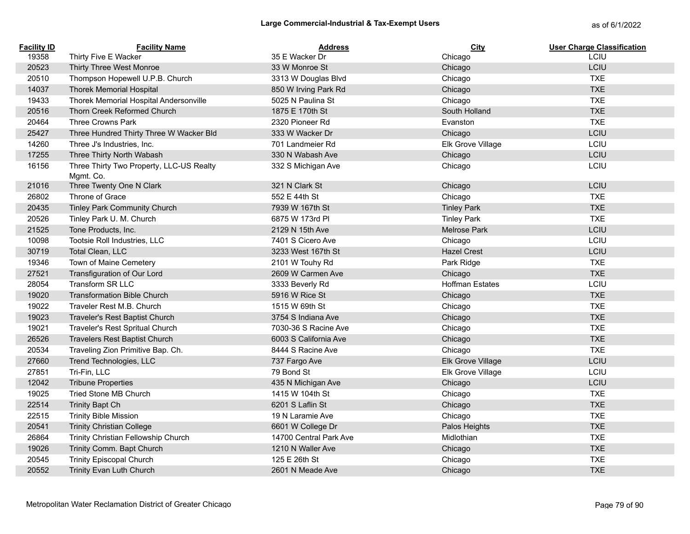| <b>Facility ID</b> | <b>Facility Name</b>                                  | <b>Address</b>         | City                   | <b>User Charge Classification</b> |
|--------------------|-------------------------------------------------------|------------------------|------------------------|-----------------------------------|
| 19358              | Thirty Five E Wacker                                  | 35 E Wacker Dr         | Chicago                | LCIU                              |
| 20523              | Thirty Three West Monroe                              | 33 W Monroe St         | Chicago                | LCIU                              |
| 20510              | Thompson Hopewell U.P.B. Church                       | 3313 W Douglas Blvd    | Chicago                | <b>TXE</b>                        |
| 14037              | <b>Thorek Memorial Hospital</b>                       | 850 W Irving Park Rd   | Chicago                | <b>TXE</b>                        |
| 19433              | Thorek Memorial Hospital Andersonville                | 5025 N Paulina St      | Chicago                | <b>TXE</b>                        |
| 20516              | Thorn Creek Reformed Church                           | 1875 E 170th St        | South Holland          | <b>TXE</b>                        |
| 20464              | Three Crowns Park                                     | 2320 Pioneer Rd        | Evanston               | <b>TXE</b>                        |
| 25427              | Three Hundred Thirty Three W Wacker Bld               | 333 W Wacker Dr        | Chicago                | LCIU                              |
| 14260              | Three J's Industries, Inc.                            | 701 Landmeier Rd       | Elk Grove Village      | LCIU                              |
| 17255              | Three Thirty North Wabash                             | 330 N Wabash Ave       | Chicago                | LCIU                              |
| 16156              | Three Thirty Two Property, LLC-US Realty<br>Mgmt. Co. | 332 S Michigan Ave     | Chicago                | LCIU                              |
| 21016              | Three Twenty One N Clark                              | 321 N Clark St         | Chicago                | LCIU                              |
| 26802              | Throne of Grace                                       | 552 E 44th St          | Chicago                | <b>TXE</b>                        |
| 20435              | Tinley Park Community Church                          | 7939 W 167th St        | <b>Tinley Park</b>     | <b>TXE</b>                        |
| 20526              | Tinley Park U. M. Church                              | 6875 W 173rd PI        | <b>Tinley Park</b>     | <b>TXE</b>                        |
| 21525              | Tone Products, Inc.                                   | 2129 N 15th Ave        | Melrose Park           | LCIU                              |
| 10098              | Tootsie Roll Industries, LLC                          | 7401 S Cicero Ave      | Chicago                | LCIU                              |
| 30719              | Total Clean, LLC                                      | 3233 West 167th St     | <b>Hazel Crest</b>     | LCIU                              |
| 19346              | Town of Maine Cemetery                                | 2101 W Touhy Rd        | Park Ridge             | <b>TXE</b>                        |
| 27521              | Transfiguration of Our Lord                           | 2609 W Carmen Ave      | Chicago                | <b>TXE</b>                        |
| 28054              | Transform SR LLC                                      | 3333 Beverly Rd        | <b>Hoffman Estates</b> | LCIU                              |
| 19020              | <b>Transformation Bible Church</b>                    | 5916 W Rice St         | Chicago                | <b>TXE</b>                        |
| 19022              | Traveler Rest M.B. Church                             | 1515 W 69th St         | Chicago                | <b>TXE</b>                        |
| 19023              | Traveler's Rest Baptist Church                        | 3754 S Indiana Ave     | Chicago                | <b>TXE</b>                        |
| 19021              | Traveler's Rest Spritual Church                       | 7030-36 S Racine Ave   | Chicago                | <b>TXE</b>                        |
| 26526              | <b>Travelers Rest Baptist Church</b>                  | 6003 S California Ave  | Chicago                | <b>TXE</b>                        |
| 20534              | Traveling Zion Primitive Bap. Ch.                     | 8444 S Racine Ave      | Chicago                | <b>TXE</b>                        |
| 27660              | Trend Technologies, LLC                               | 737 Fargo Ave          | Elk Grove Village      | LCIU                              |
| 27851              | Tri-Fin, LLC                                          | 79 Bond St             | Elk Grove Village      | LCIU                              |
| 12042              | <b>Tribune Properties</b>                             | 435 N Michigan Ave     | Chicago                | LCIU                              |
| 19025              | Tried Stone MB Church                                 | 1415 W 104th St        | Chicago                | <b>TXE</b>                        |
| 22514              | <b>Trinity Bapt Ch</b>                                | 6201 S Laflin St       | Chicago                | <b>TXE</b>                        |
| 22515              | <b>Trinity Bible Mission</b>                          | 19 N Laramie Ave       | Chicago                | <b>TXE</b>                        |
| 20541              | <b>Trinity Christian College</b>                      | 6601 W College Dr      | Palos Heights          | <b>TXE</b>                        |
| 26864              | Trinity Christian Fellowship Church                   | 14700 Central Park Ave | Midlothian             | <b>TXE</b>                        |
| 19026              | Trinity Comm. Bapt Church                             | 1210 N Waller Ave      | Chicago                | <b>TXE</b>                        |
| 20545              | <b>Trinity Episcopal Church</b>                       | 125 E 26th St          | Chicago                | <b>TXE</b>                        |
| 20552              | Trinity Evan Luth Church                              | 2601 N Meade Ave       | Chicago                | <b>TXE</b>                        |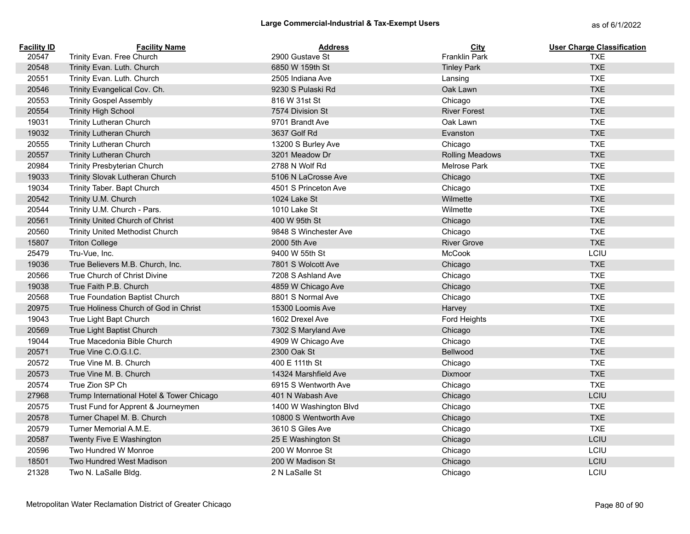| <b>Facility ID</b> | <b>Facility Name</b>                      | <b>Address</b>         | <b>City</b>            | <b>User Charge Classification</b> |
|--------------------|-------------------------------------------|------------------------|------------------------|-----------------------------------|
| 20547              | Trinity Evan. Free Church                 | 2900 Gustave St        | Franklin Park          | <b>TXE</b>                        |
| 20548              | Trinity Evan. Luth. Church                | 6850 W 159th St        | <b>Tinley Park</b>     | <b>TXE</b>                        |
| 20551              | Trinity Evan. Luth. Church                | 2505 Indiana Ave       | Lansing                | <b>TXE</b>                        |
| 20546              | Trinity Evangelical Cov. Ch.              | 9230 S Pulaski Rd      | Oak Lawn               | <b>TXE</b>                        |
| 20553              | <b>Trinity Gospel Assembly</b>            | 816 W 31st St          | Chicago                | <b>TXE</b>                        |
| 20554              | <b>Trinity High School</b>                | 7574 Division St       | <b>River Forest</b>    | <b>TXE</b>                        |
| 19031              | Trinity Lutheran Church                   | 9701 Brandt Ave        | Oak Lawn               | <b>TXE</b>                        |
| 19032              | <b>Trinity Lutheran Church</b>            | 3637 Golf Rd           | Evanston               | <b>TXE</b>                        |
| 20555              | Trinity Lutheran Church                   | 13200 S Burley Ave     | Chicago                | <b>TXE</b>                        |
| 20557              | <b>Trinity Lutheran Church</b>            | 3201 Meadow Dr         | <b>Rolling Meadows</b> | <b>TXE</b>                        |
| 20984              | Trinity Presbyterian Church               | 2788 N Wolf Rd         | Melrose Park           | <b>TXE</b>                        |
| 19033              | Trinity Slovak Lutheran Church            | 5106 N LaCrosse Ave    | Chicago                | <b>TXE</b>                        |
| 19034              | Trinity Taber. Bapt Church                | 4501 S Princeton Ave   | Chicago                | <b>TXE</b>                        |
| 20542              | Trinity U.M. Church                       | 1024 Lake St           | Wilmette               | <b>TXE</b>                        |
| 20544              | Trinity U.M. Church - Pars.               | 1010 Lake St           | Wilmette               | <b>TXE</b>                        |
| 20561              | Trinity United Church of Christ           | 400 W 95th St          | Chicago                | <b>TXE</b>                        |
| 20560              | Trinity United Methodist Church           | 9848 S Winchester Ave  | Chicago                | <b>TXE</b>                        |
| 15807              | <b>Triton College</b>                     | 2000 5th Ave           | <b>River Grove</b>     | <b>TXE</b>                        |
| 25479              | Tru-Vue, Inc.                             | 9400 W 55th St         | <b>McCook</b>          | LCIU                              |
| 19036              | True Believers M.B. Church, Inc.          | 7801 S Wolcott Ave     | Chicago                | <b>TXE</b>                        |
| 20566              | True Church of Christ Divine              | 7208 S Ashland Ave     | Chicago                | <b>TXE</b>                        |
| 19038              | True Faith P.B. Church                    | 4859 W Chicago Ave     | Chicago                | <b>TXE</b>                        |
| 20568              | True Foundation Baptist Church            | 8801 S Normal Ave      | Chicago                | <b>TXE</b>                        |
| 20975              | True Holiness Church of God in Christ     | 15300 Loomis Ave       | Harvey                 | <b>TXE</b>                        |
| 19043              | True Light Bapt Church                    | 1602 Drexel Ave        | Ford Heights           | <b>TXE</b>                        |
| 20569              | True Light Baptist Church                 | 7302 S Maryland Ave    | Chicago                | <b>TXE</b>                        |
| 19044              | True Macedonia Bible Church               | 4909 W Chicago Ave     | Chicago                | <b>TXE</b>                        |
| 20571              | True Vine C.O.G.I.C.                      | 2300 Oak St            | <b>Bellwood</b>        | <b>TXE</b>                        |
| 20572              | True Vine M. B. Church                    | 400 E 111th St         | Chicago                | <b>TXE</b>                        |
| 20573              | True Vine M. B. Church                    | 14324 Marshfield Ave   | <b>Dixmoor</b>         | <b>TXE</b>                        |
| 20574              | True Zion SP Ch                           | 6915 S Wentworth Ave   | Chicago                | <b>TXE</b>                        |
| 27968              | Trump International Hotel & Tower Chicago | 401 N Wabash Ave       | Chicago                | LCIU                              |
| 20575              | Trust Fund for Apprent & Journeymen       | 1400 W Washington Blvd | Chicago                | <b>TXE</b>                        |
| 20578              | Turner Chapel M. B. Church                | 10800 S Wentworth Ave  | Chicago                | <b>TXE</b>                        |
| 20579              | Turner Memorial A.M.E.                    | 3610 S Giles Ave       | Chicago                | <b>TXE</b>                        |
| 20587              | Twenty Five E Washington                  | 25 E Washington St     | Chicago                | LCIU                              |
| 20596              | Two Hundred W Monroe                      | 200 W Monroe St        | Chicago                | LCIU                              |
| 18501              | Two Hundred West Madison                  | 200 W Madison St       | Chicago                | LCIU                              |
| 21328              | Two N. LaSalle Bldg.                      | 2 N LaSalle St         | Chicago                | LCIU                              |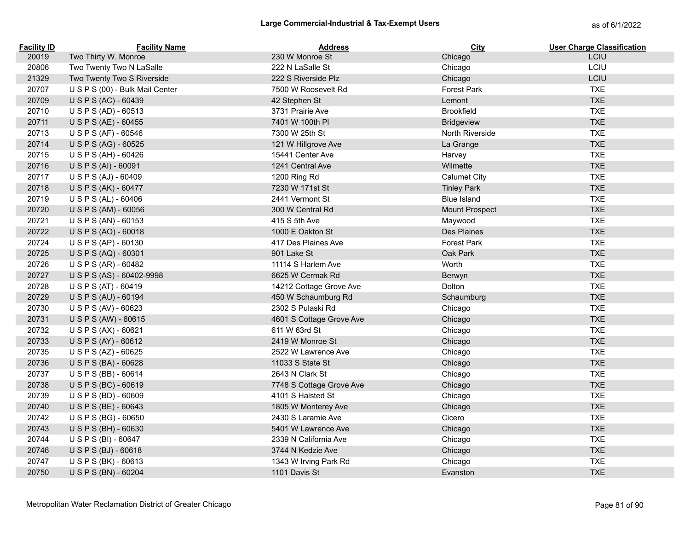| <b>Facility ID</b> | <b>Facility Name</b>            | <b>Address</b>           | City                | <b>User Charge Classification</b> |
|--------------------|---------------------------------|--------------------------|---------------------|-----------------------------------|
| 20019              | Two Thirty W. Monroe            | 230 W Monroe St          | Chicago             | LCIU                              |
| 20806              | Two Twenty Two N LaSalle        | 222 N LaSalle St         | Chicago             | LCIU                              |
| 21329              | Two Twenty Two S Riverside      | 222 S Riverside Plz      | Chicago             | LCIU                              |
| 20707              | U S P S (00) - Bulk Mail Center | 7500 W Roosevelt Rd      | <b>Forest Park</b>  | <b>TXE</b>                        |
| 20709              | U S P S (AC) - 60439            | 42 Stephen St            | Lemont              | <b>TXE</b>                        |
| 20710              | USPS (AD) - 60513               | 3731 Prairie Ave         | <b>Brookfield</b>   | <b>TXE</b>                        |
| 20711              | U S P S (AE) - 60455            | 7401 W 100th PI          | <b>Bridgeview</b>   | <b>TXE</b>                        |
| 20713              | U S P S (AF) - 60546            | 7300 W 25th St           | North Riverside     | <b>TXE</b>                        |
| 20714              | U S P S (AG) - 60525            | 121 W Hillgrove Ave      | La Grange           | <b>TXE</b>                        |
| 20715              | U S P S (AH) - 60426            | 15441 Center Ave         | Harvey              | <b>TXE</b>                        |
| 20716              | USPS (AI) - 60091               | 1241 Central Ave         | Wilmette            | <b>TXE</b>                        |
| 20717              | USPS (AJ) - 60409               | 1200 Ring Rd             | <b>Calumet City</b> | <b>TXE</b>                        |
| 20718              | USPS (AK) - 60477               | 7230 W 171st St          | <b>Tinley Park</b>  | <b>TXE</b>                        |
| 20719              | USPS (AL) - 60406               | 2441 Vermont St          | <b>Blue Island</b>  | <b>TXE</b>                        |
| 20720              | USPS (AM) - 60056               | 300 W Central Rd         | Mount Prospect      | <b>TXE</b>                        |
| 20721              | USPS (AN) - 60153               | 415 S 5th Ave            | Maywood             | <b>TXE</b>                        |
| 20722              | USPS (AO) - 60018               | 1000 E Oakton St         | Des Plaines         | <b>TXE</b>                        |
| 20724              | USPS (AP) - 60130               | 417 Des Plaines Ave      | <b>Forest Park</b>  | <b>TXE</b>                        |
| 20725              | USPS (AQ) - 60301               | 901 Lake St              | Oak Park            | <b>TXE</b>                        |
| 20726              | U S P S (AR) - 60482            | 11114 S Harlem Ave       | Worth               | <b>TXE</b>                        |
| 20727              | USPS (AS) - 60402-9998          | 6625 W Cermak Rd         | Berwyn              | <b>TXE</b>                        |
| 20728              | USPS (AT) - 60419               | 14212 Cottage Grove Ave  | Dolton              | <b>TXE</b>                        |
| 20729              | USPS (AU) - 60194               | 450 W Schaumburg Rd      | Schaumburg          | <b>TXE</b>                        |
| 20730              | USPS (AV) - 60623               | 2302 S Pulaski Rd        | Chicago             | <b>TXE</b>                        |
| 20731              | USPS (AW) - 60615               | 4601 S Cottage Grove Ave | Chicago             | <b>TXE</b>                        |
| 20732              | USPS (AX) - 60621               | 611 W 63rd St            | Chicago             | <b>TXE</b>                        |
| 20733              | USPS (AY) - 60612               | 2419 W Monroe St         | Chicago             | <b>TXE</b>                        |
| 20735              | U S P S (AZ) - 60625            | 2522 W Lawrence Ave      | Chicago             | <b>TXE</b>                        |
| 20736              | USPS (BA) - 60628               | 11033 S State St         | Chicago             | <b>TXE</b>                        |
| 20737              | USPS (BB) - 60614               | 2643 N Clark St          | Chicago             | <b>TXE</b>                        |
| 20738              | USPS (BC) - 60619               | 7748 S Cottage Grove Ave | Chicago             | <b>TXE</b>                        |
| 20739              | USPS (BD) - 60609               | 4101 S Halsted St        | Chicago             | <b>TXE</b>                        |
| 20740              | U S P S (BE) - 60643            | 1805 W Monterey Ave      | Chicago             | <b>TXE</b>                        |
| 20742              | USPS (BG) - 60650               | 2430 S Laramie Ave       | Cicero              | <b>TXE</b>                        |
| 20743              | USPS (BH) - 60630               | 5401 W Lawrence Ave      | Chicago             | <b>TXE</b>                        |
| 20744              | USPS (BI) - 60647               | 2339 N California Ave    | Chicago             | <b>TXE</b>                        |
| 20746              | USPS (BJ) - 60618               | 3744 N Kedzie Ave        | Chicago             | <b>TXE</b>                        |
| 20747              | USPS (BK) - 60613               | 1343 W Irving Park Rd    | Chicago             | <b>TXE</b>                        |
| 20750              | USPS (BN) - 60204               | 1101 Davis St            | Evanston            | <b>TXE</b>                        |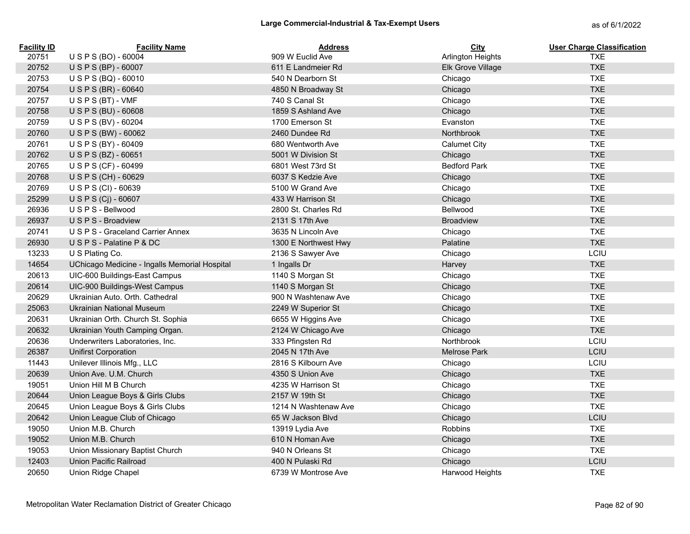| <b>Facility ID</b> | <b>Facility Name</b>                          | <b>Address</b>       | <b>City</b>            | <b>User Charge Classification</b> |
|--------------------|-----------------------------------------------|----------------------|------------------------|-----------------------------------|
| 20751              | USPS (BO) - 60004                             | 909 W Euclid Ave     | Arlington Heights      | <b>TXE</b>                        |
| 20752              | USPS (BP) - 60007                             | 611 E Landmeier Rd   | Elk Grove Village      | <b>TXE</b>                        |
| 20753              | USPS (BQ) - 60010                             | 540 N Dearborn St    | Chicago                | <b>TXE</b>                        |
| 20754              | USPS (BR) - 60640                             | 4850 N Broadway St   | Chicago                | <b>TXE</b>                        |
| 20757              | $US PS(BT) - VMF$                             | 740 S Canal St       | Chicago                | <b>TXE</b>                        |
| 20758              | USPS (BU) - 60608                             | 1859 S Ashland Ave   | Chicago                | <b>TXE</b>                        |
| 20759              | USPS (BV) - 60204                             | 1700 Emerson St      | Evanston               | <b>TXE</b>                        |
| 20760              | USPS (BW) - 60062                             | 2460 Dundee Rd       | Northbrook             | <b>TXE</b>                        |
| 20761              | USPS (BY) - 60409                             | 680 Wentworth Ave    | <b>Calumet City</b>    | <b>TXE</b>                        |
| 20762              | U S P S (BZ) - 60651                          | 5001 W Division St   | Chicago                | <b>TXE</b>                        |
| 20765              | USPS (CF) - 60499                             | 6801 West 73rd St    | <b>Bedford Park</b>    | <b>TXE</b>                        |
| 20768              | U S P S (CH) - 60629                          | 6037 S Kedzie Ave    | Chicago                | <b>TXE</b>                        |
| 20769              | USPS (CI) - 60639                             | 5100 W Grand Ave     | Chicago                | <b>TXE</b>                        |
| 25299              | USPS (Cj) - 60607                             | 433 W Harrison St    | Chicago                | <b>TXE</b>                        |
| 26936              | USPS - Bellwood                               | 2800 St. Charles Rd  | Bellwood               | <b>TXE</b>                        |
| 26937              | U S P S - Broadview                           | 2131 S 17th Ave      | <b>Broadview</b>       | <b>TXE</b>                        |
| 20741              | U S P S - Graceland Carrier Annex             | 3635 N Lincoln Ave   | Chicago                | <b>TXE</b>                        |
| 26930              | USPS - Palatine P & DC                        | 1300 E Northwest Hwy | Palatine               | <b>TXE</b>                        |
| 13233              | U S Plating Co.                               | 2136 S Sawyer Ave    | Chicago                | LCIU                              |
| 14654              | UChicago Medicine - Ingalls Memorial Hospital | 1 Ingalls Dr         | Harvey                 | <b>TXE</b>                        |
| 20613              | UIC-600 Buildings-East Campus                 | 1140 S Morgan St     | Chicago                | <b>TXE</b>                        |
| 20614              | UIC-900 Buildings-West Campus                 | 1140 S Morgan St     | Chicago                | <b>TXE</b>                        |
| 20629              | Ukrainian Auto. Orth. Cathedral               | 900 N Washtenaw Ave  | Chicago                | <b>TXE</b>                        |
| 25063              | <b>Ukrainian National Museum</b>              | 2249 W Superior St   | Chicago                | <b>TXE</b>                        |
| 20631              | Ukrainian Orth. Church St. Sophia             | 6655 W Higgins Ave   | Chicago                | <b>TXE</b>                        |
| 20632              | Ukrainian Youth Camping Organ.                | 2124 W Chicago Ave   | Chicago                | <b>TXE</b>                        |
| 20636              | Underwriters Laboratories, Inc.               | 333 Pfingsten Rd     | Northbrook             | LCIU                              |
| 26387              | <b>Unifirst Corporation</b>                   | 2045 N 17th Ave      | Melrose Park           | LCIU                              |
| 11443              | Unilever Illinois Mfg., LLC                   | 2816 S Kilbourn Ave  | Chicago                | LCIU                              |
| 20639              | Union Ave. U.M. Church                        | 4350 S Union Ave     | Chicago                | <b>TXE</b>                        |
| 19051              | Union Hill M B Church                         | 4235 W Harrison St   | Chicago                | <b>TXE</b>                        |
| 20644              | Union League Boys & Girls Clubs               | 2157 W 19th St       | Chicago                | <b>TXE</b>                        |
| 20645              | Union League Boys & Girls Clubs               | 1214 N Washtenaw Ave | Chicago                | <b>TXE</b>                        |
| 20642              | Union League Club of Chicago                  | 65 W Jackson Blvd    | Chicago                | LCIU                              |
| 19050              | Union M.B. Church                             | 13919 Lydia Ave      | Robbins                | <b>TXE</b>                        |
| 19052              | Union M.B. Church                             | 610 N Homan Ave      | Chicago                | <b>TXE</b>                        |
| 19053              | Union Missionary Baptist Church               | 940 N Orleans St     | Chicago                | <b>TXE</b>                        |
| 12403              | Union Pacific Railroad                        | 400 N Pulaski Rd     | Chicago                | LCIU                              |
| 20650              | Union Ridge Chapel                            | 6739 W Montrose Ave  | <b>Harwood Heights</b> | <b>TXE</b>                        |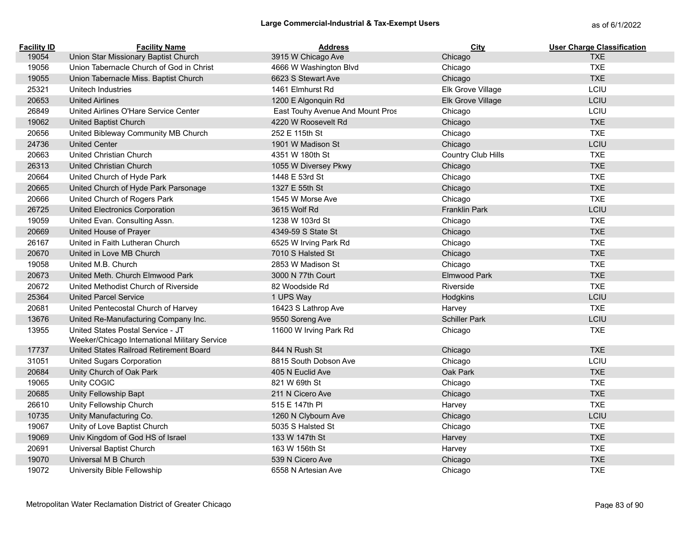| <b>Facility ID</b> | <b>Facility Name</b>                          | <b>Address</b>                   | City                 | <b>User Charge Classification</b> |
|--------------------|-----------------------------------------------|----------------------------------|----------------------|-----------------------------------|
| 19054              | Union Star Missionary Baptist Church          | 3915 W Chicago Ave               | Chicago              | <b>TXE</b>                        |
| 19056              | Union Tabernacle Church of God in Christ      | 4666 W Washington Blvd           | Chicago              | <b>TXE</b>                        |
| 19055              | Union Tabernacle Miss. Baptist Church         | 6623 S Stewart Ave               | Chicago              | <b>TXE</b>                        |
| 25321              | Unitech Industries                            | 1461 Elmhurst Rd                 | Elk Grove Village    | LCIU                              |
| 20653              | <b>United Airlines</b>                        | 1200 E Algonquin Rd              | Elk Grove Village    | LCIU                              |
| 26849              | United Airlines O'Hare Service Center         | East Touhy Avenue And Mount Pros | Chicago              | LCIU                              |
| 19062              | <b>United Baptist Church</b>                  | 4220 W Roosevelt Rd              | Chicago              | <b>TXE</b>                        |
| 20656              | United Bibleway Community MB Church           | 252 E 115th St                   | Chicago              | <b>TXE</b>                        |
| 24736              | <b>United Center</b>                          | 1901 W Madison St                | Chicago              | LCIU                              |
| 20663              | <b>United Christian Church</b>                | 4351 W 180th St                  | Country Club Hills   | <b>TXE</b>                        |
| 26313              | <b>United Christian Church</b>                | 1055 W Diversey Pkwy             | Chicago              | <b>TXE</b>                        |
| 20664              | United Church of Hyde Park                    | 1448 E 53rd St                   | Chicago              | <b>TXE</b>                        |
| 20665              | United Church of Hyde Park Parsonage          | 1327 E 55th St                   | Chicago              | <b>TXE</b>                        |
| 20666              | United Church of Rogers Park                  | 1545 W Morse Ave                 | Chicago              | <b>TXE</b>                        |
| 26725              | United Electronics Corporation                | 3615 Wolf Rd                     | <b>Franklin Park</b> | LCIU                              |
| 19059              | United Evan. Consulting Assn.                 | 1238 W 103rd St                  | Chicago              | <b>TXE</b>                        |
| 20669              | United House of Prayer                        | 4349-59 S State St               | Chicago              | <b>TXE</b>                        |
| 26167              | United in Faith Lutheran Church               | 6525 W Irving Park Rd            | Chicago              | <b>TXE</b>                        |
| 20670              | United in Love MB Church                      | 7010 S Halsted St                | Chicago              | <b>TXE</b>                        |
| 19058              | United M.B. Church                            | 2853 W Madison St                | Chicago              | <b>TXE</b>                        |
| 20673              | United Meth. Church Elmwood Park              | 3000 N 77th Court                | Elmwood Park         | <b>TXE</b>                        |
| 20672              | United Methodist Church of Riverside          | 82 Woodside Rd                   | Riverside            | <b>TXE</b>                        |
| 25364              | <b>United Parcel Service</b>                  | 1 UPS Way                        | Hodgkins             | LCIU                              |
| 20681              | United Pentecostal Church of Harvey           | 16423 S Lathrop Ave              | Harvey               | <b>TXE</b>                        |
| 13676              | United Re-Manufacturing Company Inc.          | 9550 Soreng Ave                  | <b>Schiller Park</b> | LCIU                              |
| 13955              | United States Postal Service - JT             | 11600 W Irving Park Rd           | Chicago              | <b>TXE</b>                        |
|                    | Weeker/Chicago International Military Service |                                  |                      |                                   |
| 17737              | United States Railroad Retirement Board       | 844 N Rush St                    | Chicago              | <b>TXE</b>                        |
| 31051              | <b>United Sugars Corporation</b>              | 8815 South Dobson Ave            | Chicago              | LCIU                              |
| 20684              | Unity Church of Oak Park                      | 405 N Euclid Ave                 | Oak Park             | <b>TXE</b>                        |
| 19065              | Unity COGIC                                   | 821 W 69th St                    | Chicago              | <b>TXE</b>                        |
| 20685              | Unity Fellowship Bapt                         | 211 N Cicero Ave                 | Chicago              | <b>TXE</b>                        |
| 26610              | Unity Fellowship Church                       | 515 E 147th PI                   | Harvey               | <b>TXE</b>                        |
| 10735              | Unity Manufacturing Co.                       | 1260 N Clybourn Ave              | Chicago              | LCIU                              |
| 19067              | Unity of Love Baptist Church                  | 5035 S Halsted St                | Chicago              | <b>TXE</b>                        |
| 19069              | Univ Kingdom of God HS of Israel              | 133 W 147th St                   | Harvey               | <b>TXE</b>                        |
| 20691              | Universal Baptist Church                      | 163 W 156th St                   | Harvey               | <b>TXE</b>                        |
| 19070              | Universal M B Church                          | 539 N Cicero Ave                 | Chicago              | <b>TXE</b>                        |
| 19072              | University Bible Fellowship                   | 6558 N Artesian Ave              | Chicago              | <b>TXE</b>                        |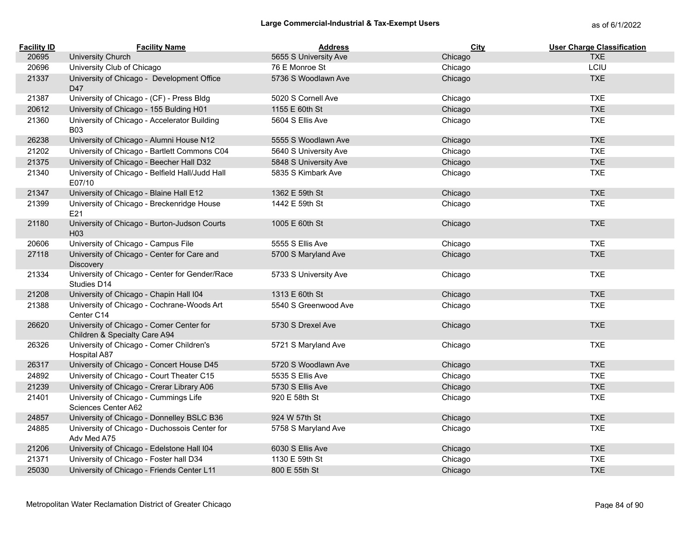| <b>Facility ID</b> | <b>Facility Name</b>                                                      | <b>Address</b>        | <b>City</b> | <b>User Charge Classification</b> |
|--------------------|---------------------------------------------------------------------------|-----------------------|-------------|-----------------------------------|
| 20695              | University Church                                                         | 5655 S University Ave | Chicago     | <b>TXE</b>                        |
| 20696              | University Club of Chicago                                                | 76 E Monroe St        | Chicago     | LCIU                              |
| 21337              | University of Chicago - Development Office<br>D47                         | 5736 S Woodlawn Ave   | Chicago     | <b>TXE</b>                        |
| 21387              | University of Chicago - (CF) - Press Bldg                                 | 5020 S Cornell Ave    | Chicago     | <b>TXE</b>                        |
| 20612              | University of Chicago - 155 Bulding H01                                   | 1155 E 60th St        | Chicago     | <b>TXE</b>                        |
| 21360              | University of Chicago - Accelerator Building<br><b>B03</b>                | 5604 S Ellis Ave      | Chicago     | <b>TXE</b>                        |
| 26238              | University of Chicago - Alumni House N12                                  | 5555 S Woodlawn Ave   | Chicago     | <b>TXE</b>                        |
| 21202              | University of Chicago - Bartlett Commons C04                              | 5640 S University Ave | Chicago     | <b>TXE</b>                        |
| 21375              | University of Chicago - Beecher Hall D32                                  | 5848 S University Ave | Chicago     | <b>TXE</b>                        |
| 21340              | University of Chicago - Belfield Hall/Judd Hall<br>E07/10                 | 5835 S Kimbark Ave    | Chicago     | <b>TXE</b>                        |
| 21347              | University of Chicago - Blaine Hall E12                                   | 1362 E 59th St        | Chicago     | <b>TXE</b>                        |
| 21399              | University of Chicago - Breckenridge House<br>E21                         | 1442 E 59th St        | Chicago     | <b>TXE</b>                        |
| 21180              | University of Chicago - Burton-Judson Courts<br>H <sub>03</sub>           | 1005 E 60th St        | Chicago     | <b>TXE</b>                        |
| 20606              | University of Chicago - Campus File                                       | 5555 S Ellis Ave      | Chicago     | <b>TXE</b>                        |
| 27118              | University of Chicago - Center for Care and<br>Discovery                  | 5700 S Maryland Ave   | Chicago     | <b>TXE</b>                        |
| 21334              | University of Chicago - Center for Gender/Race<br>Studies D14             | 5733 S University Ave | Chicago     | <b>TXE</b>                        |
| 21208              | University of Chicago - Chapin Hall I04                                   | 1313 E 60th St        | Chicago     | <b>TXE</b>                        |
| 21388              | University of Chicago - Cochrane-Woods Art<br>Center C14                  | 5540 S Greenwood Ave  | Chicago     | <b>TXE</b>                        |
| 26620              | University of Chicago - Comer Center for<br>Children & Specialty Care A94 | 5730 S Drexel Ave     | Chicago     | <b>TXE</b>                        |
| 26326              | University of Chicago - Comer Children's<br><b>Hospital A87</b>           | 5721 S Maryland Ave   | Chicago     | <b>TXE</b>                        |
| 26317              | University of Chicago - Concert House D45                                 | 5720 S Woodlawn Ave   | Chicago     | <b>TXE</b>                        |
| 24892              | University of Chicago - Court Theater C15                                 | 5535 S Ellis Ave      | Chicago     | <b>TXE</b>                        |
| 21239              | University of Chicago - Crerar Library A06                                | 5730 S Ellis Ave      | Chicago     | <b>TXE</b>                        |
| 21401              | University of Chicago - Cummings Life<br>Sciences Center A62              | 920 E 58th St         | Chicago     | <b>TXE</b>                        |
| 24857              | University of Chicago - Donnelley BSLC B36                                | 924 W 57th St         | Chicago     | <b>TXE</b>                        |
| 24885              | University of Chicago - Duchossois Center for<br>Adv Med A75              | 5758 S Maryland Ave   | Chicago     | <b>TXE</b>                        |
| 21206              | University of Chicago - Edelstone Hall I04                                | 6030 S Ellis Ave      | Chicago     | <b>TXE</b>                        |
| 21371              | University of Chicago - Foster hall D34                                   | 1130 E 59th St        | Chicago     | <b>TXE</b>                        |
| 25030              | University of Chicago - Friends Center L11                                | 800 E 55th St         | Chicago     | <b>TXE</b>                        |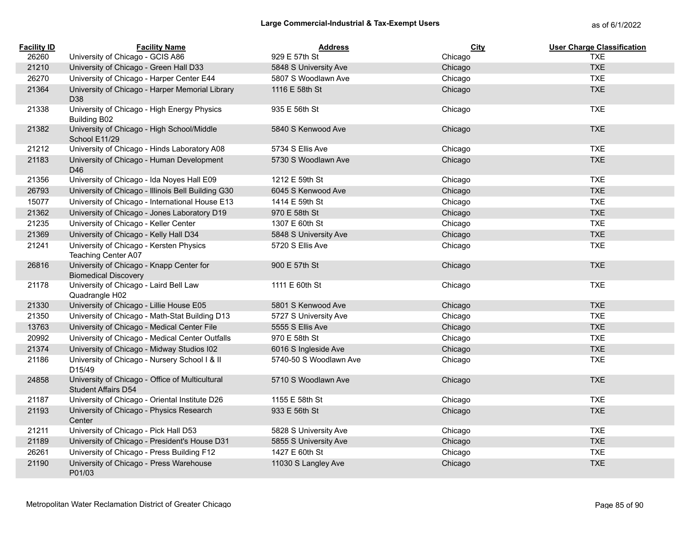| <b>Facility ID</b> | <b>Facility Name</b>                                                          | <b>Address</b>         | City    | <b>User Charge Classification</b> |
|--------------------|-------------------------------------------------------------------------------|------------------------|---------|-----------------------------------|
| 26260              | University of Chicago - GCIS A86                                              | 929 E 57th St          | Chicago | <b>TXE</b>                        |
| 21210              | University of Chicago - Green Hall D33                                        | 5848 S University Ave  | Chicago | <b>TXE</b>                        |
| 26270              | University of Chicago - Harper Center E44                                     | 5807 S Woodlawn Ave    | Chicago | <b>TXE</b>                        |
| 21364              | University of Chicago - Harper Memorial Library<br>D <sub>38</sub>            | 1116 E 58th St         | Chicago | <b>TXE</b>                        |
| 21338              | University of Chicago - High Energy Physics<br><b>Building B02</b>            | 935 E 56th St          | Chicago | <b>TXE</b>                        |
| 21382              | University of Chicago - High School/Middle<br>School E11/29                   | 5840 S Kenwood Ave     | Chicago | <b>TXE</b>                        |
| 21212              | University of Chicago - Hinds Laboratory A08                                  | 5734 S Ellis Ave       | Chicago | <b>TXE</b>                        |
| 21183              | University of Chicago - Human Development<br>D46                              | 5730 S Woodlawn Ave    | Chicago | <b>TXE</b>                        |
| 21356              | University of Chicago - Ida Noyes Hall E09                                    | 1212 E 59th St         | Chicago | <b>TXE</b>                        |
| 26793              | University of Chicago - Illinois Bell Building G30                            | 6045 S Kenwood Ave     | Chicago | <b>TXE</b>                        |
| 15077              | University of Chicago - International House E13                               | 1414 E 59th St         | Chicago | <b>TXE</b>                        |
| 21362              | University of Chicago - Jones Laboratory D19                                  | 970 E 58th St          | Chicago | <b>TXE</b>                        |
| 21235              | University of Chicago - Keller Center                                         | 1307 E 60th St         | Chicago | <b>TXE</b>                        |
| 21369              | University of Chicago - Kelly Hall D34                                        | 5848 S University Ave  | Chicago | <b>TXE</b>                        |
| 21241              | University of Chicago - Kersten Physics<br>Teaching Center A07                | 5720 S Ellis Ave       | Chicago | <b>TXE</b>                        |
| 26816              | University of Chicago - Knapp Center for<br><b>Biomedical Discovery</b>       | 900 E 57th St          | Chicago | <b>TXE</b>                        |
| 21178              | University of Chicago - Laird Bell Law<br>Quadrangle H02                      | 1111 E 60th St         | Chicago | <b>TXE</b>                        |
| 21330              | University of Chicago - Lillie House E05                                      | 5801 S Kenwood Ave     | Chicago | <b>TXE</b>                        |
| 21350              | University of Chicago - Math-Stat Building D13                                | 5727 S University Ave  | Chicago | <b>TXE</b>                        |
| 13763              | University of Chicago - Medical Center File                                   | 5555 S Ellis Ave       | Chicago | <b>TXE</b>                        |
| 20992              | University of Chicago - Medical Center Outfalls                               | 970 E 58th St          | Chicago | <b>TXE</b>                        |
| 21374              | University of Chicago - Midway Studios I02                                    | 6016 S Ingleside Ave   | Chicago | <b>TXE</b>                        |
| 21186              | University of Chicago - Nursery School I & II<br>D15/49                       | 5740-50 S Woodlawn Ave | Chicago | <b>TXE</b>                        |
| 24858              | University of Chicago - Office of Multicultural<br><b>Student Affairs D54</b> | 5710 S Woodlawn Ave    | Chicago | <b>TXE</b>                        |
| 21187              | University of Chicago - Oriental Institute D26                                | 1155 E 58th St         | Chicago | <b>TXE</b>                        |
| 21193              | University of Chicago - Physics Research<br>Center                            | 933 E 56th St          | Chicago | <b>TXE</b>                        |
| 21211              | University of Chicago - Pick Hall D53                                         | 5828 S University Ave  | Chicago | <b>TXE</b>                        |
| 21189              | University of Chicago - President's House D31                                 | 5855 S University Ave  | Chicago | <b>TXE</b>                        |
| 26261              | University of Chicago - Press Building F12                                    | 1427 E 60th St         | Chicago | <b>TXE</b>                        |
| 21190              | University of Chicago - Press Warehouse<br>P01/03                             | 11030 S Langley Ave    | Chicago | <b>TXE</b>                        |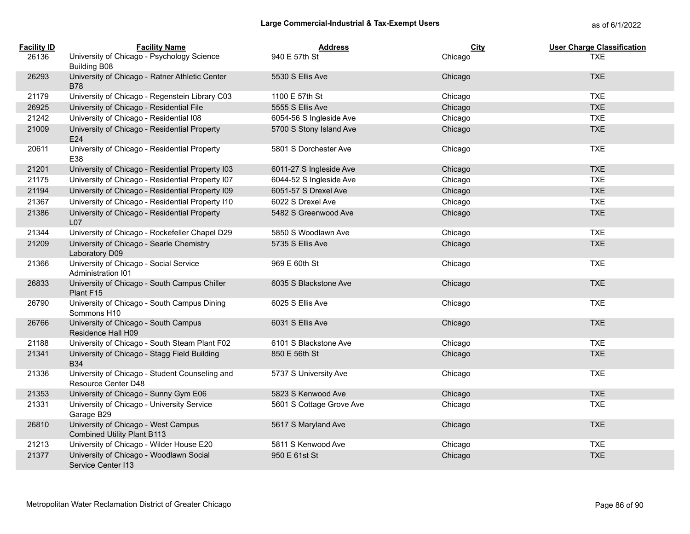| <b>Facility ID</b> | <b>Facility Name</b>                                                      | <b>Address</b>           | City    | <b>User Charge Classification</b> |
|--------------------|---------------------------------------------------------------------------|--------------------------|---------|-----------------------------------|
| 26136              | University of Chicago - Psychology Science<br><b>Building B08</b>         | 940 E 57th St            | Chicago | <b>TXE</b>                        |
| 26293              | University of Chicago - Ratner Athletic Center<br><b>B78</b>              | 5530 S Ellis Ave         | Chicago | <b>TXE</b>                        |
| 21179              | University of Chicago - Regenstein Library C03                            | 1100 E 57th St           | Chicago | <b>TXE</b>                        |
| 26925              | University of Chicago - Residential File                                  | 5555 S Ellis Ave         | Chicago | <b>TXE</b>                        |
| 21242              | University of Chicago - Residential I08                                   | 6054-56 S Ingleside Ave  | Chicago | <b>TXE</b>                        |
| 21009              | University of Chicago - Residential Property<br>E24                       | 5700 S Stony Island Ave  | Chicago | <b>TXE</b>                        |
| 20611              | University of Chicago - Residential Property<br>E38                       | 5801 S Dorchester Ave    | Chicago | <b>TXE</b>                        |
| 21201              | University of Chicago - Residential Property I03                          | 6011-27 S Ingleside Ave  | Chicago | <b>TXE</b>                        |
| 21175              | University of Chicago - Residential Property I07                          | 6044-52 S Ingleside Ave  | Chicago | <b>TXE</b>                        |
| 21194              | University of Chicago - Residential Property I09                          | 6051-57 S Drexel Ave     | Chicago | <b>TXE</b>                        |
| 21367              | University of Chicago - Residential Property I10                          | 6022 S Drexel Ave        | Chicago | <b>TXE</b>                        |
| 21386              | University of Chicago - Residential Property<br>L07                       | 5482 S Greenwood Ave     | Chicago | <b>TXE</b>                        |
| 21344              | University of Chicago - Rockefeller Chapel D29                            | 5850 S Woodlawn Ave      | Chicago | <b>TXE</b>                        |
| 21209              | University of Chicago - Searle Chemistry<br>Laboratory D09                | 5735 S Ellis Ave         | Chicago | <b>TXE</b>                        |
| 21366              | University of Chicago - Social Service<br>Administration I01              | 969 E 60th St            | Chicago | <b>TXE</b>                        |
| 26833              | University of Chicago - South Campus Chiller<br>Plant F15                 | 6035 S Blackstone Ave    | Chicago | <b>TXE</b>                        |
| 26790              | University of Chicago - South Campus Dining<br>Sommons H10                | 6025 S Ellis Ave         | Chicago | <b>TXE</b>                        |
| 26766              | University of Chicago - South Campus<br>Residence Hall H09                | 6031 S Ellis Ave         | Chicago | <b>TXE</b>                        |
| 21188              | University of Chicago - South Steam Plant F02                             | 6101 S Blackstone Ave    | Chicago | <b>TXE</b>                        |
| 21341              | University of Chicago - Stagg Field Building<br><b>B34</b>                | 850 E 56th St            | Chicago | <b>TXE</b>                        |
| 21336              | University of Chicago - Student Counseling and<br>Resource Center D48     | 5737 S University Ave    | Chicago | <b>TXE</b>                        |
| 21353              | University of Chicago - Sunny Gym E06                                     | 5823 S Kenwood Ave       | Chicago | <b>TXE</b>                        |
| 21331              | University of Chicago - University Service<br>Garage B29                  | 5601 S Cottage Grove Ave | Chicago | <b>TXE</b>                        |
| 26810              | University of Chicago - West Campus<br><b>Combined Utility Plant B113</b> | 5617 S Maryland Ave      | Chicago | <b>TXE</b>                        |
| 21213              | University of Chicago - Wilder House E20                                  | 5811 S Kenwood Ave       | Chicago | <b>TXE</b>                        |
| 21377              | University of Chicago - Woodlawn Social<br>Service Center I13             | 950 E 61st St            | Chicago | <b>TXE</b>                        |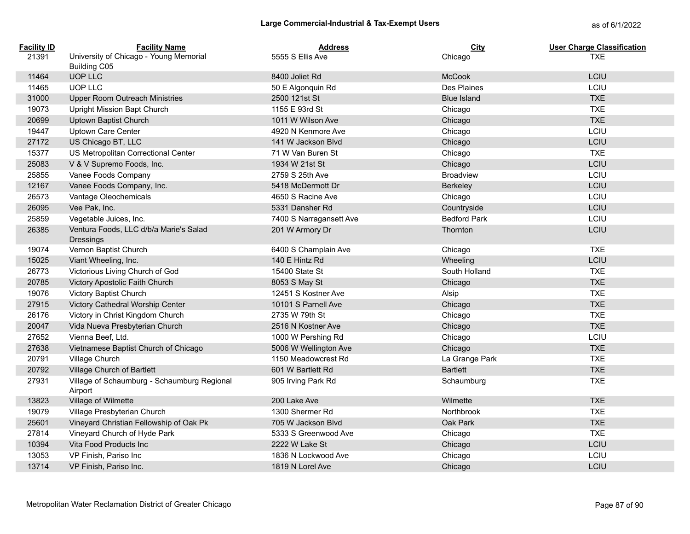| <b>Facility ID</b> | <b>Facility Name</b>                                          | <b>Address</b>          | <b>City</b>         | <b>User Charge Classification</b> |
|--------------------|---------------------------------------------------------------|-------------------------|---------------------|-----------------------------------|
| 21391              | University of Chicago - Young Memorial<br><b>Building C05</b> | 5555 S Ellis Ave        | Chicago             | <b>TXE</b>                        |
| 11464              | UOP LLC                                                       | 8400 Joliet Rd          | <b>McCook</b>       | LCIU                              |
| 11465              | UOP LLC                                                       | 50 E Algonquin Rd       | Des Plaines         | LCIU                              |
| 31000              | <b>Upper Room Outreach Ministries</b>                         | 2500 121st St           | <b>Blue Island</b>  | <b>TXE</b>                        |
| 19073              | Upright Mission Bapt Church                                   | 1155 E 93rd St          | Chicago             | <b>TXE</b>                        |
| 20699              | Uptown Baptist Church                                         | 1011 W Wilson Ave       | Chicago             | <b>TXE</b>                        |
| 19447              | Uptown Care Center                                            | 4920 N Kenmore Ave      | Chicago             | LCIU                              |
| 27172              | US Chicago BT, LLC                                            | 141 W Jackson Blvd      | Chicago             | LCIU                              |
| 15377              | US Metropolitan Correctional Center                           | 71 W Van Buren St       | Chicago             | <b>TXE</b>                        |
| 25083              | V & V Supremo Foods, Inc.                                     | 1934 W 21st St          | Chicago             | LCIU                              |
| 25855              | Vanee Foods Company                                           | 2759 S 25th Ave         | <b>Broadview</b>    | LCIU                              |
| 12167              | Vanee Foods Company, Inc.                                     | 5418 McDermott Dr       | Berkeley            | LCIU                              |
| 26573              | Vantage Oleochemicals                                         | 4650 S Racine Ave       | Chicago             | LCIU                              |
| 26095              | Vee Pak, Inc.                                                 | 5331 Dansher Rd         | Countryside         | LCIU                              |
| 25859              | Vegetable Juices, Inc.                                        | 7400 S Narragansett Ave | <b>Bedford Park</b> | LCIU                              |
| 26385              | Ventura Foods, LLC d/b/a Marie's Salad                        | 201 W Armory Dr         | Thornton            | LCIU                              |
|                    | <b>Dressings</b>                                              |                         |                     |                                   |
| 19074              | Vernon Baptist Church                                         | 6400 S Champlain Ave    | Chicago             | <b>TXE</b>                        |
| 15025              | Viant Wheeling, Inc.                                          | 140 E Hintz Rd          | Wheeling            | LCIU                              |
| 26773              | Victorious Living Church of God                               | 15400 State St          | South Holland       | <b>TXE</b>                        |
| 20785              | Victory Apostolic Faith Church                                | 8053 S May St           | Chicago             | <b>TXE</b>                        |
| 19076              | Victory Baptist Church                                        | 12451 S Kostner Ave     | Alsip               | <b>TXE</b>                        |
| 27915              | Victory Cathedral Worship Center                              | 10101 S Parnell Ave     | Chicago             | <b>TXE</b>                        |
| 26176              | Victory in Christ Kingdom Church                              | 2735 W 79th St          | Chicago             | <b>TXE</b>                        |
| 20047              | Vida Nueva Presbyterian Church                                | 2516 N Kostner Ave      | Chicago             | <b>TXE</b>                        |
| 27652              | Vienna Beef, Ltd.                                             | 1000 W Pershing Rd      | Chicago             | LCIU                              |
| 27638              | Vietnamese Baptist Church of Chicago                          | 5006 W Wellington Ave   | Chicago             | <b>TXE</b>                        |
| 20791              | Village Church                                                | 1150 Meadowcrest Rd     | La Grange Park      | <b>TXE</b>                        |
| 20792              | Village Church of Bartlett                                    | 601 W Bartlett Rd       | <b>Bartlett</b>     | <b>TXE</b>                        |
| 27931              | Village of Schaumburg - Schaumburg Regional<br>Airport        | 905 Irving Park Rd      | Schaumburg          | <b>TXE</b>                        |
| 13823              | Village of Wilmette                                           | 200 Lake Ave            | Wilmette            | <b>TXE</b>                        |
| 19079              | Village Presbyterian Church                                   | 1300 Shermer Rd         | Northbrook          | <b>TXE</b>                        |
| 25601              | Vineyard Christian Fellowship of Oak Pk                       | 705 W Jackson Blvd      | Oak Park            | <b>TXE</b>                        |
| 27814              | Vineyard Church of Hyde Park                                  | 5333 S Greenwood Ave    | Chicago             | <b>TXE</b>                        |
| 10394              | Vita Food Products Inc                                        | 2222 W Lake St          | Chicago             | LCIU                              |
| 13053              | VP Finish, Pariso Inc                                         | 1836 N Lockwood Ave     | Chicago             | LCIU                              |
| 13714              | VP Finish, Pariso Inc.                                        | 1819 N Lorel Ave        | Chicago             | LCIU                              |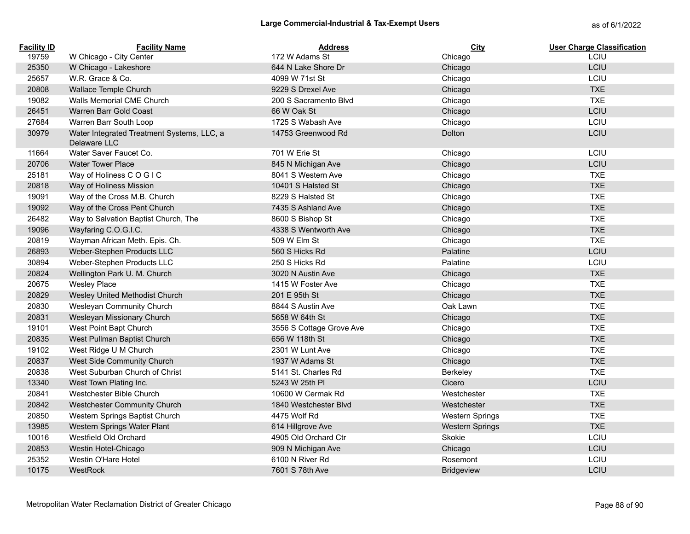| <b>Facility ID</b> | <b>Facility Name</b>                                       | <b>Address</b>           | <b>City</b>            | <b>User Charge Classification</b> |
|--------------------|------------------------------------------------------------|--------------------------|------------------------|-----------------------------------|
| 19759              | W Chicago - City Center                                    | 172 W Adams St           | Chicago                | LCIU                              |
| 25350              | W Chicago - Lakeshore                                      | 644 N Lake Shore Dr      | Chicago                | LCIU                              |
| 25657              | W.R. Grace & Co.                                           | 4099 W 71st St           | Chicago                | LCIU                              |
| 20808              | Wallace Temple Church                                      | 9229 S Drexel Ave        | Chicago                | <b>TXE</b>                        |
| 19082              | Walls Memorial CME Church                                  | 200 S Sacramento Blvd    | Chicago                | <b>TXE</b>                        |
| 26451              | Warren Barr Gold Coast                                     | 66 W Oak St              | Chicago                | LCIU                              |
| 27684              | Warren Barr South Loop                                     | 1725 S Wabash Ave        | Chicago                | LCIU                              |
| 30979              | Water Integrated Treatment Systems, LLC, a<br>Delaware LLC | 14753 Greenwood Rd       | Dolton                 | LCIU                              |
| 11664              | Water Saver Faucet Co.                                     | 701 W Erie St            | Chicago                | LCIU                              |
| 20706              | <b>Water Tower Place</b>                                   | 845 N Michigan Ave       | Chicago                | LCIU                              |
| 25181              | Way of Holiness COGIC                                      | 8041 S Western Ave       | Chicago                | <b>TXE</b>                        |
| 20818              | Way of Holiness Mission                                    | 10401 S Halsted St       | Chicago                | <b>TXE</b>                        |
| 19091              | Way of the Cross M.B. Church                               | 8229 S Halsted St        | Chicago                | <b>TXE</b>                        |
| 19092              | Way of the Cross Pent Church                               | 7435 S Ashland Ave       | Chicago                | <b>TXE</b>                        |
| 26482              | Way to Salvation Baptist Church, The                       | 8600 S Bishop St         | Chicago                | <b>TXE</b>                        |
| 19096              | Wayfaring C.O.G.I.C.                                       | 4338 S Wentworth Ave     | Chicago                | <b>TXE</b>                        |
| 20819              | Wayman African Meth. Epis. Ch.                             | 509 W Elm St             | Chicago                | <b>TXE</b>                        |
| 26893              | Weber-Stephen Products LLC                                 | 560 S Hicks Rd           | Palatine               | LCIU                              |
| 30894              | Weber-Stephen Products LLC                                 | 250 S Hicks Rd           | Palatine               | LCIU                              |
| 20824              | Wellington Park U. M. Church                               | 3020 N Austin Ave        | Chicago                | <b>TXE</b>                        |
| 20675              | <b>Wesley Place</b>                                        | 1415 W Foster Ave        | Chicago                | <b>TXE</b>                        |
| 20829              | Wesley United Methodist Church                             | 201 E 95th St            | Chicago                | <b>TXE</b>                        |
| 20830              | Wesleyan Community Church                                  | 8844 S Austin Ave        | Oak Lawn               | <b>TXE</b>                        |
| 20831              | Wesleyan Missionary Church                                 | 5658 W 64th St           | Chicago                | <b>TXE</b>                        |
| 19101              | West Point Bapt Church                                     | 3556 S Cottage Grove Ave | Chicago                | <b>TXE</b>                        |
| 20835              | West Pullman Baptist Church                                | 656 W 118th St           | Chicago                | <b>TXE</b>                        |
| 19102              | West Ridge U M Church                                      | 2301 W Lunt Ave          | Chicago                | <b>TXE</b>                        |
| 20837              | West Side Community Church                                 | 1937 W Adams St          | Chicago                | <b>TXE</b>                        |
| 20838              | West Suburban Church of Christ                             | 5141 St. Charles Rd      | Berkeley               | <b>TXE</b>                        |
| 13340              | West Town Plating Inc.                                     | 5243 W 25th PI           | Cicero                 | LCIU                              |
| 20841              | Westchester Bible Church                                   | 10600 W Cermak Rd        | Westchester            | <b>TXE</b>                        |
| 20842              | Westchester Community Church                               | 1840 Westchester Blvd    | Westchester            | <b>TXE</b>                        |
| 20850              | Western Springs Baptist Church                             | 4475 Wolf Rd             | <b>Western Springs</b> | <b>TXE</b>                        |
| 13985              | Western Springs Water Plant                                | 614 Hillgrove Ave        | <b>Western Springs</b> | <b>TXE</b>                        |
| 10016              | Westfield Old Orchard                                      | 4905 Old Orchard Ctr     | Skokie                 | LCIU                              |
| 20853              | Westin Hotel-Chicago                                       | 909 N Michigan Ave       | Chicago                | LCIU                              |
| 25352              | Westin O'Hare Hotel                                        | 6100 N River Rd          | Rosemont               | LCIU                              |
| 10175              | WestRock                                                   | 7601 S 78th Ave          | <b>Bridgeview</b>      | LCIU                              |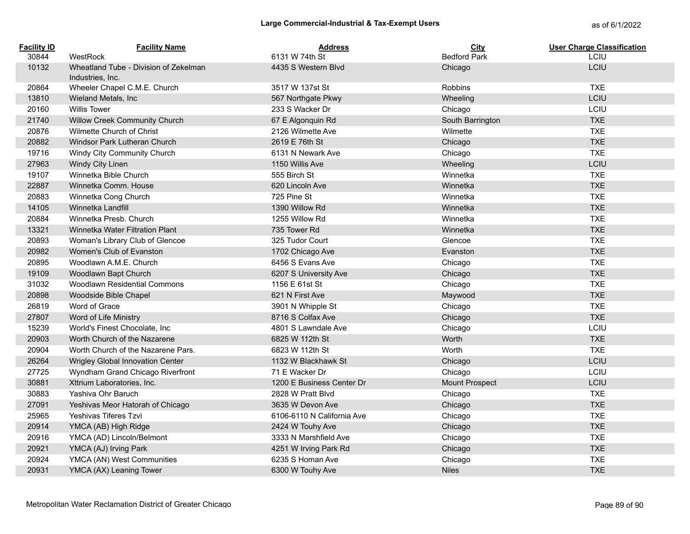| <b>Facility ID</b><br>30844 | <b>Facility Name</b><br>WestRock      | <b>Address</b><br>6131 W 74th St | City<br><b>Bedford Park</b> | <b>User Charge Classification</b><br>LCIU |
|-----------------------------|---------------------------------------|----------------------------------|-----------------------------|-------------------------------------------|
| 10132                       | Wheatland Tube - Division of Zekelman | 4435 S Western Blvd              | Chicago                     | LCIU                                      |
|                             | Industries, Inc.                      |                                  |                             |                                           |
| 20864                       | Wheeler Chapel C.M.E. Church          | 3517 W 137st St                  | <b>Robbins</b>              | <b>TXE</b>                                |
| 13810                       | Wieland Metals, Inc.                  | 567 Northgate Pkwy               | Wheeling                    | LCIU                                      |
| 20160                       | <b>Willis Tower</b>                   | 233 S Wacker Dr                  | Chicago                     | LCIU                                      |
| 21740                       | Willow Creek Community Church         | 67 E Algonquin Rd                | South Barrington            | <b>TXE</b>                                |
| 20876                       | Wilmette Church of Christ             | 2126 Wilmette Ave                | Wilmette                    | <b>TXE</b>                                |
| 20882                       | Windsor Park Lutheran Church          | 2619 E 76th St                   | Chicago                     | <b>TXE</b>                                |
| 19716                       | Windy City Community Church           | 6131 N Newark Ave                | Chicago                     | <b>TXE</b>                                |
| 27963                       | Windy City Linen                      | 1150 Willis Ave                  | Wheeling                    | LCIU                                      |
| 19107                       | Winnetka Bible Church                 | 555 Birch St                     | Winnetka                    | <b>TXE</b>                                |
| 22887                       | Winnetka Comm. House                  | 620 Lincoln Ave                  | Winnetka                    | <b>TXE</b>                                |
| 20883                       | Winnetka Cong Church                  | 725 Pine St                      | Winnetka                    | <b>TXE</b>                                |
| 14105                       | Winnetka Landfill                     | 1390 Willow Rd                   | Winnetka                    | <b>TXE</b>                                |
| 20884                       | Winnetka Presb. Church                | 1255 Willow Rd                   | Winnetka                    | <b>TXE</b>                                |
| 13321                       | Winnetka Water Filtration Plant       | 735 Tower Rd                     | Winnetka                    | <b>TXE</b>                                |
| 20893                       | Woman's Library Club of Glencoe       | 325 Tudor Court                  | Glencoe                     | <b>TXE</b>                                |
| 20982                       | Women's Club of Evanston              | 1702 Chicago Ave                 | Evanston                    | <b>TXE</b>                                |
| 20895                       | Woodlawn A.M.E. Church                | 6456 S Evans Ave                 | Chicago                     | <b>TXE</b>                                |
| 19109                       | Woodlawn Bapt Church                  | 6207 S University Ave            | Chicago                     | <b>TXE</b>                                |
| 31032                       | <b>Woodlawn Residential Commons</b>   | 1156 E 61st St                   | Chicago                     | <b>TXE</b>                                |
| 20898                       | Woodside Bible Chapel                 | 621 N First Ave                  | Maywood                     | <b>TXE</b>                                |
| 26819                       | Word of Grace                         | 3901 N Whipple St                | Chicago                     | <b>TXE</b>                                |
| 27807                       | Word of Life Ministry                 | 8716 S Colfax Ave                | Chicago                     | <b>TXE</b>                                |
| 15239                       | World's Finest Chocolate, Inc         | 4801 S Lawndale Ave              | Chicago                     | LCIU                                      |
| 20903                       | Worth Church of the Nazarene          | 6825 W 112th St                  | Worth                       | <b>TXE</b>                                |
| 20904                       | Worth Church of the Nazarene Pars.    | 6823 W 112th St                  | Worth                       | <b>TXE</b>                                |
| 26264                       | Wrigley Global Innovation Center      | 1132 W Blackhawk St              | Chicago                     | LCIU                                      |
| 27725                       | Wyndham Grand Chicago Riverfront      | 71 E Wacker Dr                   | Chicago                     | LCIU                                      |
| 30881                       | Xttrium Laboratories, Inc.            | 1200 E Business Center Dr        | Mount Prospect              | LCIU                                      |
| 30883                       | Yashiva Ohr Baruch                    | 2828 W Pratt Blvd                | Chicago                     | <b>TXE</b>                                |
| 27091                       | Yeshivas Meor Hatorah of Chicago      | 3635 W Devon Ave                 | Chicago                     | <b>TXE</b>                                |
| 25965                       | Yeshivas Tiferes Tzvi                 | 6106-6110 N California Ave       | Chicago                     | <b>TXE</b>                                |
| 20914                       | YMCA (AB) High Ridge                  | 2424 W Touhy Ave                 | Chicago                     | <b>TXE</b>                                |
| 20916                       | YMCA (AD) Lincoln/Belmont             | 3333 N Marshfield Ave            | Chicago                     | <b>TXE</b>                                |
| 20921                       | YMCA (AJ) Irving Park                 | 4251 W Irving Park Rd            | Chicago                     | <b>TXE</b>                                |
| 20924                       | YMCA (AN) West Communities            | 6235 S Homan Ave                 | Chicago                     | <b>TXE</b>                                |
| 20931                       | YMCA (AX) Leaning Tower               | 6300 W Touhy Ave                 | <b>Niles</b>                | <b>TXE</b>                                |